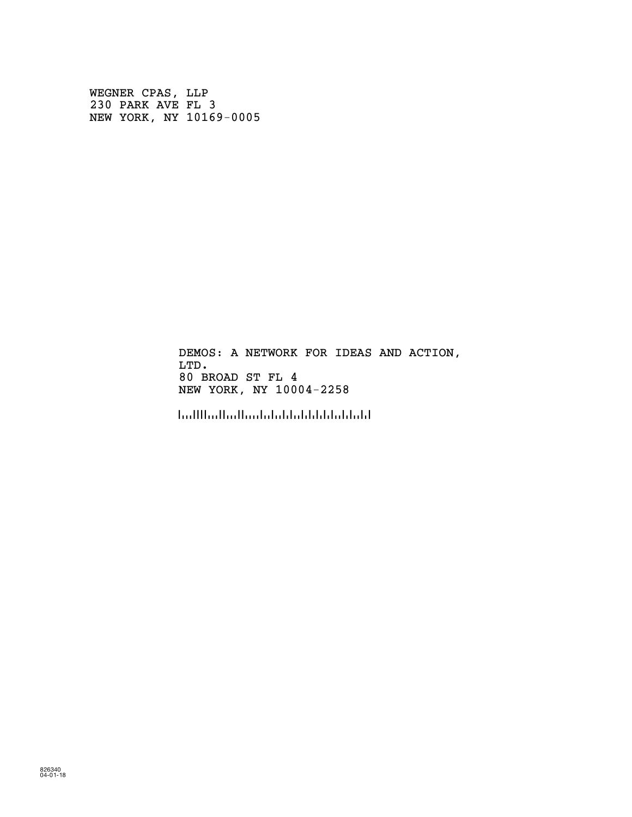WEGNER CPAS, LLP 230 PARK AVE FL 3 NEW YORK, NY 10169-0005

> DEMOS: A NETWORK FOR IDEAS AND ACTION, LTD. 80 BROAD ST FL 4 NEW YORK, NY 10004-2258

!1000422588!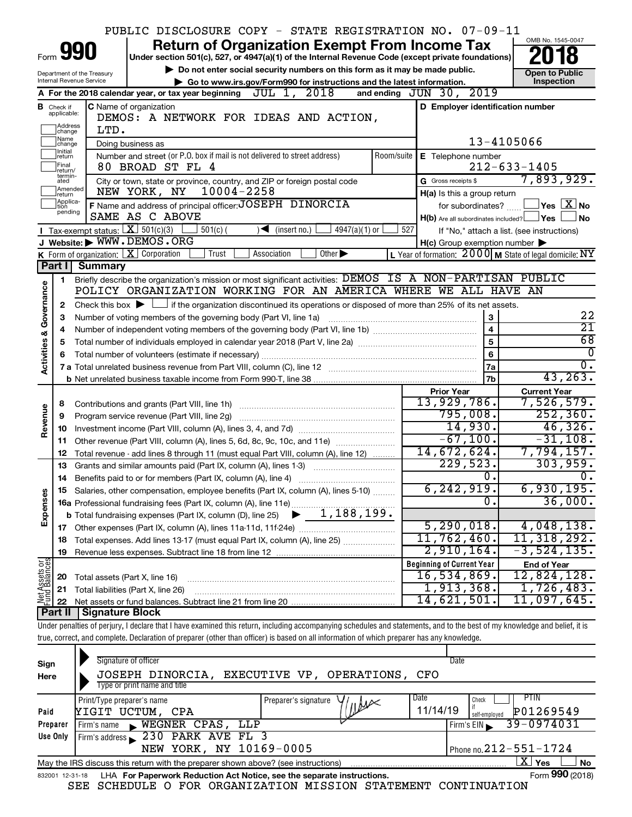|                                                                                                                                     |                                                                                                                                                                           |                                                                                   | PUBLIC DISCLOSURE COPY - STATE REGISTRATION NO. 07-09-11                                                                                                                           |     |                                                     |                |                                                         |  |  |  |  |  |  |  |
|-------------------------------------------------------------------------------------------------------------------------------------|---------------------------------------------------------------------------------------------------------------------------------------------------------------------------|-----------------------------------------------------------------------------------|------------------------------------------------------------------------------------------------------------------------------------------------------------------------------------|-----|-----------------------------------------------------|----------------|---------------------------------------------------------|--|--|--|--|--|--|--|
|                                                                                                                                     |                                                                                                                                                                           |                                                                                   | <b>Return of Organization Exempt From Income Tax</b>                                                                                                                               |     |                                                     |                | OMB No. 1545-0047                                       |  |  |  |  |  |  |  |
| Form                                                                                                                                |                                                                                                                                                                           | 990                                                                               | Under section 501(c), 527, or 4947(a)(1) of the Internal Revenue Code (except private foundations)                                                                                 |     |                                                     |                |                                                         |  |  |  |  |  |  |  |
|                                                                                                                                     |                                                                                                                                                                           | Department of the Treasury<br>Internal Revenue Service                            | Do not enter social security numbers on this form as it may be made public.                                                                                                        |     |                                                     |                | <b>Open to Public</b><br>Inspection                     |  |  |  |  |  |  |  |
|                                                                                                                                     | Go to www.irs.gov/Form990 for instructions and the latest information.<br>$JUL$ 1, 2018<br>and ending JUN 30, 2019<br>A For the 2018 calendar year, or tax year beginning |                                                                                   |                                                                                                                                                                                    |     |                                                     |                |                                                         |  |  |  |  |  |  |  |
|                                                                                                                                     | <b>B</b> Check if                                                                                                                                                         |                                                                                   | C Name of organization                                                                                                                                                             |     | D Employer identification number                    |                |                                                         |  |  |  |  |  |  |  |
|                                                                                                                                     | applicable:                                                                                                                                                               |                                                                                   | DEMOS: A NETWORK FOR IDEAS AND ACTION,                                                                                                                                             |     |                                                     |                |                                                         |  |  |  |  |  |  |  |
|                                                                                                                                     | Address<br>change                                                                                                                                                         | LTD.                                                                              |                                                                                                                                                                                    |     |                                                     |                |                                                         |  |  |  |  |  |  |  |
|                                                                                                                                     | Name<br> change<br>13-4105066<br>Doing business as                                                                                                                        |                                                                                   |                                                                                                                                                                                    |     |                                                     |                |                                                         |  |  |  |  |  |  |  |
| Initial<br>Number and street (or P.O. box if mail is not delivered to street address)<br>Room/suite<br>E Telephone number<br>return |                                                                                                                                                                           |                                                                                   |                                                                                                                                                                                    |     |                                                     |                |                                                         |  |  |  |  |  |  |  |
| Final<br>$212 - 633 - 1405$<br>80 BROAD ST FL 4<br>return/                                                                          |                                                                                                                                                                           |                                                                                   |                                                                                                                                                                                    |     |                                                     |                |                                                         |  |  |  |  |  |  |  |
|                                                                                                                                     | termin-<br>ated                                                                                                                                                           |                                                                                   | City or town, state or province, country, and ZIP or foreign postal code                                                                                                           |     | G Gross receipts \$                                 |                | 7,893,929.                                              |  |  |  |  |  |  |  |
|                                                                                                                                     | return                                                                                                                                                                    | Amended                                                                           | 10004-2258<br>NEW YORK, NY                                                                                                                                                         |     | H(a) Is this a group return                         |                |                                                         |  |  |  |  |  |  |  |
|                                                                                                                                     | Applica-<br>tion<br>pending                                                                                                                                               |                                                                                   | F Name and address of principal officer: JOSEPH DINORCIA                                                                                                                           |     | for subordinates?                                   |                | $\sqrt{\mathsf{Yes}\ \mathbf{X}}$ No                    |  |  |  |  |  |  |  |
|                                                                                                                                     |                                                                                                                                                                           |                                                                                   | SAME AS C ABOVE                                                                                                                                                                    |     | $H(b)$ Are all subordinates included? $\Box$ Yes    |                | No                                                      |  |  |  |  |  |  |  |
|                                                                                                                                     |                                                                                                                                                                           | <b>I</b> Tax-exempt status: $X \ 501(c)(3)$                                       | $501(c)$ (<br>$\sqrt{\bullet}$ (insert no.)<br>$4947(a)(1)$ or                                                                                                                     | 527 |                                                     |                | If "No," attach a list. (see instructions)              |  |  |  |  |  |  |  |
|                                                                                                                                     |                                                                                                                                                                           |                                                                                   | J Website: WWW.DEMOS.ORG                                                                                                                                                           |     | $H(c)$ Group exemption number $\blacktriangleright$ |                |                                                         |  |  |  |  |  |  |  |
|                                                                                                                                     | Part I                                                                                                                                                                    | <b>K</b> Form of organization: $\boxed{\mathbf{X}}$ Corporation<br><b>Summary</b> | Trust<br>Association<br>Other $\blacktriangleright$                                                                                                                                |     |                                                     |                | L Year of formation: 2000 M State of legal domicile: NY |  |  |  |  |  |  |  |
|                                                                                                                                     |                                                                                                                                                                           |                                                                                   | Briefly describe the organization's mission or most significant activities: DEMOS IS A NON-PARTISAN PUBLIC                                                                         |     |                                                     |                |                                                         |  |  |  |  |  |  |  |
|                                                                                                                                     | 1                                                                                                                                                                         |                                                                                   | POLICY ORGANIZATION WORKING FOR AN AMERICA WHERE WE ALL HAVE AN                                                                                                                    |     |                                                     |                |                                                         |  |  |  |  |  |  |  |
| Governance                                                                                                                          | 2                                                                                                                                                                         |                                                                                   | Check this box $\blacktriangleright$ $\Box$ if the organization discontinued its operations or disposed of more than 25% of its net assets.                                        |     |                                                     |                |                                                         |  |  |  |  |  |  |  |
|                                                                                                                                     | 3                                                                                                                                                                         |                                                                                   | Number of voting members of the governing body (Part VI, line 1a)                                                                                                                  |     | 3                                                   |                | 22                                                      |  |  |  |  |  |  |  |
|                                                                                                                                     | 4                                                                                                                                                                         |                                                                                   |                                                                                                                                                                                    |     |                                                     | $\overline{4}$ | $\overline{21}$                                         |  |  |  |  |  |  |  |
| જ                                                                                                                                   | 5                                                                                                                                                                         |                                                                                   | $\overline{5}$                                                                                                                                                                     |     |                                                     |                |                                                         |  |  |  |  |  |  |  |
|                                                                                                                                     | 6                                                                                                                                                                         |                                                                                   |                                                                                                                                                                                    |     | $\bf 6$                                             |                | $\Omega$                                                |  |  |  |  |  |  |  |
| Activities                                                                                                                          |                                                                                                                                                                           |                                                                                   |                                                                                                                                                                                    |     | 7a                                                  |                | σ.                                                      |  |  |  |  |  |  |  |
|                                                                                                                                     |                                                                                                                                                                           |                                                                                   |                                                                                                                                                                                    |     | 7b                                                  |                | 43, 263.                                                |  |  |  |  |  |  |  |
|                                                                                                                                     |                                                                                                                                                                           |                                                                                   |                                                                                                                                                                                    |     | <b>Prior Year</b>                                   |                | <b>Current Year</b>                                     |  |  |  |  |  |  |  |
|                                                                                                                                     | 8                                                                                                                                                                         |                                                                                   | Contributions and grants (Part VIII, line 1h)                                                                                                                                      |     | 13,929,786.                                         |                | 7,526,579.                                              |  |  |  |  |  |  |  |
|                                                                                                                                     | 9                                                                                                                                                                         |                                                                                   | Program service revenue (Part VIII, line 2g)                                                                                                                                       |     | 795,008.                                            |                | 252, 360.                                               |  |  |  |  |  |  |  |
| Revenue                                                                                                                             | 10                                                                                                                                                                        |                                                                                   |                                                                                                                                                                                    |     | 14,930.                                             |                | 46,326.                                                 |  |  |  |  |  |  |  |
|                                                                                                                                     | 11                                                                                                                                                                        |                                                                                   | Other revenue (Part VIII, column (A), lines 5, 6d, 8c, 9c, 10c, and 11e)                                                                                                           |     | $-67,100.$<br>14,672,624.                           |                | $-31,108.$                                              |  |  |  |  |  |  |  |
|                                                                                                                                     | 12                                                                                                                                                                        |                                                                                   | Total revenue - add lines 8 through 11 (must equal Part VIII, column (A), line 12)                                                                                                 |     | 229,523.                                            |                | 7,794,157.<br>303,959.                                  |  |  |  |  |  |  |  |
|                                                                                                                                     | 13                                                                                                                                                                        |                                                                                   | Grants and similar amounts paid (Part IX, column (A), lines 1-3)<br>and a strategic contract of the contract of the contract of the contract of the contract of the contract of th |     | $\overline{0}$ .                                    |                | $\overline{0}$ .                                        |  |  |  |  |  |  |  |
|                                                                                                                                     | 14                                                                                                                                                                        |                                                                                   | Benefits paid to or for members (Part IX, column (A), line 4)<br>15 Salaries, other compensation, employee benefits (Part IX, column (A), lines 5-10)                              |     | 6, 242, 919.                                        |                | 6,930,195.                                              |  |  |  |  |  |  |  |
|                                                                                                                                     |                                                                                                                                                                           |                                                                                   | 16a Professional fundraising fees (Part IX, column (A), line 11e)                                                                                                                  |     | $\overline{0}$ .                                    |                | 36,000.                                                 |  |  |  |  |  |  |  |
| Expenses                                                                                                                            |                                                                                                                                                                           |                                                                                   | 1,188,199.<br><b>b</b> Total fundraising expenses (Part IX, column (D), line 25)                                                                                                   |     |                                                     |                |                                                         |  |  |  |  |  |  |  |
|                                                                                                                                     |                                                                                                                                                                           |                                                                                   |                                                                                                                                                                                    |     | 5, 290, 018.                                        |                | 4,048,138.                                              |  |  |  |  |  |  |  |
|                                                                                                                                     | 18                                                                                                                                                                        |                                                                                   | Total expenses. Add lines 13-17 (must equal Part IX, column (A), line 25)                                                                                                          |     | 11,762,460.                                         |                | 11,318,292.                                             |  |  |  |  |  |  |  |
|                                                                                                                                     | 19                                                                                                                                                                        |                                                                                   |                                                                                                                                                                                    |     | 2,910,164.                                          |                | $-3,524,135$ .                                          |  |  |  |  |  |  |  |
|                                                                                                                                     |                                                                                                                                                                           |                                                                                   |                                                                                                                                                                                    |     | <b>Beginning of Current Year</b>                    |                | <b>End of Year</b>                                      |  |  |  |  |  |  |  |
|                                                                                                                                     | 20                                                                                                                                                                        | Total assets (Part X, line 16)                                                    |                                                                                                                                                                                    |     | 16,534,869.                                         |                | 12,824,128.                                             |  |  |  |  |  |  |  |
| Net Assets or<br>Fund Balances                                                                                                      | 21                                                                                                                                                                        |                                                                                   | Total liabilities (Part X, line 26)                                                                                                                                                |     | 1,913,368.                                          |                | 1,726,483.                                              |  |  |  |  |  |  |  |
|                                                                                                                                     | 22                                                                                                                                                                        |                                                                                   | Net assets or fund balances. Subtract line 21 from line 20                                                                                                                         |     | 14,621,501.                                         |                | 11,097,645.                                             |  |  |  |  |  |  |  |
|                                                                                                                                     | Part II                                                                                                                                                                   | <b>Signature Block</b>                                                            |                                                                                                                                                                                    |     |                                                     |                |                                                         |  |  |  |  |  |  |  |
|                                                                                                                                     |                                                                                                                                                                           |                                                                                   | Under penalties of perjury, I declare that I have examined this return, including accompanying schedules and statements, and to the best of my knowledge and belief, it is         |     |                                                     |                |                                                         |  |  |  |  |  |  |  |
|                                                                                                                                     |                                                                                                                                                                           |                                                                                   | true, correct, and complete. Declaration of preparer (other than officer) is based on all information of which preparer has any knowledge.                                         |     |                                                     |                |                                                         |  |  |  |  |  |  |  |

| Sign<br>Here | Signature of officer<br>EXECUTIVE VP, OPERATIONS, CFO<br>JOSEPH DINORCIA,<br>Type or print name and title    | Date                                                    |  |  |  |  |  |  |  |  |  |
|--------------|--------------------------------------------------------------------------------------------------------------|---------------------------------------------------------|--|--|--|--|--|--|--|--|--|
| Paid         | Date<br>Preparer's signature<br>Print/Type preparer's name<br>YIGIT UCTUM, CPA                               | PTIN<br>Check<br>11/14/19<br>P01269549<br>self-emploved |  |  |  |  |  |  |  |  |  |
| Preparer     | WEGNER CPAS, LLP<br>Firm's name<br>$\mathbf{K}$                                                              | 39-0974031<br>Firm's $EIN$                              |  |  |  |  |  |  |  |  |  |
| Use Only     | Firm's address $\geq 230$ PARK AVE FL 3                                                                      |                                                         |  |  |  |  |  |  |  |  |  |
|              | NEW YORK, NY 10169-0005                                                                                      | Phone no. $212 - 551 - 1724$                            |  |  |  |  |  |  |  |  |  |
|              | May the IRS discuss this return with the preparer shown above? (see instructions)                            | $\mathbf{X}$ Yes<br><b>No</b>                           |  |  |  |  |  |  |  |  |  |
|              | Form 990 (2018)<br>LHA For Paperwork Reduction Act Notice, see the separate instructions.<br>832001 12-31-18 |                                                         |  |  |  |  |  |  |  |  |  |

SEE SCHEDULE O FOR ORGANIZATION MISSION STATEMENT CONTINUATION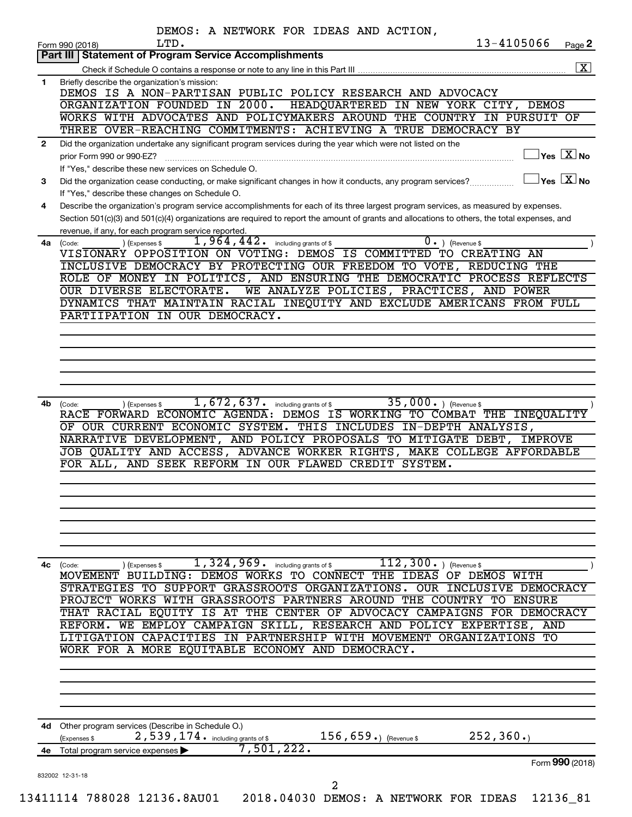|              | DEMOS: A NETWORK FOR IDEAS AND ACTION,<br>13-4105066<br>LTD.<br>Form 990 (2018)<br>Page 2                                                                                                                |
|--------------|----------------------------------------------------------------------------------------------------------------------------------------------------------------------------------------------------------|
|              | Part III   Statement of Program Service Accomplishments                                                                                                                                                  |
|              | $\boxed{\textbf{X}}$                                                                                                                                                                                     |
| 1            | Briefly describe the organization's mission:<br>DEMOS IS A NON-PARTISAN PUBLIC POLICY RESEARCH AND ADVOCACY                                                                                              |
|              | ORGANIZATION FOUNDED IN 2000.<br>HEADQUARTERED IN NEW YORK CITY, DEMOS                                                                                                                                   |
|              | WORKS WITH ADVOCATES AND POLICYMAKERS AROUND THE COUNTRY IN PURSUIT OF                                                                                                                                   |
|              | THREE OVER-REACHING COMMITMENTS: ACHIEVING A TRUE DEMOCRACY BY                                                                                                                                           |
| $\mathbf{2}$ | Did the organization undertake any significant program services during the year which were not listed on the                                                                                             |
|              | $\overline{\ }$ Yes $\overline{\phantom{a}X}$ No<br>prior Form 990 or 990-EZ?                                                                                                                            |
|              | If "Yes," describe these new services on Schedule O.                                                                                                                                                     |
| 3            | $\Box$ Yes $[\overline{\mathrm{X}}]$ No<br>Did the organization cease conducting, or make significant changes in how it conducts, any program services?                                                  |
|              | If "Yes," describe these changes on Schedule O.                                                                                                                                                          |
| 4            | Describe the organization's program service accomplishments for each of its three largest program services, as measured by expenses.                                                                     |
|              | Section 501(c)(3) and 501(c)(4) organizations are required to report the amount of grants and allocations to others, the total expenses, and<br>revenue, if any, for each program service reported.      |
| 4a           | $\overline{0}$ . ) (Revenue \$<br>$1,964,442$ $\cdot$ including grants of \$<br>) (Expenses \$<br>(Code:                                                                                                 |
|              | VISIONARY OPPOSITION ON VOTING: DEMOS IS COMMITTED TO CREATING AN                                                                                                                                        |
|              | INCLUSIVE DEMOCRACY BY PROTECTING OUR FREEDOM TO VOTE, REDUCING THE                                                                                                                                      |
|              | ROLE OF MONEY IN POLITICS, AND ENSURING THE DEMOCRATIC PROCESS REFLECTS                                                                                                                                  |
|              | OUR DIVERSE ELECTORATE.<br>WE ANALYZE POLICIES, PRACTICES, AND POWER                                                                                                                                     |
|              | DYNAMICS THAT MAINTAIN RACIAL INEQUITY AND EXCLUDE AMERICANS FROM FULL                                                                                                                                   |
|              | PARTIIPATION IN OUR DEMOCRACY.                                                                                                                                                                           |
|              |                                                                                                                                                                                                          |
|              |                                                                                                                                                                                                          |
|              |                                                                                                                                                                                                          |
|              |                                                                                                                                                                                                          |
|              |                                                                                                                                                                                                          |
|              | NARRATIVE DEVELOPMENT, AND POLICY PROPOSALS TO MITIGATE DEBT, IMPROVE<br>JOB QUALITY AND ACCESS, ADVANCE WORKER RIGHTS, MAKE COLLEGE AFFORDABLE<br>FOR ALL, AND SEEK REFORM IN OUR FLAWED CREDIT SYSTEM. |
|              |                                                                                                                                                                                                          |
|              | 112, 300. $ $ (Revenue \$<br>$\overline{1}$ , 324, 969. including grants of \$                                                                                                                           |
| 4с           | ) (Expenses \$<br>(Code:<br>MOVEMENT BUILDING: DEMOS WORKS TO CONNECT THE IDEAS OF DEMOS WITH                                                                                                            |
|              | STRATEGIES TO SUPPORT GRASSROOTS ORGANIZATIONS. OUR INCLUSIVE DEMOCRACY                                                                                                                                  |
|              | PROJECT WORKS WITH GRASSROOTS PARTNERS AROUND THE COUNTRY TO ENSURE                                                                                                                                      |
|              | THAT RACIAL EQUITY IS AT THE CENTER OF ADVOCACY CAMPAIGNS FOR DEMOCRACY                                                                                                                                  |
|              | WE EMPLOY CAMPAIGN SKILL, RESEARCH AND POLICY EXPERTISE, AND<br>REFORM.                                                                                                                                  |
|              | LITIGATION CAPACITIES IN PARTNERSHIP WITH MOVEMENT ORGANIZATIONS TO                                                                                                                                      |
|              | WORK FOR A MORE EQUITABLE ECONOMY AND DEMOCRACY.                                                                                                                                                         |
|              |                                                                                                                                                                                                          |
|              |                                                                                                                                                                                                          |
|              |                                                                                                                                                                                                          |
|              |                                                                                                                                                                                                          |
| 4d           | Other program services (Describe in Schedule O.)                                                                                                                                                         |
|              | 252, 360.<br>2,539,174. including grants of \$<br>156, 659.) (Revenue \$<br>(Expenses \$                                                                                                                 |
|              | 7,501,222.                                                                                                                                                                                               |
|              | Total program service expenses >                                                                                                                                                                         |
| 4е           | Form 990 (2018)                                                                                                                                                                                          |
|              | 832002 12-31-18<br>2                                                                                                                                                                                     |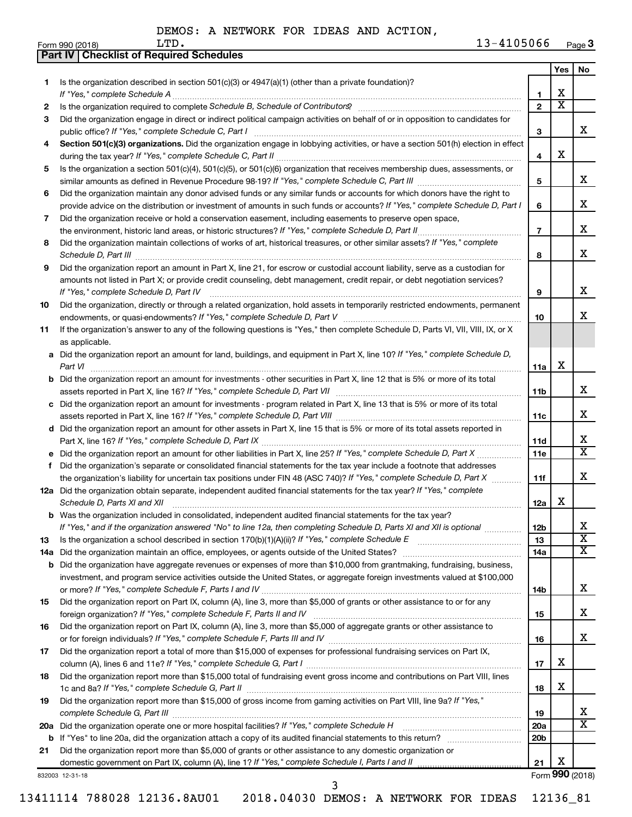|     | <b>Part IV   Checklist of Required Schedules</b>                                                                                 |                 |                         |                         |
|-----|----------------------------------------------------------------------------------------------------------------------------------|-----------------|-------------------------|-------------------------|
|     |                                                                                                                                  |                 | Yes                     | No.                     |
| 1.  | Is the organization described in section 501(c)(3) or $4947(a)(1)$ (other than a private foundation)?                            |                 |                         |                         |
|     | If "Yes," complete Schedule A                                                                                                    | 1               | х                       |                         |
| 2   |                                                                                                                                  | $\overline{2}$  | $\overline{\textbf{x}}$ |                         |
| 3   | Did the organization engage in direct or indirect political campaign activities on behalf of or in opposition to candidates for  |                 |                         |                         |
|     |                                                                                                                                  | 3               |                         | x                       |
| 4   | Section 501(c)(3) organizations. Did the organization engage in lobbying activities, or have a section 501(h) election in effect |                 |                         |                         |
|     |                                                                                                                                  | 4               | х                       |                         |
|     | Is the organization a section 501(c)(4), 501(c)(5), or 501(c)(6) organization that receives membership dues, assessments, or     |                 |                         |                         |
| 5   |                                                                                                                                  |                 |                         | x                       |
|     |                                                                                                                                  | 5               |                         |                         |
| 6   | Did the organization maintain any donor advised funds or any similar funds or accounts for which donors have the right to        |                 |                         | x                       |
|     | provide advice on the distribution or investment of amounts in such funds or accounts? If "Yes," complete Schedule D, Part I     | 6               |                         |                         |
| 7   | Did the organization receive or hold a conservation easement, including easements to preserve open space,                        |                 |                         |                         |
|     | the environment, historic land areas, or historic structures? If "Yes," complete Schedule D, Part II                             | $\overline{7}$  |                         | х                       |
| 8   | Did the organization maintain collections of works of art, historical treasures, or other similar assets? If "Yes," complete     |                 |                         |                         |
|     | Schedule D, Part III <b>www.communications.communications.communications.communications</b>                                      | 8               |                         | х                       |
| 9   | Did the organization report an amount in Part X, line 21, for escrow or custodial account liability, serve as a custodian for    |                 |                         |                         |
|     | amounts not listed in Part X; or provide credit counseling, debt management, credit repair, or debt negotiation services?        |                 |                         |                         |
|     | If "Yes," complete Schedule D, Part IV                                                                                           | 9               |                         | x                       |
| 10  | Did the organization, directly or through a related organization, hold assets in temporarily restricted endowments, permanent    |                 |                         |                         |
|     |                                                                                                                                  | 10              |                         | x                       |
| 11  | If the organization's answer to any of the following questions is "Yes," then complete Schedule D, Parts VI, VII, VIII, IX, or X |                 |                         |                         |
|     | as applicable.                                                                                                                   |                 |                         |                         |
| а   | Did the organization report an amount for land, buildings, and equipment in Part X, line 10? If "Yes," complete Schedule D,      |                 |                         |                         |
|     | Part VI                                                                                                                          | 11a             | х                       |                         |
| b   | Did the organization report an amount for investments - other securities in Part X, line 12 that is 5% or more of its total      |                 |                         |                         |
|     |                                                                                                                                  | 11b             |                         | x                       |
| с   | Did the organization report an amount for investments - program related in Part X, line 13 that is 5% or more of its total       |                 |                         |                         |
|     |                                                                                                                                  | 11c             |                         | x                       |
| d   | Did the organization report an amount for other assets in Part X, line 15 that is 5% or more of its total assets reported in     |                 |                         |                         |
|     |                                                                                                                                  | 11d             |                         | x                       |
|     | Did the organization report an amount for other liabilities in Part X, line 25? If "Yes," complete Schedule D, Part X            | 11e             |                         | $\overline{\texttt{X}}$ |
| f   | Did the organization's separate or consolidated financial statements for the tax year include a footnote that addresses          |                 |                         |                         |
|     | the organization's liability for uncertain tax positions under FIN 48 (ASC 740)? If "Yes," complete Schedule D, Part X           | 11f             |                         | x                       |
|     | 12a Did the organization obtain separate, independent audited financial statements for the tax year? If "Yes," complete          |                 |                         |                         |
|     | Schedule D, Parts XI and XII                                                                                                     | 12a             | х                       |                         |
|     | Was the organization included in consolidated, independent audited financial statements for the tax year?                        |                 |                         |                         |
|     | If "Yes," and if the organization answered "No" to line 12a, then completing Schedule D, Parts XI and XII is optional            | 12b             |                         | х                       |
| 13  |                                                                                                                                  | 13              |                         | $\overline{\texttt{x}}$ |
| 14a | Did the organization maintain an office, employees, or agents outside of the United States?                                      | 14a             |                         | х                       |
| b   | Did the organization have aggregate revenues or expenses of more than \$10,000 from grantmaking, fundraising, business,          |                 |                         |                         |
|     | investment, and program service activities outside the United States, or aggregate foreign investments valued at \$100,000       |                 |                         |                         |
|     |                                                                                                                                  | 14b             |                         | x                       |
| 15  | Did the organization report on Part IX, column (A), line 3, more than \$5,000 of grants or other assistance to or for any        |                 |                         |                         |
|     |                                                                                                                                  | 15              |                         | x                       |
| 16  | Did the organization report on Part IX, column (A), line 3, more than \$5,000 of aggregate grants or other assistance to         |                 |                         |                         |
|     |                                                                                                                                  | 16              |                         | x                       |
| 17  | Did the organization report a total of more than \$15,000 of expenses for professional fundraising services on Part IX,          |                 |                         |                         |
|     |                                                                                                                                  | 17              | х                       |                         |
| 18  | Did the organization report more than \$15,000 total of fundraising event gross income and contributions on Part VIII, lines     |                 |                         |                         |
|     |                                                                                                                                  | 18              | х                       |                         |
| 19  | Did the organization report more than \$15,000 of gross income from gaming activities on Part VIII, line 9a? If "Yes,"           |                 |                         |                         |
|     |                                                                                                                                  | 19              |                         | x                       |
|     | 20a Did the organization operate one or more hospital facilities? If "Yes," complete Schedule H                                  | 20a             |                         | X.                      |
| b   |                                                                                                                                  | 20 <sub>b</sub> |                         |                         |
| 21  | Did the organization report more than \$5,000 of grants or other assistance to any domestic organization or                      |                 | х                       |                         |
|     | domestic government on Part IX, column (A), line 1? If "Yes," complete Schedule I, Parts I and II                                | 21              |                         |                         |
|     | 832003 12-31-18                                                                                                                  |                 |                         | Form 990 (2018)         |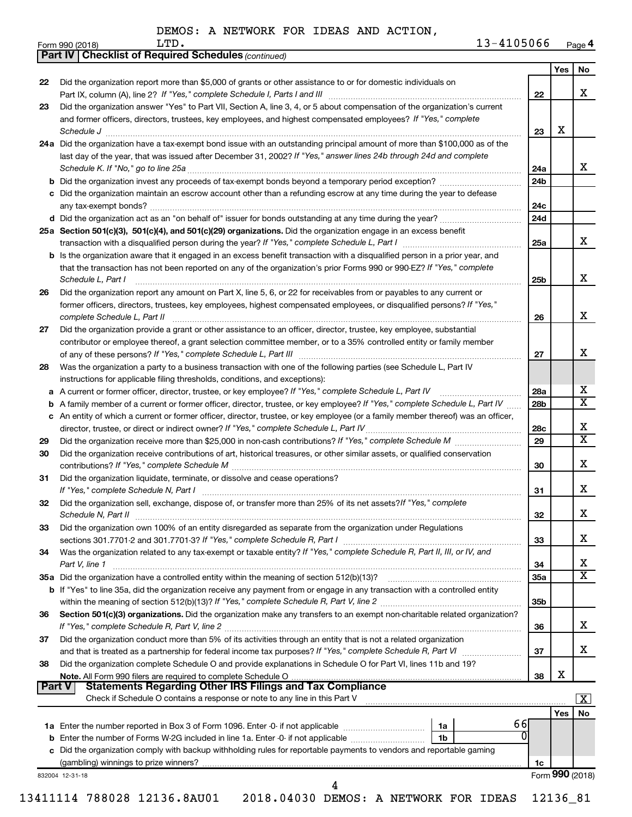|               |                                                                                                                                     |                 | Yes |  |
|---------------|-------------------------------------------------------------------------------------------------------------------------------------|-----------------|-----|--|
| 22            | Did the organization report more than \$5,000 of grants or other assistance to or for domestic individuals on                       | 22              |     |  |
| 23            | Did the organization answer "Yes" to Part VII, Section A, line 3, 4, or 5 about compensation of the organization's current          |                 |     |  |
|               | and former officers, directors, trustees, key employees, and highest compensated employees? If "Yes," complete                      |                 |     |  |
|               | Schedule J                                                                                                                          | 23              | X   |  |
|               | 24a Did the organization have a tax-exempt bond issue with an outstanding principal amount of more than \$100,000 as of the         |                 |     |  |
|               | last day of the year, that was issued after December 31, 2002? If "Yes," answer lines 24b through 24d and complete                  |                 |     |  |
|               |                                                                                                                                     | 24a             |     |  |
|               |                                                                                                                                     | 24b             |     |  |
|               | c Did the organization maintain an escrow account other than a refunding escrow at any time during the year to defease              |                 |     |  |
|               |                                                                                                                                     | 24с             |     |  |
|               |                                                                                                                                     | 24d             |     |  |
|               | 25a Section 501(c)(3), 501(c)(4), and 501(c)(29) organizations. Did the organization engage in an excess benefit                    |                 |     |  |
|               |                                                                                                                                     | 25a             |     |  |
|               | <b>b</b> Is the organization aware that it engaged in an excess benefit transaction with a disqualified person in a prior year, and |                 |     |  |
|               | that the transaction has not been reported on any of the organization's prior Forms 990 or 990-EZ? If "Yes," complete               |                 |     |  |
|               |                                                                                                                                     |                 |     |  |
|               | Schedule L, Part I                                                                                                                  | 25b             |     |  |
| 26            | Did the organization report any amount on Part X, line 5, 6, or 22 for receivables from or payables to any current or               |                 |     |  |
|               | former officers, directors, trustees, key employees, highest compensated employees, or disqualified persons? If "Yes,"              |                 |     |  |
|               | complete Schedule L, Part II                                                                                                        | 26              |     |  |
| 27            | Did the organization provide a grant or other assistance to an officer, director, trustee, key employee, substantial                |                 |     |  |
|               | contributor or employee thereof, a grant selection committee member, or to a 35% controlled entity or family member                 |                 |     |  |
|               |                                                                                                                                     | 27              |     |  |
| 28            | Was the organization a party to a business transaction with one of the following parties (see Schedule L, Part IV                   |                 |     |  |
|               | instructions for applicable filing thresholds, conditions, and exceptions):                                                         |                 |     |  |
| a             | A current or former officer, director, trustee, or key employee? If "Yes," complete Schedule L, Part IV                             | 28a             |     |  |
|               | A family member of a current or former officer, director, trustee, or key employee? If "Yes," complete Schedule L, Part IV          | 28 <sub>b</sub> |     |  |
|               | c An entity of which a current or former officer, director, trustee, or key employee (or a family member thereof) was an officer,   |                 |     |  |
|               |                                                                                                                                     | 28c             |     |  |
| 29            |                                                                                                                                     | 29              |     |  |
| 30            | Did the organization receive contributions of art, historical treasures, or other similar assets, or qualified conservation         |                 |     |  |
|               |                                                                                                                                     | 30              |     |  |
| 31            | Did the organization liquidate, terminate, or dissolve and cease operations?                                                        |                 |     |  |
|               |                                                                                                                                     | 31              |     |  |
| 32            | Did the organization sell, exchange, dispose of, or transfer more than 25% of its net assets? If "Yes," complete                    |                 |     |  |
|               |                                                                                                                                     | 32              |     |  |
| 33            | Did the organization own 100% of an entity disregarded as separate from the organization under Regulations                          |                 |     |  |
|               |                                                                                                                                     | 33              |     |  |
| 34            | Was the organization related to any tax-exempt or taxable entity? If "Yes," complete Schedule R, Part II, III, or IV, and           |                 |     |  |
|               | Part V, line 1                                                                                                                      | 34              |     |  |
|               |                                                                                                                                     | 35a             |     |  |
|               | b If "Yes" to line 35a, did the organization receive any payment from or engage in any transaction with a controlled entity         |                 |     |  |
|               |                                                                                                                                     | 35 <sub>b</sub> |     |  |
| 36            | Section 501(c)(3) organizations. Did the organization make any transfers to an exempt non-charitable related organization?          |                 |     |  |
|               |                                                                                                                                     | 36              |     |  |
| 37            | Did the organization conduct more than 5% of its activities through an entity that is not a related organization                    |                 |     |  |
|               |                                                                                                                                     | 37              |     |  |
| 38            | Did the organization complete Schedule O and provide explanations in Schedule O for Part VI, lines 11b and 19?                      |                 |     |  |
|               |                                                                                                                                     | 38              | X   |  |
| <b>Part V</b> | <b>Statements Regarding Other IRS Filings and Tax Compliance</b>                                                                    |                 |     |  |
|               |                                                                                                                                     |                 |     |  |
|               |                                                                                                                                     |                 | Yes |  |
|               | 66                                                                                                                                  |                 |     |  |
|               | $\Omega$<br>1 <sub>b</sub>                                                                                                          |                 |     |  |
|               | c Did the organization comply with backup withholding rules for reportable payments to vendors and reportable gaming                |                 |     |  |
|               |                                                                                                                                     |                 |     |  |
|               |                                                                                                                                     | 1c              |     |  |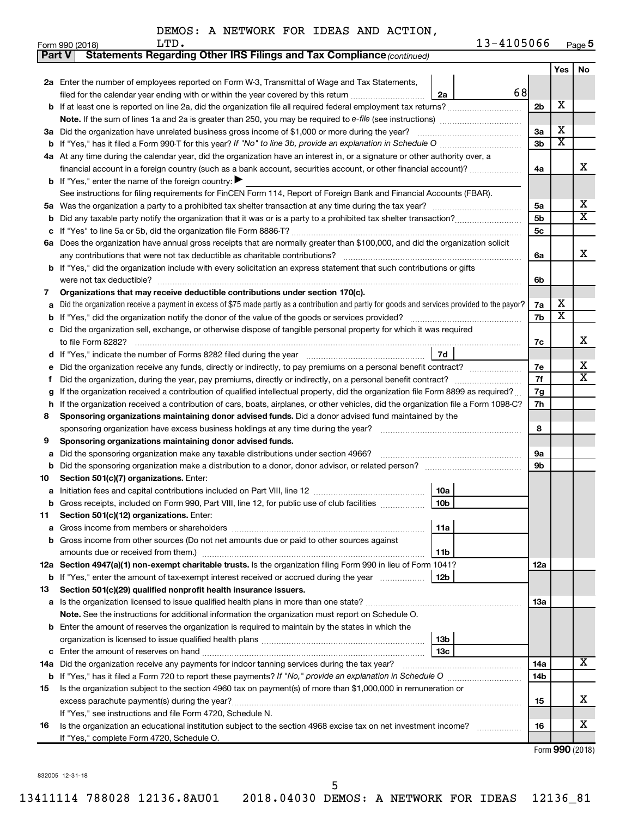|    | Part V<br>Statements Regarding Other IRS Filings and Tax Compliance (continued)                                                                 |     |                         |                         |  |  |  |  |  |  |
|----|-------------------------------------------------------------------------------------------------------------------------------------------------|-----|-------------------------|-------------------------|--|--|--|--|--|--|
|    |                                                                                                                                                 |     | Yes                     | No                      |  |  |  |  |  |  |
|    | 2a Enter the number of employees reported on Form W-3, Transmittal of Wage and Tax Statements,                                                  |     |                         |                         |  |  |  |  |  |  |
|    | 68<br>filed for the calendar year ending with or within the year covered by this return<br>2a                                                   |     |                         |                         |  |  |  |  |  |  |
|    | b If at least one is reported on line 2a, did the organization file all required federal employment tax returns?                                | 2b  | х                       |                         |  |  |  |  |  |  |
|    |                                                                                                                                                 |     |                         |                         |  |  |  |  |  |  |
|    | 3a Did the organization have unrelated business gross income of \$1,000 or more during the year?                                                |     |                         |                         |  |  |  |  |  |  |
|    | <b>b</b> If "Yes," has it filed a Form 990-T for this year? If "No" to line 3b, provide an explanation in Schedule O manumum                    | 3b  | $\overline{\textbf{x}}$ |                         |  |  |  |  |  |  |
|    | 4a At any time during the calendar year, did the organization have an interest in, or a signature or other authority over, a                    |     |                         |                         |  |  |  |  |  |  |
|    | financial account in a foreign country (such as a bank account, securities account, or other financial account)?                                | 4a  |                         | x                       |  |  |  |  |  |  |
|    | <b>b</b> If "Yes," enter the name of the foreign country: $\blacktriangleright$                                                                 |     |                         |                         |  |  |  |  |  |  |
|    | See instructions for filing requirements for FinCEN Form 114, Report of Foreign Bank and Financial Accounts (FBAR).                             |     |                         |                         |  |  |  |  |  |  |
|    |                                                                                                                                                 | 5a  |                         | х                       |  |  |  |  |  |  |
|    |                                                                                                                                                 | 5b  |                         | $\overline{\mathbf{X}}$ |  |  |  |  |  |  |
|    |                                                                                                                                                 | 5с  |                         |                         |  |  |  |  |  |  |
|    | 6a Does the organization have annual gross receipts that are normally greater than \$100,000, and did the organization solicit                  |     |                         |                         |  |  |  |  |  |  |
|    |                                                                                                                                                 | 6a  |                         | x                       |  |  |  |  |  |  |
|    | <b>b</b> If "Yes," did the organization include with every solicitation an express statement that such contributions or gifts                   |     |                         |                         |  |  |  |  |  |  |
|    | were not tax deductible?                                                                                                                        | 6b  |                         |                         |  |  |  |  |  |  |
| 7  | Organizations that may receive deductible contributions under section 170(c).                                                                   |     |                         |                         |  |  |  |  |  |  |
|    | Did the organization receive a payment in excess of \$75 made partly as a contribution and partly for goods and services provided to the payor? | 7a  | х                       |                         |  |  |  |  |  |  |
| b  |                                                                                                                                                 | 7b  | $\overline{\textbf{x}}$ |                         |  |  |  |  |  |  |
|    | c Did the organization sell, exchange, or otherwise dispose of tangible personal property for which it was required                             |     |                         |                         |  |  |  |  |  |  |
|    |                                                                                                                                                 | 7с  |                         | х                       |  |  |  |  |  |  |
|    | 7d                                                                                                                                              |     |                         |                         |  |  |  |  |  |  |
|    |                                                                                                                                                 | 7е  |                         | х                       |  |  |  |  |  |  |
| Ť. |                                                                                                                                                 |     |                         |                         |  |  |  |  |  |  |
| g  | If the organization received a contribution of qualified intellectual property, did the organization file Form 8899 as required?                |     |                         |                         |  |  |  |  |  |  |
| h  | If the organization received a contribution of cars, boats, airplanes, or other vehicles, did the organization file a Form 1098-C?              |     |                         |                         |  |  |  |  |  |  |
| 8  | Sponsoring organizations maintaining donor advised funds. Did a donor advised fund maintained by the                                            |     |                         |                         |  |  |  |  |  |  |
|    |                                                                                                                                                 |     |                         |                         |  |  |  |  |  |  |
| 9  | Sponsoring organizations maintaining donor advised funds.                                                                                       |     |                         |                         |  |  |  |  |  |  |
| а  | Did the sponsoring organization make any taxable distributions under section 4966?                                                              |     |                         |                         |  |  |  |  |  |  |
| b  |                                                                                                                                                 | 9b  |                         |                         |  |  |  |  |  |  |
| 10 | Section 501(c)(7) organizations. Enter:                                                                                                         |     |                         |                         |  |  |  |  |  |  |
|    | 10a                                                                                                                                             |     |                         |                         |  |  |  |  |  |  |
|    | 10 <sub>b</sub><br>b Gross receipts, included on Form 990, Part VIII, line 12, for public use of club facilities                                |     |                         |                         |  |  |  |  |  |  |
| 11 | Section 501(c)(12) organizations. Enter:                                                                                                        |     |                         |                         |  |  |  |  |  |  |
| а  | 11a                                                                                                                                             |     |                         |                         |  |  |  |  |  |  |
| b  | Gross income from other sources (Do not net amounts due or paid to other sources against                                                        |     |                         |                         |  |  |  |  |  |  |
|    | amounts due or received from them.)<br>11b                                                                                                      |     |                         |                         |  |  |  |  |  |  |
|    | 12a Section 4947(a)(1) non-exempt charitable trusts. Is the organization filing Form 990 in lieu of Form 1041?                                  | 12a |                         |                         |  |  |  |  |  |  |
|    | 12b<br><b>b</b> If "Yes," enter the amount of tax-exempt interest received or accrued during the year                                           |     |                         |                         |  |  |  |  |  |  |
| 13 | Section 501(c)(29) qualified nonprofit health insurance issuers.                                                                                |     |                         |                         |  |  |  |  |  |  |
| а  | Is the organization licensed to issue qualified health plans in more than one state?                                                            | 1За |                         |                         |  |  |  |  |  |  |
|    | Note. See the instructions for additional information the organization must report on Schedule O.                                               |     |                         |                         |  |  |  |  |  |  |
| b  | Enter the amount of reserves the organization is required to maintain by the states in which the                                                |     |                         |                         |  |  |  |  |  |  |
|    | 13b                                                                                                                                             |     |                         |                         |  |  |  |  |  |  |
| c  | 13с                                                                                                                                             |     |                         | x                       |  |  |  |  |  |  |
|    | 14a Did the organization receive any payments for indoor tanning services during the tax year?                                                  | 14a |                         |                         |  |  |  |  |  |  |
|    |                                                                                                                                                 | 14b |                         |                         |  |  |  |  |  |  |
| 15 | Is the organization subject to the section 4960 tax on payment(s) of more than \$1,000,000 in remuneration or                                   | 15  |                         | x                       |  |  |  |  |  |  |
|    | If "Yes," see instructions and file Form 4720, Schedule N.                                                                                      |     |                         |                         |  |  |  |  |  |  |
| 16 | Is the organization an educational institution subject to the section 4968 excise tax on net investment income?                                 | 16  |                         | х                       |  |  |  |  |  |  |
|    | If "Yes," complete Form 4720, Schedule O.                                                                                                       |     |                         |                         |  |  |  |  |  |  |
|    |                                                                                                                                                 |     |                         |                         |  |  |  |  |  |  |

Form (2018) **990**

832005 12-31-18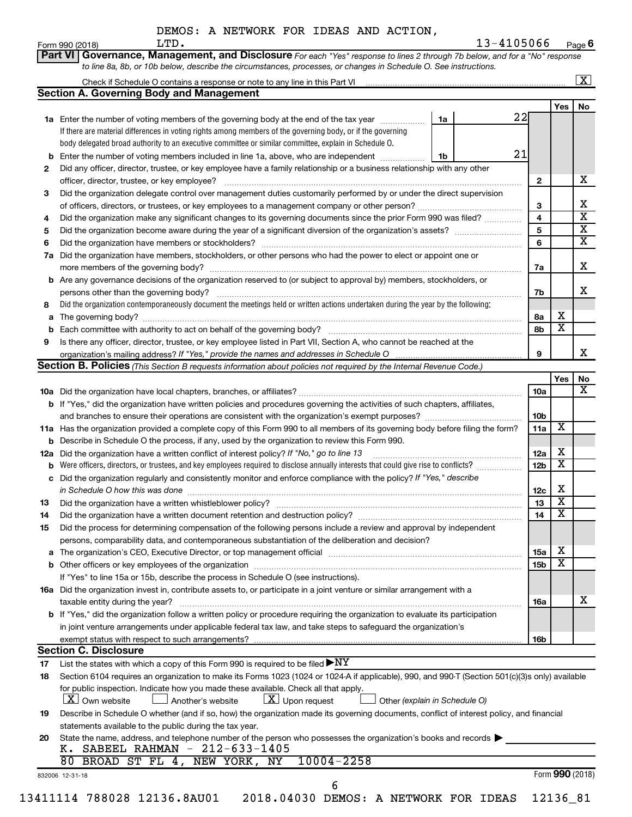| DEMOS: A NETWORK FOR IDEAS AND ACTION, |  |  |  |
|----------------------------------------|--|--|--|
|----------------------------------------|--|--|--|

| Yes  <br>22<br>1a<br>1a Enter the number of voting members of the governing body at the end of the tax year<br>If there are material differences in voting rights among members of the governing body, or if the governing<br>body delegated broad authority to an executive committee or similar committee, explain in Schedule O.<br>21<br><b>b</b> Enter the number of voting members included in line 1a, above, who are independent <i>manumum</i><br>1b<br>Did any officer, director, trustee, or key employee have a family relationship or a business relationship with any other<br>2<br>$\mathbf{2}$<br>Did the organization delegate control over management duties customarily performed by or under the direct supervision<br>З<br>3<br>$\overline{\mathbf{4}}$<br>Did the organization make any significant changes to its governing documents since the prior Form 990 was filed?<br>4<br>5<br>5<br>6<br>6<br>Did the organization have members, stockholders, or other persons who had the power to elect or appoint one or<br>7a<br>7a<br><b>b</b> Are any governance decisions of the organization reserved to (or subject to approval by) members, stockholders, or<br>persons other than the governing body?<br>7b<br>Did the organization contemporaneously document the meetings held or written actions undertaken during the year by the following:<br>8<br>х<br>8а<br>$\overline{\textbf{x}}$<br>8b<br>Is there any officer, director, trustee, or key employee listed in Part VII, Section A, who cannot be reached at the<br>9<br>9<br><b>Section B. Policies</b> (This Section B requests information about policies not required by the Internal Revenue Code.)<br>Yes<br>10a<br>b If "Yes," did the organization have written policies and procedures governing the activities of such chapters, affiliates,<br>10 <sub>b</sub><br>X<br>11a Has the organization provided a complete copy of this Form 990 to all members of its governing body before filing the form?<br>11a<br><b>b</b> Describe in Schedule O the process, if any, used by the organization to review this Form 990.<br>х<br>12a<br>Did the organization have a written conflict of interest policy? If "No," go to line 13<br>12a<br>$\overline{\textbf{x}}$<br>Were officers, directors, or trustees, and key employees required to disclose annually interests that could give rise to conflicts?<br>12b<br>c Did the organization regularly and consistently monitor and enforce compliance with the policy? If "Yes," describe<br>х<br>in Schedule O how this was done manufactured and continuum control of the state of the state of the state of t<br>12c<br>$\overline{\texttt{x}}$<br>13<br>13<br>$\overline{\mathtt{x}}$<br>Did the organization have a written document retention and destruction policy? [11] manufaction manufaction in<br>14<br>14<br>Did the process for determining compensation of the following persons include a review and approval by independent<br>15<br>persons, comparability data, and contemporaneous substantiation of the deliberation and decision?<br>х<br>15a<br>$\overline{\textbf{x}}$<br>15b<br>If "Yes" to line 15a or 15b, describe the process in Schedule O (see instructions).<br>16a Did the organization invest in, contribute assets to, or participate in a joint venture or similar arrangement with a<br>taxable entity during the year?<br>16a<br>b If "Yes," did the organization follow a written policy or procedure requiring the organization to evaluate its participation<br>in joint venture arrangements under applicable federal tax law, and take steps to safeguard the organization's<br>exempt status with respect to such arrangements?<br>16b<br><b>Section C. Disclosure</b><br>List the states with which a copy of this Form 990 is required to be filed $\blacktriangleright\text{NY}$<br>17<br>Section 6104 requires an organization to make its Forms 1023 (1024 or 1024 A if applicable), 990, and 990-T (Section 501(c)(3)s only) available<br>18<br>for public inspection. Indicate how you made these available. Check all that apply.<br>$X$ Own website<br>$\lfloor x \rfloor$ Upon request<br>Another's website<br>Other (explain in Schedule O)<br>Describe in Schedule O whether (and if so, how) the organization made its governing documents, conflict of interest policy, and financial<br>19<br>statements available to the public during the tax year.<br>State the name, address, and telephone number of the person who possesses the organization's books and records<br>20<br>K. SABEEL RAHMAN - 212-633-1405<br>80 BROAD ST FL 4, NEW YORK, NY 10004-2258<br>Form 990 (2018)<br>832006 12-31-18 | <b>Section A. Governing Body and Management</b> |  |  |    |
|-------------------------------------------------------------------------------------------------------------------------------------------------------------------------------------------------------------------------------------------------------------------------------------------------------------------------------------------------------------------------------------------------------------------------------------------------------------------------------------------------------------------------------------------------------------------------------------------------------------------------------------------------------------------------------------------------------------------------------------------------------------------------------------------------------------------------------------------------------------------------------------------------------------------------------------------------------------------------------------------------------------------------------------------------------------------------------------------------------------------------------------------------------------------------------------------------------------------------------------------------------------------------------------------------------------------------------------------------------------------------------------------------------------------------------------------------------------------------------------------------------------------------------------------------------------------------------------------------------------------------------------------------------------------------------------------------------------------------------------------------------------------------------------------------------------------------------------------------------------------------------------------------------------------------------------------------------------------------------------------------------------------------------------------------------------------------------------------------------------------------------------------------------------------------------------------------------------------------------------------------------------------------------------------------------------------------------------------------------------------------------------------------------------------------------------------------------------------------------------------------------------------------------------------------------------------------------------------------------------------------------------------------------------------------------------------------------------------------------------------------------------------------------------------------------------------------------------------------------------------------------------------------------------------------------------------------------------------------------------------------------------------------------------------------------------------------------------------------------------------------------------------------------------------------------------------------------------------------------------------------------------------------------------------------------------------------------------------------------------------------------------------------------------------------------------------------------------------------------------------------------------------------------------------------------------------------------------------------------------------------------------------------------------------------------------------------------------------------------------------------------------------------------------------------------------------------------------------------------------------------------------------------------------------------------------------------------------------------------------------------------------------------------------------------------------------------------------------------------------------------------------------------------------------------------------------------------------------------------------------------------------------------------------------------------------------------------------------------------------------------------------------------------------------------------------------------------------------------------------------------------------------------------------------------------------------------------------------------------------------------------------------------------------------------------------------------------------|-------------------------------------------------|--|--|----|
|                                                                                                                                                                                                                                                                                                                                                                                                                                                                                                                                                                                                                                                                                                                                                                                                                                                                                                                                                                                                                                                                                                                                                                                                                                                                                                                                                                                                                                                                                                                                                                                                                                                                                                                                                                                                                                                                                                                                                                                                                                                                                                                                                                                                                                                                                                                                                                                                                                                                                                                                                                                                                                                                                                                                                                                                                                                                                                                                                                                                                                                                                                                                                                                                                                                                                                                                                                                                                                                                                                                                                                                                                                                                                                                                                                                                                                                                                                                                                                                                                                                                                                                                                                                                                                                                                                                                                                                                                                                                                                                                                                                                                                                                                                             |                                                 |  |  | No |
|                                                                                                                                                                                                                                                                                                                                                                                                                                                                                                                                                                                                                                                                                                                                                                                                                                                                                                                                                                                                                                                                                                                                                                                                                                                                                                                                                                                                                                                                                                                                                                                                                                                                                                                                                                                                                                                                                                                                                                                                                                                                                                                                                                                                                                                                                                                                                                                                                                                                                                                                                                                                                                                                                                                                                                                                                                                                                                                                                                                                                                                                                                                                                                                                                                                                                                                                                                                                                                                                                                                                                                                                                                                                                                                                                                                                                                                                                                                                                                                                                                                                                                                                                                                                                                                                                                                                                                                                                                                                                                                                                                                                                                                                                                             |                                                 |  |  |    |
|                                                                                                                                                                                                                                                                                                                                                                                                                                                                                                                                                                                                                                                                                                                                                                                                                                                                                                                                                                                                                                                                                                                                                                                                                                                                                                                                                                                                                                                                                                                                                                                                                                                                                                                                                                                                                                                                                                                                                                                                                                                                                                                                                                                                                                                                                                                                                                                                                                                                                                                                                                                                                                                                                                                                                                                                                                                                                                                                                                                                                                                                                                                                                                                                                                                                                                                                                                                                                                                                                                                                                                                                                                                                                                                                                                                                                                                                                                                                                                                                                                                                                                                                                                                                                                                                                                                                                                                                                                                                                                                                                                                                                                                                                                             |                                                 |  |  |    |
|                                                                                                                                                                                                                                                                                                                                                                                                                                                                                                                                                                                                                                                                                                                                                                                                                                                                                                                                                                                                                                                                                                                                                                                                                                                                                                                                                                                                                                                                                                                                                                                                                                                                                                                                                                                                                                                                                                                                                                                                                                                                                                                                                                                                                                                                                                                                                                                                                                                                                                                                                                                                                                                                                                                                                                                                                                                                                                                                                                                                                                                                                                                                                                                                                                                                                                                                                                                                                                                                                                                                                                                                                                                                                                                                                                                                                                                                                                                                                                                                                                                                                                                                                                                                                                                                                                                                                                                                                                                                                                                                                                                                                                                                                                             |                                                 |  |  |    |
|                                                                                                                                                                                                                                                                                                                                                                                                                                                                                                                                                                                                                                                                                                                                                                                                                                                                                                                                                                                                                                                                                                                                                                                                                                                                                                                                                                                                                                                                                                                                                                                                                                                                                                                                                                                                                                                                                                                                                                                                                                                                                                                                                                                                                                                                                                                                                                                                                                                                                                                                                                                                                                                                                                                                                                                                                                                                                                                                                                                                                                                                                                                                                                                                                                                                                                                                                                                                                                                                                                                                                                                                                                                                                                                                                                                                                                                                                                                                                                                                                                                                                                                                                                                                                                                                                                                                                                                                                                                                                                                                                                                                                                                                                                             |                                                 |  |  |    |
|                                                                                                                                                                                                                                                                                                                                                                                                                                                                                                                                                                                                                                                                                                                                                                                                                                                                                                                                                                                                                                                                                                                                                                                                                                                                                                                                                                                                                                                                                                                                                                                                                                                                                                                                                                                                                                                                                                                                                                                                                                                                                                                                                                                                                                                                                                                                                                                                                                                                                                                                                                                                                                                                                                                                                                                                                                                                                                                                                                                                                                                                                                                                                                                                                                                                                                                                                                                                                                                                                                                                                                                                                                                                                                                                                                                                                                                                                                                                                                                                                                                                                                                                                                                                                                                                                                                                                                                                                                                                                                                                                                                                                                                                                                             |                                                 |  |  |    |
|                                                                                                                                                                                                                                                                                                                                                                                                                                                                                                                                                                                                                                                                                                                                                                                                                                                                                                                                                                                                                                                                                                                                                                                                                                                                                                                                                                                                                                                                                                                                                                                                                                                                                                                                                                                                                                                                                                                                                                                                                                                                                                                                                                                                                                                                                                                                                                                                                                                                                                                                                                                                                                                                                                                                                                                                                                                                                                                                                                                                                                                                                                                                                                                                                                                                                                                                                                                                                                                                                                                                                                                                                                                                                                                                                                                                                                                                                                                                                                                                                                                                                                                                                                                                                                                                                                                                                                                                                                                                                                                                                                                                                                                                                                             |                                                 |  |  |    |
|                                                                                                                                                                                                                                                                                                                                                                                                                                                                                                                                                                                                                                                                                                                                                                                                                                                                                                                                                                                                                                                                                                                                                                                                                                                                                                                                                                                                                                                                                                                                                                                                                                                                                                                                                                                                                                                                                                                                                                                                                                                                                                                                                                                                                                                                                                                                                                                                                                                                                                                                                                                                                                                                                                                                                                                                                                                                                                                                                                                                                                                                                                                                                                                                                                                                                                                                                                                                                                                                                                                                                                                                                                                                                                                                                                                                                                                                                                                                                                                                                                                                                                                                                                                                                                                                                                                                                                                                                                                                                                                                                                                                                                                                                                             |                                                 |  |  |    |
|                                                                                                                                                                                                                                                                                                                                                                                                                                                                                                                                                                                                                                                                                                                                                                                                                                                                                                                                                                                                                                                                                                                                                                                                                                                                                                                                                                                                                                                                                                                                                                                                                                                                                                                                                                                                                                                                                                                                                                                                                                                                                                                                                                                                                                                                                                                                                                                                                                                                                                                                                                                                                                                                                                                                                                                                                                                                                                                                                                                                                                                                                                                                                                                                                                                                                                                                                                                                                                                                                                                                                                                                                                                                                                                                                                                                                                                                                                                                                                                                                                                                                                                                                                                                                                                                                                                                                                                                                                                                                                                                                                                                                                                                                                             |                                                 |  |  |    |
|                                                                                                                                                                                                                                                                                                                                                                                                                                                                                                                                                                                                                                                                                                                                                                                                                                                                                                                                                                                                                                                                                                                                                                                                                                                                                                                                                                                                                                                                                                                                                                                                                                                                                                                                                                                                                                                                                                                                                                                                                                                                                                                                                                                                                                                                                                                                                                                                                                                                                                                                                                                                                                                                                                                                                                                                                                                                                                                                                                                                                                                                                                                                                                                                                                                                                                                                                                                                                                                                                                                                                                                                                                                                                                                                                                                                                                                                                                                                                                                                                                                                                                                                                                                                                                                                                                                                                                                                                                                                                                                                                                                                                                                                                                             |                                                 |  |  |    |
|                                                                                                                                                                                                                                                                                                                                                                                                                                                                                                                                                                                                                                                                                                                                                                                                                                                                                                                                                                                                                                                                                                                                                                                                                                                                                                                                                                                                                                                                                                                                                                                                                                                                                                                                                                                                                                                                                                                                                                                                                                                                                                                                                                                                                                                                                                                                                                                                                                                                                                                                                                                                                                                                                                                                                                                                                                                                                                                                                                                                                                                                                                                                                                                                                                                                                                                                                                                                                                                                                                                                                                                                                                                                                                                                                                                                                                                                                                                                                                                                                                                                                                                                                                                                                                                                                                                                                                                                                                                                                                                                                                                                                                                                                                             |                                                 |  |  |    |
|                                                                                                                                                                                                                                                                                                                                                                                                                                                                                                                                                                                                                                                                                                                                                                                                                                                                                                                                                                                                                                                                                                                                                                                                                                                                                                                                                                                                                                                                                                                                                                                                                                                                                                                                                                                                                                                                                                                                                                                                                                                                                                                                                                                                                                                                                                                                                                                                                                                                                                                                                                                                                                                                                                                                                                                                                                                                                                                                                                                                                                                                                                                                                                                                                                                                                                                                                                                                                                                                                                                                                                                                                                                                                                                                                                                                                                                                                                                                                                                                                                                                                                                                                                                                                                                                                                                                                                                                                                                                                                                                                                                                                                                                                                             |                                                 |  |  |    |
|                                                                                                                                                                                                                                                                                                                                                                                                                                                                                                                                                                                                                                                                                                                                                                                                                                                                                                                                                                                                                                                                                                                                                                                                                                                                                                                                                                                                                                                                                                                                                                                                                                                                                                                                                                                                                                                                                                                                                                                                                                                                                                                                                                                                                                                                                                                                                                                                                                                                                                                                                                                                                                                                                                                                                                                                                                                                                                                                                                                                                                                                                                                                                                                                                                                                                                                                                                                                                                                                                                                                                                                                                                                                                                                                                                                                                                                                                                                                                                                                                                                                                                                                                                                                                                                                                                                                                                                                                                                                                                                                                                                                                                                                                                             |                                                 |  |  |    |
|                                                                                                                                                                                                                                                                                                                                                                                                                                                                                                                                                                                                                                                                                                                                                                                                                                                                                                                                                                                                                                                                                                                                                                                                                                                                                                                                                                                                                                                                                                                                                                                                                                                                                                                                                                                                                                                                                                                                                                                                                                                                                                                                                                                                                                                                                                                                                                                                                                                                                                                                                                                                                                                                                                                                                                                                                                                                                                                                                                                                                                                                                                                                                                                                                                                                                                                                                                                                                                                                                                                                                                                                                                                                                                                                                                                                                                                                                                                                                                                                                                                                                                                                                                                                                                                                                                                                                                                                                                                                                                                                                                                                                                                                                                             |                                                 |  |  |    |
|                                                                                                                                                                                                                                                                                                                                                                                                                                                                                                                                                                                                                                                                                                                                                                                                                                                                                                                                                                                                                                                                                                                                                                                                                                                                                                                                                                                                                                                                                                                                                                                                                                                                                                                                                                                                                                                                                                                                                                                                                                                                                                                                                                                                                                                                                                                                                                                                                                                                                                                                                                                                                                                                                                                                                                                                                                                                                                                                                                                                                                                                                                                                                                                                                                                                                                                                                                                                                                                                                                                                                                                                                                                                                                                                                                                                                                                                                                                                                                                                                                                                                                                                                                                                                                                                                                                                                                                                                                                                                                                                                                                                                                                                                                             |                                                 |  |  |    |
|                                                                                                                                                                                                                                                                                                                                                                                                                                                                                                                                                                                                                                                                                                                                                                                                                                                                                                                                                                                                                                                                                                                                                                                                                                                                                                                                                                                                                                                                                                                                                                                                                                                                                                                                                                                                                                                                                                                                                                                                                                                                                                                                                                                                                                                                                                                                                                                                                                                                                                                                                                                                                                                                                                                                                                                                                                                                                                                                                                                                                                                                                                                                                                                                                                                                                                                                                                                                                                                                                                                                                                                                                                                                                                                                                                                                                                                                                                                                                                                                                                                                                                                                                                                                                                                                                                                                                                                                                                                                                                                                                                                                                                                                                                             |                                                 |  |  |    |
|                                                                                                                                                                                                                                                                                                                                                                                                                                                                                                                                                                                                                                                                                                                                                                                                                                                                                                                                                                                                                                                                                                                                                                                                                                                                                                                                                                                                                                                                                                                                                                                                                                                                                                                                                                                                                                                                                                                                                                                                                                                                                                                                                                                                                                                                                                                                                                                                                                                                                                                                                                                                                                                                                                                                                                                                                                                                                                                                                                                                                                                                                                                                                                                                                                                                                                                                                                                                                                                                                                                                                                                                                                                                                                                                                                                                                                                                                                                                                                                                                                                                                                                                                                                                                                                                                                                                                                                                                                                                                                                                                                                                                                                                                                             |                                                 |  |  |    |
|                                                                                                                                                                                                                                                                                                                                                                                                                                                                                                                                                                                                                                                                                                                                                                                                                                                                                                                                                                                                                                                                                                                                                                                                                                                                                                                                                                                                                                                                                                                                                                                                                                                                                                                                                                                                                                                                                                                                                                                                                                                                                                                                                                                                                                                                                                                                                                                                                                                                                                                                                                                                                                                                                                                                                                                                                                                                                                                                                                                                                                                                                                                                                                                                                                                                                                                                                                                                                                                                                                                                                                                                                                                                                                                                                                                                                                                                                                                                                                                                                                                                                                                                                                                                                                                                                                                                                                                                                                                                                                                                                                                                                                                                                                             |                                                 |  |  |    |
|                                                                                                                                                                                                                                                                                                                                                                                                                                                                                                                                                                                                                                                                                                                                                                                                                                                                                                                                                                                                                                                                                                                                                                                                                                                                                                                                                                                                                                                                                                                                                                                                                                                                                                                                                                                                                                                                                                                                                                                                                                                                                                                                                                                                                                                                                                                                                                                                                                                                                                                                                                                                                                                                                                                                                                                                                                                                                                                                                                                                                                                                                                                                                                                                                                                                                                                                                                                                                                                                                                                                                                                                                                                                                                                                                                                                                                                                                                                                                                                                                                                                                                                                                                                                                                                                                                                                                                                                                                                                                                                                                                                                                                                                                                             |                                                 |  |  |    |
|                                                                                                                                                                                                                                                                                                                                                                                                                                                                                                                                                                                                                                                                                                                                                                                                                                                                                                                                                                                                                                                                                                                                                                                                                                                                                                                                                                                                                                                                                                                                                                                                                                                                                                                                                                                                                                                                                                                                                                                                                                                                                                                                                                                                                                                                                                                                                                                                                                                                                                                                                                                                                                                                                                                                                                                                                                                                                                                                                                                                                                                                                                                                                                                                                                                                                                                                                                                                                                                                                                                                                                                                                                                                                                                                                                                                                                                                                                                                                                                                                                                                                                                                                                                                                                                                                                                                                                                                                                                                                                                                                                                                                                                                                                             |                                                 |  |  |    |
|                                                                                                                                                                                                                                                                                                                                                                                                                                                                                                                                                                                                                                                                                                                                                                                                                                                                                                                                                                                                                                                                                                                                                                                                                                                                                                                                                                                                                                                                                                                                                                                                                                                                                                                                                                                                                                                                                                                                                                                                                                                                                                                                                                                                                                                                                                                                                                                                                                                                                                                                                                                                                                                                                                                                                                                                                                                                                                                                                                                                                                                                                                                                                                                                                                                                                                                                                                                                                                                                                                                                                                                                                                                                                                                                                                                                                                                                                                                                                                                                                                                                                                                                                                                                                                                                                                                                                                                                                                                                                                                                                                                                                                                                                                             |                                                 |  |  |    |
|                                                                                                                                                                                                                                                                                                                                                                                                                                                                                                                                                                                                                                                                                                                                                                                                                                                                                                                                                                                                                                                                                                                                                                                                                                                                                                                                                                                                                                                                                                                                                                                                                                                                                                                                                                                                                                                                                                                                                                                                                                                                                                                                                                                                                                                                                                                                                                                                                                                                                                                                                                                                                                                                                                                                                                                                                                                                                                                                                                                                                                                                                                                                                                                                                                                                                                                                                                                                                                                                                                                                                                                                                                                                                                                                                                                                                                                                                                                                                                                                                                                                                                                                                                                                                                                                                                                                                                                                                                                                                                                                                                                                                                                                                                             |                                                 |  |  |    |
|                                                                                                                                                                                                                                                                                                                                                                                                                                                                                                                                                                                                                                                                                                                                                                                                                                                                                                                                                                                                                                                                                                                                                                                                                                                                                                                                                                                                                                                                                                                                                                                                                                                                                                                                                                                                                                                                                                                                                                                                                                                                                                                                                                                                                                                                                                                                                                                                                                                                                                                                                                                                                                                                                                                                                                                                                                                                                                                                                                                                                                                                                                                                                                                                                                                                                                                                                                                                                                                                                                                                                                                                                                                                                                                                                                                                                                                                                                                                                                                                                                                                                                                                                                                                                                                                                                                                                                                                                                                                                                                                                                                                                                                                                                             |                                                 |  |  |    |
|                                                                                                                                                                                                                                                                                                                                                                                                                                                                                                                                                                                                                                                                                                                                                                                                                                                                                                                                                                                                                                                                                                                                                                                                                                                                                                                                                                                                                                                                                                                                                                                                                                                                                                                                                                                                                                                                                                                                                                                                                                                                                                                                                                                                                                                                                                                                                                                                                                                                                                                                                                                                                                                                                                                                                                                                                                                                                                                                                                                                                                                                                                                                                                                                                                                                                                                                                                                                                                                                                                                                                                                                                                                                                                                                                                                                                                                                                                                                                                                                                                                                                                                                                                                                                                                                                                                                                                                                                                                                                                                                                                                                                                                                                                             |                                                 |  |  |    |
|                                                                                                                                                                                                                                                                                                                                                                                                                                                                                                                                                                                                                                                                                                                                                                                                                                                                                                                                                                                                                                                                                                                                                                                                                                                                                                                                                                                                                                                                                                                                                                                                                                                                                                                                                                                                                                                                                                                                                                                                                                                                                                                                                                                                                                                                                                                                                                                                                                                                                                                                                                                                                                                                                                                                                                                                                                                                                                                                                                                                                                                                                                                                                                                                                                                                                                                                                                                                                                                                                                                                                                                                                                                                                                                                                                                                                                                                                                                                                                                                                                                                                                                                                                                                                                                                                                                                                                                                                                                                                                                                                                                                                                                                                                             |                                                 |  |  |    |
|                                                                                                                                                                                                                                                                                                                                                                                                                                                                                                                                                                                                                                                                                                                                                                                                                                                                                                                                                                                                                                                                                                                                                                                                                                                                                                                                                                                                                                                                                                                                                                                                                                                                                                                                                                                                                                                                                                                                                                                                                                                                                                                                                                                                                                                                                                                                                                                                                                                                                                                                                                                                                                                                                                                                                                                                                                                                                                                                                                                                                                                                                                                                                                                                                                                                                                                                                                                                                                                                                                                                                                                                                                                                                                                                                                                                                                                                                                                                                                                                                                                                                                                                                                                                                                                                                                                                                                                                                                                                                                                                                                                                                                                                                                             |                                                 |  |  |    |
|                                                                                                                                                                                                                                                                                                                                                                                                                                                                                                                                                                                                                                                                                                                                                                                                                                                                                                                                                                                                                                                                                                                                                                                                                                                                                                                                                                                                                                                                                                                                                                                                                                                                                                                                                                                                                                                                                                                                                                                                                                                                                                                                                                                                                                                                                                                                                                                                                                                                                                                                                                                                                                                                                                                                                                                                                                                                                                                                                                                                                                                                                                                                                                                                                                                                                                                                                                                                                                                                                                                                                                                                                                                                                                                                                                                                                                                                                                                                                                                                                                                                                                                                                                                                                                                                                                                                                                                                                                                                                                                                                                                                                                                                                                             |                                                 |  |  |    |
|                                                                                                                                                                                                                                                                                                                                                                                                                                                                                                                                                                                                                                                                                                                                                                                                                                                                                                                                                                                                                                                                                                                                                                                                                                                                                                                                                                                                                                                                                                                                                                                                                                                                                                                                                                                                                                                                                                                                                                                                                                                                                                                                                                                                                                                                                                                                                                                                                                                                                                                                                                                                                                                                                                                                                                                                                                                                                                                                                                                                                                                                                                                                                                                                                                                                                                                                                                                                                                                                                                                                                                                                                                                                                                                                                                                                                                                                                                                                                                                                                                                                                                                                                                                                                                                                                                                                                                                                                                                                                                                                                                                                                                                                                                             |                                                 |  |  |    |
|                                                                                                                                                                                                                                                                                                                                                                                                                                                                                                                                                                                                                                                                                                                                                                                                                                                                                                                                                                                                                                                                                                                                                                                                                                                                                                                                                                                                                                                                                                                                                                                                                                                                                                                                                                                                                                                                                                                                                                                                                                                                                                                                                                                                                                                                                                                                                                                                                                                                                                                                                                                                                                                                                                                                                                                                                                                                                                                                                                                                                                                                                                                                                                                                                                                                                                                                                                                                                                                                                                                                                                                                                                                                                                                                                                                                                                                                                                                                                                                                                                                                                                                                                                                                                                                                                                                                                                                                                                                                                                                                                                                                                                                                                                             |                                                 |  |  |    |
|                                                                                                                                                                                                                                                                                                                                                                                                                                                                                                                                                                                                                                                                                                                                                                                                                                                                                                                                                                                                                                                                                                                                                                                                                                                                                                                                                                                                                                                                                                                                                                                                                                                                                                                                                                                                                                                                                                                                                                                                                                                                                                                                                                                                                                                                                                                                                                                                                                                                                                                                                                                                                                                                                                                                                                                                                                                                                                                                                                                                                                                                                                                                                                                                                                                                                                                                                                                                                                                                                                                                                                                                                                                                                                                                                                                                                                                                                                                                                                                                                                                                                                                                                                                                                                                                                                                                                                                                                                                                                                                                                                                                                                                                                                             |                                                 |  |  |    |
|                                                                                                                                                                                                                                                                                                                                                                                                                                                                                                                                                                                                                                                                                                                                                                                                                                                                                                                                                                                                                                                                                                                                                                                                                                                                                                                                                                                                                                                                                                                                                                                                                                                                                                                                                                                                                                                                                                                                                                                                                                                                                                                                                                                                                                                                                                                                                                                                                                                                                                                                                                                                                                                                                                                                                                                                                                                                                                                                                                                                                                                                                                                                                                                                                                                                                                                                                                                                                                                                                                                                                                                                                                                                                                                                                                                                                                                                                                                                                                                                                                                                                                                                                                                                                                                                                                                                                                                                                                                                                                                                                                                                                                                                                                             |                                                 |  |  |    |
|                                                                                                                                                                                                                                                                                                                                                                                                                                                                                                                                                                                                                                                                                                                                                                                                                                                                                                                                                                                                                                                                                                                                                                                                                                                                                                                                                                                                                                                                                                                                                                                                                                                                                                                                                                                                                                                                                                                                                                                                                                                                                                                                                                                                                                                                                                                                                                                                                                                                                                                                                                                                                                                                                                                                                                                                                                                                                                                                                                                                                                                                                                                                                                                                                                                                                                                                                                                                                                                                                                                                                                                                                                                                                                                                                                                                                                                                                                                                                                                                                                                                                                                                                                                                                                                                                                                                                                                                                                                                                                                                                                                                                                                                                                             |                                                 |  |  |    |
|                                                                                                                                                                                                                                                                                                                                                                                                                                                                                                                                                                                                                                                                                                                                                                                                                                                                                                                                                                                                                                                                                                                                                                                                                                                                                                                                                                                                                                                                                                                                                                                                                                                                                                                                                                                                                                                                                                                                                                                                                                                                                                                                                                                                                                                                                                                                                                                                                                                                                                                                                                                                                                                                                                                                                                                                                                                                                                                                                                                                                                                                                                                                                                                                                                                                                                                                                                                                                                                                                                                                                                                                                                                                                                                                                                                                                                                                                                                                                                                                                                                                                                                                                                                                                                                                                                                                                                                                                                                                                                                                                                                                                                                                                                             |                                                 |  |  |    |
|                                                                                                                                                                                                                                                                                                                                                                                                                                                                                                                                                                                                                                                                                                                                                                                                                                                                                                                                                                                                                                                                                                                                                                                                                                                                                                                                                                                                                                                                                                                                                                                                                                                                                                                                                                                                                                                                                                                                                                                                                                                                                                                                                                                                                                                                                                                                                                                                                                                                                                                                                                                                                                                                                                                                                                                                                                                                                                                                                                                                                                                                                                                                                                                                                                                                                                                                                                                                                                                                                                                                                                                                                                                                                                                                                                                                                                                                                                                                                                                                                                                                                                                                                                                                                                                                                                                                                                                                                                                                                                                                                                                                                                                                                                             |                                                 |  |  |    |
|                                                                                                                                                                                                                                                                                                                                                                                                                                                                                                                                                                                                                                                                                                                                                                                                                                                                                                                                                                                                                                                                                                                                                                                                                                                                                                                                                                                                                                                                                                                                                                                                                                                                                                                                                                                                                                                                                                                                                                                                                                                                                                                                                                                                                                                                                                                                                                                                                                                                                                                                                                                                                                                                                                                                                                                                                                                                                                                                                                                                                                                                                                                                                                                                                                                                                                                                                                                                                                                                                                                                                                                                                                                                                                                                                                                                                                                                                                                                                                                                                                                                                                                                                                                                                                                                                                                                                                                                                                                                                                                                                                                                                                                                                                             |                                                 |  |  |    |
|                                                                                                                                                                                                                                                                                                                                                                                                                                                                                                                                                                                                                                                                                                                                                                                                                                                                                                                                                                                                                                                                                                                                                                                                                                                                                                                                                                                                                                                                                                                                                                                                                                                                                                                                                                                                                                                                                                                                                                                                                                                                                                                                                                                                                                                                                                                                                                                                                                                                                                                                                                                                                                                                                                                                                                                                                                                                                                                                                                                                                                                                                                                                                                                                                                                                                                                                                                                                                                                                                                                                                                                                                                                                                                                                                                                                                                                                                                                                                                                                                                                                                                                                                                                                                                                                                                                                                                                                                                                                                                                                                                                                                                                                                                             |                                                 |  |  |    |
|                                                                                                                                                                                                                                                                                                                                                                                                                                                                                                                                                                                                                                                                                                                                                                                                                                                                                                                                                                                                                                                                                                                                                                                                                                                                                                                                                                                                                                                                                                                                                                                                                                                                                                                                                                                                                                                                                                                                                                                                                                                                                                                                                                                                                                                                                                                                                                                                                                                                                                                                                                                                                                                                                                                                                                                                                                                                                                                                                                                                                                                                                                                                                                                                                                                                                                                                                                                                                                                                                                                                                                                                                                                                                                                                                                                                                                                                                                                                                                                                                                                                                                                                                                                                                                                                                                                                                                                                                                                                                                                                                                                                                                                                                                             |                                                 |  |  |    |
|                                                                                                                                                                                                                                                                                                                                                                                                                                                                                                                                                                                                                                                                                                                                                                                                                                                                                                                                                                                                                                                                                                                                                                                                                                                                                                                                                                                                                                                                                                                                                                                                                                                                                                                                                                                                                                                                                                                                                                                                                                                                                                                                                                                                                                                                                                                                                                                                                                                                                                                                                                                                                                                                                                                                                                                                                                                                                                                                                                                                                                                                                                                                                                                                                                                                                                                                                                                                                                                                                                                                                                                                                                                                                                                                                                                                                                                                                                                                                                                                                                                                                                                                                                                                                                                                                                                                                                                                                                                                                                                                                                                                                                                                                                             |                                                 |  |  |    |
|                                                                                                                                                                                                                                                                                                                                                                                                                                                                                                                                                                                                                                                                                                                                                                                                                                                                                                                                                                                                                                                                                                                                                                                                                                                                                                                                                                                                                                                                                                                                                                                                                                                                                                                                                                                                                                                                                                                                                                                                                                                                                                                                                                                                                                                                                                                                                                                                                                                                                                                                                                                                                                                                                                                                                                                                                                                                                                                                                                                                                                                                                                                                                                                                                                                                                                                                                                                                                                                                                                                                                                                                                                                                                                                                                                                                                                                                                                                                                                                                                                                                                                                                                                                                                                                                                                                                                                                                                                                                                                                                                                                                                                                                                                             |                                                 |  |  |    |
|                                                                                                                                                                                                                                                                                                                                                                                                                                                                                                                                                                                                                                                                                                                                                                                                                                                                                                                                                                                                                                                                                                                                                                                                                                                                                                                                                                                                                                                                                                                                                                                                                                                                                                                                                                                                                                                                                                                                                                                                                                                                                                                                                                                                                                                                                                                                                                                                                                                                                                                                                                                                                                                                                                                                                                                                                                                                                                                                                                                                                                                                                                                                                                                                                                                                                                                                                                                                                                                                                                                                                                                                                                                                                                                                                                                                                                                                                                                                                                                                                                                                                                                                                                                                                                                                                                                                                                                                                                                                                                                                                                                                                                                                                                             |                                                 |  |  |    |
|                                                                                                                                                                                                                                                                                                                                                                                                                                                                                                                                                                                                                                                                                                                                                                                                                                                                                                                                                                                                                                                                                                                                                                                                                                                                                                                                                                                                                                                                                                                                                                                                                                                                                                                                                                                                                                                                                                                                                                                                                                                                                                                                                                                                                                                                                                                                                                                                                                                                                                                                                                                                                                                                                                                                                                                                                                                                                                                                                                                                                                                                                                                                                                                                                                                                                                                                                                                                                                                                                                                                                                                                                                                                                                                                                                                                                                                                                                                                                                                                                                                                                                                                                                                                                                                                                                                                                                                                                                                                                                                                                                                                                                                                                                             |                                                 |  |  |    |
|                                                                                                                                                                                                                                                                                                                                                                                                                                                                                                                                                                                                                                                                                                                                                                                                                                                                                                                                                                                                                                                                                                                                                                                                                                                                                                                                                                                                                                                                                                                                                                                                                                                                                                                                                                                                                                                                                                                                                                                                                                                                                                                                                                                                                                                                                                                                                                                                                                                                                                                                                                                                                                                                                                                                                                                                                                                                                                                                                                                                                                                                                                                                                                                                                                                                                                                                                                                                                                                                                                                                                                                                                                                                                                                                                                                                                                                                                                                                                                                                                                                                                                                                                                                                                                                                                                                                                                                                                                                                                                                                                                                                                                                                                                             |                                                 |  |  |    |
|                                                                                                                                                                                                                                                                                                                                                                                                                                                                                                                                                                                                                                                                                                                                                                                                                                                                                                                                                                                                                                                                                                                                                                                                                                                                                                                                                                                                                                                                                                                                                                                                                                                                                                                                                                                                                                                                                                                                                                                                                                                                                                                                                                                                                                                                                                                                                                                                                                                                                                                                                                                                                                                                                                                                                                                                                                                                                                                                                                                                                                                                                                                                                                                                                                                                                                                                                                                                                                                                                                                                                                                                                                                                                                                                                                                                                                                                                                                                                                                                                                                                                                                                                                                                                                                                                                                                                                                                                                                                                                                                                                                                                                                                                                             |                                                 |  |  |    |
|                                                                                                                                                                                                                                                                                                                                                                                                                                                                                                                                                                                                                                                                                                                                                                                                                                                                                                                                                                                                                                                                                                                                                                                                                                                                                                                                                                                                                                                                                                                                                                                                                                                                                                                                                                                                                                                                                                                                                                                                                                                                                                                                                                                                                                                                                                                                                                                                                                                                                                                                                                                                                                                                                                                                                                                                                                                                                                                                                                                                                                                                                                                                                                                                                                                                                                                                                                                                                                                                                                                                                                                                                                                                                                                                                                                                                                                                                                                                                                                                                                                                                                                                                                                                                                                                                                                                                                                                                                                                                                                                                                                                                                                                                                             |                                                 |  |  |    |
|                                                                                                                                                                                                                                                                                                                                                                                                                                                                                                                                                                                                                                                                                                                                                                                                                                                                                                                                                                                                                                                                                                                                                                                                                                                                                                                                                                                                                                                                                                                                                                                                                                                                                                                                                                                                                                                                                                                                                                                                                                                                                                                                                                                                                                                                                                                                                                                                                                                                                                                                                                                                                                                                                                                                                                                                                                                                                                                                                                                                                                                                                                                                                                                                                                                                                                                                                                                                                                                                                                                                                                                                                                                                                                                                                                                                                                                                                                                                                                                                                                                                                                                                                                                                                                                                                                                                                                                                                                                                                                                                                                                                                                                                                                             |                                                 |  |  |    |
|                                                                                                                                                                                                                                                                                                                                                                                                                                                                                                                                                                                                                                                                                                                                                                                                                                                                                                                                                                                                                                                                                                                                                                                                                                                                                                                                                                                                                                                                                                                                                                                                                                                                                                                                                                                                                                                                                                                                                                                                                                                                                                                                                                                                                                                                                                                                                                                                                                                                                                                                                                                                                                                                                                                                                                                                                                                                                                                                                                                                                                                                                                                                                                                                                                                                                                                                                                                                                                                                                                                                                                                                                                                                                                                                                                                                                                                                                                                                                                                                                                                                                                                                                                                                                                                                                                                                                                                                                                                                                                                                                                                                                                                                                                             |                                                 |  |  |    |
|                                                                                                                                                                                                                                                                                                                                                                                                                                                                                                                                                                                                                                                                                                                                                                                                                                                                                                                                                                                                                                                                                                                                                                                                                                                                                                                                                                                                                                                                                                                                                                                                                                                                                                                                                                                                                                                                                                                                                                                                                                                                                                                                                                                                                                                                                                                                                                                                                                                                                                                                                                                                                                                                                                                                                                                                                                                                                                                                                                                                                                                                                                                                                                                                                                                                                                                                                                                                                                                                                                                                                                                                                                                                                                                                                                                                                                                                                                                                                                                                                                                                                                                                                                                                                                                                                                                                                                                                                                                                                                                                                                                                                                                                                                             |                                                 |  |  |    |
|                                                                                                                                                                                                                                                                                                                                                                                                                                                                                                                                                                                                                                                                                                                                                                                                                                                                                                                                                                                                                                                                                                                                                                                                                                                                                                                                                                                                                                                                                                                                                                                                                                                                                                                                                                                                                                                                                                                                                                                                                                                                                                                                                                                                                                                                                                                                                                                                                                                                                                                                                                                                                                                                                                                                                                                                                                                                                                                                                                                                                                                                                                                                                                                                                                                                                                                                                                                                                                                                                                                                                                                                                                                                                                                                                                                                                                                                                                                                                                                                                                                                                                                                                                                                                                                                                                                                                                                                                                                                                                                                                                                                                                                                                                             |                                                 |  |  |    |
|                                                                                                                                                                                                                                                                                                                                                                                                                                                                                                                                                                                                                                                                                                                                                                                                                                                                                                                                                                                                                                                                                                                                                                                                                                                                                                                                                                                                                                                                                                                                                                                                                                                                                                                                                                                                                                                                                                                                                                                                                                                                                                                                                                                                                                                                                                                                                                                                                                                                                                                                                                                                                                                                                                                                                                                                                                                                                                                                                                                                                                                                                                                                                                                                                                                                                                                                                                                                                                                                                                                                                                                                                                                                                                                                                                                                                                                                                                                                                                                                                                                                                                                                                                                                                                                                                                                                                                                                                                                                                                                                                                                                                                                                                                             |                                                 |  |  |    |
|                                                                                                                                                                                                                                                                                                                                                                                                                                                                                                                                                                                                                                                                                                                                                                                                                                                                                                                                                                                                                                                                                                                                                                                                                                                                                                                                                                                                                                                                                                                                                                                                                                                                                                                                                                                                                                                                                                                                                                                                                                                                                                                                                                                                                                                                                                                                                                                                                                                                                                                                                                                                                                                                                                                                                                                                                                                                                                                                                                                                                                                                                                                                                                                                                                                                                                                                                                                                                                                                                                                                                                                                                                                                                                                                                                                                                                                                                                                                                                                                                                                                                                                                                                                                                                                                                                                                                                                                                                                                                                                                                                                                                                                                                                             |                                                 |  |  |    |
|                                                                                                                                                                                                                                                                                                                                                                                                                                                                                                                                                                                                                                                                                                                                                                                                                                                                                                                                                                                                                                                                                                                                                                                                                                                                                                                                                                                                                                                                                                                                                                                                                                                                                                                                                                                                                                                                                                                                                                                                                                                                                                                                                                                                                                                                                                                                                                                                                                                                                                                                                                                                                                                                                                                                                                                                                                                                                                                                                                                                                                                                                                                                                                                                                                                                                                                                                                                                                                                                                                                                                                                                                                                                                                                                                                                                                                                                                                                                                                                                                                                                                                                                                                                                                                                                                                                                                                                                                                                                                                                                                                                                                                                                                                             |                                                 |  |  |    |
|                                                                                                                                                                                                                                                                                                                                                                                                                                                                                                                                                                                                                                                                                                                                                                                                                                                                                                                                                                                                                                                                                                                                                                                                                                                                                                                                                                                                                                                                                                                                                                                                                                                                                                                                                                                                                                                                                                                                                                                                                                                                                                                                                                                                                                                                                                                                                                                                                                                                                                                                                                                                                                                                                                                                                                                                                                                                                                                                                                                                                                                                                                                                                                                                                                                                                                                                                                                                                                                                                                                                                                                                                                                                                                                                                                                                                                                                                                                                                                                                                                                                                                                                                                                                                                                                                                                                                                                                                                                                                                                                                                                                                                                                                                             |                                                 |  |  |    |
|                                                                                                                                                                                                                                                                                                                                                                                                                                                                                                                                                                                                                                                                                                                                                                                                                                                                                                                                                                                                                                                                                                                                                                                                                                                                                                                                                                                                                                                                                                                                                                                                                                                                                                                                                                                                                                                                                                                                                                                                                                                                                                                                                                                                                                                                                                                                                                                                                                                                                                                                                                                                                                                                                                                                                                                                                                                                                                                                                                                                                                                                                                                                                                                                                                                                                                                                                                                                                                                                                                                                                                                                                                                                                                                                                                                                                                                                                                                                                                                                                                                                                                                                                                                                                                                                                                                                                                                                                                                                                                                                                                                                                                                                                                             |                                                 |  |  |    |
|                                                                                                                                                                                                                                                                                                                                                                                                                                                                                                                                                                                                                                                                                                                                                                                                                                                                                                                                                                                                                                                                                                                                                                                                                                                                                                                                                                                                                                                                                                                                                                                                                                                                                                                                                                                                                                                                                                                                                                                                                                                                                                                                                                                                                                                                                                                                                                                                                                                                                                                                                                                                                                                                                                                                                                                                                                                                                                                                                                                                                                                                                                                                                                                                                                                                                                                                                                                                                                                                                                                                                                                                                                                                                                                                                                                                                                                                                                                                                                                                                                                                                                                                                                                                                                                                                                                                                                                                                                                                                                                                                                                                                                                                                                             |                                                 |  |  |    |
|                                                                                                                                                                                                                                                                                                                                                                                                                                                                                                                                                                                                                                                                                                                                                                                                                                                                                                                                                                                                                                                                                                                                                                                                                                                                                                                                                                                                                                                                                                                                                                                                                                                                                                                                                                                                                                                                                                                                                                                                                                                                                                                                                                                                                                                                                                                                                                                                                                                                                                                                                                                                                                                                                                                                                                                                                                                                                                                                                                                                                                                                                                                                                                                                                                                                                                                                                                                                                                                                                                                                                                                                                                                                                                                                                                                                                                                                                                                                                                                                                                                                                                                                                                                                                                                                                                                                                                                                                                                                                                                                                                                                                                                                                                             |                                                 |  |  |    |
|                                                                                                                                                                                                                                                                                                                                                                                                                                                                                                                                                                                                                                                                                                                                                                                                                                                                                                                                                                                                                                                                                                                                                                                                                                                                                                                                                                                                                                                                                                                                                                                                                                                                                                                                                                                                                                                                                                                                                                                                                                                                                                                                                                                                                                                                                                                                                                                                                                                                                                                                                                                                                                                                                                                                                                                                                                                                                                                                                                                                                                                                                                                                                                                                                                                                                                                                                                                                                                                                                                                                                                                                                                                                                                                                                                                                                                                                                                                                                                                                                                                                                                                                                                                                                                                                                                                                                                                                                                                                                                                                                                                                                                                                                                             |                                                 |  |  |    |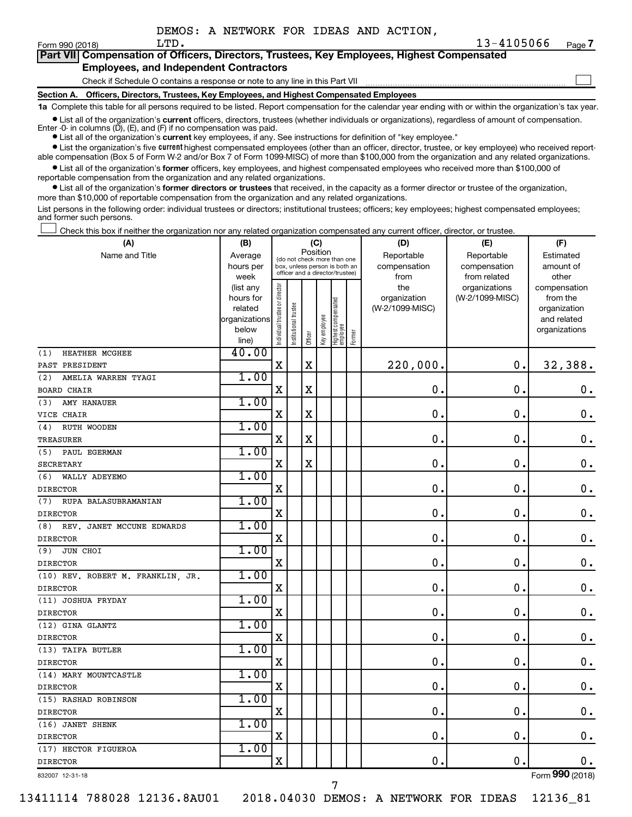$\Box$ 

| . |                                                                                            |
|---|--------------------------------------------------------------------------------------------|
|   | Part VII Compensation of Officers, Directors, Trustees, Key Employees, Highest Compensated |
|   | Employees and Independent Contractors                                                      |

#### **s, and independent Contractors**

Check if Schedule O contains a response or note to any line in this Part VII

**Section A. Officers, Directors, Trustees, Key Employees, and Highest Compensated Employees**

**1a**  Complete this table for all persons required to be listed. Report compensation for the calendar year ending with or within the organization's tax year.

**•** List all of the organization's current officers, directors, trustees (whether individuals or organizations), regardless of amount of compensation. Enter -0- in columns  $(D)$ ,  $(E)$ , and  $(F)$  if no compensation was paid.

**•** List all of the organization's **current** key employees, if any. See instructions for definition of "key employee."

**•** List the organization's five current highest compensated employees (other than an officer, director, trustee, or key employee) who received reportable compensation (Box 5 of Form W-2 and/or Box 7 of Form 1099-MISC) of more than \$100,000 from the organization and any related organizations.

**•** List all of the organization's former officers, key employees, and highest compensated employees who received more than \$100,000 of reportable compensation from the organization and any related organizations.

**•** List all of the organization's former directors or trustees that received, in the capacity as a former director or trustee of the organization, more than \$10,000 of reportable compensation from the organization and any related organizations.

List persons in the following order: individual trustees or directors; institutional trustees; officers; key employees; highest compensated employees; and former such persons.

Check this box if neither the organization nor any related organization compensated any current officer, director, or trustee.  $\Box$ 

| (A)                               | (B)               |                                |                                                                  | (C)         |              |                                 |        | (D)             | (E)                           | (F)                   |
|-----------------------------------|-------------------|--------------------------------|------------------------------------------------------------------|-------------|--------------|---------------------------------|--------|-----------------|-------------------------------|-----------------------|
| Name and Title                    | Average           |                                | (do not check more than one                                      | Position    |              |                                 |        | Reportable      | Reportable                    | Estimated             |
|                                   | hours per         |                                | box, unless person is both an<br>officer and a director/trustee) |             |              |                                 |        | compensation    | compensation                  | amount of             |
|                                   | week<br>(list any |                                |                                                                  |             |              |                                 |        | from<br>the     | from related<br>organizations | other<br>compensation |
|                                   | hours for         |                                |                                                                  |             |              |                                 |        | organization    | (W-2/1099-MISC)               | from the              |
|                                   | related           |                                |                                                                  |             |              |                                 |        | (W-2/1099-MISC) |                               | organization          |
|                                   | organizations     |                                |                                                                  |             |              |                                 |        |                 |                               | and related           |
|                                   | below             | Individual trustee or director | Institutional trustee                                            |             | Key employee | Highest compensated<br>employee |        |                 |                               | organizations         |
|                                   | line)             |                                |                                                                  | Officer     |              |                                 | Former |                 |                               |                       |
| HEATHER MCGHEE<br>(1)             | 40.00             |                                |                                                                  |             |              |                                 |        |                 |                               |                       |
| PAST PRESIDENT                    |                   | $\mathbf X$                    |                                                                  | $\mathbf X$ |              |                                 |        | 220,000         | $\mathbf 0$ .                 | 32,388.               |
| AMELIA WARREN TYAGI<br>(2)        | 1.00              |                                |                                                                  |             |              |                                 |        |                 |                               |                       |
| <b>BOARD CHAIR</b>                |                   | $\mathbf X$                    |                                                                  | X           |              |                                 |        | 0               | $\mathbf 0$                   | $\mathbf 0$ .         |
| <b>AMY HANAUER</b><br>(3)         | 1.00              |                                |                                                                  |             |              |                                 |        |                 |                               |                       |
| VICE CHAIR                        |                   | X                              |                                                                  | X           |              |                                 |        | 0               | $\mathbf 0$                   | $\mathbf 0$ .         |
| RUTH WOODEN<br>(4)                | 1.00              |                                |                                                                  |             |              |                                 |        |                 |                               |                       |
| <b>TREASURER</b>                  |                   | $\mathbf X$                    |                                                                  | $\mathbf X$ |              |                                 |        | $\mathbf 0$     | $\mathbf 0$ .                 | $\mathbf 0$ .         |
| PAUL EGERMAN<br>(5)               | 1.00              |                                |                                                                  |             |              |                                 |        |                 |                               |                       |
| <b>SECRETARY</b>                  |                   | $\mathbf X$                    |                                                                  | $\mathbf X$ |              |                                 |        | $\mathbf 0$     | $\mathbf 0$ .                 | $\mathbf 0$ .         |
| WALLY ADEYEMO<br>(6)              | 1.00              |                                |                                                                  |             |              |                                 |        |                 |                               |                       |
| <b>DIRECTOR</b>                   |                   | X                              |                                                                  |             |              |                                 |        | $\mathbf 0$     | 0.                            | $\mathbf 0$ .         |
| RUPA BALASUBRAMANIAN<br>(7)       | 1.00              |                                |                                                                  |             |              |                                 |        |                 |                               |                       |
| <b>DIRECTOR</b>                   |                   | X                              |                                                                  |             |              |                                 |        | $\mathbf 0$     | 0.                            | $\mathbf 0$ .         |
| REV. JANET MCCUNE EDWARDS<br>(8)  | 1.00              |                                |                                                                  |             |              |                                 |        |                 |                               |                       |
| <b>DIRECTOR</b>                   |                   | X                              |                                                                  |             |              |                                 |        | $\mathbf 0$ .   | $\mathbf 0$                   | $\mathbf 0$ .         |
| (9)<br>JUN CHOI                   | 1.00              |                                |                                                                  |             |              |                                 |        |                 |                               |                       |
| <b>DIRECTOR</b>                   |                   | X                              |                                                                  |             |              |                                 |        | 0               | $\mathbf 0$                   | $\mathbf 0$ .         |
| (10) REV. ROBERT M. FRANKLIN, JR. | 1.00              |                                |                                                                  |             |              |                                 |        |                 |                               |                       |
| <b>DIRECTOR</b>                   |                   | X                              |                                                                  |             |              |                                 |        | 0               | $\mathbf 0$                   | $\mathbf 0$ .         |
| (11) JOSHUA FRYDAY                | 1.00              |                                |                                                                  |             |              |                                 |        |                 |                               |                       |
| <b>DIRECTOR</b>                   |                   | X                              |                                                                  |             |              |                                 |        | $\mathbf 0$ .   | $\mathbf 0$ .                 | $\mathbf 0$ .         |
| (12) GINA GLANTZ                  | 1.00              |                                |                                                                  |             |              |                                 |        |                 |                               |                       |
| <b>DIRECTOR</b>                   |                   | $\mathbf X$                    |                                                                  |             |              |                                 |        | $\mathbf{0}$ .  | $\mathbf 0$ .                 | $\mathbf 0$ .         |
| (13) TAIFA BUTLER                 | 1.00              |                                |                                                                  |             |              |                                 |        |                 |                               |                       |
| <b>DIRECTOR</b>                   |                   | X                              |                                                                  |             |              |                                 |        | $\mathbf 0$ .   | $\mathbf 0$ .                 | $\mathbf 0$ .         |
| (14) MARY MOUNTCASTLE             | 1.00              |                                |                                                                  |             |              |                                 |        |                 |                               |                       |
| <b>DIRECTOR</b>                   |                   | X                              |                                                                  |             |              |                                 |        | $\mathbf 0$ .   | $\mathbf 0$ .                 | $0$ .                 |
| (15) RASHAD ROBINSON              | 1.00              |                                |                                                                  |             |              |                                 |        |                 |                               |                       |
| <b>DIRECTOR</b>                   |                   | X                              |                                                                  |             |              |                                 |        | $\mathbf 0$ .   | $\mathbf 0$ .                 | $\boldsymbol{0}$ .    |
| (16) JANET SHENK                  | 1.00              |                                |                                                                  |             |              |                                 |        |                 |                               |                       |
| <b>DIRECTOR</b>                   |                   | X                              |                                                                  |             |              |                                 |        | 0.              | $\mathbf 0$ .                 | $0$ .                 |
| (17) HECTOR FIGUEROA              | 1.00              |                                |                                                                  |             |              |                                 |        |                 |                               |                       |
| <b>DIRECTOR</b>                   |                   | $\mathbf X$                    |                                                                  |             |              |                                 |        | $\mathbf 0$ .   | $\mathbf 0$ .                 | 0.                    |
|                                   |                   |                                |                                                                  |             |              |                                 |        |                 |                               |                       |

832007 12-31-18

13411114 788028 12136.8AU01 2018.04030 DEMOS: A NETWORK FOR IDEAS 12136\_81

7

Form (2018) **990**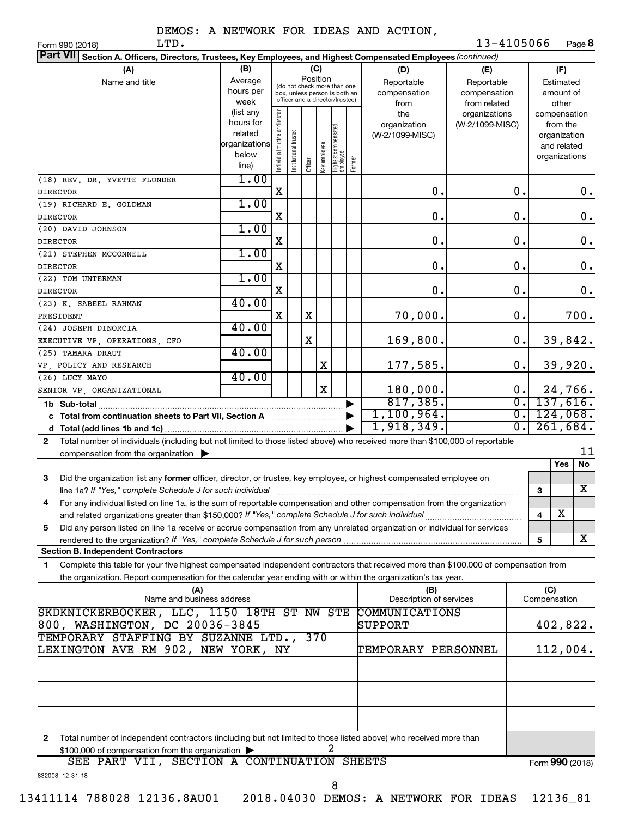Form 990 (2018) Page **8** LTD. 13-4105066

| Part VII Section A. Officers, Directors, Trustees, Key Employees, and Highest Compensated Employees (continued)                                                                                                                                                                                                                                                   |                   |                                |                       |             |              |                                                                  |        |                            |                                  |           |                         |          |
|-------------------------------------------------------------------------------------------------------------------------------------------------------------------------------------------------------------------------------------------------------------------------------------------------------------------------------------------------------------------|-------------------|--------------------------------|-----------------------|-------------|--------------|------------------------------------------------------------------|--------|----------------------------|----------------------------------|-----------|-------------------------|----------|
| (B)<br>(A)                                                                                                                                                                                                                                                                                                                                                        |                   |                                |                       |             | (C)          |                                                                  |        | (D)                        | (E)                              |           | (F)                     |          |
| Name and title                                                                                                                                                                                                                                                                                                                                                    | Average           |                                |                       |             | Position     | (do not check more than one                                      |        | Reportable                 | Reportable                       | Estimated |                         |          |
|                                                                                                                                                                                                                                                                                                                                                                   | hours per         |                                |                       |             |              | box, unless person is both an<br>officer and a director/trustee) |        | compensation               | compensation                     |           | amount of               |          |
|                                                                                                                                                                                                                                                                                                                                                                   | week<br>(list any |                                |                       |             |              |                                                                  |        | from                       | from related                     |           | other<br>compensation   |          |
|                                                                                                                                                                                                                                                                                                                                                                   | hours for         | Individual trustee or director |                       |             |              |                                                                  |        | the<br>organization        | organizations<br>(W-2/1099-MISC) |           |                         | from the |
|                                                                                                                                                                                                                                                                                                                                                                   | related           |                                |                       |             |              |                                                                  |        | (W-2/1099-MISC)            |                                  |           | organization            |          |
|                                                                                                                                                                                                                                                                                                                                                                   | organizations     |                                | Institutional trustee |             |              | Highest compensated<br> employee                                 |        |                            |                                  |           | and related             |          |
|                                                                                                                                                                                                                                                                                                                                                                   | below             |                                |                       |             | Key employee |                                                                  |        |                            |                                  |           | organizations           |          |
|                                                                                                                                                                                                                                                                                                                                                                   | line)             |                                |                       | Officer     |              |                                                                  | Former |                            |                                  |           |                         |          |
| (18) REV. DR. YVETTE FLUNDER                                                                                                                                                                                                                                                                                                                                      | 1.00              |                                |                       |             |              |                                                                  |        |                            |                                  |           |                         |          |
| <b>DIRECTOR</b>                                                                                                                                                                                                                                                                                                                                                   |                   | X                              |                       |             |              |                                                                  |        | $\mathbf 0$ .              | 0.                               |           |                         | 0.       |
| (19) RICHARD E. GOLDMAN                                                                                                                                                                                                                                                                                                                                           | 1.00              |                                |                       |             |              |                                                                  |        |                            |                                  |           |                         |          |
| <b>DIRECTOR</b>                                                                                                                                                                                                                                                                                                                                                   | 1.00              | X                              |                       |             |              |                                                                  |        | 0.                         | 0.                               |           |                         | $0$ .    |
| (20) DAVID JOHNSON                                                                                                                                                                                                                                                                                                                                                |                   | X                              |                       |             |              |                                                                  |        | 0.                         | 0.                               |           |                         | 0.       |
| <b>DIRECTOR</b><br>(21) STEPHEN MCCONNELL                                                                                                                                                                                                                                                                                                                         | 1.00              |                                |                       |             |              |                                                                  |        |                            |                                  |           |                         |          |
| <b>DIRECTOR</b>                                                                                                                                                                                                                                                                                                                                                   |                   | X                              |                       |             |              |                                                                  |        | 0.                         | 0.                               |           |                         | 0.       |
| (22) TOM UNTERMAN                                                                                                                                                                                                                                                                                                                                                 | 1.00              |                                |                       |             |              |                                                                  |        |                            |                                  |           |                         |          |
| <b>DIRECTOR</b>                                                                                                                                                                                                                                                                                                                                                   |                   | X                              |                       |             |              |                                                                  |        | 0.                         | 0.                               |           |                         | 0.       |
| (23) K. SABEEL RAHMAN                                                                                                                                                                                                                                                                                                                                             | 40.00             |                                |                       |             |              |                                                                  |        |                            |                                  |           |                         |          |
| PRESIDENT                                                                                                                                                                                                                                                                                                                                                         |                   | X                              |                       | X           |              |                                                                  |        | 70,000.                    | 0.                               |           |                         | 700.     |
| (24) JOSEPH DINORCIA                                                                                                                                                                                                                                                                                                                                              | 40.00             |                                |                       |             |              |                                                                  |        |                            |                                  |           |                         |          |
| EXECUTIVE VP OPERATIONS CFO                                                                                                                                                                                                                                                                                                                                       |                   |                                |                       | $\mathbf X$ |              |                                                                  |        | 169,800.                   | 0.                               |           | 39,842.                 |          |
| (25) TAMARA DRAUT                                                                                                                                                                                                                                                                                                                                                 | 40.00             |                                |                       |             |              |                                                                  |        |                            |                                  |           |                         |          |
| VP, POLICY AND RESEARCH                                                                                                                                                                                                                                                                                                                                           |                   |                                |                       |             | X            |                                                                  |        | 177,585.                   | 0.                               |           | 39,920.                 |          |
| (26) LUCY MAYO                                                                                                                                                                                                                                                                                                                                                    | 40.00             |                                |                       |             |              |                                                                  |        |                            |                                  |           |                         |          |
| SENIOR VP, ORGANIZATIONAL                                                                                                                                                                                                                                                                                                                                         |                   |                                |                       |             | X            |                                                                  |        | 180,000.                   | 0.                               |           | 24,766.                 |          |
| 1b Sub-total                                                                                                                                                                                                                                                                                                                                                      |                   |                                |                       |             |              |                                                                  |        | 817,385.                   | $\overline{0}$ .                 |           | 137,616.                |          |
| 124,068.<br>1,100,964.<br>$\overline{0}$ .                                                                                                                                                                                                                                                                                                                        |                   |                                |                       |             |              |                                                                  |        |                            |                                  |           |                         |          |
|                                                                                                                                                                                                                                                                                                                                                                   |                   |                                |                       |             |              |                                                                  |        | 1,918,349.                 | 0.                               |           | 261,684.                |          |
| Total number of individuals (including but not limited to those listed above) who received more than \$100,000 of reportable<br>$\mathbf{2}$                                                                                                                                                                                                                      |                   |                                |                       |             |              |                                                                  |        |                            |                                  |           |                         |          |
| compensation from the organization $\blacktriangleright$                                                                                                                                                                                                                                                                                                          |                   |                                |                       |             |              |                                                                  |        |                            |                                  |           |                         | 11       |
|                                                                                                                                                                                                                                                                                                                                                                   |                   |                                |                       |             |              |                                                                  |        |                            |                                  |           | Yes                     | No       |
| Did the organization list any former officer, director, or trustee, key employee, or highest compensated employee on<br>3                                                                                                                                                                                                                                         |                   |                                |                       |             |              |                                                                  |        |                            |                                  |           |                         |          |
| line 1a? If "Yes," complete Schedule J for such individual                                                                                                                                                                                                                                                                                                        |                   |                                |                       |             |              |                                                                  |        |                            |                                  |           | 3                       | x        |
| For any individual listed on line 1a, is the sum of reportable compensation and other compensation from the organization<br>4                                                                                                                                                                                                                                     |                   |                                |                       |             |              |                                                                  |        |                            |                                  |           | $\overline{\textbf{X}}$ |          |
|                                                                                                                                                                                                                                                                                                                                                                   |                   |                                |                       |             |              |                                                                  |        |                            |                                  |           | 4                       |          |
| Did any person listed on line 1a receive or accrue compensation from any unrelated organization or individual for services<br>5<br>rendered to the organization? If "Yes," complete Schedule J for such person manufactured to the organization? If "Yes," complete Schedule J for such person manufactured and the organization of the state of the state of the |                   |                                |                       |             |              |                                                                  |        |                            |                                  |           | 5                       | X        |
| <b>Section B. Independent Contractors</b>                                                                                                                                                                                                                                                                                                                         |                   |                                |                       |             |              |                                                                  |        |                            |                                  |           |                         |          |
| Complete this table for your five highest compensated independent contractors that received more than \$100,000 of compensation from<br>1                                                                                                                                                                                                                         |                   |                                |                       |             |              |                                                                  |        |                            |                                  |           |                         |          |
| the organization. Report compensation for the calendar year ending with or within the organization's tax year.                                                                                                                                                                                                                                                    |                   |                                |                       |             |              |                                                                  |        |                            |                                  |           |                         |          |
| (A)                                                                                                                                                                                                                                                                                                                                                               |                   |                                |                       |             |              |                                                                  |        | (B)                        |                                  |           | (C)                     |          |
| Name and business address                                                                                                                                                                                                                                                                                                                                         |                   |                                |                       |             |              |                                                                  |        | Description of services    |                                  |           | Compensation            |          |
| SKDKNICKERBOCKER, LLC, 1150 18TH ST NW STE                                                                                                                                                                                                                                                                                                                        |                   |                                |                       |             |              |                                                                  |        | COMMUNICATIONS             |                                  |           |                         |          |
| 800, WASHINGTON, DC 20036-3845                                                                                                                                                                                                                                                                                                                                    |                   |                                |                       |             |              |                                                                  |        | SUPPORT                    |                                  |           | 402,822.                |          |
| TEMPORARY STAFFING BY SUZANNE LTD., 370                                                                                                                                                                                                                                                                                                                           |                   |                                |                       |             |              |                                                                  |        |                            |                                  |           |                         |          |
| LEXINGTON AVE RM 902, NEW YORK, NY                                                                                                                                                                                                                                                                                                                                |                   |                                |                       |             |              |                                                                  |        | <b>TEMPORARY PERSONNEL</b> |                                  |           | 112,004.                |          |
|                                                                                                                                                                                                                                                                                                                                                                   |                   |                                |                       |             |              |                                                                  |        |                            |                                  |           |                         |          |
|                                                                                                                                                                                                                                                                                                                                                                   |                   |                                |                       |             |              |                                                                  |        |                            |                                  |           |                         |          |
|                                                                                                                                                                                                                                                                                                                                                                   |                   |                                |                       |             |              |                                                                  |        |                            |                                  |           |                         |          |
|                                                                                                                                                                                                                                                                                                                                                                   |                   |                                |                       |             |              |                                                                  |        |                            |                                  |           |                         |          |
|                                                                                                                                                                                                                                                                                                                                                                   |                   |                                |                       |             |              |                                                                  |        |                            |                                  |           |                         |          |
| $\mathbf{2}$<br>Total number of independent contractors (including but not limited to those listed above) who received more than                                                                                                                                                                                                                                  |                   |                                |                       |             |              |                                                                  |        |                            |                                  |           |                         |          |
| \$100,000 of compensation from the organization                                                                                                                                                                                                                                                                                                                   |                   |                                |                       |             |              | 2                                                                |        |                            |                                  |           |                         |          |
| SEE PART VII, SECTION A CONTINUATION SHEETS                                                                                                                                                                                                                                                                                                                       |                   |                                |                       |             |              |                                                                  |        |                            |                                  |           | Form 990 (2018)         |          |
| 832008 12-31-18                                                                                                                                                                                                                                                                                                                                                   |                   |                                |                       |             |              |                                                                  |        |                            |                                  |           |                         |          |

8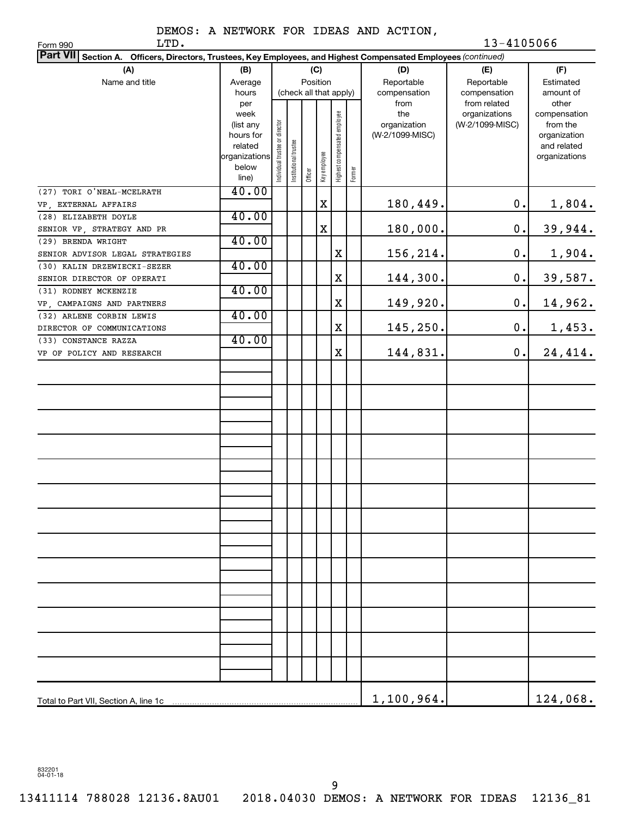LTD. 13-4105066

| LTD.<br>Form 990                                                                                                |                      |                               |                       |          |                        |                              |        |                 | 13-4105066      |                             |
|-----------------------------------------------------------------------------------------------------------------|----------------------|-------------------------------|-----------------------|----------|------------------------|------------------------------|--------|-----------------|-----------------|-----------------------------|
| Part VII Section A. Officers, Directors, Trustees, Key Employees, and Highest Compensated Employees (continued) |                      |                               |                       |          |                        |                              |        |                 |                 |                             |
| (A)                                                                                                             | (B)                  |                               |                       |          | (C)                    |                              |        | (D)             | (E)             | (F)                         |
| Name and title                                                                                                  | Average              |                               |                       | Position |                        |                              |        | Reportable      | Reportable      | Estimated                   |
|                                                                                                                 | hours                |                               |                       |          | (check all that apply) |                              |        | compensation    | compensation    | amount of                   |
|                                                                                                                 | per                  |                               |                       |          |                        |                              |        | from            | from related    | other                       |
|                                                                                                                 | week                 |                               |                       |          |                        |                              |        | the             | organizations   | compensation                |
|                                                                                                                 | (list any            |                               |                       |          |                        |                              |        | organization    | (W-2/1099-MISC) | from the                    |
|                                                                                                                 | hours for<br>related |                               |                       |          |                        |                              |        | (W-2/1099-MISC) |                 | organization<br>and related |
|                                                                                                                 | organizations        | ndividual trustee or director | Institutional trustee |          |                        | Highest compensated employee |        |                 |                 | organizations               |
|                                                                                                                 | below                |                               |                       |          |                        |                              |        |                 |                 |                             |
|                                                                                                                 | line)                |                               |                       | Officer  | Key employee           |                              | Former |                 |                 |                             |
| (27) TORI O'NEAL-MCELRATH                                                                                       | 40.00                |                               |                       |          |                        |                              |        |                 |                 |                             |
| VP, EXTERNAL AFFAIRS                                                                                            |                      |                               |                       |          | X                      |                              |        | 180,449.        | 0.              | 1,804.                      |
| (28) ELIZABETH DOYLE                                                                                            | 40.00                |                               |                       |          |                        |                              |        |                 |                 |                             |
| SENIOR VP, STRATEGY AND PR                                                                                      |                      |                               |                       |          | X                      |                              |        | 180,000.        | $\mathbf 0$ .   | 39,944.                     |
| (29) BRENDA WRIGHT                                                                                              | 40.00                |                               |                       |          |                        |                              |        |                 |                 |                             |
| SENIOR ADVISOR LEGAL STRATEGIES                                                                                 |                      |                               |                       |          |                        | X                            |        | 156,214.        | 0.              | 1,904.                      |
| (30) KALIN DRZEWIECKI-SEZER                                                                                     | 40.00                |                               |                       |          |                        |                              |        |                 |                 |                             |
| SENIOR DIRECTOR OF OPERATI                                                                                      |                      |                               |                       |          |                        | X                            |        | 144,300.        | 0.              | 39,587.                     |
| (31) RODNEY MCKENZIE                                                                                            | 40.00                |                               |                       |          |                        |                              |        |                 |                 |                             |
| VP, CAMPAIGNS AND PARTNERS                                                                                      |                      |                               |                       |          |                        | X                            |        | 149,920.        | 0.              | 14,962.                     |
| (32) ARLENE CORBIN LEWIS                                                                                        | 40.00                |                               |                       |          |                        |                              |        |                 |                 |                             |
| DIRECTOR OF COMMUNICATIONS                                                                                      |                      |                               |                       |          |                        | $\mathbf X$                  |        | 145,250.        | 0.              | 1,453.                      |
| (33) CONSTANCE RAZZA                                                                                            | 40.00                |                               |                       |          |                        |                              |        |                 |                 |                             |
| VP OF POLICY AND RESEARCH                                                                                       |                      |                               |                       |          |                        | $\mathbf x$                  |        | 144,831.        | $\mathbf 0$ .   | 24,414.                     |
|                                                                                                                 |                      |                               |                       |          |                        |                              |        |                 |                 |                             |
|                                                                                                                 |                      |                               |                       |          |                        |                              |        |                 |                 |                             |
|                                                                                                                 |                      |                               |                       |          |                        |                              |        |                 |                 |                             |
|                                                                                                                 |                      |                               |                       |          |                        |                              |        |                 |                 |                             |
|                                                                                                                 |                      |                               |                       |          |                        |                              |        |                 |                 |                             |
|                                                                                                                 |                      |                               |                       |          |                        |                              |        |                 |                 |                             |
|                                                                                                                 |                      |                               |                       |          |                        |                              |        |                 |                 |                             |
|                                                                                                                 |                      |                               |                       |          |                        |                              |        |                 |                 |                             |
|                                                                                                                 |                      |                               |                       |          |                        |                              |        |                 |                 |                             |
|                                                                                                                 |                      |                               |                       |          |                        |                              |        |                 |                 |                             |
|                                                                                                                 |                      |                               |                       |          |                        |                              |        |                 |                 |                             |
|                                                                                                                 |                      |                               |                       |          |                        |                              |        |                 |                 |                             |
|                                                                                                                 |                      |                               |                       |          |                        |                              |        |                 |                 |                             |
|                                                                                                                 |                      |                               |                       |          |                        |                              |        |                 |                 |                             |
|                                                                                                                 |                      |                               |                       |          |                        |                              |        |                 |                 |                             |
|                                                                                                                 |                      |                               |                       |          |                        |                              |        |                 |                 |                             |
|                                                                                                                 |                      |                               |                       |          |                        |                              |        |                 |                 |                             |
|                                                                                                                 |                      |                               |                       |          |                        |                              |        |                 |                 |                             |
|                                                                                                                 |                      |                               |                       |          |                        |                              |        |                 |                 |                             |
|                                                                                                                 |                      |                               |                       |          |                        |                              |        |                 |                 |                             |
|                                                                                                                 |                      |                               |                       |          |                        |                              |        |                 |                 |                             |
|                                                                                                                 |                      |                               |                       |          |                        |                              |        |                 |                 |                             |
|                                                                                                                 |                      |                               |                       |          |                        |                              |        |                 |                 |                             |
|                                                                                                                 |                      |                               |                       |          |                        |                              |        |                 |                 |                             |
|                                                                                                                 |                      |                               |                       |          |                        |                              |        |                 |                 |                             |
|                                                                                                                 |                      |                               |                       |          |                        |                              |        |                 |                 |                             |
|                                                                                                                 |                      |                               |                       |          |                        |                              |        | 1,100,964.      |                 | 124,068.                    |

832201 04-01-18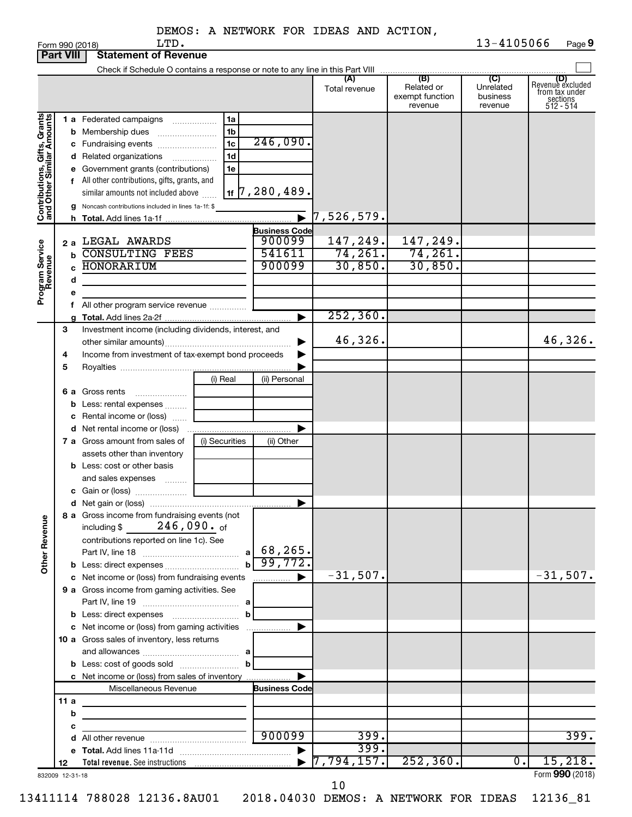|  |  | DEMOS: A NETWORK FOR IDEAS AND ACTION, |  |  |  |  |
|--|--|----------------------------------------|--|--|--|--|
|--|--|----------------------------------------|--|--|--|--|

|                                                           | <b>Part VIII</b> | <b>Statement of Revenue</b>                           |                |                                |                      |                                                 |                                         |                                                                    |
|-----------------------------------------------------------|------------------|-------------------------------------------------------|----------------|--------------------------------|----------------------|-------------------------------------------------|-----------------------------------------|--------------------------------------------------------------------|
|                                                           |                  |                                                       |                |                                |                      |                                                 |                                         |                                                                    |
|                                                           |                  |                                                       |                |                                | (A)<br>Total revenue | (B)<br>Related or<br>exempt function<br>revenue | (C)<br>Unrelated<br>business<br>revenue | (D)<br>Revenue excluded<br>from tax under<br>sections<br>512 - 514 |
| Contributions, Gifts, Grants<br>and Other Similar Amounts |                  | <b>1 a</b> Federated campaigns                        | 1a             |                                |                      |                                                 |                                         |                                                                    |
|                                                           | b                | Membership dues                                       | 1 <sub>b</sub> |                                |                      |                                                 |                                         |                                                                    |
|                                                           |                  | c Fundraising events                                  | 1 <sub>c</sub> | 246,090.                       |                      |                                                 |                                         |                                                                    |
|                                                           |                  | <b>d</b> Related organizations<br>.                   | 1d             |                                |                      |                                                 |                                         |                                                                    |
|                                                           | е                | Government grants (contributions)                     | 1e             |                                |                      |                                                 |                                         |                                                                    |
|                                                           |                  | f All other contributions, gifts, grants, and         |                |                                |                      |                                                 |                                         |                                                                    |
|                                                           |                  | similar amounts not included above                    |                | $1$ if $\vert 7$ , 280, 489.   |                      |                                                 |                                         |                                                                    |
|                                                           | g                | Noncash contributions included in lines 1a-1f: \$     |                |                                |                      |                                                 |                                         |                                                                    |
|                                                           |                  |                                                       |                |                                | 7,526,579.           |                                                 |                                         |                                                                    |
|                                                           |                  |                                                       |                | <b>Business Code</b><br>900099 | 147,249.             |                                                 |                                         |                                                                    |
|                                                           | 2a               | LEGAL AWARDS<br><b>CONSULTING FEES</b>                |                | 541611                         | 74, 261.             | $\frac{147,249}{74,261}$                        |                                         |                                                                    |
|                                                           | b                | <b>HONORARIUM</b>                                     |                | 900099                         | 30,850.              | 30,850.                                         |                                         |                                                                    |
|                                                           |                  |                                                       |                |                                |                      |                                                 |                                         |                                                                    |
| Program Service<br>Revenue                                | d                |                                                       |                |                                |                      |                                                 |                                         |                                                                    |
|                                                           |                  | All other program service revenue                     |                |                                |                      |                                                 |                                         |                                                                    |
|                                                           |                  |                                                       |                | ▶                              | 252, 360.            |                                                 |                                         |                                                                    |
|                                                           | 3                | Investment income (including dividends, interest, and |                |                                |                      |                                                 |                                         |                                                                    |
|                                                           |                  |                                                       |                |                                | 46,326.              |                                                 |                                         | 46,326.                                                            |
|                                                           | 4                | Income from investment of tax-exempt bond proceeds    |                |                                |                      |                                                 |                                         |                                                                    |
|                                                           | 5                |                                                       |                |                                |                      |                                                 |                                         |                                                                    |
|                                                           |                  |                                                       | (i) Real       | (ii) Personal                  |                      |                                                 |                                         |                                                                    |
|                                                           |                  | 6 a Gross rents                                       |                |                                |                      |                                                 |                                         |                                                                    |
|                                                           | b                | Less: rental expenses                                 |                |                                |                      |                                                 |                                         |                                                                    |
|                                                           |                  | Rental income or (loss)                               |                |                                |                      |                                                 |                                         |                                                                    |
|                                                           | d                |                                                       |                |                                |                      |                                                 |                                         |                                                                    |
|                                                           |                  | 7 a Gross amount from sales of                        | (i) Securities | (ii) Other                     |                      |                                                 |                                         |                                                                    |
|                                                           |                  | assets other than inventory                           |                |                                |                      |                                                 |                                         |                                                                    |
|                                                           |                  | <b>b</b> Less: cost or other basis                    |                |                                |                      |                                                 |                                         |                                                                    |
|                                                           |                  | and sales expenses                                    |                |                                |                      |                                                 |                                         |                                                                    |
|                                                           |                  |                                                       |                | ▶                              |                      |                                                 |                                         |                                                                    |
|                                                           |                  | 8 a Gross income from fundraising events (not         |                |                                |                      |                                                 |                                         |                                                                    |
| <b>Other Revenue</b>                                      |                  | $246$ ,090. $_{\rm of}$<br>including \$               |                |                                |                      |                                                 |                                         |                                                                    |
|                                                           |                  | contributions reported on line 1c). See               |                |                                |                      |                                                 |                                         |                                                                    |
|                                                           |                  |                                                       | a l            | 68,265.                        |                      |                                                 |                                         |                                                                    |
|                                                           |                  |                                                       | $\mathbf{b}$   | 99,772.                        |                      |                                                 |                                         |                                                                    |
|                                                           |                  | c Net income or (loss) from fundraising events        |                |                                | $-31,507.$           |                                                 |                                         | $-31,507.$                                                         |
|                                                           |                  | 9 a Gross income from gaming activities. See          |                |                                |                      |                                                 |                                         |                                                                    |
|                                                           |                  |                                                       |                |                                |                      |                                                 |                                         |                                                                    |
|                                                           |                  |                                                       | $\mathbf b$    |                                |                      |                                                 |                                         |                                                                    |
|                                                           |                  | c Net income or (loss) from gaming activities         |                |                                |                      |                                                 |                                         |                                                                    |
|                                                           |                  | 10 a Gross sales of inventory, less returns           |                |                                |                      |                                                 |                                         |                                                                    |
|                                                           |                  |                                                       |                |                                |                      |                                                 |                                         |                                                                    |
|                                                           |                  |                                                       | $\mathbf{b}$   |                                |                      |                                                 |                                         |                                                                    |
|                                                           |                  | c Net income or (loss) from sales of inventory        |                |                                |                      |                                                 |                                         |                                                                    |
|                                                           | 11 a             | Miscellaneous Revenue                                 |                | <b>Business Code</b>           |                      |                                                 |                                         |                                                                    |
|                                                           | b                |                                                       |                |                                |                      |                                                 |                                         |                                                                    |
|                                                           |                  |                                                       |                |                                |                      |                                                 |                                         |                                                                    |
|                                                           |                  |                                                       |                | 900099                         | 399.                 |                                                 |                                         | 399.                                                               |
|                                                           |                  |                                                       |                |                                | 399.                 |                                                 |                                         |                                                                    |
|                                                           | 12               |                                                       |                |                                | 7,794,157.           | 252, 360.                                       | 0.                                      | 15,218.                                                            |
|                                                           | 832009 12-31-18  |                                                       |                |                                |                      |                                                 |                                         | Form 990 (2018)                                                    |

10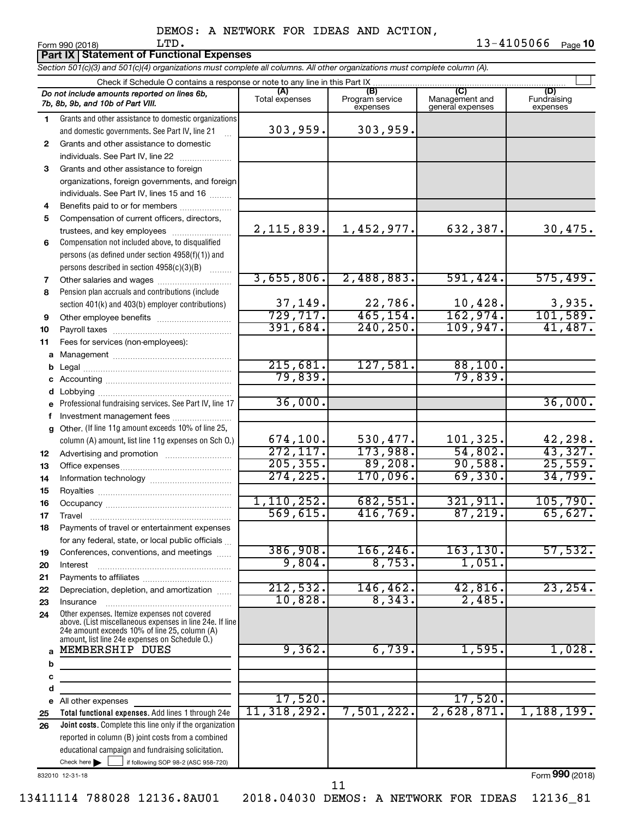**Part IX | Statement of Functional Expenses** 

*Section 501(c)(3) and 501(c)(4) organizations must complete all columns. All other organizations must complete column (A).*

|              | Check if Schedule O contains a response or note to any line in this Part IX                              |                       |                        |                       |                    |
|--------------|----------------------------------------------------------------------------------------------------------|-----------------------|------------------------|-----------------------|--------------------|
|              | Do not include amounts reported on lines 6b,<br>7b, 8b, 9b, and 10b of Part VIII.                        | (A)<br>Total expenses | (B)<br>Program service | IC)<br>Management and | (D)<br>Fundraising |
| 1.           | Grants and other assistance to domestic organizations                                                    |                       | expenses               | general expenses      | expenses           |
|              | and domestic governments. See Part IV, line 21                                                           | 303,959.              | 303,959.               |                       |                    |
| $\mathbf{2}$ | Grants and other assistance to domestic                                                                  |                       |                        |                       |                    |
|              | individuals. See Part IV, line 22                                                                        |                       |                        |                       |                    |
| 3            | Grants and other assistance to foreign                                                                   |                       |                        |                       |                    |
|              | organizations, foreign governments, and foreign                                                          |                       |                        |                       |                    |
|              | individuals. See Part IV, lines 15 and 16                                                                |                       |                        |                       |                    |
| 4            | Benefits paid to or for members                                                                          |                       |                        |                       |                    |
| 5            | Compensation of current officers, directors,                                                             |                       |                        |                       |                    |
|              | trustees, and key employees                                                                              | 2,115,839.            | 1,452,977.             | 632,387.              | 30,475.            |
| 6            | Compensation not included above, to disqualified                                                         |                       |                        |                       |                    |
|              | persons (as defined under section 4958(f)(1)) and                                                        |                       |                        |                       |                    |
|              | persons described in section 4958(c)(3)(B)                                                               |                       |                        |                       |                    |
| 7            |                                                                                                          | 3,655,806.            | 2,488,883.             | 591,424.              | 575,499.           |
| 8            | Pension plan accruals and contributions (include                                                         |                       |                        |                       |                    |
|              | section 401(k) and 403(b) employer contributions)                                                        | 37,149.               | 22,786.                | 10,428.               | 3,935.             |
| 9            | Other employee benefits                                                                                  | 729, 717.             | 465, 154.              | 162,974.              | 101,589.           |
| 10           |                                                                                                          | 391,684.              | 240, 250.              | 109,947.              | 41,487.            |
| 11           | Fees for services (non-employees):                                                                       |                       |                        |                       |                    |
|              |                                                                                                          | 215,681.              | 127,581.               |                       |                    |
| b            |                                                                                                          | 79,839.               |                        | 88,100.<br>79,839.    |                    |
|              |                                                                                                          |                       |                        |                       |                    |
| d<br>е       | Professional fundraising services. See Part IV, line 17                                                  | 36,000.               |                        |                       | 36,000.            |
| f            | Investment management fees                                                                               |                       |                        |                       |                    |
| g            | Other. (If line 11g amount exceeds 10% of line 25,                                                       |                       |                        |                       |                    |
|              | column (A) amount, list line 11g expenses on Sch O.)                                                     | 674,100.              | 530,477.               | 101, 325.             | 42,298.            |
| 12           |                                                                                                          | 272, 117.             | 173,988.               | 54,802.               | 43,327.            |
| 13           |                                                                                                          | 205, 355.             | 89,208.                | 90,588.               | 25,559.            |
| 14           |                                                                                                          | 274, 225.             | $170,096$ .            | 69,330.               | 34,799.            |
| 15           |                                                                                                          |                       |                        |                       |                    |
| 16           |                                                                                                          | 1, 110, 252.          | 682,551.               | 321,911.              | 105,790.           |
| 17           |                                                                                                          | 569,615.              | 416,769.               | 87,219.               | 65,627.            |
| 18           | Payments of travel or entertainment expenses                                                             |                       |                        |                       |                    |
|              | for any federal, state, or local public officials                                                        |                       |                        |                       |                    |
| 19           | Conferences, conventions, and meetings                                                                   | 386,908.              | 166, 246.              | 163, 130.             | 57,532.            |
| 20           | Interest                                                                                                 | 9,804.                | 8,753.                 | 1,051.                |                    |
| 21           |                                                                                                          |                       |                        |                       |                    |
| 22           | Depreciation, depletion, and amortization                                                                | 212,532.<br>10,828.   | 146, 462.<br>8,343.    | 42,816.<br>2,485.     | 23, 254.           |
| 23           | Insurance                                                                                                |                       |                        |                       |                    |
| 24           | Other expenses. Itemize expenses not covered<br>above. (List miscellaneous expenses in line 24e. If line |                       |                        |                       |                    |
|              | 24e amount exceeds 10% of line 25, column (A)                                                            |                       |                        |                       |                    |
| a            | amount, list line 24e expenses on Schedule O.)<br>MEMBERSHIP DUES                                        | 9,362.                | 6,739.                 | 1,595.                | 1,028.             |
| b            |                                                                                                          |                       |                        |                       |                    |
| с            |                                                                                                          |                       |                        |                       |                    |
| d            |                                                                                                          |                       |                        |                       |                    |
| е            | All other expenses                                                                                       | 17,520.               |                        | 17,520.               |                    |
| 25           | Total functional expenses. Add lines 1 through 24e                                                       | 11, 318, 292.         | 7,501,222.             | 2,628,871.            | 1,188,199.         |
| 26           | Joint costs. Complete this line only if the organization                                                 |                       |                        |                       |                    |
|              | reported in column (B) joint costs from a combined                                                       |                       |                        |                       |                    |
|              | educational campaign and fundraising solicitation.                                                       |                       |                        |                       |                    |
|              | Check here $\blacktriangleright$<br>if following SOP 98-2 (ASC 958-720)                                  |                       |                        |                       |                    |
|              | 832010 12-31-18                                                                                          |                       |                        |                       | Form 990 (2018)    |

13411114 788028 12136.8AU01 2018.04030 DEMOS: A NETWORK FOR IDEAS 12136\_81

11

Form (2018) **990**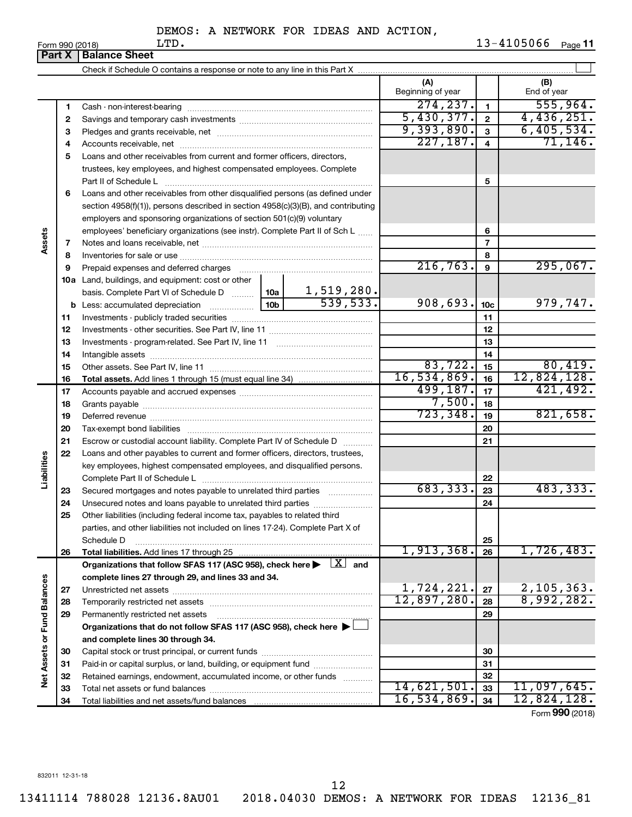|                             | Part X   | <b>Balance Sheet</b>                                                                                                    |          |    |                          |                         |                    |
|-----------------------------|----------|-------------------------------------------------------------------------------------------------------------------------|----------|----|--------------------------|-------------------------|--------------------|
|                             |          |                                                                                                                         |          |    |                          |                         |                    |
|                             |          |                                                                                                                         |          |    | (A)<br>Beginning of year |                         | (B)<br>End of year |
|                             | 1        |                                                                                                                         |          |    | 274, 237.                | $\mathbf{1}$            | 555,964.           |
|                             | 2        |                                                                                                                         |          |    | 5,430,377.               | $\mathbf{2}$            | 4,436,251.         |
|                             | З        |                                                                                                                         |          |    | 9,393,890.               | $\mathbf{3}$            | 6,405,534.         |
|                             | 4        |                                                                                                                         |          |    | 227, 187.                | $\overline{\mathbf{4}}$ | 71, 146.           |
|                             | 5        | Loans and other receivables from current and former officers, directors,                                                |          |    |                          |                         |                    |
|                             |          | trustees, key employees, and highest compensated employees. Complete                                                    |          |    |                          |                         |                    |
|                             |          |                                                                                                                         |          |    |                          | 5                       |                    |
|                             | 6        | Loans and other receivables from other disqualified persons (as defined under                                           |          |    |                          |                         |                    |
|                             |          | section 4958(f)(1)), persons described in section 4958(c)(3)(B), and contributing                                       |          |    |                          |                         |                    |
|                             |          | employers and sponsoring organizations of section 501(c)(9) voluntary                                                   |          |    |                          |                         |                    |
|                             |          | employees' beneficiary organizations (see instr). Complete Part II of Sch L                                             |          |    |                          | 6                       |                    |
| Assets                      | 7        |                                                                                                                         |          |    | $\overline{7}$           |                         |                    |
|                             | 8        |                                                                                                                         |          |    |                          | 8                       |                    |
|                             | 9        | Prepaid expenses and deferred charges                                                                                   |          |    | 216, 763.                | 9                       | 295,067.           |
|                             |          | <b>10a</b> Land, buildings, and equipment: cost or other                                                                |          |    |                          |                         |                    |
|                             |          | basis. Complete Part VI of Schedule D  10a 1,519,280.                                                                   |          |    |                          |                         |                    |
|                             |          |                                                                                                                         |          |    | 908,693.                 | 10 <sub>c</sub>         | 979,747.           |
|                             | 11       |                                                                                                                         |          |    |                          | 11                      |                    |
|                             | 12       |                                                                                                                         |          |    |                          | 12                      |                    |
|                             | 13       |                                                                                                                         |          | 13 |                          |                         |                    |
|                             | 14       |                                                                                                                         |          | 14 |                          |                         |                    |
|                             | 15       |                                                                                                                         | 83,722.  | 15 | 80,419.                  |                         |                    |
|                             | 16       |                                                                                                                         |          |    | 16,534,869.              | 16                      | 12,824,128.        |
|                             | 17       |                                                                                                                         | 499,187. | 17 | 421,492.                 |                         |                    |
|                             | 18       |                                                                                                                         |          |    | 7,500.                   | 18                      |                    |
|                             | 19       |                                                                                                                         |          |    | 723, 348.                | 19                      | 821,658.           |
|                             | 20       |                                                                                                                         |          |    |                          | 20                      |                    |
|                             | 21       | Escrow or custodial account liability. Complete Part IV of Schedule D                                                   |          |    |                          | 21                      |                    |
|                             | 22       | Loans and other payables to current and former officers, directors, trustees,                                           |          |    |                          |                         |                    |
|                             |          | key employees, highest compensated employees, and disqualified persons.                                                 |          |    |                          |                         |                    |
| Liabilities                 |          |                                                                                                                         |          |    |                          | 22                      |                    |
|                             | 23       | Secured mortgages and notes payable to unrelated third parties                                                          |          |    | 683,333.                 | 23                      | 483, 333.          |
|                             | 24       | Unsecured notes and loans payable to unrelated third parties                                                            |          |    |                          | 24                      |                    |
|                             | 25       | Other liabilities (including federal income tax, payables to related third                                              |          |    |                          |                         |                    |
|                             |          | parties, and other liabilities not included on lines 17-24). Complete Part X of                                         |          |    |                          |                         |                    |
|                             |          | Schedule D                                                                                                              |          |    | 1,913,368.               | 25                      | 1,726,483.         |
|                             | 26       | Total liabilities. Add lines 17 through 25                                                                              |          |    |                          | 26                      |                    |
|                             |          | Organizations that follow SFAS 117 (ASC 958), check here $\blacktriangleright \begin{array}{c} \perp X \end{array}$ and |          |    |                          |                         |                    |
|                             |          | complete lines 27 through 29, and lines 33 and 34.                                                                      |          |    | 1,724,221.               |                         | 2,105,363.         |
|                             | 27       |                                                                                                                         |          |    | 12,897,280.              | 27                      | 8,992,282.         |
|                             | 28       |                                                                                                                         |          |    |                          | 28                      |                    |
|                             | 29       | Permanently restricted net assets                                                                                       |          |    |                          | 29                      |                    |
|                             |          | Organizations that do not follow SFAS 117 (ASC 958), check here ▶ □                                                     |          |    |                          |                         |                    |
|                             |          | and complete lines 30 through 34.                                                                                       |          |    |                          |                         |                    |
|                             | 30       | Paid-in or capital surplus, or land, building, or equipment fund                                                        |          |    |                          | 30<br>31                |                    |
| Net Assets or Fund Balances | 31<br>32 | Retained earnings, endowment, accumulated income, or other funds                                                        |          |    |                          | 32                      |                    |
|                             | 33       |                                                                                                                         |          |    | 14,621,501.              | 33                      | 11,097,645.        |
|                             | 34       |                                                                                                                         |          |    | 16,534,869.              | 34                      | 12,824,128.        |
|                             |          |                                                                                                                         |          |    |                          |                         |                    |

Form (2018) **990**

832011 12-31-18

12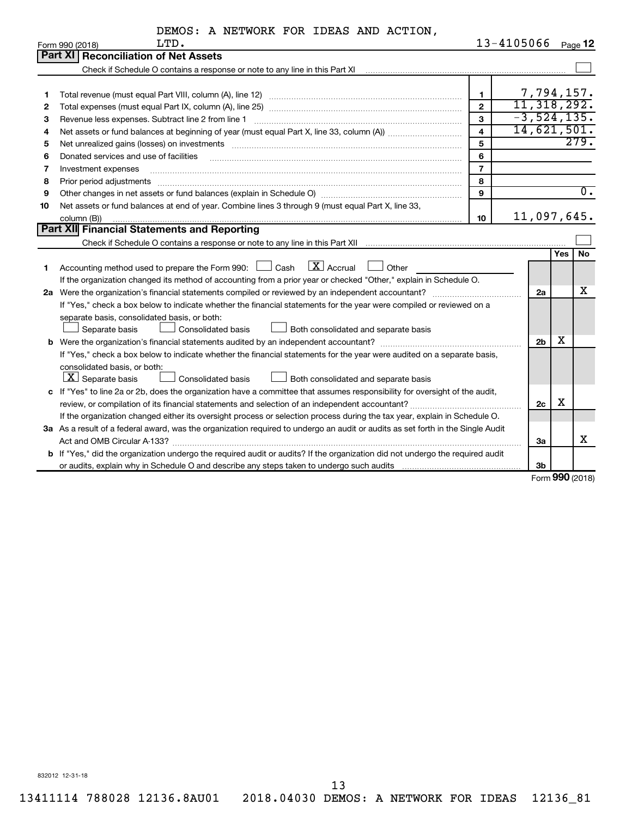|          | DEMOS: A NETWORK FOR IDEAS AND ACTION, |  |  |                |
|----------|----------------------------------------|--|--|----------------|
| . חיד. ד |                                        |  |  | $13 - 4105066$ |

|    | Form 990 (2018)<br>LTD.                                                                                                                                                                                                        |                         | 13-4105066                      |            | Page 12          |
|----|--------------------------------------------------------------------------------------------------------------------------------------------------------------------------------------------------------------------------------|-------------------------|---------------------------------|------------|------------------|
|    | <b>Part XI Reconciliation of Net Assets</b>                                                                                                                                                                                    |                         |                                 |            |                  |
|    | Check if Schedule O contains a response or note to any line in this Part XI                                                                                                                                                    |                         |                                 |            |                  |
|    |                                                                                                                                                                                                                                |                         |                                 |            |                  |
| 1  |                                                                                                                                                                                                                                | $\mathbf{1}$            | $\frac{7,794,157}{11,318,292.}$ |            |                  |
| 2  |                                                                                                                                                                                                                                | $\overline{2}$          |                                 |            |                  |
| З  |                                                                                                                                                                                                                                | 3                       | $-3,524,135.$                   |            |                  |
| 4  |                                                                                                                                                                                                                                | $\overline{\mathbf{4}}$ | 14,621,501.                     |            |                  |
| 5  | Net unrealized gains (losses) on investments [11] matter than the control of the control of the control of the control of the control of the control of the control of the control of the control of the control of the contro | 5                       |                                 |            | 279.             |
| 6  | Donated services and use of facilities                                                                                                                                                                                         | 6                       |                                 |            |                  |
| 7  | Investment expenses                                                                                                                                                                                                            | $\overline{7}$          |                                 |            |                  |
| 8  | Prior period adjustments                                                                                                                                                                                                       | 8                       |                                 |            |                  |
| 9  |                                                                                                                                                                                                                                | $\mathbf{g}$            |                                 |            | $\overline{0}$ . |
| 10 | Net assets or fund balances at end of year. Combine lines 3 through 9 (must equal Part X, line 33,                                                                                                                             |                         |                                 |            |                  |
|    | column (B))                                                                                                                                                                                                                    | 10                      | 11,097,645.                     |            |                  |
|    | Part XII Financial Statements and Reporting                                                                                                                                                                                    |                         |                                 |            |                  |
|    |                                                                                                                                                                                                                                |                         |                                 |            |                  |
|    |                                                                                                                                                                                                                                |                         |                                 | <b>Yes</b> | <b>No</b>        |
| 1  | $\lfloor \mathbf{X} \rfloor$ Accrual<br>Accounting method used to prepare the Form 990: [130] Cash<br>$\Box$ Other                                                                                                             |                         |                                 |            |                  |
|    | If the organization changed its method of accounting from a prior year or checked "Other," explain in Schedule O.                                                                                                              |                         |                                 |            |                  |
|    |                                                                                                                                                                                                                                |                         | 2a                              |            | X                |
|    | If "Yes," check a box below to indicate whether the financial statements for the year were compiled or reviewed on a                                                                                                           |                         |                                 |            |                  |
|    | separate basis, consolidated basis, or both:                                                                                                                                                                                   |                         |                                 |            |                  |
|    | Both consolidated and separate basis<br>Separate basis<br>Consolidated basis                                                                                                                                                   |                         |                                 |            |                  |
|    |                                                                                                                                                                                                                                |                         | 2 <sub>b</sub>                  | x          |                  |
|    | If "Yes," check a box below to indicate whether the financial statements for the year were audited on a separate basis,                                                                                                        |                         |                                 |            |                  |
|    | consolidated basis, or both:                                                                                                                                                                                                   |                         |                                 |            |                  |
|    | $ \mathbf{X} $ Separate basis<br>Consolidated basis<br>Both consolidated and separate basis                                                                                                                                    |                         |                                 |            |                  |
|    | c If "Yes" to line 2a or 2b, does the organization have a committee that assumes responsibility for oversight of the audit,                                                                                                    |                         |                                 |            |                  |
|    |                                                                                                                                                                                                                                |                         | 2c                              | X          |                  |
|    | If the organization changed either its oversight process or selection process during the tax year, explain in Schedule O.                                                                                                      |                         |                                 |            |                  |
|    | 3a As a result of a federal award, was the organization required to undergo an audit or audits as set forth in the Single Audit                                                                                                |                         |                                 |            |                  |
|    |                                                                                                                                                                                                                                |                         | За                              |            | x                |
|    | b If "Yes," did the organization undergo the required audit or audits? If the organization did not undergo the required audit                                                                                                  |                         |                                 |            |                  |
|    |                                                                                                                                                                                                                                |                         | 3b                              |            |                  |

Form (2018) **990**

832012 12-31-18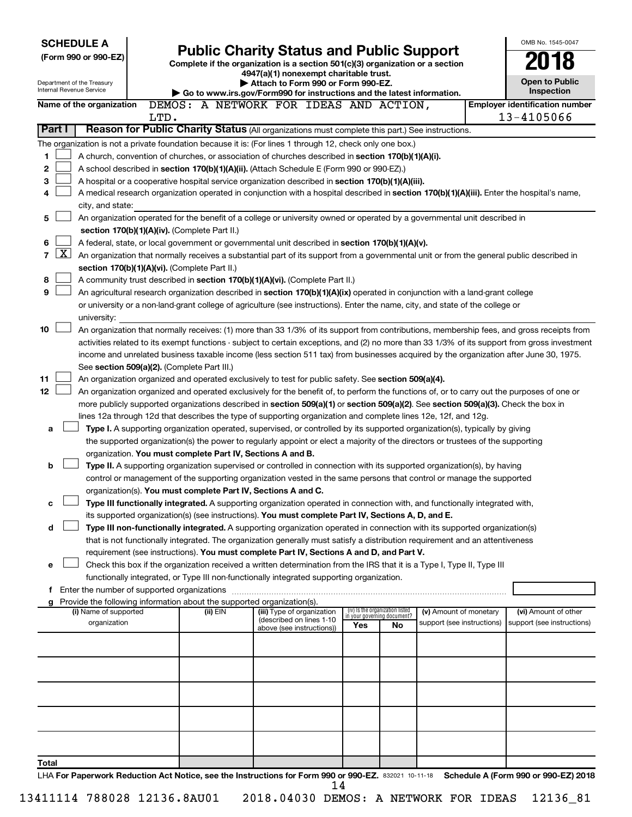| <b>SCHEDULE A</b>                                                                                                                                        |                                                                                                                                                                                                                                                                 |                                                                                                                               |  |                                                        |  |     |                                                                |                            | OMB No. 1545-0047                                                                                                                                                                                                                                                                |
|----------------------------------------------------------------------------------------------------------------------------------------------------------|-----------------------------------------------------------------------------------------------------------------------------------------------------------------------------------------------------------------------------------------------------------------|-------------------------------------------------------------------------------------------------------------------------------|--|--------------------------------------------------------|--|-----|----------------------------------------------------------------|----------------------------|----------------------------------------------------------------------------------------------------------------------------------------------------------------------------------------------------------------------------------------------------------------------------------|
| <b>Public Charity Status and Public Support</b><br>(Form 990 or 990-EZ)<br>Complete if the organization is a section 501(c)(3) organization or a section |                                                                                                                                                                                                                                                                 |                                                                                                                               |  |                                                        |  |     |                                                                |                            |                                                                                                                                                                                                                                                                                  |
|                                                                                                                                                          |                                                                                                                                                                                                                                                                 |                                                                                                                               |  | 4947(a)(1) nonexempt charitable trust.                 |  |     |                                                                |                            |                                                                                                                                                                                                                                                                                  |
| Department of the Treasury<br>Internal Revenue Service                                                                                                   |                                                                                                                                                                                                                                                                 | Attach to Form 990 or Form 990-EZ.<br>$\triangleright$ Go to www.irs.gov/Form990 for instructions and the latest information. |  |                                                        |  |     |                                                                |                            | <b>Open to Public</b><br>Inspection                                                                                                                                                                                                                                              |
| Name of the organization                                                                                                                                 |                                                                                                                                                                                                                                                                 |                                                                                                                               |  | DEMOS: A NETWORK FOR IDEAS AND ACTION,                 |  |     |                                                                |                            | <b>Employer identification number</b>                                                                                                                                                                                                                                            |
|                                                                                                                                                          | LTD.                                                                                                                                                                                                                                                            |                                                                                                                               |  |                                                        |  |     |                                                                |                            | 13-4105066                                                                                                                                                                                                                                                                       |
| Part I                                                                                                                                                   | Reason for Public Charity Status (All organizations must complete this part.) See instructions.                                                                                                                                                                 |                                                                                                                               |  |                                                        |  |     |                                                                |                            |                                                                                                                                                                                                                                                                                  |
| The organization is not a private foundation because it is: (For lines 1 through 12, check only one box.)                                                |                                                                                                                                                                                                                                                                 |                                                                                                                               |  |                                                        |  |     |                                                                |                            |                                                                                                                                                                                                                                                                                  |
| 1                                                                                                                                                        | A church, convention of churches, or association of churches described in section 170(b)(1)(A)(i).                                                                                                                                                              |                                                                                                                               |  |                                                        |  |     |                                                                |                            |                                                                                                                                                                                                                                                                                  |
| 2                                                                                                                                                        | A school described in section 170(b)(1)(A)(ii). (Attach Schedule E (Form 990 or 990-EZ).)                                                                                                                                                                       |                                                                                                                               |  |                                                        |  |     |                                                                |                            |                                                                                                                                                                                                                                                                                  |
| з                                                                                                                                                        | A hospital or a cooperative hospital service organization described in section 170(b)(1)(A)(iii).                                                                                                                                                               |                                                                                                                               |  |                                                        |  |     |                                                                |                            |                                                                                                                                                                                                                                                                                  |
| 4<br>city, and state:                                                                                                                                    |                                                                                                                                                                                                                                                                 |                                                                                                                               |  |                                                        |  |     |                                                                |                            | A medical research organization operated in conjunction with a hospital described in section 170(b)(1)(A)(iii). Enter the hospital's name,                                                                                                                                       |
| 5                                                                                                                                                        | An organization operated for the benefit of a college or university owned or operated by a governmental unit described in                                                                                                                                       |                                                                                                                               |  |                                                        |  |     |                                                                |                            |                                                                                                                                                                                                                                                                                  |
|                                                                                                                                                          | section 170(b)(1)(A)(iv). (Complete Part II.)                                                                                                                                                                                                                   |                                                                                                                               |  |                                                        |  |     |                                                                |                            |                                                                                                                                                                                                                                                                                  |
| 6                                                                                                                                                        | A federal, state, or local government or governmental unit described in section 170(b)(1)(A)(v).                                                                                                                                                                |                                                                                                                               |  |                                                        |  |     |                                                                |                            |                                                                                                                                                                                                                                                                                  |
| <u>x</u><br>$\overline{7}$                                                                                                                               |                                                                                                                                                                                                                                                                 |                                                                                                                               |  |                                                        |  |     |                                                                |                            | An organization that normally receives a substantial part of its support from a governmental unit or from the general public described in                                                                                                                                        |
|                                                                                                                                                          | section 170(b)(1)(A)(vi). (Complete Part II.)                                                                                                                                                                                                                   |                                                                                                                               |  |                                                        |  |     |                                                                |                            |                                                                                                                                                                                                                                                                                  |
| 8                                                                                                                                                        | A community trust described in section 170(b)(1)(A)(vi). (Complete Part II.)                                                                                                                                                                                    |                                                                                                                               |  |                                                        |  |     |                                                                |                            |                                                                                                                                                                                                                                                                                  |
| 9                                                                                                                                                        | An agricultural research organization described in section 170(b)(1)(A)(ix) operated in conjunction with a land-grant college<br>or university or a non-land-grant college of agriculture (see instructions). Enter the name, city, and state of the college or |                                                                                                                               |  |                                                        |  |     |                                                                |                            |                                                                                                                                                                                                                                                                                  |
| university:                                                                                                                                              |                                                                                                                                                                                                                                                                 |                                                                                                                               |  |                                                        |  |     |                                                                |                            |                                                                                                                                                                                                                                                                                  |
| 10                                                                                                                                                       |                                                                                                                                                                                                                                                                 |                                                                                                                               |  |                                                        |  |     |                                                                |                            | An organization that normally receives: (1) more than 33 1/3% of its support from contributions, membership fees, and gross receipts from                                                                                                                                        |
|                                                                                                                                                          |                                                                                                                                                                                                                                                                 |                                                                                                                               |  |                                                        |  |     |                                                                |                            | activities related to its exempt functions - subject to certain exceptions, and (2) no more than 33 1/3% of its support from gross investment                                                                                                                                    |
|                                                                                                                                                          |                                                                                                                                                                                                                                                                 |                                                                                                                               |  |                                                        |  |     |                                                                |                            | income and unrelated business taxable income (less section 511 tax) from businesses acquired by the organization after June 30, 1975.                                                                                                                                            |
|                                                                                                                                                          | See section 509(a)(2). (Complete Part III.)                                                                                                                                                                                                                     |                                                                                                                               |  |                                                        |  |     |                                                                |                            |                                                                                                                                                                                                                                                                                  |
| 11<br>12                                                                                                                                                 | An organization organized and operated exclusively to test for public safety. See section 509(a)(4).                                                                                                                                                            |                                                                                                                               |  |                                                        |  |     |                                                                |                            |                                                                                                                                                                                                                                                                                  |
|                                                                                                                                                          |                                                                                                                                                                                                                                                                 |                                                                                                                               |  |                                                        |  |     |                                                                |                            | An organization organized and operated exclusively for the benefit of, to perform the functions of, or to carry out the purposes of one or<br>more publicly supported organizations described in section 509(a)(1) or section 509(a)(2). See section 509(a)(3). Check the box in |
|                                                                                                                                                          | lines 12a through 12d that describes the type of supporting organization and complete lines 12e, 12f, and 12g.                                                                                                                                                  |                                                                                                                               |  |                                                        |  |     |                                                                |                            |                                                                                                                                                                                                                                                                                  |
| a                                                                                                                                                        | Type I. A supporting organization operated, supervised, or controlled by its supported organization(s), typically by giving                                                                                                                                     |                                                                                                                               |  |                                                        |  |     |                                                                |                            |                                                                                                                                                                                                                                                                                  |
|                                                                                                                                                          | the supported organization(s) the power to regularly appoint or elect a majority of the directors or trustees of the supporting                                                                                                                                 |                                                                                                                               |  |                                                        |  |     |                                                                |                            |                                                                                                                                                                                                                                                                                  |
|                                                                                                                                                          | organization. You must complete Part IV, Sections A and B.                                                                                                                                                                                                      |                                                                                                                               |  |                                                        |  |     |                                                                |                            |                                                                                                                                                                                                                                                                                  |
| b                                                                                                                                                        | Type II. A supporting organization supervised or controlled in connection with its supported organization(s), by having                                                                                                                                         |                                                                                                                               |  |                                                        |  |     |                                                                |                            |                                                                                                                                                                                                                                                                                  |
|                                                                                                                                                          | control or management of the supporting organization vested in the same persons that control or manage the supported<br>organization(s). You must complete Part IV, Sections A and C.                                                                           |                                                                                                                               |  |                                                        |  |     |                                                                |                            |                                                                                                                                                                                                                                                                                  |
| с                                                                                                                                                        | Type III functionally integrated. A supporting organization operated in connection with, and functionally integrated with,                                                                                                                                      |                                                                                                                               |  |                                                        |  |     |                                                                |                            |                                                                                                                                                                                                                                                                                  |
|                                                                                                                                                          | its supported organization(s) (see instructions). You must complete Part IV, Sections A, D, and E.                                                                                                                                                              |                                                                                                                               |  |                                                        |  |     |                                                                |                            |                                                                                                                                                                                                                                                                                  |
| d                                                                                                                                                        | Type III non-functionally integrated. A supporting organization operated in connection with its supported organization(s)                                                                                                                                       |                                                                                                                               |  |                                                        |  |     |                                                                |                            |                                                                                                                                                                                                                                                                                  |
|                                                                                                                                                          | that is not functionally integrated. The organization generally must satisfy a distribution requirement and an attentiveness                                                                                                                                    |                                                                                                                               |  |                                                        |  |     |                                                                |                            |                                                                                                                                                                                                                                                                                  |
|                                                                                                                                                          | requirement (see instructions). You must complete Part IV, Sections A and D, and Part V.                                                                                                                                                                        |                                                                                                                               |  |                                                        |  |     |                                                                |                            |                                                                                                                                                                                                                                                                                  |
| e                                                                                                                                                        | Check this box if the organization received a written determination from the IRS that it is a Type I, Type II, Type III<br>functionally integrated, or Type III non-functionally integrated supporting organization.                                            |                                                                                                                               |  |                                                        |  |     |                                                                |                            |                                                                                                                                                                                                                                                                                  |
|                                                                                                                                                          |                                                                                                                                                                                                                                                                 |                                                                                                                               |  |                                                        |  |     |                                                                |                            |                                                                                                                                                                                                                                                                                  |
| Provide the following information about the supported organization(s).<br>g                                                                              |                                                                                                                                                                                                                                                                 |                                                                                                                               |  |                                                        |  |     |                                                                |                            |                                                                                                                                                                                                                                                                                  |
| (i) Name of supported                                                                                                                                    |                                                                                                                                                                                                                                                                 | (ii) EIN                                                                                                                      |  | (iii) Type of organization<br>(described on lines 1-10 |  |     | (iv) Is the organization listed<br>in your governing document? | (v) Amount of monetary     | (vi) Amount of other                                                                                                                                                                                                                                                             |
| organization                                                                                                                                             |                                                                                                                                                                                                                                                                 |                                                                                                                               |  | above (see instructions))                              |  | Yes | No                                                             | support (see instructions) | support (see instructions)                                                                                                                                                                                                                                                       |
|                                                                                                                                                          |                                                                                                                                                                                                                                                                 |                                                                                                                               |  |                                                        |  |     |                                                                |                            |                                                                                                                                                                                                                                                                                  |
|                                                                                                                                                          |                                                                                                                                                                                                                                                                 |                                                                                                                               |  |                                                        |  |     |                                                                |                            |                                                                                                                                                                                                                                                                                  |
|                                                                                                                                                          |                                                                                                                                                                                                                                                                 |                                                                                                                               |  |                                                        |  |     |                                                                |                            |                                                                                                                                                                                                                                                                                  |
|                                                                                                                                                          |                                                                                                                                                                                                                                                                 |                                                                                                                               |  |                                                        |  |     |                                                                |                            |                                                                                                                                                                                                                                                                                  |
|                                                                                                                                                          |                                                                                                                                                                                                                                                                 |                                                                                                                               |  |                                                        |  |     |                                                                |                            |                                                                                                                                                                                                                                                                                  |
|                                                                                                                                                          |                                                                                                                                                                                                                                                                 |                                                                                                                               |  |                                                        |  |     |                                                                |                            |                                                                                                                                                                                                                                                                                  |
|                                                                                                                                                          |                                                                                                                                                                                                                                                                 |                                                                                                                               |  |                                                        |  |     |                                                                |                            |                                                                                                                                                                                                                                                                                  |
|                                                                                                                                                          |                                                                                                                                                                                                                                                                 |                                                                                                                               |  |                                                        |  |     |                                                                |                            |                                                                                                                                                                                                                                                                                  |
| Total                                                                                                                                                    |                                                                                                                                                                                                                                                                 |                                                                                                                               |  |                                                        |  |     |                                                                |                            |                                                                                                                                                                                                                                                                                  |
| LHA For Paperwork Reduction Act Notice, see the Instructions for Form 990 or 990-EZ. 832021 10-11-18 Schedule A (Form 990 or 990-EZ) 2018                |                                                                                                                                                                                                                                                                 |                                                                                                                               |  |                                                        |  |     |                                                                |                            |                                                                                                                                                                                                                                                                                  |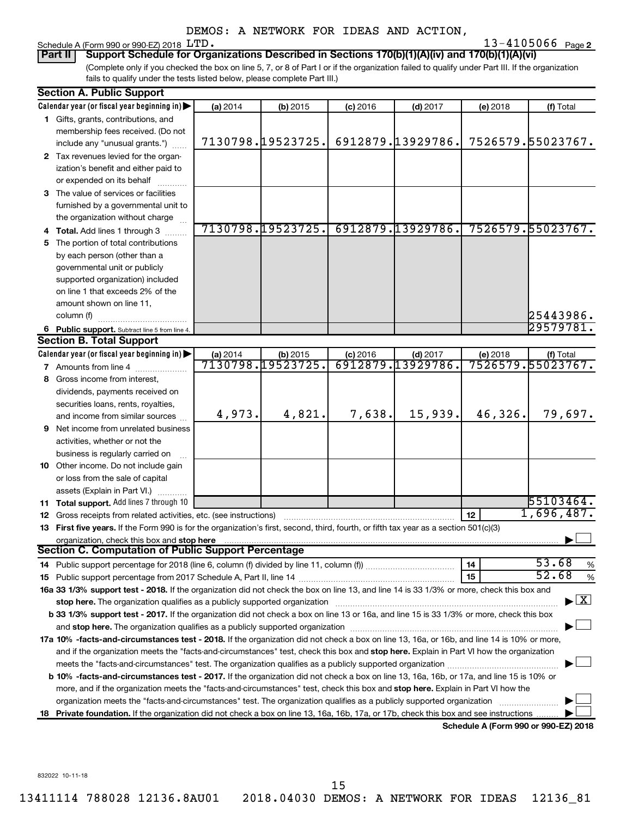# Schedule A (Form 990 or 990-EZ) 2018 LTD.<br>**Part II** | Support Schedule for Orga

**2** LTD. 13-4105066

(Complete only if you checked the box on line 5, 7, or 8 of Part I or if the organization failed to qualify under Part III. If the organization fails to qualify under the tests listed below, please complete Part III.) **Bupport Schedule for Organizations Described in Sections 170(b)(1)(A)(iv) and 170(b)(1)(A)(vi)** 

|    | <b>Section A. Public Support</b>                                                                                                                                                                                               |          |                          |            |                   |          |                                          |
|----|--------------------------------------------------------------------------------------------------------------------------------------------------------------------------------------------------------------------------------|----------|--------------------------|------------|-------------------|----------|------------------------------------------|
|    | Calendar year (or fiscal year beginning in)                                                                                                                                                                                    | (a) 2014 | (b) 2015                 | $(c)$ 2016 | $(d)$ 2017        | (e) 2018 | (f) Total                                |
|    | 1 Gifts, grants, contributions, and                                                                                                                                                                                            |          |                          |            |                   |          |                                          |
|    | membership fees received. (Do not                                                                                                                                                                                              |          |                          |            |                   |          |                                          |
|    | include any "unusual grants.")                                                                                                                                                                                                 |          | 7130798.19523725.        |            | 6912879.13929786. |          | 7526579.55023767.                        |
|    | 2 Tax revenues levied for the organ-                                                                                                                                                                                           |          |                          |            |                   |          |                                          |
|    | ization's benefit and either paid to                                                                                                                                                                                           |          |                          |            |                   |          |                                          |
|    | or expended on its behalf                                                                                                                                                                                                      |          |                          |            |                   |          |                                          |
|    | 3 The value of services or facilities                                                                                                                                                                                          |          |                          |            |                   |          |                                          |
|    | furnished by a governmental unit to                                                                                                                                                                                            |          |                          |            |                   |          |                                          |
|    | the organization without charge                                                                                                                                                                                                |          |                          |            |                   |          |                                          |
|    | 4 Total. Add lines 1 through 3                                                                                                                                                                                                 |          | 7130798.19523725.        |            | 6912879.13929786. |          | 7526579.55023767.                        |
| 5. | The portion of total contributions                                                                                                                                                                                             |          |                          |            |                   |          |                                          |
|    | by each person (other than a                                                                                                                                                                                                   |          |                          |            |                   |          |                                          |
|    | governmental unit or publicly                                                                                                                                                                                                  |          |                          |            |                   |          |                                          |
|    | supported organization) included                                                                                                                                                                                               |          |                          |            |                   |          |                                          |
|    | on line 1 that exceeds 2% of the                                                                                                                                                                                               |          |                          |            |                   |          |                                          |
|    | amount shown on line 11,                                                                                                                                                                                                       |          |                          |            |                   |          |                                          |
|    | column (f)                                                                                                                                                                                                                     |          |                          |            |                   |          | 25443986.                                |
|    | 6 Public support. Subtract line 5 from line 4.                                                                                                                                                                                 |          |                          |            |                   |          | 29579781.                                |
|    | <b>Section B. Total Support</b>                                                                                                                                                                                                |          |                          |            |                   |          |                                          |
|    | Calendar year (or fiscal year beginning in)                                                                                                                                                                                    | (a) 2014 | $(b)$ 2015               | $(c)$ 2016 | $(d)$ 2017        | (e) 2018 | (f) Total                                |
|    | <b>7</b> Amounts from line 4                                                                                                                                                                                                   |          | <u>7130798.19523725.</u> |            | 6912879.13929786. |          | 7526579.55023767.                        |
| 8  | Gross income from interest,                                                                                                                                                                                                    |          |                          |            |                   |          |                                          |
|    | dividends, payments received on                                                                                                                                                                                                |          |                          |            |                   |          |                                          |
|    | securities loans, rents, royalties,                                                                                                                                                                                            |          |                          |            |                   |          |                                          |
|    | and income from similar sources                                                                                                                                                                                                | 4,973.   | 4,821.                   | 7,638.     | 15,939.           | 46,326.  | 79,697.                                  |
|    | 9 Net income from unrelated business                                                                                                                                                                                           |          |                          |            |                   |          |                                          |
|    | activities, whether or not the                                                                                                                                                                                                 |          |                          |            |                   |          |                                          |
|    | business is regularly carried on                                                                                                                                                                                               |          |                          |            |                   |          |                                          |
|    | 10 Other income. Do not include gain                                                                                                                                                                                           |          |                          |            |                   |          |                                          |
|    | or loss from the sale of capital                                                                                                                                                                                               |          |                          |            |                   |          |                                          |
|    | assets (Explain in Part VI.)                                                                                                                                                                                                   |          |                          |            |                   |          |                                          |
|    | 11 Total support. Add lines 7 through 10                                                                                                                                                                                       |          |                          |            |                   |          | 55103464.<br>1,696,487.                  |
|    | <b>12</b> Gross receipts from related activities, etc. (see instructions)                                                                                                                                                      |          |                          |            |                   | 12       |                                          |
|    | 13 First five years. If the Form 990 is for the organization's first, second, third, fourth, or fifth tax year as a section 501(c)(3)                                                                                          |          |                          |            |                   |          |                                          |
|    | organization, check this box and stop here<br><b>Section C. Computation of Public Support Percentage</b>                                                                                                                       |          |                          |            |                   |          |                                          |
|    |                                                                                                                                                                                                                                |          |                          |            |                   | 14       | 53.68<br>%                               |
|    |                                                                                                                                                                                                                                |          |                          |            |                   | 15       | 52.68<br>%                               |
|    | 16a 33 1/3% support test - 2018. If the organization did not check the box on line 13, and line 14 is 33 1/3% or more, check this box and                                                                                      |          |                          |            |                   |          |                                          |
|    | stop here. The organization qualifies as a publicly supported organization manufaction manufacture or manufacture or the organization manufacture or the organization of the state of the state of the state of the state of t |          |                          |            |                   |          | $\blacktriangleright$ $\boxed{\text{X}}$ |
|    | b 33 1/3% support test - 2017. If the organization did not check a box on line 13 or 16a, and line 15 is 33 1/3% or more, check this box                                                                                       |          |                          |            |                   |          |                                          |
|    |                                                                                                                                                                                                                                |          |                          |            |                   |          |                                          |
|    | 17a 10% -facts-and-circumstances test - 2018. If the organization did not check a box on line 13, 16a, or 16b, and line 14 is 10% or more,                                                                                     |          |                          |            |                   |          |                                          |
|    | and if the organization meets the "facts-and-circumstances" test, check this box and stop here. Explain in Part VI how the organization                                                                                        |          |                          |            |                   |          |                                          |
|    |                                                                                                                                                                                                                                |          |                          |            |                   |          |                                          |
|    | b 10% -facts-and-circumstances test - 2017. If the organization did not check a box on line 13, 16a, 16b, or 17a, and line 15 is 10% or                                                                                        |          |                          |            |                   |          |                                          |
|    | more, and if the organization meets the "facts-and-circumstances" test, check this box and stop here. Explain in Part VI how the                                                                                               |          |                          |            |                   |          |                                          |
|    | organization meets the "facts-and-circumstances" test. The organization qualifies as a publicly supported organization                                                                                                         |          |                          |            |                   |          |                                          |
|    | 18 Private foundation. If the organization did not check a box on line 13, 16a, 16b, 17a, or 17b, check this box and see instructions                                                                                          |          |                          |            |                   |          |                                          |
|    |                                                                                                                                                                                                                                |          |                          |            |                   |          | Schedule A (Form 990 or 990-EZ) 2018     |

832022 10-11-18

15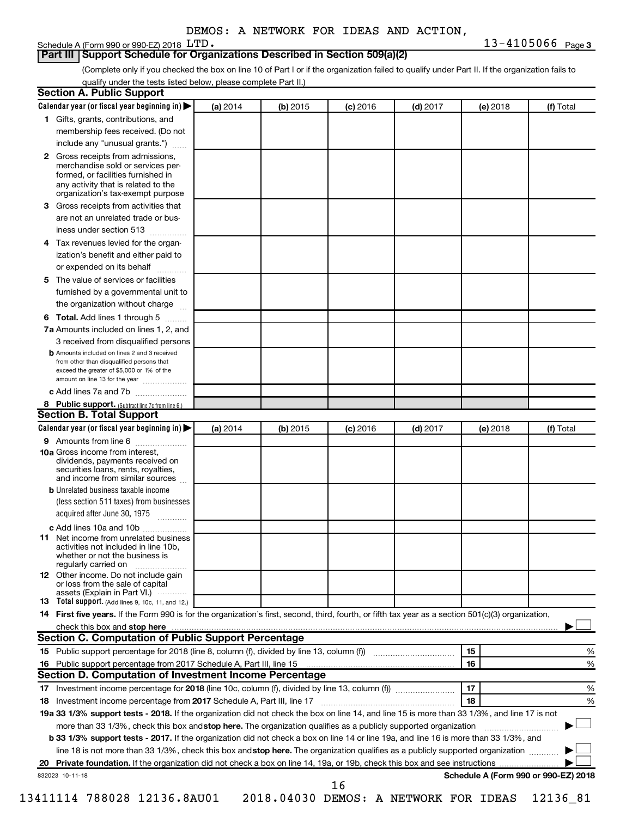# **Part III Support Schedule for Organizations Described in Section 509(a)(2)**

(Complete only if you checked the box on line 10 of Part I or if the organization failed to qualify under Part II. If the organization fails to qualify under the tests listed below, please complete Part II.)

|              | Calendar year (or fiscal year beginning in)                                                                                                                                                                                                               | (a) 2014 | (b) 2015 | $(c)$ 2016 | $(d)$ 2017 |          | (e) 2018 | (f) Total                            |
|--------------|-----------------------------------------------------------------------------------------------------------------------------------------------------------------------------------------------------------------------------------------------------------|----------|----------|------------|------------|----------|----------|--------------------------------------|
|              | 1 Gifts, grants, contributions, and                                                                                                                                                                                                                       |          |          |            |            |          |          |                                      |
|              | membership fees received. (Do not                                                                                                                                                                                                                         |          |          |            |            |          |          |                                      |
|              | include any "unusual grants.")                                                                                                                                                                                                                            |          |          |            |            |          |          |                                      |
| $\mathbf{2}$ | Gross receipts from admissions,<br>merchandise sold or services per-<br>formed, or facilities furnished in<br>any activity that is related to the<br>organization's tax-exempt purpose                                                                    |          |          |            |            |          |          |                                      |
| 3            | Gross receipts from activities that                                                                                                                                                                                                                       |          |          |            |            |          |          |                                      |
|              | are not an unrelated trade or bus-                                                                                                                                                                                                                        |          |          |            |            |          |          |                                      |
|              | iness under section 513                                                                                                                                                                                                                                   |          |          |            |            |          |          |                                      |
| 4            | Tax revenues levied for the organ-                                                                                                                                                                                                                        |          |          |            |            |          |          |                                      |
|              | ization's benefit and either paid to<br>or expended on its behalf<br>.                                                                                                                                                                                    |          |          |            |            |          |          |                                      |
| 5            | The value of services or facilities                                                                                                                                                                                                                       |          |          |            |            |          |          |                                      |
|              | furnished by a governmental unit to                                                                                                                                                                                                                       |          |          |            |            |          |          |                                      |
|              | the organization without charge                                                                                                                                                                                                                           |          |          |            |            |          |          |                                      |
| 6            | Total. Add lines 1 through 5                                                                                                                                                                                                                              |          |          |            |            |          |          |                                      |
|              | 7a Amounts included on lines 1, 2, and                                                                                                                                                                                                                    |          |          |            |            |          |          |                                      |
|              | 3 received from disqualified persons<br><b>b</b> Amounts included on lines 2 and 3 received                                                                                                                                                               |          |          |            |            |          |          |                                      |
|              | from other than disqualified persons that<br>exceed the greater of \$5,000 or 1% of the<br>amount on line 13 for the year                                                                                                                                 |          |          |            |            |          |          |                                      |
|              | c Add lines 7a and 7b                                                                                                                                                                                                                                     |          |          |            |            |          |          |                                      |
|              | 8 Public support. (Subtract line 7c from line 6.)                                                                                                                                                                                                         |          |          |            |            |          |          |                                      |
|              | <b>Section B. Total Support</b>                                                                                                                                                                                                                           |          |          |            |            |          |          |                                      |
|              | Calendar year (or fiscal year beginning in)                                                                                                                                                                                                               | (a) 2014 | (b) 2015 | $(c)$ 2016 | $(d)$ 2017 |          | (e) 2018 | (f) Total                            |
|              | 9 Amounts from line 6                                                                                                                                                                                                                                     |          |          |            |            |          |          |                                      |
|              | <b>10a</b> Gross income from interest,<br>dividends, payments received on<br>securities loans, rents, royalties,<br>and income from similar sources                                                                                                       |          |          |            |            |          |          |                                      |
|              | <b>b</b> Unrelated business taxable income                                                                                                                                                                                                                |          |          |            |            |          |          |                                      |
|              | (less section 511 taxes) from businesses<br>acquired after June 30, 1975                                                                                                                                                                                  |          |          |            |            |          |          |                                      |
|              | c Add lines 10a and 10b                                                                                                                                                                                                                                   |          |          |            |            |          |          |                                      |
| 11           | Net income from unrelated business<br>activities not included in line 10b.<br>whether or not the business is<br>regularly carried on                                                                                                                      |          |          |            |            |          |          |                                      |
|              | <b>12</b> Other income. Do not include gain<br>or loss from the sale of capital<br>assets (Explain in Part VI.)                                                                                                                                           |          |          |            |            |          |          |                                      |
|              | 13 Total support. (Add lines 9, 10c, 11, and 12.)                                                                                                                                                                                                         |          |          |            |            |          |          |                                      |
|              | 14 First five years. If the Form 990 is for the organization's first, second, third, fourth, or fifth tax year as a section 501(c)(3) organization,                                                                                                       |          |          |            |            |          |          |                                      |
|              | check this box and stop here <i>macuum content and a content and a content and stop here</i> this box and stop here <i>macuum content and a content and a content and a content and a content and a content and a content and a conte</i>                 |          |          |            |            |          |          |                                      |
|              |                                                                                                                                                                                                                                                           |          |          |            |            |          |          |                                      |
|              |                                                                                                                                                                                                                                                           |          |          |            |            |          |          |                                      |
|              | Section C. Computation of Public Support Percentage                                                                                                                                                                                                       |          |          |            |            | 15       |          |                                      |
|              |                                                                                                                                                                                                                                                           |          |          |            |            | 16       |          |                                      |
|              |                                                                                                                                                                                                                                                           |          |          |            |            |          |          |                                      |
|              | Section D. Computation of Investment Income Percentage                                                                                                                                                                                                    |          |          |            |            |          |          |                                      |
|              |                                                                                                                                                                                                                                                           |          |          |            |            | 17<br>18 |          |                                      |
|              |                                                                                                                                                                                                                                                           |          |          |            |            |          |          |                                      |
|              | 19a 33 1/3% support tests - 2018. If the organization did not check the box on line 14, and line 15 is more than 33 1/3%, and line 17 is not                                                                                                              |          |          |            |            |          |          | %<br>%<br>%<br>%                     |
|              | more than 33 1/3%, check this box and stop here. The organization qualifies as a publicly supported organization<br>b 33 1/3% support tests - 2017. If the organization did not check a box on line 14 or line 19a, and line 16 is more than 33 1/3%, and |          |          |            |            |          |          |                                      |
|              | line 18 is not more than 33 1/3%, check this box and stop here. The organization qualifies as a publicly supported organization                                                                                                                           |          |          |            |            |          |          |                                      |
|              | 832023 10-11-18                                                                                                                                                                                                                                           |          |          |            |            |          |          | Schedule A (Form 990 or 990-EZ) 2018 |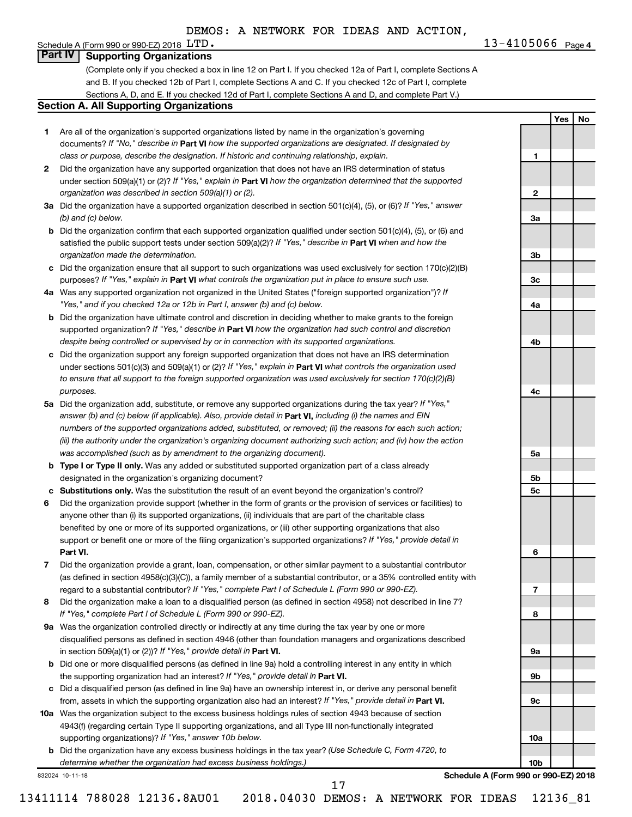**4** LTD. 13-4105066

**1**

**2**

**3a**

**3b**

**3c**

**4a**

**4b**

**4c**

**5a**

**5b 5c**

**6**

**7**

**8**

**9a**

**9b**

**9c**

**10a**

**10b**

**Yes No**

# Schedule A (Form 990 or 990-EZ) 2018  $\,$  LTD  $\,$ **Part IV Supporting Organizations**

(Complete only if you checked a box in line 12 on Part I. If you checked 12a of Part I, complete Sections A and B. If you checked 12b of Part I, complete Sections A and C. If you checked 12c of Part I, complete Sections A, D, and E. If you checked 12d of Part I, complete Sections A and D, and complete Part V.)

# **Section A. All Supporting Organizations**

- **1** Are all of the organization's supported organizations listed by name in the organization's governing documents? If "No," describe in Part VI how the supported organizations are designated. If designated by *class or purpose, describe the designation. If historic and continuing relationship, explain.*
- **2** Did the organization have any supported organization that does not have an IRS determination of status under section 509(a)(1) or (2)? If "Yes," explain in Part **VI** how the organization determined that the supported *organization was described in section 509(a)(1) or (2).*
- **3a** Did the organization have a supported organization described in section 501(c)(4), (5), or (6)? If "Yes," answer *(b) and (c) below.*
- **b** Did the organization confirm that each supported organization qualified under section 501(c)(4), (5), or (6) and satisfied the public support tests under section 509(a)(2)? If "Yes," describe in Part VI when and how the *organization made the determination.*
- **c** Did the organization ensure that all support to such organizations was used exclusively for section 170(c)(2)(B) purposes? If "Yes," explain in Part VI what controls the organization put in place to ensure such use.
- **4 a** *If* Was any supported organization not organized in the United States ("foreign supported organization")? *"Yes," and if you checked 12a or 12b in Part I, answer (b) and (c) below.*
- **b** Did the organization have ultimate control and discretion in deciding whether to make grants to the foreign supported organization? If "Yes," describe in Part VI how the organization had such control and discretion *despite being controlled or supervised by or in connection with its supported organizations.*
- **c** Did the organization support any foreign supported organization that does not have an IRS determination under sections 501(c)(3) and 509(a)(1) or (2)? If "Yes," explain in Part VI what controls the organization used *to ensure that all support to the foreign supported organization was used exclusively for section 170(c)(2)(B) purposes.*
- **5a** Did the organization add, substitute, or remove any supported organizations during the tax year? If "Yes," answer (b) and (c) below (if applicable). Also, provide detail in **Part VI,** including (i) the names and EIN *numbers of the supported organizations added, substituted, or removed; (ii) the reasons for each such action; (iii) the authority under the organization's organizing document authorizing such action; and (iv) how the action was accomplished (such as by amendment to the organizing document).*
- **b** Type I or Type II only. Was any added or substituted supported organization part of a class already designated in the organization's organizing document?
- **c Substitutions only.**  Was the substitution the result of an event beyond the organization's control?
- **6** Did the organization provide support (whether in the form of grants or the provision of services or facilities) to **Part VI.** support or benefit one or more of the filing organization's supported organizations? If "Yes," provide detail in anyone other than (i) its supported organizations, (ii) individuals that are part of the charitable class benefited by one or more of its supported organizations, or (iii) other supporting organizations that also
- **7** Did the organization provide a grant, loan, compensation, or other similar payment to a substantial contributor regard to a substantial contributor? If "Yes," complete Part I of Schedule L (Form 990 or 990-EZ). (as defined in section 4958(c)(3)(C)), a family member of a substantial contributor, or a 35% controlled entity with
- **8** Did the organization make a loan to a disqualified person (as defined in section 4958) not described in line 7? *If "Yes," complete Part I of Schedule L (Form 990 or 990-EZ).*
- **9 a** Was the organization controlled directly or indirectly at any time during the tax year by one or more in section 509(a)(1) or (2))? If "Yes," provide detail in **Part VI.** disqualified persons as defined in section 4946 (other than foundation managers and organizations described
- **b** Did one or more disqualified persons (as defined in line 9a) hold a controlling interest in any entity in which the supporting organization had an interest? If "Yes," provide detail in Part VI.
- **c** Did a disqualified person (as defined in line 9a) have an ownership interest in, or derive any personal benefit from, assets in which the supporting organization also had an interest? If "Yes," provide detail in Part VI.
- **10 a** Was the organization subject to the excess business holdings rules of section 4943 because of section supporting organizations)? If "Yes," answer 10b below. 4943(f) (regarding certain Type II supporting organizations, and all Type III non-functionally integrated
	- **b** Did the organization have any excess business holdings in the tax year? (Use Schedule C, Form 4720, to *determine whether the organization had excess business holdings.)*

832024 10-11-18

**Schedule A (Form 990 or 990-EZ) 2018**

17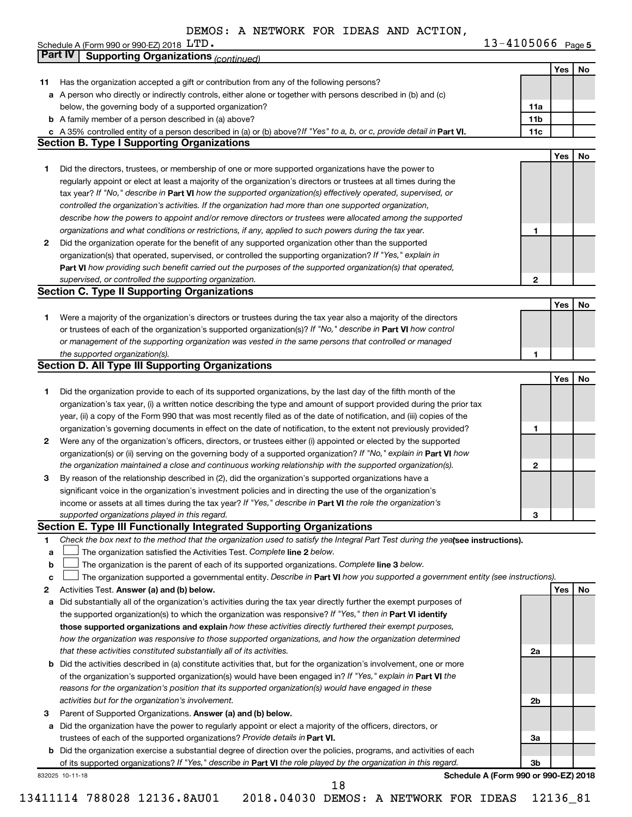|    | Schedule A (Form 990 or 990-EZ) 2018 LTD.                                                                                                                                                                                         | 13-4105066 Page 5                    |     |    |
|----|-----------------------------------------------------------------------------------------------------------------------------------------------------------------------------------------------------------------------------------|--------------------------------------|-----|----|
|    | <b>Part IV</b><br><b>Supporting Organizations (continued)</b>                                                                                                                                                                     |                                      |     |    |
|    |                                                                                                                                                                                                                                   |                                      | Yes | No |
| 11 | Has the organization accepted a gift or contribution from any of the following persons?                                                                                                                                           |                                      |     |    |
|    | a A person who directly or indirectly controls, either alone or together with persons described in (b) and (c)                                                                                                                    |                                      |     |    |
|    | below, the governing body of a supported organization?                                                                                                                                                                            | 11a                                  |     |    |
|    | <b>b</b> A family member of a person described in (a) above?                                                                                                                                                                      | 11b                                  |     |    |
|    | c A 35% controlled entity of a person described in (a) or (b) above? If "Yes" to a, b, or c, provide detail in Part VI.                                                                                                           | 11c                                  |     |    |
|    | <b>Section B. Type I Supporting Organizations</b>                                                                                                                                                                                 |                                      |     |    |
|    |                                                                                                                                                                                                                                   |                                      | Yes | No |
| 1  | Did the directors, trustees, or membership of one or more supported organizations have the power to                                                                                                                               |                                      |     |    |
|    | regularly appoint or elect at least a majority of the organization's directors or trustees at all times during the                                                                                                                |                                      |     |    |
|    | tax year? If "No," describe in Part VI how the supported organization(s) effectively operated, supervised, or                                                                                                                     |                                      |     |    |
|    | controlled the organization's activities. If the organization had more than one supported organization,                                                                                                                           |                                      |     |    |
|    | describe how the powers to appoint and/or remove directors or trustees were allocated among the supported                                                                                                                         |                                      |     |    |
|    | organizations and what conditions or restrictions, if any, applied to such powers during the tax year.                                                                                                                            | 1                                    |     |    |
| 2  | Did the organization operate for the benefit of any supported organization other than the supported                                                                                                                               |                                      |     |    |
|    | organization(s) that operated, supervised, or controlled the supporting organization? If "Yes," explain in                                                                                                                        |                                      |     |    |
|    | Part VI how providing such benefit carried out the purposes of the supported organization(s) that operated,                                                                                                                       |                                      |     |    |
|    | supervised, or controlled the supporting organization.                                                                                                                                                                            | 2                                    |     |    |
|    | <b>Section C. Type II Supporting Organizations</b>                                                                                                                                                                                |                                      |     |    |
|    |                                                                                                                                                                                                                                   |                                      | Yes | No |
| 1  | Were a majority of the organization's directors or trustees during the tax year also a majority of the directors<br>or trustees of each of the organization's supported organization(s)? If "No," describe in Part VI how control |                                      |     |    |
|    | or management of the supporting organization was vested in the same persons that controlled or managed                                                                                                                            |                                      |     |    |
|    | the supported organization(s).                                                                                                                                                                                                    | 1                                    |     |    |
|    | <b>Section D. All Type III Supporting Organizations</b>                                                                                                                                                                           |                                      |     |    |
|    |                                                                                                                                                                                                                                   |                                      | Yes | No |
| 1  | Did the organization provide to each of its supported organizations, by the last day of the fifth month of the                                                                                                                    |                                      |     |    |
|    | organization's tax year, (i) a written notice describing the type and amount of support provided during the prior tax                                                                                                             |                                      |     |    |
|    | year, (ii) a copy of the Form 990 that was most recently filed as of the date of notification, and (iii) copies of the                                                                                                            |                                      |     |    |
|    | organization's governing documents in effect on the date of notification, to the extent not previously provided?                                                                                                                  | 1                                    |     |    |
| 2  | Were any of the organization's officers, directors, or trustees either (i) appointed or elected by the supported                                                                                                                  |                                      |     |    |
|    | organization(s) or (ii) serving on the governing body of a supported organization? If "No," explain in Part VI how                                                                                                                |                                      |     |    |
|    | the organization maintained a close and continuous working relationship with the supported organization(s).                                                                                                                       | 2                                    |     |    |
| з  | By reason of the relationship described in (2), did the organization's supported organizations have a                                                                                                                             |                                      |     |    |
|    | significant voice in the organization's investment policies and in directing the use of the organization's                                                                                                                        |                                      |     |    |
|    | income or assets at all times during the tax year? If "Yes," describe in Part VI the role the organization's                                                                                                                      |                                      |     |    |
|    | supported organizations played in this regard.                                                                                                                                                                                    | З                                    |     |    |
|    | Section E. Type III Functionally Integrated Supporting Organizations                                                                                                                                                              |                                      |     |    |
| 1  | Check the box next to the method that the organization used to satisfy the Integral Part Test during the yealsee instructions).                                                                                                   |                                      |     |    |
| a  | The organization satisfied the Activities Test. Complete line 2 below.                                                                                                                                                            |                                      |     |    |
| b  | The organization is the parent of each of its supported organizations. Complete line 3 below.                                                                                                                                     |                                      |     |    |
| c  | The organization supported a governmental entity. Describe in Part VI how you supported a government entity (see instructions).                                                                                                   |                                      |     |    |
| 2  | Activities Test. Answer (a) and (b) below.                                                                                                                                                                                        |                                      | Yes | No |
| а  | Did substantially all of the organization's activities during the tax year directly further the exempt purposes of                                                                                                                |                                      |     |    |
|    | the supported organization(s) to which the organization was responsive? If "Yes," then in Part VI identify                                                                                                                        |                                      |     |    |
|    | those supported organizations and explain how these activities directly furthered their exempt purposes,                                                                                                                          |                                      |     |    |
|    | how the organization was responsive to those supported organizations, and how the organization determined                                                                                                                         |                                      |     |    |
|    | that these activities constituted substantially all of its activities.                                                                                                                                                            | 2a                                   |     |    |
|    | <b>b</b> Did the activities described in (a) constitute activities that, but for the organization's involvement, one or more                                                                                                      |                                      |     |    |
|    | of the organization's supported organization(s) would have been engaged in? If "Yes," explain in Part VI the                                                                                                                      |                                      |     |    |
|    | reasons for the organization's position that its supported organization(s) would have engaged in these                                                                                                                            |                                      |     |    |
|    | activities but for the organization's involvement.                                                                                                                                                                                | 2b                                   |     |    |
| 3  | Parent of Supported Organizations. Answer (a) and (b) below.                                                                                                                                                                      |                                      |     |    |
| а  | Did the organization have the power to regularly appoint or elect a majority of the officers, directors, or                                                                                                                       |                                      |     |    |
|    | trustees of each of the supported organizations? Provide details in Part VI.                                                                                                                                                      | За                                   |     |    |
|    | b Did the organization exercise a substantial degree of direction over the policies, programs, and activities of each                                                                                                             |                                      |     |    |
|    | of its supported organizations? If "Yes," describe in Part VI the role played by the organization in this regard.                                                                                                                 | 3b                                   |     |    |
|    | 832025 10-11-18                                                                                                                                                                                                                   | Schedule A (Form 990 or 990-EZ) 2018 |     |    |
|    | 18                                                                                                                                                                                                                                |                                      |     |    |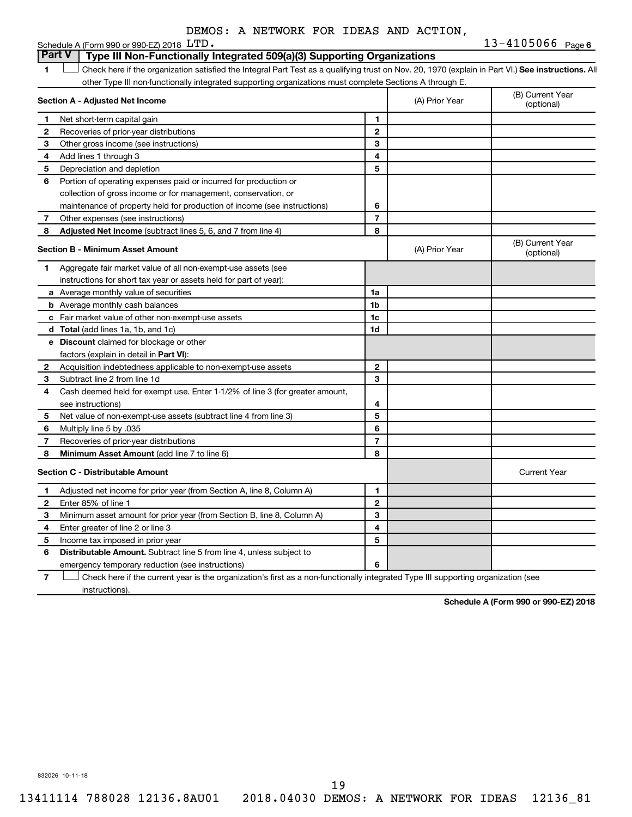|  | DEMOS: A NETWORK FOR IDEAS AND ACTION, |  |  |
|--|----------------------------------------|--|--|
|  |                                        |  |  |

|              | Schedule A (Form 990 or 990-EZ) 2018 LTD.                                                                                                          |                |                | $13 - 4105066$ Page 6          |
|--------------|----------------------------------------------------------------------------------------------------------------------------------------------------|----------------|----------------|--------------------------------|
|              | <b>Part V</b><br>Type III Non-Functionally Integrated 509(a)(3) Supporting Organizations                                                           |                |                |                                |
| 1            | Check here if the organization satisfied the Integral Part Test as a qualifying trust on Nov. 20, 1970 (explain in Part VI.) See instructions. All |                |                |                                |
|              | other Type III non-functionally integrated supporting organizations must complete Sections A through E.                                            |                |                |                                |
|              | Section A - Adjusted Net Income                                                                                                                    |                | (A) Prior Year | (B) Current Year<br>(optional) |
| 1.           | Net short-term capital gain                                                                                                                        | 1              |                |                                |
| 2            | Recoveries of prior-year distributions                                                                                                             | $\mathbf{2}$   |                |                                |
| З            | Other gross income (see instructions)                                                                                                              | 3              |                |                                |
| 4            | Add lines 1 through 3                                                                                                                              | 4              |                |                                |
| 5            | Depreciation and depletion                                                                                                                         | 5              |                |                                |
| 6            | Portion of operating expenses paid or incurred for production or                                                                                   |                |                |                                |
|              | collection of gross income or for management, conservation, or                                                                                     |                |                |                                |
|              | maintenance of property held for production of income (see instructions)                                                                           | 6              |                |                                |
| 7            | Other expenses (see instructions)                                                                                                                  | $\overline{7}$ |                |                                |
| 8            | Adjusted Net Income (subtract lines 5, 6, and 7 from line 4)                                                                                       | 8              |                |                                |
|              | Section B - Minimum Asset Amount                                                                                                                   |                | (A) Prior Year | (B) Current Year<br>(optional) |
| 1.           | Aggregate fair market value of all non-exempt-use assets (see                                                                                      |                |                |                                |
|              | instructions for short tax year or assets held for part of year):                                                                                  |                |                |                                |
|              | <b>a</b> Average monthly value of securities                                                                                                       | 1a             |                |                                |
|              | <b>b</b> Average monthly cash balances                                                                                                             | 1 <sub>b</sub> |                |                                |
|              | c Fair market value of other non-exempt-use assets                                                                                                 | 1c             |                |                                |
|              | d Total (add lines 1a, 1b, and 1c)                                                                                                                 | 1d             |                |                                |
|              | e Discount claimed for blockage or other                                                                                                           |                |                |                                |
|              | factors (explain in detail in Part VI):                                                                                                            |                |                |                                |
| 2            | Acquisition indebtedness applicable to non-exempt-use assets                                                                                       | $\mathbf{2}$   |                |                                |
| 3            | Subtract line 2 from line 1d                                                                                                                       | 3              |                |                                |
| 4            | Cash deemed held for exempt use. Enter 1-1/2% of line 3 (for greater amount,                                                                       |                |                |                                |
|              | see instructions)                                                                                                                                  | 4              |                |                                |
| 5            | Net value of non-exempt-use assets (subtract line 4 from line 3)                                                                                   | 5              |                |                                |
| 6            | Multiply line 5 by .035                                                                                                                            | 6              |                |                                |
| 7            | Recoveries of prior-year distributions                                                                                                             | $\overline{7}$ |                |                                |
| 8            | <b>Minimum Asset Amount</b> (add line 7 to line 6)                                                                                                 | 8              |                |                                |
|              | <b>Section C - Distributable Amount</b>                                                                                                            |                |                | <b>Current Year</b>            |
| 1            | Adjusted net income for prior year (from Section A, line 8, Column A)                                                                              | 1              |                |                                |
| $\mathbf{2}$ | Enter 85% of line 1                                                                                                                                | $\mathbf{2}$   |                |                                |
| 3            | Minimum asset amount for prior year (from Section B, line 8, Column A)                                                                             | 3              |                |                                |
| 4            | Enter greater of line 2 or line 3                                                                                                                  | 4              |                |                                |
| 5            | Income tax imposed in prior year                                                                                                                   | 5              |                |                                |
| 6            | <b>Distributable Amount.</b> Subtract line 5 from line 4, unless subject to                                                                        |                |                |                                |
|              | emergency temporary reduction (see instructions)                                                                                                   | 6              |                |                                |

**7** Let Check here if the current year is the organization's first as a non-functionally integrated Type III supporting organization (see instructions).

**Schedule A (Form 990 or 990-EZ) 2018**

832026 10-11-18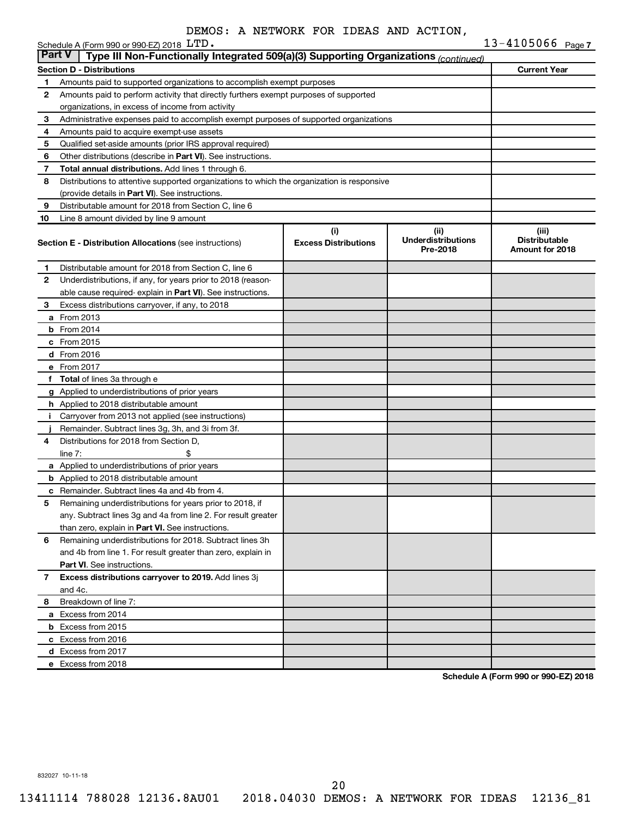|               | Schedule A (Form 990 or 990-EZ) 2018 $\overline{L'}L'L$ .                                  |                                    |                                               | 13-4105066 Page7                                 |
|---------------|--------------------------------------------------------------------------------------------|------------------------------------|-----------------------------------------------|--------------------------------------------------|
| <b>Part V</b> | Type III Non-Functionally Integrated 509(a)(3) Supporting Organizations (continued)        |                                    |                                               |                                                  |
|               | <b>Section D - Distributions</b>                                                           |                                    |                                               | <b>Current Year</b>                              |
| 1             | Amounts paid to supported organizations to accomplish exempt purposes                      |                                    |                                               |                                                  |
| 2             | Amounts paid to perform activity that directly furthers exempt purposes of supported       |                                    |                                               |                                                  |
|               | organizations, in excess of income from activity                                           |                                    |                                               |                                                  |
| 3             | Administrative expenses paid to accomplish exempt purposes of supported organizations      |                                    |                                               |                                                  |
| 4             | Amounts paid to acquire exempt-use assets                                                  |                                    |                                               |                                                  |
| 5             | Qualified set-aside amounts (prior IRS approval required)                                  |                                    |                                               |                                                  |
| 6             | Other distributions (describe in Part VI). See instructions.                               |                                    |                                               |                                                  |
| 7             | <b>Total annual distributions.</b> Add lines 1 through 6.                                  |                                    |                                               |                                                  |
| 8             | Distributions to attentive supported organizations to which the organization is responsive |                                    |                                               |                                                  |
|               | (provide details in Part VI). See instructions.                                            |                                    |                                               |                                                  |
| 9             | Distributable amount for 2018 from Section C, line 6                                       |                                    |                                               |                                                  |
| 10            | Line 8 amount divided by line 9 amount                                                     |                                    |                                               |                                                  |
|               | <b>Section E - Distribution Allocations (see instructions)</b>                             | (i)<br><b>Excess Distributions</b> | (ii)<br><b>Underdistributions</b><br>Pre-2018 | (iii)<br><b>Distributable</b><br>Amount for 2018 |
| 1             | Distributable amount for 2018 from Section C, line 6                                       |                                    |                                               |                                                  |
| 2             | Underdistributions, if any, for years prior to 2018 (reason-                               |                                    |                                               |                                                  |
|               | able cause required- explain in Part VI). See instructions.                                |                                    |                                               |                                                  |
| З.            | Excess distributions carryover, if any, to 2018                                            |                                    |                                               |                                                  |
|               | <b>a</b> From 2013                                                                         |                                    |                                               |                                                  |
|               | $b$ From 2014                                                                              |                                    |                                               |                                                  |
|               | c From 2015                                                                                |                                    |                                               |                                                  |
|               | d From 2016                                                                                |                                    |                                               |                                                  |
|               | e From 2017                                                                                |                                    |                                               |                                                  |
|               | f Total of lines 3a through e                                                              |                                    |                                               |                                                  |
|               | g Applied to underdistributions of prior years                                             |                                    |                                               |                                                  |
|               | h Applied to 2018 distributable amount                                                     |                                    |                                               |                                                  |
|               | i Carryover from 2013 not applied (see instructions)                                       |                                    |                                               |                                                  |
|               | Remainder. Subtract lines 3g, 3h, and 3i from 3f.                                          |                                    |                                               |                                                  |
| 4             | Distributions for 2018 from Section D,                                                     |                                    |                                               |                                                  |
|               | \$<br>line $7:$                                                                            |                                    |                                               |                                                  |
|               | a Applied to underdistributions of prior years                                             |                                    |                                               |                                                  |
|               | <b>b</b> Applied to 2018 distributable amount                                              |                                    |                                               |                                                  |
|               | c Remainder. Subtract lines 4a and 4b from 4.                                              |                                    |                                               |                                                  |
| 5             | Remaining underdistributions for years prior to 2018, if                                   |                                    |                                               |                                                  |
|               | any. Subtract lines 3g and 4a from line 2. For result greater                              |                                    |                                               |                                                  |
|               | than zero, explain in Part VI. See instructions.                                           |                                    |                                               |                                                  |
| 6             | Remaining underdistributions for 2018. Subtract lines 3h                                   |                                    |                                               |                                                  |
|               | and 4b from line 1. For result greater than zero, explain in                               |                                    |                                               |                                                  |
|               | <b>Part VI.</b> See instructions.                                                          |                                    |                                               |                                                  |
| 7             | Excess distributions carryover to 2019. Add lines 3j                                       |                                    |                                               |                                                  |
|               | and 4c.                                                                                    |                                    |                                               |                                                  |
| 8             | Breakdown of line 7:                                                                       |                                    |                                               |                                                  |
|               | a Excess from 2014                                                                         |                                    |                                               |                                                  |
|               | <b>b</b> Excess from 2015                                                                  |                                    |                                               |                                                  |
|               | c Excess from 2016                                                                         |                                    |                                               |                                                  |
|               | d Excess from 2017                                                                         |                                    |                                               |                                                  |
|               | e Excess from 2018                                                                         |                                    |                                               |                                                  |
|               |                                                                                            |                                    |                                               |                                                  |

**Schedule A (Form 990 or 990-EZ) 2018**

832027 10-11-18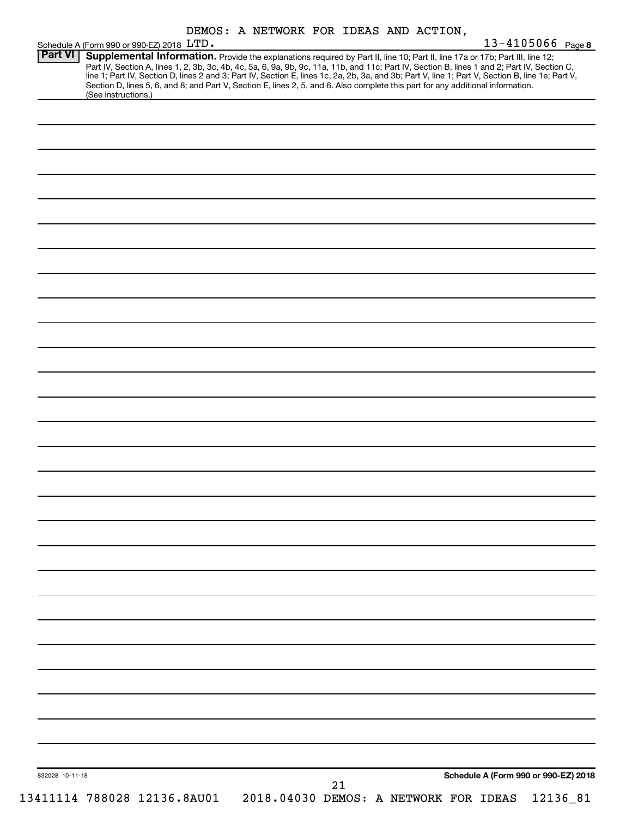|                 | Schedule A (Form 990 or 990-EZ) 2018 LTD.                                                                                                                                                                                                                                                                                                                                                                                                                                                                                                                                                   |  |  | DEMOS: A NETWORK FOR IDEAS AND ACTION, |  |  | 13-4105066 Page 8                    |
|-----------------|---------------------------------------------------------------------------------------------------------------------------------------------------------------------------------------------------------------------------------------------------------------------------------------------------------------------------------------------------------------------------------------------------------------------------------------------------------------------------------------------------------------------------------------------------------------------------------------------|--|--|----------------------------------------|--|--|--------------------------------------|
| Part VI         | Supplemental Information. Provide the explanations required by Part II, line 10; Part II, line 17a or 17b; Part III, line 12;<br>Part IV, Section A, lines 1, 2, 3b, 3c, 4b, 4c, 5a, 6, 9a, 9b, 9c, 11a, 11b, and 11c; Part IV, Section B, lines 1 and 2; Part IV, Section C,<br>line 1; Part IV, Section D, lines 2 and 3; Part IV, Section E, lines 1c, 2a, 2b, 3a, and 3b; Part V, line 1; Part V, Section B, line 1e; Part V,<br>Section D, lines 5, 6, and 8; and Part V, Section E, lines 2, 5, and 6. Also complete this part for any additional information.<br>(See instructions.) |  |  |                                        |  |  |                                      |
|                 |                                                                                                                                                                                                                                                                                                                                                                                                                                                                                                                                                                                             |  |  |                                        |  |  |                                      |
|                 |                                                                                                                                                                                                                                                                                                                                                                                                                                                                                                                                                                                             |  |  |                                        |  |  |                                      |
|                 |                                                                                                                                                                                                                                                                                                                                                                                                                                                                                                                                                                                             |  |  |                                        |  |  |                                      |
|                 |                                                                                                                                                                                                                                                                                                                                                                                                                                                                                                                                                                                             |  |  |                                        |  |  |                                      |
|                 |                                                                                                                                                                                                                                                                                                                                                                                                                                                                                                                                                                                             |  |  |                                        |  |  |                                      |
|                 |                                                                                                                                                                                                                                                                                                                                                                                                                                                                                                                                                                                             |  |  |                                        |  |  |                                      |
|                 |                                                                                                                                                                                                                                                                                                                                                                                                                                                                                                                                                                                             |  |  |                                        |  |  |                                      |
|                 |                                                                                                                                                                                                                                                                                                                                                                                                                                                                                                                                                                                             |  |  |                                        |  |  |                                      |
|                 |                                                                                                                                                                                                                                                                                                                                                                                                                                                                                                                                                                                             |  |  |                                        |  |  |                                      |
|                 |                                                                                                                                                                                                                                                                                                                                                                                                                                                                                                                                                                                             |  |  |                                        |  |  |                                      |
|                 |                                                                                                                                                                                                                                                                                                                                                                                                                                                                                                                                                                                             |  |  |                                        |  |  |                                      |
|                 |                                                                                                                                                                                                                                                                                                                                                                                                                                                                                                                                                                                             |  |  |                                        |  |  |                                      |
|                 |                                                                                                                                                                                                                                                                                                                                                                                                                                                                                                                                                                                             |  |  |                                        |  |  |                                      |
|                 |                                                                                                                                                                                                                                                                                                                                                                                                                                                                                                                                                                                             |  |  |                                        |  |  |                                      |
|                 |                                                                                                                                                                                                                                                                                                                                                                                                                                                                                                                                                                                             |  |  |                                        |  |  |                                      |
|                 |                                                                                                                                                                                                                                                                                                                                                                                                                                                                                                                                                                                             |  |  |                                        |  |  |                                      |
|                 |                                                                                                                                                                                                                                                                                                                                                                                                                                                                                                                                                                                             |  |  |                                        |  |  |                                      |
|                 |                                                                                                                                                                                                                                                                                                                                                                                                                                                                                                                                                                                             |  |  |                                        |  |  |                                      |
|                 |                                                                                                                                                                                                                                                                                                                                                                                                                                                                                                                                                                                             |  |  |                                        |  |  |                                      |
|                 |                                                                                                                                                                                                                                                                                                                                                                                                                                                                                                                                                                                             |  |  |                                        |  |  |                                      |
|                 |                                                                                                                                                                                                                                                                                                                                                                                                                                                                                                                                                                                             |  |  |                                        |  |  |                                      |
|                 |                                                                                                                                                                                                                                                                                                                                                                                                                                                                                                                                                                                             |  |  |                                        |  |  |                                      |
|                 |                                                                                                                                                                                                                                                                                                                                                                                                                                                                                                                                                                                             |  |  |                                        |  |  |                                      |
|                 |                                                                                                                                                                                                                                                                                                                                                                                                                                                                                                                                                                                             |  |  |                                        |  |  |                                      |
|                 |                                                                                                                                                                                                                                                                                                                                                                                                                                                                                                                                                                                             |  |  |                                        |  |  |                                      |
|                 |                                                                                                                                                                                                                                                                                                                                                                                                                                                                                                                                                                                             |  |  |                                        |  |  |                                      |
|                 |                                                                                                                                                                                                                                                                                                                                                                                                                                                                                                                                                                                             |  |  |                                        |  |  |                                      |
|                 |                                                                                                                                                                                                                                                                                                                                                                                                                                                                                                                                                                                             |  |  |                                        |  |  |                                      |
|                 |                                                                                                                                                                                                                                                                                                                                                                                                                                                                                                                                                                                             |  |  |                                        |  |  |                                      |
| 832028 10-11-18 |                                                                                                                                                                                                                                                                                                                                                                                                                                                                                                                                                                                             |  |  | 21                                     |  |  | Schedule A (Form 990 or 990-EZ) 2018 |
|                 | 13411114 788028 12136.8AU01                                                                                                                                                                                                                                                                                                                                                                                                                                                                                                                                                                 |  |  | 2018.04030 DEMOS: A NETWORK FOR IDEAS  |  |  | 12136_81                             |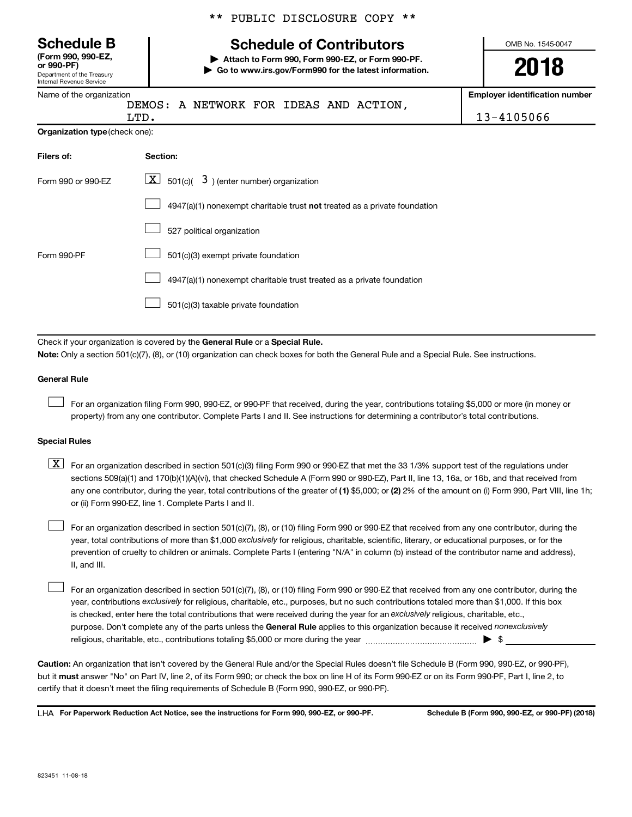Department of the Treasury Internal Revenue Service **(Form 990, 990-EZ,**

Name of the organization

|  |  | ** PUBLIC DISCLOSURE COPY ** |  |  |
|--|--|------------------------------|--|--|
|--|--|------------------------------|--|--|

# **Schedule B Schedule of Contributors**

**or 990-PF) | Attach to Form 990, Form 990-EZ, or Form 990-PF. | Go to www.irs.gov/Form990 for the latest information.** OMB No. 1545-0047

**Employer identification number**

|  |  | ≖ىر   |
|--|--|-------|
|  |  | זרח ד |

DEMOS: A NETWORK FOR IDEAS AND ACTION,

LTD. 13-4105066

| Organization type (check one): |  |  |
|--------------------------------|--|--|

| Filers of:         | Section:                                                                  |
|--------------------|---------------------------------------------------------------------------|
| Form 990 or 990-EZ | $ \underline{X} $ 501(c)( 3) (enter number) organization                  |
|                    | 4947(a)(1) nonexempt charitable trust not treated as a private foundation |
|                    | 527 political organization                                                |
| Form 990-PF        | 501(c)(3) exempt private foundation                                       |
|                    | 4947(a)(1) nonexempt charitable trust treated as a private foundation     |
|                    | 501(c)(3) taxable private foundation                                      |

Check if your organization is covered by the General Rule or a Special Rule.

**Note:**  Only a section 501(c)(7), (8), or (10) organization can check boxes for both the General Rule and a Special Rule. See instructions.

### **General Rule**

 $\Box$ 

For an organization filing Form 990, 990-EZ, or 990-PF that received, during the year, contributions totaling \$5,000 or more (in money or property) from any one contributor. Complete Parts I and II. See instructions for determining a contributor's total contributions.

#### **Special Rules**

any one contributor, during the year, total contributions of the greater of (1) \$5,000; or (2) 2% of the amount on (i) Form 990, Part VIII, line 1h;  $\boxed{\text{X}}$  For an organization described in section 501(c)(3) filing Form 990 or 990-EZ that met the 33 1/3% support test of the regulations under sections 509(a)(1) and 170(b)(1)(A)(vi), that checked Schedule A (Form 990 or 990-EZ), Part II, line 13, 16a, or 16b, and that received from or (ii) Form 990-EZ, line 1. Complete Parts I and II.

year, total contributions of more than \$1,000 *exclusively* for religious, charitable, scientific, literary, or educational purposes, or for the For an organization described in section 501(c)(7), (8), or (10) filing Form 990 or 990-EZ that received from any one contributor, during the prevention of cruelty to children or animals. Complete Parts I (entering "N/A" in column (b) instead of the contributor name and address), II, and III.  $\Box$ 

purpose. Don't complete any of the parts unless the General Rule applies to this organization because it received nonexclusively year, contributions exclusively for religious, charitable, etc., purposes, but no such contributions totaled more than \$1,000. If this box is checked, enter here the total contributions that were received during the year for an exclusively religious, charitable, etc., For an organization described in section 501(c)(7), (8), or (10) filing Form 990 or 990-EZ that received from any one contributor, during the religious, charitable, etc., contributions totaling \$5,000 or more during the year  $~\ldots\ldots\ldots\ldots\ldots\ldots\ldots\ldots\ldots\blacktriangleright~$ \$  $\Box$ 

**Caution:**  An organization that isn't covered by the General Rule and/or the Special Rules doesn't file Schedule B (Form 990, 990-EZ, or 990-PF),  **must** but it answer "No" on Part IV, line 2, of its Form 990; or check the box on line H of its Form 990-EZ or on its Form 990-PF, Part I, line 2, to certify that it doesn't meet the filing requirements of Schedule B (Form 990, 990-EZ, or 990-PF).

**For Paperwork Reduction Act Notice, see the instructions for Form 990, 990-EZ, or 990-PF. Schedule B (Form 990, 990-EZ, or 990-PF) (2018)** LHA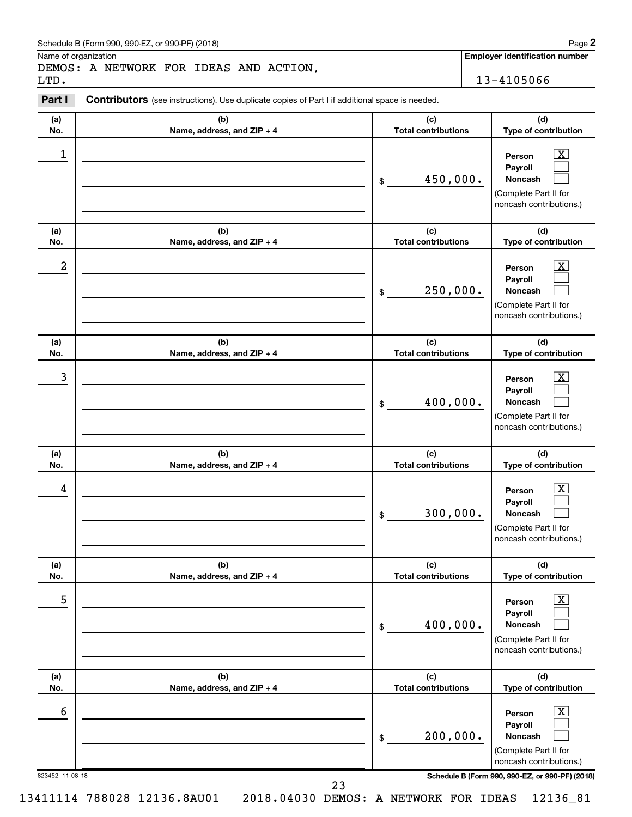| Schedule B (Form 990, 990-EZ, or 990-PF) (2018)<br>. , , , , , , , , , | Page |
|------------------------------------------------------------------------|------|
|------------------------------------------------------------------------|------|

Name of organization

**2**

**Employer identification number**

823452 11-08-18 **Schedule B (Form 990, 990-EZ, or 990-PF) (2018) (a) No. (b) Name, address, and ZIP + 4 (c) Total contributions (d) Type of contribution Person Payroll Noncash (a) No. (b) Name, address, and ZIP + 4 (c) Total contributions (d) Type of contribution Person Payroll Noncash (a) No. (b) Name, address, and ZIP + 4 (c) Total contributions (d) Type of contribution Person Payroll Noncash (a) No. (b) Name, address, and ZIP + 4 (c) Total contributions (d) Type of contribution Person Payroll Noncash (a) No. (b) Name, address, and ZIP + 4 (c) Total contributions (d) Type of contribution Person Payroll Noncash (a) No. (b) Name, address, and ZIP + 4 (c) Total contributions (d) Type of contribution Person Payroll Noncash Part I** Contributors (see instructions). Use duplicate copies of Part I if additional space is needed. \$ (Complete Part II for noncash contributions.) \$ (Complete Part II for noncash contributions.) \$ (Complete Part II for noncash contributions.) \$ (Complete Part II for noncash contributions.) \$ (Complete Part II for noncash contributions.) \$ (Complete Part II for noncash contributions.)  $\boxed{\textbf{X}}$  $\Box$  $\Box$  $\overline{\mathbf{X}}$  $\Box$  $\Box$  $\boxed{\textbf{X}}$  $\Box$  $\Box$  $\boxed{\textbf{X}}$  $\Box$  $\Box$  $\boxed{\text{X}}$  $\Box$  $\Box$  $\boxed{\text{X}}$  $\Box$  $\Box$ LTD. 13-4105066  $\begin{array}{|c|c|c|c|c|}\hline \ \text{1} & \text{Person} & \text{X} \ \hline \end{array}$ 450,000.  $2$  Person  $\overline{\text{X}}$ 250,000.  $\begin{array}{|c|c|c|c|c|c|}\hline \text{3} & \text{Person} & \text{X} \ \hline \end{array}$ 400,000.  $\begin{array}{|c|c|c|c|c|}\hline \text{4} & \text{Person} & \text{\textbf{X}}\ \hline \end{array}$ 300,000. 5 X 400,000.  $\overline{6}$  Person  $\overline{X}$ 200,000.

23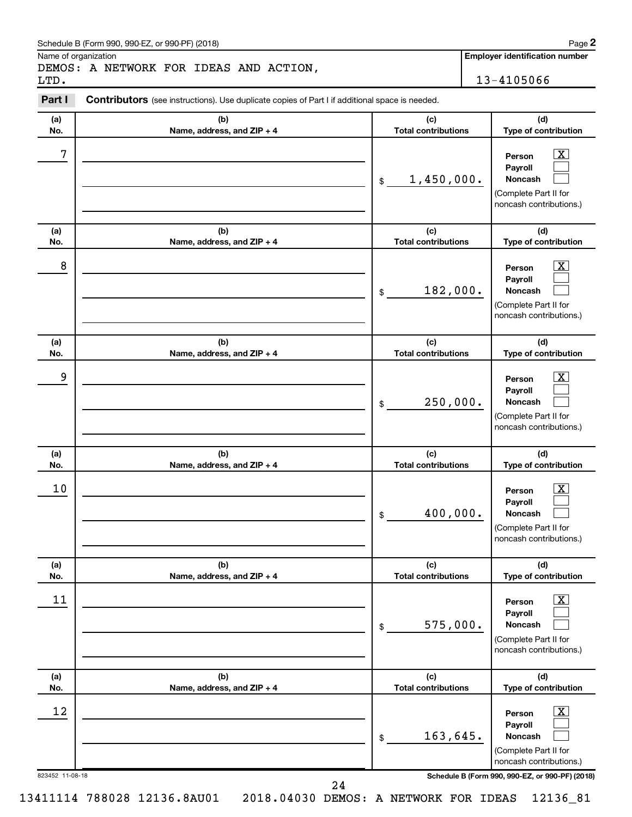|                       | Name of organization<br>DEMOS: A NETWORK FOR IDEAS AND ACTION,                                 |                                   | <b>Employer identification number</b>                                                                                                           |
|-----------------------|------------------------------------------------------------------------------------------------|-----------------------------------|-------------------------------------------------------------------------------------------------------------------------------------------------|
| LTD.                  |                                                                                                |                                   | 13-4105066                                                                                                                                      |
| Part I                | Contributors (see instructions). Use duplicate copies of Part I if additional space is needed. |                                   |                                                                                                                                                 |
| (a)<br>No.            | (b)<br>Name, address, and ZIP + 4                                                              | (c)<br><b>Total contributions</b> | (d)<br>Type of contribution                                                                                                                     |
| 7                     |                                                                                                | 1,450,000.<br>\$                  | $\mathbf{X}$<br>Person<br>Payroll<br><b>Noncash</b><br>(Complete Part II for<br>noncash contributions.)                                         |
| (a)<br>No.            | (b)<br>Name, address, and ZIP + 4                                                              | (c)<br><b>Total contributions</b> | (d)<br>Type of contribution                                                                                                                     |
| 8                     |                                                                                                | 182,000.<br>\$                    | $\mathbf{X}$<br>Person<br>Payroll<br><b>Noncash</b><br>(Complete Part II for<br>noncash contributions.)                                         |
| (a)<br>No.            | (b)<br>Name, address, and ZIP + 4                                                              | (c)<br><b>Total contributions</b> | (d)<br>Type of contribution                                                                                                                     |
| 9                     |                                                                                                | 250,000.<br>\$                    | $\mathbf{X}$<br>Person<br>Payroll<br><b>Noncash</b><br>(Complete Part II for<br>noncash contributions.)                                         |
| (a)<br>No.            | (b)<br>Name, address, and ZIP + 4                                                              | (c)<br><b>Total contributions</b> | (d)<br>Type of contribution                                                                                                                     |
| 10                    |                                                                                                | 400,000.<br>\$                    | х<br>Person<br>Payroll<br><b>Noncash</b><br>(Complete Part II for<br>noncash contributions.)                                                    |
| (a)<br>No.            | (b)<br>Name, address, and ZIP + 4                                                              | (c)<br><b>Total contributions</b> | (d)<br>Type of contribution                                                                                                                     |
| 11                    |                                                                                                | 575,000.<br>\$                    | $\overline{\mathbf{X}}$<br>Person<br>Payroll<br><b>Noncash</b><br>(Complete Part II for<br>noncash contributions.)                              |
| (a)<br>No.            | (b)<br>Name, address, and ZIP + 4                                                              | (c)<br><b>Total contributions</b> | (d)<br>Type of contribution                                                                                                                     |
| 12<br>823452 11-08-18 |                                                                                                | 163,645.<br>\$                    | X<br>Person<br>Payroll<br><b>Noncash</b><br>(Complete Part II for<br>noncash contributions.)<br>Schedule B (Form 990, 990-EZ, or 990-PF) (2018) |

**2**

24

13411114 788028 12136.8AU01 2018.04030 DEMOS: A NETWORK FOR IDEAS 12136\_81

Schedule B (Form 990, 990-EZ, or 990-PF) (2018)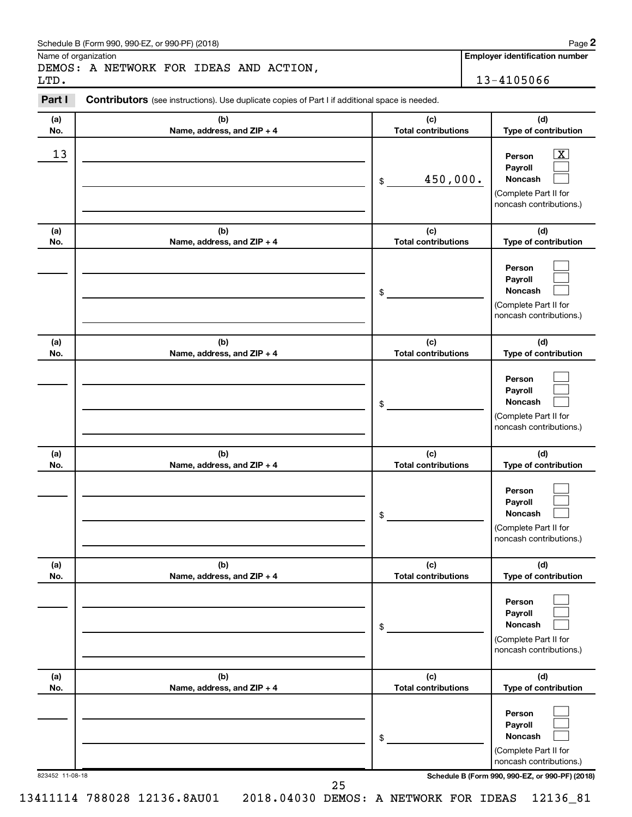| Schedule B (Form 990, 990-EZ, or 990-PF) (2018) | Page |
|-------------------------------------------------|------|
|-------------------------------------------------|------|

Name of organization

DEMOS: A NETWORK FOR IDEAS AND ACTION, LTD. 13-4105066

**Employer identification number**

| Part I          | Contributors (see instructions). Use duplicate copies of Part I if additional space is needed. |                                   |                                                                                                                                            |
|-----------------|------------------------------------------------------------------------------------------------|-----------------------------------|--------------------------------------------------------------------------------------------------------------------------------------------|
| (a)<br>No.      | (b)<br>Name, address, and ZIP + 4                                                              | (c)<br><b>Total contributions</b> | (d)<br>Type of contribution                                                                                                                |
| 13              |                                                                                                | 450,000.<br>\$                    | X<br>Person<br>Payroll<br>Noncash<br>(Complete Part II for<br>noncash contributions.)                                                      |
| (a)<br>No.      | (b)<br>Name, address, and ZIP + 4                                                              | (c)<br><b>Total contributions</b> | (d)<br>Type of contribution                                                                                                                |
|                 |                                                                                                | \$                                | Person<br>Payroll<br><b>Noncash</b><br>(Complete Part II for<br>noncash contributions.)                                                    |
| (a)<br>No.      | (b)<br>Name, address, and ZIP + 4                                                              | (c)<br><b>Total contributions</b> | (d)<br>Type of contribution                                                                                                                |
|                 |                                                                                                | \$                                | Person<br>Payroll<br>Noncash<br>(Complete Part II for<br>noncash contributions.)                                                           |
| (a)<br>No.      | (b)<br>Name, address, and ZIP + 4                                                              | (c)<br><b>Total contributions</b> | (d)<br>Type of contribution                                                                                                                |
|                 |                                                                                                | \$                                | Person<br>Payroll<br>Noncash<br>(Complete Part II for<br>noncash contributions.)                                                           |
| (a)<br>No.      | (b)<br>Name, address, and ZIP + 4                                                              | (c)<br><b>Total contributions</b> | (d)<br>Type of contribution                                                                                                                |
|                 |                                                                                                | \$                                | Person<br>Payroll<br><b>Noncash</b><br>(Complete Part II for<br>noncash contributions.)                                                    |
| (a)<br>No.      | (b)<br>Name, address, and ZIP + 4                                                              | (c)<br><b>Total contributions</b> | (d)<br>Type of contribution                                                                                                                |
| 823452 11-08-18 |                                                                                                | \$                                | Person<br>Payroll<br><b>Noncash</b><br>(Complete Part II for<br>noncash contributions.)<br>Schedule B (Form 990, 990-EZ, or 990-PF) (2018) |

|--|--|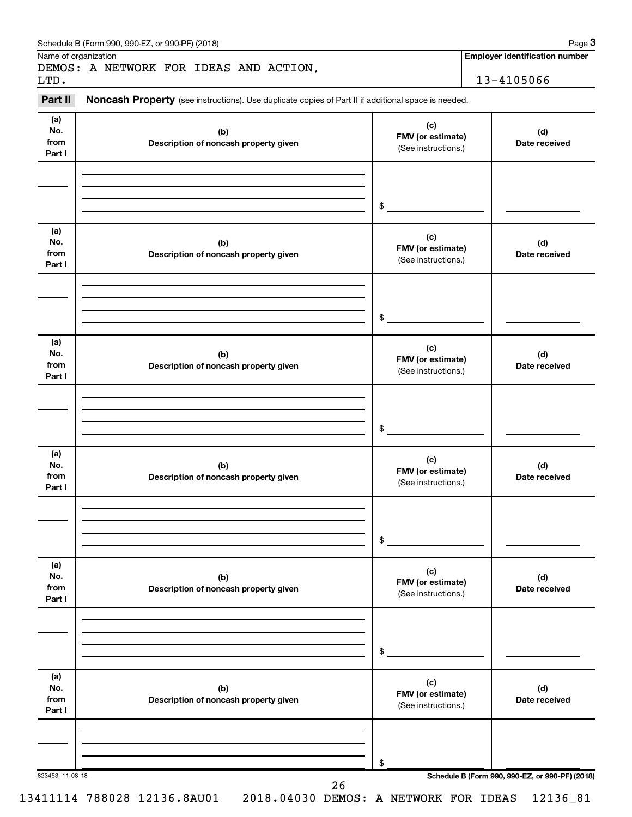| LTD.                         | DEMOS: A NETWORK FOR IDEAS AND ACTION,                                                              |                                                 | 13-4105066           |
|------------------------------|-----------------------------------------------------------------------------------------------------|-------------------------------------------------|----------------------|
| Part II                      | Noncash Property (see instructions). Use duplicate copies of Part II if additional space is needed. |                                                 |                      |
| (a)<br>No.<br>from<br>Part I | (b)<br>Description of noncash property given                                                        | (c)<br>FMV (or estimate)<br>(See instructions.) | (d)<br>Date received |
|                              |                                                                                                     |                                                 |                      |
| (a)<br>No.                   | (b)                                                                                                 | \$<br>(c)<br>FMV (or estimate)                  | (d)                  |
| from<br>Part I               | Description of noncash property given                                                               | (See instructions.)                             | Date received        |
|                              |                                                                                                     | \$                                              |                      |
| (a)<br>No.<br>from<br>Part I | (b)<br>Description of noncash property given                                                        | (c)<br>FMV (or estimate)<br>(See instructions.) | (d)<br>Date received |
|                              |                                                                                                     | \$                                              |                      |
| (a)<br>No.<br>from<br>Part I | (b)<br>Description of noncash property given                                                        | (c)<br>FMV (or estimate)<br>(See instructions.) | (d)<br>Date received |
|                              |                                                                                                     | \$                                              |                      |
| (a)<br>No.<br>from<br>Part I | (b)<br>Description of noncash property given                                                        | (c)<br>FMV (or estimate)<br>(See instructions.) | (d)<br>Date received |
|                              |                                                                                                     | \$                                              |                      |
| (a)<br>No.<br>from<br>Part I | (b)<br>Description of noncash property given                                                        | (c)<br>FMV (or estimate)<br>(See instructions.) | (d)<br>Date received |
|                              |                                                                                                     | \$                                              |                      |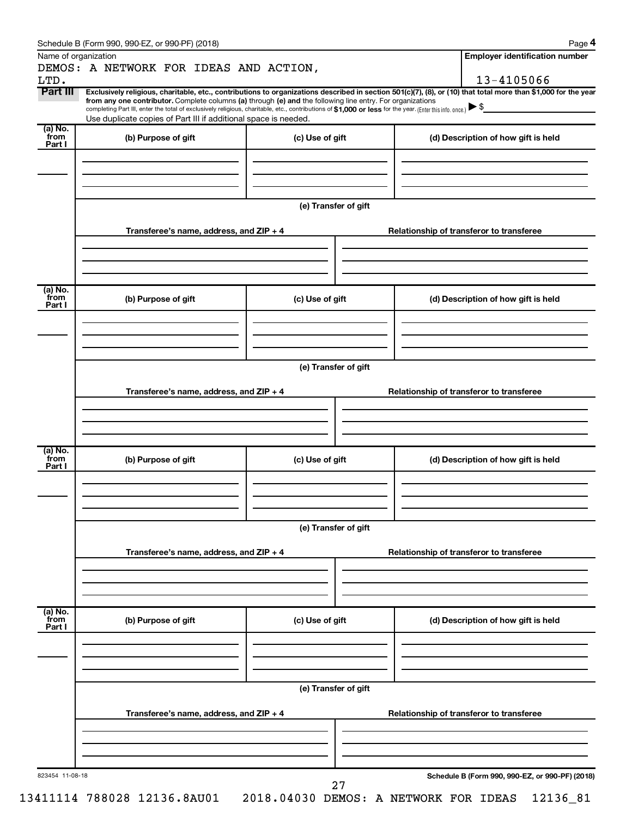| Name of organization<br>DEMOS: A NETWORK FOR IDEAS AND ACTION,<br>LTD.<br>13-4105066<br>Part III<br>Exclusively religious, charitable, etc., contributions to organizations described in section 501(c)(7), (8), or (10) that total more than \$1,000 for the year<br>from any one contributor. Complete columns (a) through (e) and the following line entry. For organizations<br>completing Part III, enter the total of exclusively religious, charitable, etc., contributions of \$1,000 or less for the year. (Enter this info. once.)<br>Use duplicate copies of Part III if additional space is needed.<br>(a) No.<br>from<br>(b) Purpose of gift<br>(c) Use of gift<br>(d) Description of how gift is held<br>Part I<br>(e) Transfer of gift<br>Transferee's name, address, and ZIP + 4<br>Relationship of transferor to transferee<br>(a) No.<br>from<br>(b) Purpose of gift<br>(c) Use of gift<br>(d) Description of how gift is held<br>Part I<br>(e) Transfer of gift<br>Transferee's name, address, and ZIP + 4<br>Relationship of transferor to transferee<br>(a) No.<br>from<br>(b) Purpose of gift<br>(c) Use of gift<br>(d) Description of how gift is held<br>Part I<br>(e) Transfer of gift<br>Transferee's name, address, and $ZIP + 4$<br>Relationship of transferor to transferee<br>(a) No.<br>from<br>(b) Purpose of gift<br>(c) Use of gift<br>(d) Description of how gift is held<br>Part I<br>(e) Transfer of gift<br>Transferee's name, address, and $ZIP + 4$<br>Relationship of transferor to transferee<br>Schedule B (Form 990, 990-EZ, or 990-PF) (2018)<br>823454 11-08-18 | Schedule B (Form 990, 990-EZ, or 990-PF) (2018) |  | Page 4                                |  |  |  |  |
|---------------------------------------------------------------------------------------------------------------------------------------------------------------------------------------------------------------------------------------------------------------------------------------------------------------------------------------------------------------------------------------------------------------------------------------------------------------------------------------------------------------------------------------------------------------------------------------------------------------------------------------------------------------------------------------------------------------------------------------------------------------------------------------------------------------------------------------------------------------------------------------------------------------------------------------------------------------------------------------------------------------------------------------------------------------------------------------------------------------------------------------------------------------------------------------------------------------------------------------------------------------------------------------------------------------------------------------------------------------------------------------------------------------------------------------------------------------------------------------------------------------------------------------------------------------------------------------------------------------|-------------------------------------------------|--|---------------------------------------|--|--|--|--|
|                                                                                                                                                                                                                                                                                                                                                                                                                                                                                                                                                                                                                                                                                                                                                                                                                                                                                                                                                                                                                                                                                                                                                                                                                                                                                                                                                                                                                                                                                                                                                                                                               |                                                 |  | <b>Employer identification number</b> |  |  |  |  |
|                                                                                                                                                                                                                                                                                                                                                                                                                                                                                                                                                                                                                                                                                                                                                                                                                                                                                                                                                                                                                                                                                                                                                                                                                                                                                                                                                                                                                                                                                                                                                                                                               |                                                 |  |                                       |  |  |  |  |
|                                                                                                                                                                                                                                                                                                                                                                                                                                                                                                                                                                                                                                                                                                                                                                                                                                                                                                                                                                                                                                                                                                                                                                                                                                                                                                                                                                                                                                                                                                                                                                                                               |                                                 |  |                                       |  |  |  |  |
|                                                                                                                                                                                                                                                                                                                                                                                                                                                                                                                                                                                                                                                                                                                                                                                                                                                                                                                                                                                                                                                                                                                                                                                                                                                                                                                                                                                                                                                                                                                                                                                                               |                                                 |  |                                       |  |  |  |  |
|                                                                                                                                                                                                                                                                                                                                                                                                                                                                                                                                                                                                                                                                                                                                                                                                                                                                                                                                                                                                                                                                                                                                                                                                                                                                                                                                                                                                                                                                                                                                                                                                               |                                                 |  |                                       |  |  |  |  |
|                                                                                                                                                                                                                                                                                                                                                                                                                                                                                                                                                                                                                                                                                                                                                                                                                                                                                                                                                                                                                                                                                                                                                                                                                                                                                                                                                                                                                                                                                                                                                                                                               |                                                 |  |                                       |  |  |  |  |
|                                                                                                                                                                                                                                                                                                                                                                                                                                                                                                                                                                                                                                                                                                                                                                                                                                                                                                                                                                                                                                                                                                                                                                                                                                                                                                                                                                                                                                                                                                                                                                                                               |                                                 |  |                                       |  |  |  |  |
|                                                                                                                                                                                                                                                                                                                                                                                                                                                                                                                                                                                                                                                                                                                                                                                                                                                                                                                                                                                                                                                                                                                                                                                                                                                                                                                                                                                                                                                                                                                                                                                                               |                                                 |  |                                       |  |  |  |  |
|                                                                                                                                                                                                                                                                                                                                                                                                                                                                                                                                                                                                                                                                                                                                                                                                                                                                                                                                                                                                                                                                                                                                                                                                                                                                                                                                                                                                                                                                                                                                                                                                               |                                                 |  |                                       |  |  |  |  |
|                                                                                                                                                                                                                                                                                                                                                                                                                                                                                                                                                                                                                                                                                                                                                                                                                                                                                                                                                                                                                                                                                                                                                                                                                                                                                                                                                                                                                                                                                                                                                                                                               |                                                 |  |                                       |  |  |  |  |
|                                                                                                                                                                                                                                                                                                                                                                                                                                                                                                                                                                                                                                                                                                                                                                                                                                                                                                                                                                                                                                                                                                                                                                                                                                                                                                                                                                                                                                                                                                                                                                                                               |                                                 |  |                                       |  |  |  |  |
|                                                                                                                                                                                                                                                                                                                                                                                                                                                                                                                                                                                                                                                                                                                                                                                                                                                                                                                                                                                                                                                                                                                                                                                                                                                                                                                                                                                                                                                                                                                                                                                                               |                                                 |  |                                       |  |  |  |  |
|                                                                                                                                                                                                                                                                                                                                                                                                                                                                                                                                                                                                                                                                                                                                                                                                                                                                                                                                                                                                                                                                                                                                                                                                                                                                                                                                                                                                                                                                                                                                                                                                               |                                                 |  |                                       |  |  |  |  |
|                                                                                                                                                                                                                                                                                                                                                                                                                                                                                                                                                                                                                                                                                                                                                                                                                                                                                                                                                                                                                                                                                                                                                                                                                                                                                                                                                                                                                                                                                                                                                                                                               |                                                 |  |                                       |  |  |  |  |
|                                                                                                                                                                                                                                                                                                                                                                                                                                                                                                                                                                                                                                                                                                                                                                                                                                                                                                                                                                                                                                                                                                                                                                                                                                                                                                                                                                                                                                                                                                                                                                                                               |                                                 |  |                                       |  |  |  |  |
|                                                                                                                                                                                                                                                                                                                                                                                                                                                                                                                                                                                                                                                                                                                                                                                                                                                                                                                                                                                                                                                                                                                                                                                                                                                                                                                                                                                                                                                                                                                                                                                                               |                                                 |  |                                       |  |  |  |  |
|                                                                                                                                                                                                                                                                                                                                                                                                                                                                                                                                                                                                                                                                                                                                                                                                                                                                                                                                                                                                                                                                                                                                                                                                                                                                                                                                                                                                                                                                                                                                                                                                               |                                                 |  |                                       |  |  |  |  |
|                                                                                                                                                                                                                                                                                                                                                                                                                                                                                                                                                                                                                                                                                                                                                                                                                                                                                                                                                                                                                                                                                                                                                                                                                                                                                                                                                                                                                                                                                                                                                                                                               |                                                 |  |                                       |  |  |  |  |
|                                                                                                                                                                                                                                                                                                                                                                                                                                                                                                                                                                                                                                                                                                                                                                                                                                                                                                                                                                                                                                                                                                                                                                                                                                                                                                                                                                                                                                                                                                                                                                                                               |                                                 |  |                                       |  |  |  |  |
|                                                                                                                                                                                                                                                                                                                                                                                                                                                                                                                                                                                                                                                                                                                                                                                                                                                                                                                                                                                                                                                                                                                                                                                                                                                                                                                                                                                                                                                                                                                                                                                                               |                                                 |  |                                       |  |  |  |  |
|                                                                                                                                                                                                                                                                                                                                                                                                                                                                                                                                                                                                                                                                                                                                                                                                                                                                                                                                                                                                                                                                                                                                                                                                                                                                                                                                                                                                                                                                                                                                                                                                               |                                                 |  |                                       |  |  |  |  |
|                                                                                                                                                                                                                                                                                                                                                                                                                                                                                                                                                                                                                                                                                                                                                                                                                                                                                                                                                                                                                                                                                                                                                                                                                                                                                                                                                                                                                                                                                                                                                                                                               |                                                 |  |                                       |  |  |  |  |
|                                                                                                                                                                                                                                                                                                                                                                                                                                                                                                                                                                                                                                                                                                                                                                                                                                                                                                                                                                                                                                                                                                                                                                                                                                                                                                                                                                                                                                                                                                                                                                                                               |                                                 |  |                                       |  |  |  |  |
|                                                                                                                                                                                                                                                                                                                                                                                                                                                                                                                                                                                                                                                                                                                                                                                                                                                                                                                                                                                                                                                                                                                                                                                                                                                                                                                                                                                                                                                                                                                                                                                                               |                                                 |  |                                       |  |  |  |  |
|                                                                                                                                                                                                                                                                                                                                                                                                                                                                                                                                                                                                                                                                                                                                                                                                                                                                                                                                                                                                                                                                                                                                                                                                                                                                                                                                                                                                                                                                                                                                                                                                               |                                                 |  |                                       |  |  |  |  |
|                                                                                                                                                                                                                                                                                                                                                                                                                                                                                                                                                                                                                                                                                                                                                                                                                                                                                                                                                                                                                                                                                                                                                                                                                                                                                                                                                                                                                                                                                                                                                                                                               |                                                 |  |                                       |  |  |  |  |
|                                                                                                                                                                                                                                                                                                                                                                                                                                                                                                                                                                                                                                                                                                                                                                                                                                                                                                                                                                                                                                                                                                                                                                                                                                                                                                                                                                                                                                                                                                                                                                                                               |                                                 |  |                                       |  |  |  |  |
|                                                                                                                                                                                                                                                                                                                                                                                                                                                                                                                                                                                                                                                                                                                                                                                                                                                                                                                                                                                                                                                                                                                                                                                                                                                                                                                                                                                                                                                                                                                                                                                                               |                                                 |  |                                       |  |  |  |  |
|                                                                                                                                                                                                                                                                                                                                                                                                                                                                                                                                                                                                                                                                                                                                                                                                                                                                                                                                                                                                                                                                                                                                                                                                                                                                                                                                                                                                                                                                                                                                                                                                               |                                                 |  |                                       |  |  |  |  |
|                                                                                                                                                                                                                                                                                                                                                                                                                                                                                                                                                                                                                                                                                                                                                                                                                                                                                                                                                                                                                                                                                                                                                                                                                                                                                                                                                                                                                                                                                                                                                                                                               |                                                 |  |                                       |  |  |  |  |
|                                                                                                                                                                                                                                                                                                                                                                                                                                                                                                                                                                                                                                                                                                                                                                                                                                                                                                                                                                                                                                                                                                                                                                                                                                                                                                                                                                                                                                                                                                                                                                                                               |                                                 |  |                                       |  |  |  |  |
|                                                                                                                                                                                                                                                                                                                                                                                                                                                                                                                                                                                                                                                                                                                                                                                                                                                                                                                                                                                                                                                                                                                                                                                                                                                                                                                                                                                                                                                                                                                                                                                                               |                                                 |  |                                       |  |  |  |  |
|                                                                                                                                                                                                                                                                                                                                                                                                                                                                                                                                                                                                                                                                                                                                                                                                                                                                                                                                                                                                                                                                                                                                                                                                                                                                                                                                                                                                                                                                                                                                                                                                               |                                                 |  |                                       |  |  |  |  |
|                                                                                                                                                                                                                                                                                                                                                                                                                                                                                                                                                                                                                                                                                                                                                                                                                                                                                                                                                                                                                                                                                                                                                                                                                                                                                                                                                                                                                                                                                                                                                                                                               |                                                 |  |                                       |  |  |  |  |
|                                                                                                                                                                                                                                                                                                                                                                                                                                                                                                                                                                                                                                                                                                                                                                                                                                                                                                                                                                                                                                                                                                                                                                                                                                                                                                                                                                                                                                                                                                                                                                                                               |                                                 |  |                                       |  |  |  |  |
|                                                                                                                                                                                                                                                                                                                                                                                                                                                                                                                                                                                                                                                                                                                                                                                                                                                                                                                                                                                                                                                                                                                                                                                                                                                                                                                                                                                                                                                                                                                                                                                                               |                                                 |  |                                       |  |  |  |  |
|                                                                                                                                                                                                                                                                                                                                                                                                                                                                                                                                                                                                                                                                                                                                                                                                                                                                                                                                                                                                                                                                                                                                                                                                                                                                                                                                                                                                                                                                                                                                                                                                               |                                                 |  |                                       |  |  |  |  |
|                                                                                                                                                                                                                                                                                                                                                                                                                                                                                                                                                                                                                                                                                                                                                                                                                                                                                                                                                                                                                                                                                                                                                                                                                                                                                                                                                                                                                                                                                                                                                                                                               |                                                 |  |                                       |  |  |  |  |
|                                                                                                                                                                                                                                                                                                                                                                                                                                                                                                                                                                                                                                                                                                                                                                                                                                                                                                                                                                                                                                                                                                                                                                                                                                                                                                                                                                                                                                                                                                                                                                                                               |                                                 |  |                                       |  |  |  |  |
|                                                                                                                                                                                                                                                                                                                                                                                                                                                                                                                                                                                                                                                                                                                                                                                                                                                                                                                                                                                                                                                                                                                                                                                                                                                                                                                                                                                                                                                                                                                                                                                                               |                                                 |  |                                       |  |  |  |  |
|                                                                                                                                                                                                                                                                                                                                                                                                                                                                                                                                                                                                                                                                                                                                                                                                                                                                                                                                                                                                                                                                                                                                                                                                                                                                                                                                                                                                                                                                                                                                                                                                               |                                                 |  |                                       |  |  |  |  |
|                                                                                                                                                                                                                                                                                                                                                                                                                                                                                                                                                                                                                                                                                                                                                                                                                                                                                                                                                                                                                                                                                                                                                                                                                                                                                                                                                                                                                                                                                                                                                                                                               |                                                 |  |                                       |  |  |  |  |
|                                                                                                                                                                                                                                                                                                                                                                                                                                                                                                                                                                                                                                                                                                                                                                                                                                                                                                                                                                                                                                                                                                                                                                                                                                                                                                                                                                                                                                                                                                                                                                                                               |                                                 |  |                                       |  |  |  |  |
|                                                                                                                                                                                                                                                                                                                                                                                                                                                                                                                                                                                                                                                                                                                                                                                                                                                                                                                                                                                                                                                                                                                                                                                                                                                                                                                                                                                                                                                                                                                                                                                                               |                                                 |  |                                       |  |  |  |  |
|                                                                                                                                                                                                                                                                                                                                                                                                                                                                                                                                                                                                                                                                                                                                                                                                                                                                                                                                                                                                                                                                                                                                                                                                                                                                                                                                                                                                                                                                                                                                                                                                               |                                                 |  |                                       |  |  |  |  |
|                                                                                                                                                                                                                                                                                                                                                                                                                                                                                                                                                                                                                                                                                                                                                                                                                                                                                                                                                                                                                                                                                                                                                                                                                                                                                                                                                                                                                                                                                                                                                                                                               |                                                 |  |                                       |  |  |  |  |
|                                                                                                                                                                                                                                                                                                                                                                                                                                                                                                                                                                                                                                                                                                                                                                                                                                                                                                                                                                                                                                                                                                                                                                                                                                                                                                                                                                                                                                                                                                                                                                                                               |                                                 |  |                                       |  |  |  |  |
|                                                                                                                                                                                                                                                                                                                                                                                                                                                                                                                                                                                                                                                                                                                                                                                                                                                                                                                                                                                                                                                                                                                                                                                                                                                                                                                                                                                                                                                                                                                                                                                                               |                                                 |  |                                       |  |  |  |  |
|                                                                                                                                                                                                                                                                                                                                                                                                                                                                                                                                                                                                                                                                                                                                                                                                                                                                                                                                                                                                                                                                                                                                                                                                                                                                                                                                                                                                                                                                                                                                                                                                               |                                                 |  |                                       |  |  |  |  |
|                                                                                                                                                                                                                                                                                                                                                                                                                                                                                                                                                                                                                                                                                                                                                                                                                                                                                                                                                                                                                                                                                                                                                                                                                                                                                                                                                                                                                                                                                                                                                                                                               |                                                 |  |                                       |  |  |  |  |
|                                                                                                                                                                                                                                                                                                                                                                                                                                                                                                                                                                                                                                                                                                                                                                                                                                                                                                                                                                                                                                                                                                                                                                                                                                                                                                                                                                                                                                                                                                                                                                                                               |                                                 |  |                                       |  |  |  |  |
| 27                                                                                                                                                                                                                                                                                                                                                                                                                                                                                                                                                                                                                                                                                                                                                                                                                                                                                                                                                                                                                                                                                                                                                                                                                                                                                                                                                                                                                                                                                                                                                                                                            |                                                 |  |                                       |  |  |  |  |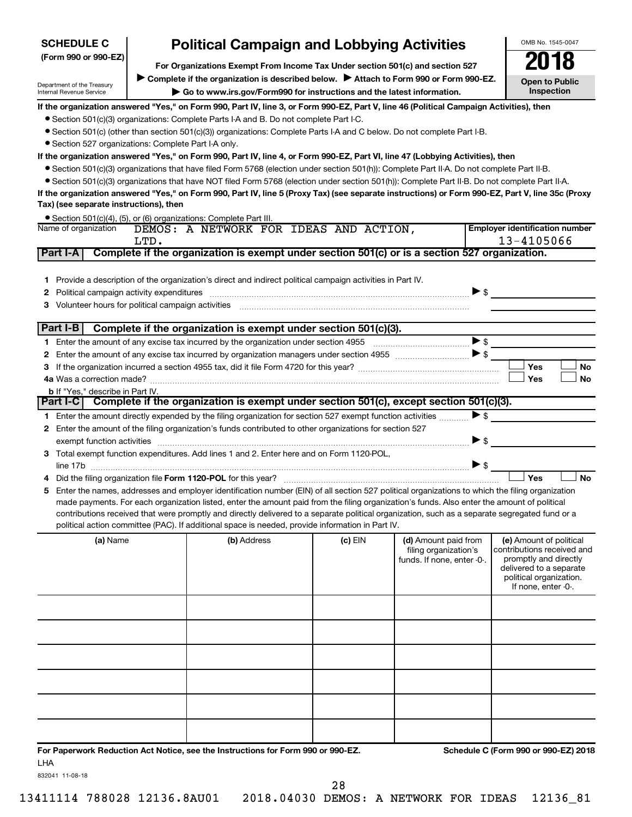| <b>Political Campaign and Lobbying Activities</b><br><b>SCHEDULE C</b> |                                                                                                                                                                         |                                                                                                                                                                                                                                |         |                                                                             |                                                                                                                                                             |  |
|------------------------------------------------------------------------|-------------------------------------------------------------------------------------------------------------------------------------------------------------------------|--------------------------------------------------------------------------------------------------------------------------------------------------------------------------------------------------------------------------------|---------|-----------------------------------------------------------------------------|-------------------------------------------------------------------------------------------------------------------------------------------------------------|--|
| (Form 990 or 990-EZ)                                                   | 2018                                                                                                                                                                    |                                                                                                                                                                                                                                |         |                                                                             |                                                                                                                                                             |  |
|                                                                        | For Organizations Exempt From Income Tax Under section 501(c) and section 527<br>Complete if the organization is described below.<br>Attach to Form 990 or Form 990-EZ. |                                                                                                                                                                                                                                |         |                                                                             |                                                                                                                                                             |  |
| Department of the Treasury                                             |                                                                                                                                                                         |                                                                                                                                                                                                                                |         |                                                                             |                                                                                                                                                             |  |
| Internal Revenue Service                                               |                                                                                                                                                                         | Go to www.irs.gov/Form990 for instructions and the latest information.                                                                                                                                                         |         |                                                                             | Inspection                                                                                                                                                  |  |
|                                                                        |                                                                                                                                                                         | If the organization answered "Yes," on Form 990, Part IV, line 3, or Form 990-EZ, Part V, line 46 (Political Campaign Activities), then                                                                                        |         |                                                                             |                                                                                                                                                             |  |
|                                                                        |                                                                                                                                                                         | • Section 501(c)(3) organizations: Complete Parts I-A and B. Do not complete Part I-C.                                                                                                                                         |         |                                                                             |                                                                                                                                                             |  |
|                                                                        |                                                                                                                                                                         | • Section 501(c) (other than section 501(c)(3)) organizations: Complete Parts I-A and C below. Do not complete Part I-B.                                                                                                       |         |                                                                             |                                                                                                                                                             |  |
| • Section 527 organizations: Complete Part I-A only.                   |                                                                                                                                                                         |                                                                                                                                                                                                                                |         |                                                                             |                                                                                                                                                             |  |
|                                                                        |                                                                                                                                                                         | If the organization answered "Yes," on Form 990, Part IV, line 4, or Form 990-EZ, Part VI, line 47 (Lobbying Activities), then                                                                                                 |         |                                                                             |                                                                                                                                                             |  |
|                                                                        |                                                                                                                                                                         | • Section 501(c)(3) organizations that have filed Form 5768 (election under section 501(h)): Complete Part II-A. Do not complete Part II-B.                                                                                    |         |                                                                             |                                                                                                                                                             |  |
|                                                                        |                                                                                                                                                                         | • Section 501(c)(3) organizations that have NOT filed Form 5768 (election under section 501(h)): Complete Part II-B. Do not complete Part II-A.                                                                                |         |                                                                             |                                                                                                                                                             |  |
|                                                                        |                                                                                                                                                                         | If the organization answered "Yes," on Form 990, Part IV, line 5 (Proxy Tax) (see separate instructions) or Form 990-EZ, Part V, line 35c (Proxy                                                                               |         |                                                                             |                                                                                                                                                             |  |
| Tax) (see separate instructions), then                                 |                                                                                                                                                                         |                                                                                                                                                                                                                                |         |                                                                             |                                                                                                                                                             |  |
|                                                                        |                                                                                                                                                                         | • Section 501(c)(4), (5), or (6) organizations: Complete Part III.                                                                                                                                                             |         |                                                                             |                                                                                                                                                             |  |
| Name of organization                                                   |                                                                                                                                                                         | DEMOS: A NETWORK FOR IDEAS AND ACTION,                                                                                                                                                                                         |         |                                                                             | <b>Employer identification number</b>                                                                                                                       |  |
|                                                                        | LTD.                                                                                                                                                                    |                                                                                                                                                                                                                                |         |                                                                             | 13-4105066                                                                                                                                                  |  |
| Part I-A                                                               |                                                                                                                                                                         | Complete if the organization is exempt under section 501(c) or is a section 527 organization.                                                                                                                                  |         |                                                                             |                                                                                                                                                             |  |
|                                                                        |                                                                                                                                                                         |                                                                                                                                                                                                                                |         |                                                                             |                                                                                                                                                             |  |
|                                                                        |                                                                                                                                                                         | 1 Provide a description of the organization's direct and indirect political campaign activities in Part IV.                                                                                                                    |         |                                                                             |                                                                                                                                                             |  |
|                                                                        |                                                                                                                                                                         |                                                                                                                                                                                                                                |         | $\triangleright$ \$                                                         |                                                                                                                                                             |  |
|                                                                        |                                                                                                                                                                         | 3 Volunteer hours for political campaign activities [11] [12] Content and the content of the content of the content of the content of the content of the content of the content of the content of the content of the content o |         |                                                                             |                                                                                                                                                             |  |
|                                                                        |                                                                                                                                                                         |                                                                                                                                                                                                                                |         |                                                                             |                                                                                                                                                             |  |
| Part I-B                                                               |                                                                                                                                                                         | Complete if the organization is exempt under section 501(c)(3).                                                                                                                                                                |         |                                                                             |                                                                                                                                                             |  |
|                                                                        |                                                                                                                                                                         |                                                                                                                                                                                                                                |         | $\blacktriangleright$ \$                                                    |                                                                                                                                                             |  |
|                                                                        |                                                                                                                                                                         |                                                                                                                                                                                                                                |         |                                                                             |                                                                                                                                                             |  |
|                                                                        |                                                                                                                                                                         |                                                                                                                                                                                                                                |         |                                                                             | Yes<br>No                                                                                                                                                   |  |
|                                                                        |                                                                                                                                                                         |                                                                                                                                                                                                                                |         |                                                                             | Yes<br>No                                                                                                                                                   |  |
| <b>b</b> If "Yes," describe in Part IV.                                |                                                                                                                                                                         |                                                                                                                                                                                                                                |         |                                                                             |                                                                                                                                                             |  |
|                                                                        |                                                                                                                                                                         | Part I-C Complete if the organization is exempt under section 501(c), except section 501(c)(3).                                                                                                                                |         |                                                                             |                                                                                                                                                             |  |
|                                                                        |                                                                                                                                                                         | 1 Enter the amount directly expended by the filing organization for section 527 exempt function activities                                                                                                                     |         | $\blacktriangleright$ \$                                                    |                                                                                                                                                             |  |
|                                                                        |                                                                                                                                                                         | 2 Enter the amount of the filing organization's funds contributed to other organizations for section 527                                                                                                                       |         |                                                                             |                                                                                                                                                             |  |
|                                                                        |                                                                                                                                                                         |                                                                                                                                                                                                                                |         | $\blacktriangleright$ \$                                                    |                                                                                                                                                             |  |
|                                                                        |                                                                                                                                                                         | 3 Total exempt function expenditures. Add lines 1 and 2. Enter here and on Form 1120-POL,                                                                                                                                      |         |                                                                             |                                                                                                                                                             |  |
|                                                                        |                                                                                                                                                                         |                                                                                                                                                                                                                                |         | $\blacktriangleright$ \$                                                    |                                                                                                                                                             |  |
|                                                                        |                                                                                                                                                                         |                                                                                                                                                                                                                                |         |                                                                             | Yes<br><b>No</b>                                                                                                                                            |  |
|                                                                        |                                                                                                                                                                         | 5 Enter the names, addresses and employer identification number (EIN) of all section 527 political organizations to which the filing organization                                                                              |         |                                                                             |                                                                                                                                                             |  |
|                                                                        |                                                                                                                                                                         | made payments. For each organization listed, enter the amount paid from the filing organization's funds. Also enter the amount of political                                                                                    |         |                                                                             |                                                                                                                                                             |  |
|                                                                        |                                                                                                                                                                         | contributions received that were promptly and directly delivered to a separate political organization, such as a separate segregated fund or a                                                                                 |         |                                                                             |                                                                                                                                                             |  |
|                                                                        |                                                                                                                                                                         | political action committee (PAC). If additional space is needed, provide information in Part IV.                                                                                                                               |         |                                                                             |                                                                                                                                                             |  |
| (a) Name                                                               |                                                                                                                                                                         | (b) Address                                                                                                                                                                                                                    | (c) EIN | (d) Amount paid from<br>filing organization's<br>funds. If none, enter -0-. | (e) Amount of political<br>contributions received and<br>promptly and directly<br>delivered to a separate<br>political organization.<br>If none, enter -0-. |  |
|                                                                        |                                                                                                                                                                         |                                                                                                                                                                                                                                |         |                                                                             |                                                                                                                                                             |  |

**For Paperwork Reduction Act Notice, see the Instructions for Form 990 or 990-EZ. Schedule C (Form 990 or 990-EZ) 2018** LHA

832041 11-08-18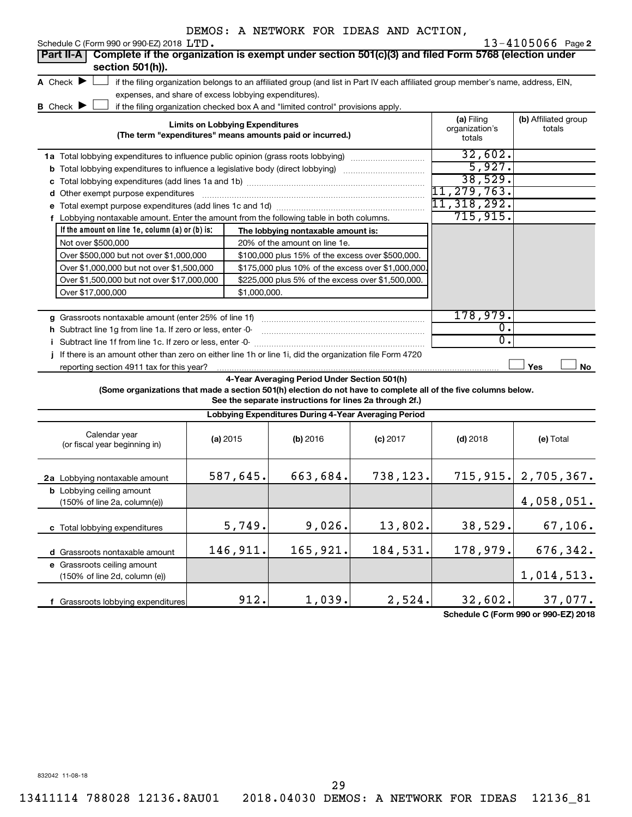| DEMOS: A NETWORK FOR IDEAS AND ACTION, |  |  |  |  |
|----------------------------------------|--|--|--|--|
|----------------------------------------|--|--|--|--|

### Schedule C (Form 990 or 990-FZ)  $2018$  T<sub>i</sub>TD

| Schedule C (Form 990 or 990-EZ) 2018 LTD.                                                                        |                                        |                                                                                                                                   |            |                              | $13 - 4105066$ Page 2          |
|------------------------------------------------------------------------------------------------------------------|----------------------------------------|-----------------------------------------------------------------------------------------------------------------------------------|------------|------------------------------|--------------------------------|
| Complete if the organization is exempt under section 501(c)(3) and filed Form 5768 (election under<br>Part II-A  |                                        |                                                                                                                                   |            |                              |                                |
| section 501(h)).                                                                                                 |                                        |                                                                                                                                   |            |                              |                                |
| A Check $\blacktriangleright$                                                                                    |                                        | if the filing organization belongs to an affiliated group (and list in Part IV each affiliated group member's name, address, EIN, |            |                              |                                |
| expenses, and share of excess lobbying expenditures).                                                            |                                        |                                                                                                                                   |            |                              |                                |
| <b>B</b> Check <b>D</b>                                                                                          |                                        | if the filing organization checked box A and "limited control" provisions apply.                                                  |            |                              |                                |
|                                                                                                                  | <b>Limits on Lobbying Expenditures</b> |                                                                                                                                   |            | (a) Filing<br>organization's | (b) Affiliated group<br>totals |
|                                                                                                                  |                                        | (The term "expenditures" means amounts paid or incurred.)                                                                         |            | totals                       |                                |
| <b>1a</b> Total lobbying expenditures to influence public opinion (grass roots lobbying) <i>manameronominima</i> |                                        |                                                                                                                                   |            | 32,602.                      |                                |
| <b>b</b> Total lobbying expenditures to influence a legislative body (direct lobbying)                           |                                        |                                                                                                                                   |            | 5,927.                       |                                |
|                                                                                                                  |                                        |                                                                                                                                   |            | 38,529.                      |                                |
| d Other exempt purpose expenditures                                                                              |                                        |                                                                                                                                   |            | 11,279,763 <b>.</b>          |                                |
|                                                                                                                  |                                        |                                                                                                                                   |            | 11,318,292.                  |                                |
| f Lobbying nontaxable amount. Enter the amount from the following table in both columns.                         |                                        |                                                                                                                                   |            | 715,915.                     |                                |
| If the amount on line 1e, column $(a)$ or $(b)$ is:                                                              |                                        | The lobbying nontaxable amount is:                                                                                                |            |                              |                                |
| Not over \$500,000                                                                                               |                                        | 20% of the amount on line 1e.                                                                                                     |            |                              |                                |
| Over \$500,000 but not over \$1,000,000                                                                          |                                        | \$100,000 plus 15% of the excess over \$500,000.                                                                                  |            |                              |                                |
| Over \$1,000,000 but not over \$1,500,000                                                                        |                                        | \$175,000 plus 10% of the excess over \$1,000,000                                                                                 |            |                              |                                |
| Over \$1,500,000 but not over \$17,000,000                                                                       |                                        | \$225,000 plus 5% of the excess over \$1,500,000.                                                                                 |            |                              |                                |
| Over \$17,000,000                                                                                                |                                        | \$1,000,000.                                                                                                                      |            |                              |                                |
|                                                                                                                  |                                        |                                                                                                                                   |            |                              |                                |
| g Grassroots nontaxable amount (enter 25% of line 1f)                                                            |                                        |                                                                                                                                   |            | 178,979.                     |                                |
| h Subtract line 1g from line 1a. If zero or less, enter -0-                                                      |                                        |                                                                                                                                   |            | о.                           |                                |
|                                                                                                                  |                                        |                                                                                                                                   |            | О.                           |                                |
| If there is an amount other than zero on either line 1h or line 1i, did the organization file Form 4720          |                                        |                                                                                                                                   |            |                              |                                |
| reporting section 4911 tax for this year?                                                                        |                                        |                                                                                                                                   |            |                              | Yes<br>No.                     |
|                                                                                                                  |                                        | 4-Year Averaging Period Under Section 501(h)                                                                                      |            |                              |                                |
| (Some organizations that made a section 501(h) election do not have to complete all of the five columns below.   |                                        |                                                                                                                                   |            |                              |                                |
|                                                                                                                  |                                        | See the separate instructions for lines 2a through 2f.)                                                                           |            |                              |                                |
|                                                                                                                  |                                        | Lobbying Expenditures During 4-Year Averaging Period                                                                              |            |                              |                                |
| Calendar year                                                                                                    | (a) 2015                               | (b) 2016                                                                                                                          | $(c)$ 2017 | $(d)$ 2018                   | (e) Total                      |
| (or fiscal year beginning in)                                                                                    |                                        |                                                                                                                                   |            |                              |                                |
|                                                                                                                  |                                        |                                                                                                                                   |            |                              |                                |
| 2a Lobbying nontaxable amount                                                                                    | 587,645.                               | 663,684.                                                                                                                          | 738,123.   |                              | $715, 915.$ 2, $705, 367.$     |
| <b>b</b> Lobbying ceiling amount                                                                                 |                                        |                                                                                                                                   |            |                              |                                |
| (150% of line 2a, column(e))                                                                                     |                                        |                                                                                                                                   |            |                              | 4,058,051.                     |
| c Total lobbying expenditures                                                                                    | 5,749.                                 | 9,026.                                                                                                                            | 13,802.    | 38,529.                      | 67, 106.                       |
|                                                                                                                  |                                        |                                                                                                                                   |            |                              |                                |
| d Grassroots nontaxable amount                                                                                   | 146,911.                               | 165,921.                                                                                                                          | 184,531.   | 178,979.                     | 676,342.                       |
| e Grassroots ceiling amount                                                                                      |                                        |                                                                                                                                   |            |                              |                                |
| (150% of line 2d, column (e))                                                                                    |                                        |                                                                                                                                   |            |                              | 1,014,513.                     |
|                                                                                                                  |                                        |                                                                                                                                   |            |                              |                                |
| f Grassroots lobbying expenditures                                                                               | 912.                                   | 1,039.                                                                                                                            | 2,524.     | 32,602.                      | 37,077.                        |

**Schedule C (Form 990 or 990-EZ) 2018**

832042 11-08-18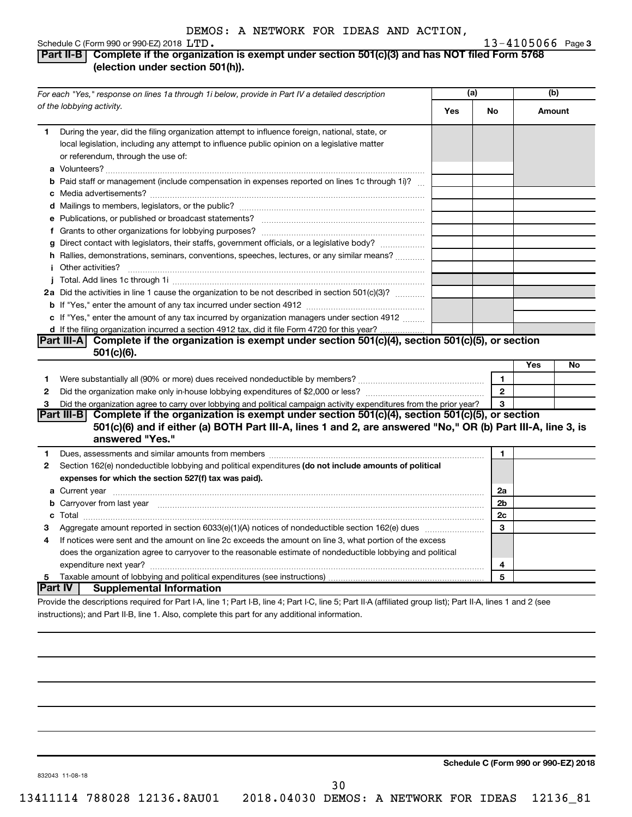|  |  |  | Schedule C (Form 990 or 990-EZ) 2018 LTD. |  |
|--|--|--|-------------------------------------------|--|
|--|--|--|-------------------------------------------|--|

# Schedule C (Form 990 or 990-EZ) 2018  $\text{LTD.}$   $13-4105066$  Page 3 **Part II-B Complete if the organization is exempt under section 501(c)(3) and has NOT filed Form 5768**

# **(election under section 501(h)).**

| of the lobbying activity.<br>Yes<br>No<br><b>Amount</b><br>During the year, did the filing organization attempt to influence foreign, national, state, or<br>1.<br>local legislation, including any attempt to influence public opinion on a legislative matter<br>or referendum, through the use of:<br><b>b</b> Paid staff or management (include compensation in expenses reported on lines 1c through 1i)?<br>g Direct contact with legislators, their staffs, government officials, or a legislative body?<br>h Rallies, demonstrations, seminars, conventions, speeches, lectures, or any similar means?<br><i>i</i> Other activities?<br>2a Did the activities in line 1 cause the organization to be not described in section 501(c)(3)?<br><b>b</b> If "Yes," enter the amount of any tax incurred under section 4912<br>c If "Yes," enter the amount of any tax incurred by organization managers under section 4912<br>d If the filing organization incurred a section 4912 tax, did it file Form 4720 for this year?<br>Complete if the organization is exempt under section 501(c)(4), section 501(c)(5), or section<br> Part III-A <br>$501(c)(6)$ .<br>Yes<br>No<br>$\mathbf{1}$<br>1<br>$\mathbf{2}$<br>2<br>3<br>Did the organization agree to carry over lobbying and political campaign activity expenditures from the prior year?<br>З<br>Complete if the organization is exempt under section 501(c)(4), section 501(c)(5), or section<br> Part III-B <br>501(c)(6) and if either (a) BOTH Part III-A, lines 1 and 2, are answered "No," OR (b) Part III-A, line 3, is<br>answered "Yes."<br>1<br>1.<br>Section 162(e) nondeductible lobbying and political expenditures (do not include amounts of political<br>2<br>expenses for which the section 527(f) tax was paid).<br>2a<br>2b<br>b Carryover from last year manufactured and content to content the content of the content of the content of the content of the content of the content of the content of the content of the content of the content of the conte<br>2c<br>3<br>З<br>If notices were sent and the amount on line 2c exceeds the amount on line 3, what portion of the excess<br>4<br>does the organization agree to carryover to the reasonable estimate of nondeductible lobbying and political<br>4<br>5<br> Part IV  <br><b>Supplemental Information</b><br>Provide the descriptions required for Part I-A, line 1; Part I-B, line 4; Part I-C, line 5; Part II-A (affiliated group list); Part II-A, lines 1 and 2 (see | For each "Yes," response on lines 1a through 1i below, provide in Part IV a detailed description |  | (a) |  | (b) |  |
|-------------------------------------------------------------------------------------------------------------------------------------------------------------------------------------------------------------------------------------------------------------------------------------------------------------------------------------------------------------------------------------------------------------------------------------------------------------------------------------------------------------------------------------------------------------------------------------------------------------------------------------------------------------------------------------------------------------------------------------------------------------------------------------------------------------------------------------------------------------------------------------------------------------------------------------------------------------------------------------------------------------------------------------------------------------------------------------------------------------------------------------------------------------------------------------------------------------------------------------------------------------------------------------------------------------------------------------------------------------------------------------------------------------------------------------------------------------------------------------------------------------------------------------------------------------------------------------------------------------------------------------------------------------------------------------------------------------------------------------------------------------------------------------------------------------------------------------------------------------------------------------------------------------------------------------------------------------------------------------------------------------------------------------------------------------------------------------------------------------------------------------------------------------------------------------------------------------------------------------------------------------------------------------------------------------------------------------------------------------------------------------------------------------------------------------------------------------------------------------------------------------------------|--------------------------------------------------------------------------------------------------|--|-----|--|-----|--|
|                                                                                                                                                                                                                                                                                                                                                                                                                                                                                                                                                                                                                                                                                                                                                                                                                                                                                                                                                                                                                                                                                                                                                                                                                                                                                                                                                                                                                                                                                                                                                                                                                                                                                                                                                                                                                                                                                                                                                                                                                                                                                                                                                                                                                                                                                                                                                                                                                                                                                                                         |                                                                                                  |  |     |  |     |  |
|                                                                                                                                                                                                                                                                                                                                                                                                                                                                                                                                                                                                                                                                                                                                                                                                                                                                                                                                                                                                                                                                                                                                                                                                                                                                                                                                                                                                                                                                                                                                                                                                                                                                                                                                                                                                                                                                                                                                                                                                                                                                                                                                                                                                                                                                                                                                                                                                                                                                                                                         |                                                                                                  |  |     |  |     |  |
|                                                                                                                                                                                                                                                                                                                                                                                                                                                                                                                                                                                                                                                                                                                                                                                                                                                                                                                                                                                                                                                                                                                                                                                                                                                                                                                                                                                                                                                                                                                                                                                                                                                                                                                                                                                                                                                                                                                                                                                                                                                                                                                                                                                                                                                                                                                                                                                                                                                                                                                         |                                                                                                  |  |     |  |     |  |
|                                                                                                                                                                                                                                                                                                                                                                                                                                                                                                                                                                                                                                                                                                                                                                                                                                                                                                                                                                                                                                                                                                                                                                                                                                                                                                                                                                                                                                                                                                                                                                                                                                                                                                                                                                                                                                                                                                                                                                                                                                                                                                                                                                                                                                                                                                                                                                                                                                                                                                                         |                                                                                                  |  |     |  |     |  |
|                                                                                                                                                                                                                                                                                                                                                                                                                                                                                                                                                                                                                                                                                                                                                                                                                                                                                                                                                                                                                                                                                                                                                                                                                                                                                                                                                                                                                                                                                                                                                                                                                                                                                                                                                                                                                                                                                                                                                                                                                                                                                                                                                                                                                                                                                                                                                                                                                                                                                                                         |                                                                                                  |  |     |  |     |  |
|                                                                                                                                                                                                                                                                                                                                                                                                                                                                                                                                                                                                                                                                                                                                                                                                                                                                                                                                                                                                                                                                                                                                                                                                                                                                                                                                                                                                                                                                                                                                                                                                                                                                                                                                                                                                                                                                                                                                                                                                                                                                                                                                                                                                                                                                                                                                                                                                                                                                                                                         |                                                                                                  |  |     |  |     |  |
|                                                                                                                                                                                                                                                                                                                                                                                                                                                                                                                                                                                                                                                                                                                                                                                                                                                                                                                                                                                                                                                                                                                                                                                                                                                                                                                                                                                                                                                                                                                                                                                                                                                                                                                                                                                                                                                                                                                                                                                                                                                                                                                                                                                                                                                                                                                                                                                                                                                                                                                         |                                                                                                  |  |     |  |     |  |
|                                                                                                                                                                                                                                                                                                                                                                                                                                                                                                                                                                                                                                                                                                                                                                                                                                                                                                                                                                                                                                                                                                                                                                                                                                                                                                                                                                                                                                                                                                                                                                                                                                                                                                                                                                                                                                                                                                                                                                                                                                                                                                                                                                                                                                                                                                                                                                                                                                                                                                                         |                                                                                                  |  |     |  |     |  |
|                                                                                                                                                                                                                                                                                                                                                                                                                                                                                                                                                                                                                                                                                                                                                                                                                                                                                                                                                                                                                                                                                                                                                                                                                                                                                                                                                                                                                                                                                                                                                                                                                                                                                                                                                                                                                                                                                                                                                                                                                                                                                                                                                                                                                                                                                                                                                                                                                                                                                                                         |                                                                                                  |  |     |  |     |  |
|                                                                                                                                                                                                                                                                                                                                                                                                                                                                                                                                                                                                                                                                                                                                                                                                                                                                                                                                                                                                                                                                                                                                                                                                                                                                                                                                                                                                                                                                                                                                                                                                                                                                                                                                                                                                                                                                                                                                                                                                                                                                                                                                                                                                                                                                                                                                                                                                                                                                                                                         |                                                                                                  |  |     |  |     |  |
|                                                                                                                                                                                                                                                                                                                                                                                                                                                                                                                                                                                                                                                                                                                                                                                                                                                                                                                                                                                                                                                                                                                                                                                                                                                                                                                                                                                                                                                                                                                                                                                                                                                                                                                                                                                                                                                                                                                                                                                                                                                                                                                                                                                                                                                                                                                                                                                                                                                                                                                         |                                                                                                  |  |     |  |     |  |
|                                                                                                                                                                                                                                                                                                                                                                                                                                                                                                                                                                                                                                                                                                                                                                                                                                                                                                                                                                                                                                                                                                                                                                                                                                                                                                                                                                                                                                                                                                                                                                                                                                                                                                                                                                                                                                                                                                                                                                                                                                                                                                                                                                                                                                                                                                                                                                                                                                                                                                                         |                                                                                                  |  |     |  |     |  |
|                                                                                                                                                                                                                                                                                                                                                                                                                                                                                                                                                                                                                                                                                                                                                                                                                                                                                                                                                                                                                                                                                                                                                                                                                                                                                                                                                                                                                                                                                                                                                                                                                                                                                                                                                                                                                                                                                                                                                                                                                                                                                                                                                                                                                                                                                                                                                                                                                                                                                                                         |                                                                                                  |  |     |  |     |  |
|                                                                                                                                                                                                                                                                                                                                                                                                                                                                                                                                                                                                                                                                                                                                                                                                                                                                                                                                                                                                                                                                                                                                                                                                                                                                                                                                                                                                                                                                                                                                                                                                                                                                                                                                                                                                                                                                                                                                                                                                                                                                                                                                                                                                                                                                                                                                                                                                                                                                                                                         |                                                                                                  |  |     |  |     |  |
|                                                                                                                                                                                                                                                                                                                                                                                                                                                                                                                                                                                                                                                                                                                                                                                                                                                                                                                                                                                                                                                                                                                                                                                                                                                                                                                                                                                                                                                                                                                                                                                                                                                                                                                                                                                                                                                                                                                                                                                                                                                                                                                                                                                                                                                                                                                                                                                                                                                                                                                         |                                                                                                  |  |     |  |     |  |
|                                                                                                                                                                                                                                                                                                                                                                                                                                                                                                                                                                                                                                                                                                                                                                                                                                                                                                                                                                                                                                                                                                                                                                                                                                                                                                                                                                                                                                                                                                                                                                                                                                                                                                                                                                                                                                                                                                                                                                                                                                                                                                                                                                                                                                                                                                                                                                                                                                                                                                                         |                                                                                                  |  |     |  |     |  |
|                                                                                                                                                                                                                                                                                                                                                                                                                                                                                                                                                                                                                                                                                                                                                                                                                                                                                                                                                                                                                                                                                                                                                                                                                                                                                                                                                                                                                                                                                                                                                                                                                                                                                                                                                                                                                                                                                                                                                                                                                                                                                                                                                                                                                                                                                                                                                                                                                                                                                                                         |                                                                                                  |  |     |  |     |  |
|                                                                                                                                                                                                                                                                                                                                                                                                                                                                                                                                                                                                                                                                                                                                                                                                                                                                                                                                                                                                                                                                                                                                                                                                                                                                                                                                                                                                                                                                                                                                                                                                                                                                                                                                                                                                                                                                                                                                                                                                                                                                                                                                                                                                                                                                                                                                                                                                                                                                                                                         |                                                                                                  |  |     |  |     |  |
|                                                                                                                                                                                                                                                                                                                                                                                                                                                                                                                                                                                                                                                                                                                                                                                                                                                                                                                                                                                                                                                                                                                                                                                                                                                                                                                                                                                                                                                                                                                                                                                                                                                                                                                                                                                                                                                                                                                                                                                                                                                                                                                                                                                                                                                                                                                                                                                                                                                                                                                         |                                                                                                  |  |     |  |     |  |
|                                                                                                                                                                                                                                                                                                                                                                                                                                                                                                                                                                                                                                                                                                                                                                                                                                                                                                                                                                                                                                                                                                                                                                                                                                                                                                                                                                                                                                                                                                                                                                                                                                                                                                                                                                                                                                                                                                                                                                                                                                                                                                                                                                                                                                                                                                                                                                                                                                                                                                                         |                                                                                                  |  |     |  |     |  |
|                                                                                                                                                                                                                                                                                                                                                                                                                                                                                                                                                                                                                                                                                                                                                                                                                                                                                                                                                                                                                                                                                                                                                                                                                                                                                                                                                                                                                                                                                                                                                                                                                                                                                                                                                                                                                                                                                                                                                                                                                                                                                                                                                                                                                                                                                                                                                                                                                                                                                                                         |                                                                                                  |  |     |  |     |  |
|                                                                                                                                                                                                                                                                                                                                                                                                                                                                                                                                                                                                                                                                                                                                                                                                                                                                                                                                                                                                                                                                                                                                                                                                                                                                                                                                                                                                                                                                                                                                                                                                                                                                                                                                                                                                                                                                                                                                                                                                                                                                                                                                                                                                                                                                                                                                                                                                                                                                                                                         |                                                                                                  |  |     |  |     |  |
|                                                                                                                                                                                                                                                                                                                                                                                                                                                                                                                                                                                                                                                                                                                                                                                                                                                                                                                                                                                                                                                                                                                                                                                                                                                                                                                                                                                                                                                                                                                                                                                                                                                                                                                                                                                                                                                                                                                                                                                                                                                                                                                                                                                                                                                                                                                                                                                                                                                                                                                         |                                                                                                  |  |     |  |     |  |
|                                                                                                                                                                                                                                                                                                                                                                                                                                                                                                                                                                                                                                                                                                                                                                                                                                                                                                                                                                                                                                                                                                                                                                                                                                                                                                                                                                                                                                                                                                                                                                                                                                                                                                                                                                                                                                                                                                                                                                                                                                                                                                                                                                                                                                                                                                                                                                                                                                                                                                                         |                                                                                                  |  |     |  |     |  |
|                                                                                                                                                                                                                                                                                                                                                                                                                                                                                                                                                                                                                                                                                                                                                                                                                                                                                                                                                                                                                                                                                                                                                                                                                                                                                                                                                                                                                                                                                                                                                                                                                                                                                                                                                                                                                                                                                                                                                                                                                                                                                                                                                                                                                                                                                                                                                                                                                                                                                                                         |                                                                                                  |  |     |  |     |  |
|                                                                                                                                                                                                                                                                                                                                                                                                                                                                                                                                                                                                                                                                                                                                                                                                                                                                                                                                                                                                                                                                                                                                                                                                                                                                                                                                                                                                                                                                                                                                                                                                                                                                                                                                                                                                                                                                                                                                                                                                                                                                                                                                                                                                                                                                                                                                                                                                                                                                                                                         |                                                                                                  |  |     |  |     |  |
|                                                                                                                                                                                                                                                                                                                                                                                                                                                                                                                                                                                                                                                                                                                                                                                                                                                                                                                                                                                                                                                                                                                                                                                                                                                                                                                                                                                                                                                                                                                                                                                                                                                                                                                                                                                                                                                                                                                                                                                                                                                                                                                                                                                                                                                                                                                                                                                                                                                                                                                         |                                                                                                  |  |     |  |     |  |
|                                                                                                                                                                                                                                                                                                                                                                                                                                                                                                                                                                                                                                                                                                                                                                                                                                                                                                                                                                                                                                                                                                                                                                                                                                                                                                                                                                                                                                                                                                                                                                                                                                                                                                                                                                                                                                                                                                                                                                                                                                                                                                                                                                                                                                                                                                                                                                                                                                                                                                                         |                                                                                                  |  |     |  |     |  |
|                                                                                                                                                                                                                                                                                                                                                                                                                                                                                                                                                                                                                                                                                                                                                                                                                                                                                                                                                                                                                                                                                                                                                                                                                                                                                                                                                                                                                                                                                                                                                                                                                                                                                                                                                                                                                                                                                                                                                                                                                                                                                                                                                                                                                                                                                                                                                                                                                                                                                                                         |                                                                                                  |  |     |  |     |  |
|                                                                                                                                                                                                                                                                                                                                                                                                                                                                                                                                                                                                                                                                                                                                                                                                                                                                                                                                                                                                                                                                                                                                                                                                                                                                                                                                                                                                                                                                                                                                                                                                                                                                                                                                                                                                                                                                                                                                                                                                                                                                                                                                                                                                                                                                                                                                                                                                                                                                                                                         |                                                                                                  |  |     |  |     |  |
|                                                                                                                                                                                                                                                                                                                                                                                                                                                                                                                                                                                                                                                                                                                                                                                                                                                                                                                                                                                                                                                                                                                                                                                                                                                                                                                                                                                                                                                                                                                                                                                                                                                                                                                                                                                                                                                                                                                                                                                                                                                                                                                                                                                                                                                                                                                                                                                                                                                                                                                         |                                                                                                  |  |     |  |     |  |

instructions); and Part II-B, line 1. Also, complete this part for any additional information.

**Schedule C (Form 990 or 990-EZ) 2018**

832043 11-08-18

30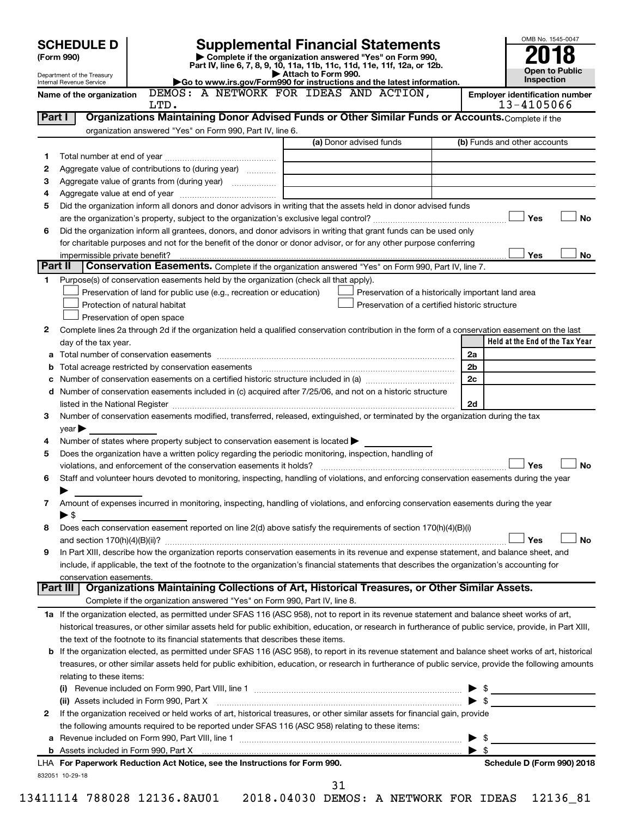|        | <b>SCHEDULE D</b>                                                                                                                                   |                                                                                                                                                           | <b>Supplemental Financial Statements</b>                                                             |  |                | OMB No. 1545-0047                                   |           |
|--------|-----------------------------------------------------------------------------------------------------------------------------------------------------|-----------------------------------------------------------------------------------------------------------------------------------------------------------|------------------------------------------------------------------------------------------------------|--|----------------|-----------------------------------------------------|-----------|
|        | Complete if the organization answered "Yes" on Form 990,<br>(Form 990)                                                                              |                                                                                                                                                           |                                                                                                      |  |                |                                                     |           |
|        | Department of the Treasury                                                                                                                          |                                                                                                                                                           | Part IV, line 6, 7, 8, 9, 10, 11a, 11b, 11c, 11d, 11e, 11f, 12a, or 12b.<br>Attach to Form 990.      |  |                | <b>Open to Public</b>                               |           |
|        | Internal Revenue Service                                                                                                                            |                                                                                                                                                           | Go to www.irs.gov/Form990 for instructions and the latest information.                               |  |                | Inspection                                          |           |
|        | Name of the organization                                                                                                                            | LTD.                                                                                                                                                      | DEMOS: A NETWORK FOR IDEAS AND ACTION,                                                               |  |                | <b>Employer identification number</b><br>13-4105066 |           |
|        | Part I                                                                                                                                              | Organizations Maintaining Donor Advised Funds or Other Similar Funds or Accounts. Complete if the                                                         |                                                                                                      |  |                |                                                     |           |
|        |                                                                                                                                                     | organization answered "Yes" on Form 990, Part IV, line 6.                                                                                                 |                                                                                                      |  |                |                                                     |           |
|        |                                                                                                                                                     |                                                                                                                                                           | (a) Donor advised funds                                                                              |  |                | (b) Funds and other accounts                        |           |
| 1      |                                                                                                                                                     |                                                                                                                                                           |                                                                                                      |  |                |                                                     |           |
| 2<br>З |                                                                                                                                                     | Aggregate value of contributions to (during year)                                                                                                         |                                                                                                      |  |                |                                                     |           |
| 4      |                                                                                                                                                     |                                                                                                                                                           |                                                                                                      |  |                |                                                     |           |
| 5      |                                                                                                                                                     | Did the organization inform all donors and donor advisors in writing that the assets held in donor advised funds                                          |                                                                                                      |  |                |                                                     |           |
|        |                                                                                                                                                     |                                                                                                                                                           |                                                                                                      |  |                | Yes                                                 | <b>No</b> |
| 6      |                                                                                                                                                     | Did the organization inform all grantees, donors, and donor advisors in writing that grant funds can be used only                                         |                                                                                                      |  |                |                                                     |           |
|        |                                                                                                                                                     | for charitable purposes and not for the benefit of the donor or donor advisor, or for any other purpose conferring                                        |                                                                                                      |  |                |                                                     |           |
|        | impermissible private benefit?                                                                                                                      |                                                                                                                                                           |                                                                                                      |  |                | Yes                                                 | No        |
|        | Part II                                                                                                                                             | Conservation Easements. Complete if the organization answered "Yes" on Form 990, Part IV, line 7.                                                         |                                                                                                      |  |                |                                                     |           |
| 1      |                                                                                                                                                     | Purpose(s) of conservation easements held by the organization (check all that apply).                                                                     |                                                                                                      |  |                |                                                     |           |
|        |                                                                                                                                                     | Preservation of land for public use (e.g., recreation or education)<br>Protection of natural habitat                                                      | Preservation of a historically important land area<br>Preservation of a certified historic structure |  |                |                                                     |           |
|        |                                                                                                                                                     | Preservation of open space                                                                                                                                |                                                                                                      |  |                |                                                     |           |
| 2      |                                                                                                                                                     | Complete lines 2a through 2d if the organization held a qualified conservation contribution in the form of a conservation easement on the last            |                                                                                                      |  |                |                                                     |           |
|        | day of the tax year.                                                                                                                                |                                                                                                                                                           |                                                                                                      |  |                | Held at the End of the Tax Year                     |           |
| а      |                                                                                                                                                     |                                                                                                                                                           |                                                                                                      |  | 2a             |                                                     |           |
| b      |                                                                                                                                                     |                                                                                                                                                           |                                                                                                      |  | 2 <sub>b</sub> |                                                     |           |
| с      |                                                                                                                                                     |                                                                                                                                                           |                                                                                                      |  | 2c             |                                                     |           |
| d      |                                                                                                                                                     | Number of conservation easements included in (c) acquired after 7/25/06, and not on a historic structure                                                  |                                                                                                      |  |                |                                                     |           |
|        |                                                                                                                                                     |                                                                                                                                                           |                                                                                                      |  | 2d             |                                                     |           |
| З      | $\vee$ ear $\blacktriangleright$                                                                                                                    | Number of conservation easements modified, transferred, released, extinguished, or terminated by the organization during the tax                          |                                                                                                      |  |                |                                                     |           |
| 4      |                                                                                                                                                     | Number of states where property subject to conservation easement is located $\blacktriangleright$                                                         |                                                                                                      |  |                |                                                     |           |
| 5      |                                                                                                                                                     | Does the organization have a written policy regarding the periodic monitoring, inspection, handling of                                                    |                                                                                                      |  |                |                                                     |           |
|        |                                                                                                                                                     | violations, and enforcement of the conservation easements it holds?                                                                                       |                                                                                                      |  |                | Yes                                                 | <b>No</b> |
| 6      |                                                                                                                                                     | Staff and volunteer hours devoted to monitoring, inspecting, handling of violations, and enforcing conservation easements during the year                 |                                                                                                      |  |                |                                                     |           |
|        |                                                                                                                                                     |                                                                                                                                                           |                                                                                                      |  |                |                                                     |           |
| 7      |                                                                                                                                                     | Amount of expenses incurred in monitoring, inspecting, handling of violations, and enforcing conservation easements during the year                       |                                                                                                      |  |                |                                                     |           |
|        | $\blacktriangleright$ \$                                                                                                                            |                                                                                                                                                           |                                                                                                      |  |                |                                                     |           |
| 8      |                                                                                                                                                     | Does each conservation easement reported on line 2(d) above satisfy the requirements of section 170(h)(4)(B)(i)                                           |                                                                                                      |  |                |                                                     |           |
|        |                                                                                                                                                     | In Part XIII, describe how the organization reports conservation easements in its revenue and expense statement, and balance sheet, and                   |                                                                                                      |  |                | Yes                                                 | No        |
| 9      |                                                                                                                                                     | include, if applicable, the text of the footnote to the organization's financial statements that describes the organization's accounting for              |                                                                                                      |  |                |                                                     |           |
|        | conservation easements.                                                                                                                             |                                                                                                                                                           |                                                                                                      |  |                |                                                     |           |
|        | Part III I                                                                                                                                          | Organizations Maintaining Collections of Art, Historical Treasures, or Other Similar Assets.                                                              |                                                                                                      |  |                |                                                     |           |
|        |                                                                                                                                                     | Complete if the organization answered "Yes" on Form 990, Part IV, line 8.                                                                                 |                                                                                                      |  |                |                                                     |           |
|        |                                                                                                                                                     | 1a If the organization elected, as permitted under SFAS 116 (ASC 958), not to report in its revenue statement and balance sheet works of art,             |                                                                                                      |  |                |                                                     |           |
|        |                                                                                                                                                     | historical treasures, or other similar assets held for public exhibition, education, or research in furtherance of public service, provide, in Part XIII, |                                                                                                      |  |                |                                                     |           |
|        |                                                                                                                                                     | the text of the footnote to its financial statements that describes these items.                                                                          |                                                                                                      |  |                |                                                     |           |
| b      |                                                                                                                                                     | If the organization elected, as permitted under SFAS 116 (ASC 958), to report in its revenue statement and balance sheet works of art, historical         |                                                                                                      |  |                |                                                     |           |
|        |                                                                                                                                                     | treasures, or other similar assets held for public exhibition, education, or research in furtherance of public service, provide the following amounts     |                                                                                                      |  |                |                                                     |           |
|        | relating to these items:                                                                                                                            |                                                                                                                                                           |                                                                                                      |  |                |                                                     |           |
|        |                                                                                                                                                     | (ii) Assets included in Form 990, Part X                                                                                                                  |                                                                                                      |  |                | $\frac{1}{2}$                                       |           |
| 2      | $\triangleright$ \$<br>If the organization received or held works of art, historical treasures, or other similar assets for financial gain, provide |                                                                                                                                                           |                                                                                                      |  |                |                                                     |           |
|        |                                                                                                                                                     | the following amounts required to be reported under SFAS 116 (ASC 958) relating to these items:                                                           |                                                                                                      |  |                |                                                     |           |
| а      |                                                                                                                                                     |                                                                                                                                                           |                                                                                                      |  | -\$<br>▸       |                                                     |           |
|        |                                                                                                                                                     |                                                                                                                                                           |                                                                                                      |  | -\$            |                                                     |           |
|        |                                                                                                                                                     | LHA For Paperwork Reduction Act Notice, see the Instructions for Form 990.                                                                                |                                                                                                      |  |                | Schedule D (Form 990) 2018                          |           |
|        | 832051 10-29-18                                                                                                                                     |                                                                                                                                                           | 31                                                                                                   |  |                |                                                     |           |
|        |                                                                                                                                                     |                                                                                                                                                           |                                                                                                      |  |                |                                                     |           |

| ×<br>I<br>٠<br>۰. |
|-------------------|
|                   |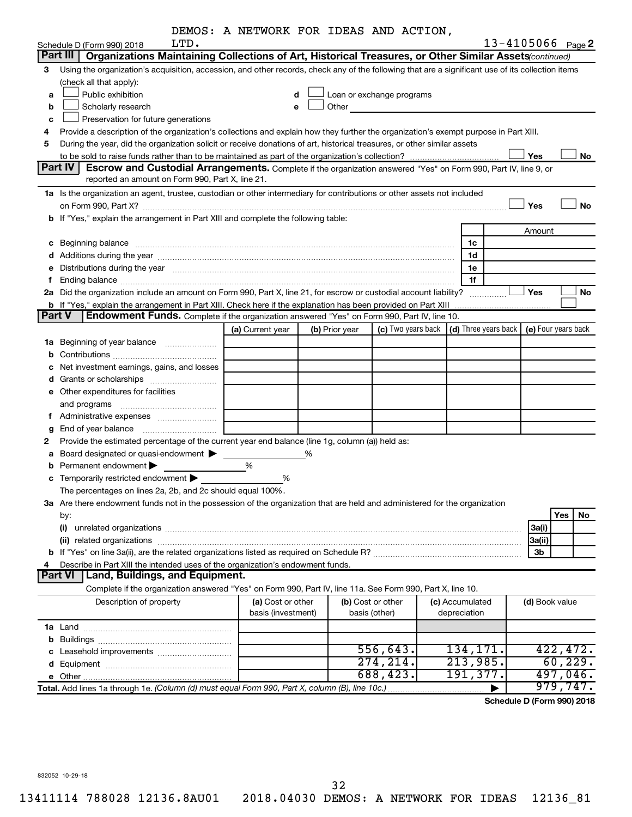| DEMOS: A NETWORK FOR IDEAS AND ACTION, |
|----------------------------------------|
|----------------------------------------|

| $13 - 4105066$ Page 2<br>Schedule D (Form 990) 2018<br>Part III  <br>Organizations Maintaining Collections of Art, Historical Treasures, or Other Similar Assets (continued)<br>Using the organization's acquisition, accession, and other records, check any of the following that are a significant use of its collection items<br>3<br>(check all that apply):<br>Public exhibition<br>Loan or exchange programs<br>d<br>a<br>Scholarly research<br>Other<br>b<br>e<br>Preservation for future generations<br>c<br>Provide a description of the organization's collections and explain how they further the organization's exempt purpose in Part XIII.<br>4<br>During the year, did the organization solicit or receive donations of art, historical treasures, or other similar assets<br>5<br>Yes<br>No<br>Part IV<br><b>Escrow and Custodial Arrangements.</b> Complete if the organization answered "Yes" on Form 990, Part IV, line 9, or<br>reported an amount on Form 990, Part X, line 21.<br>1a Is the organization an agent, trustee, custodian or other intermediary for contributions or other assets not included<br>Yes<br><b>No</b><br>b If "Yes," explain the arrangement in Part XIII and complete the following table:<br>Amount<br>c Beginning balance<br>1c<br>1d<br>e Distributions during the year www.communication.communications.com/interventions.com/interventions.com/interv<br>1е<br>1f<br>f.<br>2a Did the organization include an amount on Form 990, Part X, line 21, for escrow or custodial account liability?<br>Yes<br>No<br><b>Part V</b><br>Endowment Funds. Complete if the organization answered "Yes" on Form 990, Part IV, line 10.<br>(c) Two years back<br>(d) Three years back<br>(e) Four years back<br>(b) Prior year<br>(a) Current year<br><b>c</b> Net investment earnings, gains, and losses<br>e Other expenditures for facilities<br>and programs<br>g<br>Provide the estimated percentage of the current year end balance (line 1g, column (a)) held as:<br>2<br><b>a</b> Board designated or quasi-endowment $\blacktriangleright$<br>%<br>%<br><b>b</b> Permanent endowment $\blacktriangleright$<br><b>c</b> Temporarily restricted endowment $\blacktriangleright$<br>%<br>The percentages on lines 2a, 2b, and 2c should equal 100%.<br>3a Are there endowment funds not in the possession of the organization that are held and administered for the organization<br>Yes<br>No<br>by:<br>3a(i)<br>(i)<br>3a(ii)<br>3b<br>Describe in Part XIII the intended uses of the organization's endowment funds.<br>4<br>Part VI<br>Land, Buildings, and Equipment.<br>Complete if the organization answered "Yes" on Form 990, Part IV, line 11a. See Form 990, Part X, line 10.<br>Description of property<br>(a) Cost or other<br>(b) Cost or other<br>(c) Accumulated<br>(d) Book value<br>basis (investment)<br>depreciation<br>basis (other)<br>556,643.<br>134,171.<br>422,472.<br>274, 214.<br>213,985.<br>60, 229.<br>688,423.<br>191,377 <b>.</b><br>497,046.<br>979,747.<br>Total. Add lines 1a through 1e. (Column (d) must equal Form 990, Part X, column (B), line 10c.) | LTD. | DEMOS: A NEIWORK FOR IDEAS AND ACTION, |  |  |  |  |
|-----------------------------------------------------------------------------------------------------------------------------------------------------------------------------------------------------------------------------------------------------------------------------------------------------------------------------------------------------------------------------------------------------------------------------------------------------------------------------------------------------------------------------------------------------------------------------------------------------------------------------------------------------------------------------------------------------------------------------------------------------------------------------------------------------------------------------------------------------------------------------------------------------------------------------------------------------------------------------------------------------------------------------------------------------------------------------------------------------------------------------------------------------------------------------------------------------------------------------------------------------------------------------------------------------------------------------------------------------------------------------------------------------------------------------------------------------------------------------------------------------------------------------------------------------------------------------------------------------------------------------------------------------------------------------------------------------------------------------------------------------------------------------------------------------------------------------------------------------------------------------------------------------------------------------------------------------------------------------------------------------------------------------------------------------------------------------------------------------------------------------------------------------------------------------------------------------------------------------------------------------------------------------------------------------------------------------------------------------------------------------------------------------------------------------------------------------------------------------------------------------------------------------------------------------------------------------------------------------------------------------------------------------------------------------------------------------------------------------------------------------------------------------------------------------------------------------------------------------------------------------------------------------------------------------------------------------------------------------------------------------------------------------------------------------------------------------------------------------------------------------------------------|------|----------------------------------------|--|--|--|--|
|                                                                                                                                                                                                                                                                                                                                                                                                                                                                                                                                                                                                                                                                                                                                                                                                                                                                                                                                                                                                                                                                                                                                                                                                                                                                                                                                                                                                                                                                                                                                                                                                                                                                                                                                                                                                                                                                                                                                                                                                                                                                                                                                                                                                                                                                                                                                                                                                                                                                                                                                                                                                                                                                                                                                                                                                                                                                                                                                                                                                                                                                                                                                               |      |                                        |  |  |  |  |
|                                                                                                                                                                                                                                                                                                                                                                                                                                                                                                                                                                                                                                                                                                                                                                                                                                                                                                                                                                                                                                                                                                                                                                                                                                                                                                                                                                                                                                                                                                                                                                                                                                                                                                                                                                                                                                                                                                                                                                                                                                                                                                                                                                                                                                                                                                                                                                                                                                                                                                                                                                                                                                                                                                                                                                                                                                                                                                                                                                                                                                                                                                                                               |      |                                        |  |  |  |  |
|                                                                                                                                                                                                                                                                                                                                                                                                                                                                                                                                                                                                                                                                                                                                                                                                                                                                                                                                                                                                                                                                                                                                                                                                                                                                                                                                                                                                                                                                                                                                                                                                                                                                                                                                                                                                                                                                                                                                                                                                                                                                                                                                                                                                                                                                                                                                                                                                                                                                                                                                                                                                                                                                                                                                                                                                                                                                                                                                                                                                                                                                                                                                               |      |                                        |  |  |  |  |
|                                                                                                                                                                                                                                                                                                                                                                                                                                                                                                                                                                                                                                                                                                                                                                                                                                                                                                                                                                                                                                                                                                                                                                                                                                                                                                                                                                                                                                                                                                                                                                                                                                                                                                                                                                                                                                                                                                                                                                                                                                                                                                                                                                                                                                                                                                                                                                                                                                                                                                                                                                                                                                                                                                                                                                                                                                                                                                                                                                                                                                                                                                                                               |      |                                        |  |  |  |  |
|                                                                                                                                                                                                                                                                                                                                                                                                                                                                                                                                                                                                                                                                                                                                                                                                                                                                                                                                                                                                                                                                                                                                                                                                                                                                                                                                                                                                                                                                                                                                                                                                                                                                                                                                                                                                                                                                                                                                                                                                                                                                                                                                                                                                                                                                                                                                                                                                                                                                                                                                                                                                                                                                                                                                                                                                                                                                                                                                                                                                                                                                                                                                               |      |                                        |  |  |  |  |
|                                                                                                                                                                                                                                                                                                                                                                                                                                                                                                                                                                                                                                                                                                                                                                                                                                                                                                                                                                                                                                                                                                                                                                                                                                                                                                                                                                                                                                                                                                                                                                                                                                                                                                                                                                                                                                                                                                                                                                                                                                                                                                                                                                                                                                                                                                                                                                                                                                                                                                                                                                                                                                                                                                                                                                                                                                                                                                                                                                                                                                                                                                                                               |      |                                        |  |  |  |  |
|                                                                                                                                                                                                                                                                                                                                                                                                                                                                                                                                                                                                                                                                                                                                                                                                                                                                                                                                                                                                                                                                                                                                                                                                                                                                                                                                                                                                                                                                                                                                                                                                                                                                                                                                                                                                                                                                                                                                                                                                                                                                                                                                                                                                                                                                                                                                                                                                                                                                                                                                                                                                                                                                                                                                                                                                                                                                                                                                                                                                                                                                                                                                               |      |                                        |  |  |  |  |
|                                                                                                                                                                                                                                                                                                                                                                                                                                                                                                                                                                                                                                                                                                                                                                                                                                                                                                                                                                                                                                                                                                                                                                                                                                                                                                                                                                                                                                                                                                                                                                                                                                                                                                                                                                                                                                                                                                                                                                                                                                                                                                                                                                                                                                                                                                                                                                                                                                                                                                                                                                                                                                                                                                                                                                                                                                                                                                                                                                                                                                                                                                                                               |      |                                        |  |  |  |  |
|                                                                                                                                                                                                                                                                                                                                                                                                                                                                                                                                                                                                                                                                                                                                                                                                                                                                                                                                                                                                                                                                                                                                                                                                                                                                                                                                                                                                                                                                                                                                                                                                                                                                                                                                                                                                                                                                                                                                                                                                                                                                                                                                                                                                                                                                                                                                                                                                                                                                                                                                                                                                                                                                                                                                                                                                                                                                                                                                                                                                                                                                                                                                               |      |                                        |  |  |  |  |
|                                                                                                                                                                                                                                                                                                                                                                                                                                                                                                                                                                                                                                                                                                                                                                                                                                                                                                                                                                                                                                                                                                                                                                                                                                                                                                                                                                                                                                                                                                                                                                                                                                                                                                                                                                                                                                                                                                                                                                                                                                                                                                                                                                                                                                                                                                                                                                                                                                                                                                                                                                                                                                                                                                                                                                                                                                                                                                                                                                                                                                                                                                                                               |      |                                        |  |  |  |  |
|                                                                                                                                                                                                                                                                                                                                                                                                                                                                                                                                                                                                                                                                                                                                                                                                                                                                                                                                                                                                                                                                                                                                                                                                                                                                                                                                                                                                                                                                                                                                                                                                                                                                                                                                                                                                                                                                                                                                                                                                                                                                                                                                                                                                                                                                                                                                                                                                                                                                                                                                                                                                                                                                                                                                                                                                                                                                                                                                                                                                                                                                                                                                               |      |                                        |  |  |  |  |
|                                                                                                                                                                                                                                                                                                                                                                                                                                                                                                                                                                                                                                                                                                                                                                                                                                                                                                                                                                                                                                                                                                                                                                                                                                                                                                                                                                                                                                                                                                                                                                                                                                                                                                                                                                                                                                                                                                                                                                                                                                                                                                                                                                                                                                                                                                                                                                                                                                                                                                                                                                                                                                                                                                                                                                                                                                                                                                                                                                                                                                                                                                                                               |      |                                        |  |  |  |  |
|                                                                                                                                                                                                                                                                                                                                                                                                                                                                                                                                                                                                                                                                                                                                                                                                                                                                                                                                                                                                                                                                                                                                                                                                                                                                                                                                                                                                                                                                                                                                                                                                                                                                                                                                                                                                                                                                                                                                                                                                                                                                                                                                                                                                                                                                                                                                                                                                                                                                                                                                                                                                                                                                                                                                                                                                                                                                                                                                                                                                                                                                                                                                               |      |                                        |  |  |  |  |
|                                                                                                                                                                                                                                                                                                                                                                                                                                                                                                                                                                                                                                                                                                                                                                                                                                                                                                                                                                                                                                                                                                                                                                                                                                                                                                                                                                                                                                                                                                                                                                                                                                                                                                                                                                                                                                                                                                                                                                                                                                                                                                                                                                                                                                                                                                                                                                                                                                                                                                                                                                                                                                                                                                                                                                                                                                                                                                                                                                                                                                                                                                                                               |      |                                        |  |  |  |  |
|                                                                                                                                                                                                                                                                                                                                                                                                                                                                                                                                                                                                                                                                                                                                                                                                                                                                                                                                                                                                                                                                                                                                                                                                                                                                                                                                                                                                                                                                                                                                                                                                                                                                                                                                                                                                                                                                                                                                                                                                                                                                                                                                                                                                                                                                                                                                                                                                                                                                                                                                                                                                                                                                                                                                                                                                                                                                                                                                                                                                                                                                                                                                               |      |                                        |  |  |  |  |
|                                                                                                                                                                                                                                                                                                                                                                                                                                                                                                                                                                                                                                                                                                                                                                                                                                                                                                                                                                                                                                                                                                                                                                                                                                                                                                                                                                                                                                                                                                                                                                                                                                                                                                                                                                                                                                                                                                                                                                                                                                                                                                                                                                                                                                                                                                                                                                                                                                                                                                                                                                                                                                                                                                                                                                                                                                                                                                                                                                                                                                                                                                                                               |      |                                        |  |  |  |  |
|                                                                                                                                                                                                                                                                                                                                                                                                                                                                                                                                                                                                                                                                                                                                                                                                                                                                                                                                                                                                                                                                                                                                                                                                                                                                                                                                                                                                                                                                                                                                                                                                                                                                                                                                                                                                                                                                                                                                                                                                                                                                                                                                                                                                                                                                                                                                                                                                                                                                                                                                                                                                                                                                                                                                                                                                                                                                                                                                                                                                                                                                                                                                               |      |                                        |  |  |  |  |
|                                                                                                                                                                                                                                                                                                                                                                                                                                                                                                                                                                                                                                                                                                                                                                                                                                                                                                                                                                                                                                                                                                                                                                                                                                                                                                                                                                                                                                                                                                                                                                                                                                                                                                                                                                                                                                                                                                                                                                                                                                                                                                                                                                                                                                                                                                                                                                                                                                                                                                                                                                                                                                                                                                                                                                                                                                                                                                                                                                                                                                                                                                                                               |      |                                        |  |  |  |  |
|                                                                                                                                                                                                                                                                                                                                                                                                                                                                                                                                                                                                                                                                                                                                                                                                                                                                                                                                                                                                                                                                                                                                                                                                                                                                                                                                                                                                                                                                                                                                                                                                                                                                                                                                                                                                                                                                                                                                                                                                                                                                                                                                                                                                                                                                                                                                                                                                                                                                                                                                                                                                                                                                                                                                                                                                                                                                                                                                                                                                                                                                                                                                               |      |                                        |  |  |  |  |
|                                                                                                                                                                                                                                                                                                                                                                                                                                                                                                                                                                                                                                                                                                                                                                                                                                                                                                                                                                                                                                                                                                                                                                                                                                                                                                                                                                                                                                                                                                                                                                                                                                                                                                                                                                                                                                                                                                                                                                                                                                                                                                                                                                                                                                                                                                                                                                                                                                                                                                                                                                                                                                                                                                                                                                                                                                                                                                                                                                                                                                                                                                                                               |      |                                        |  |  |  |  |
|                                                                                                                                                                                                                                                                                                                                                                                                                                                                                                                                                                                                                                                                                                                                                                                                                                                                                                                                                                                                                                                                                                                                                                                                                                                                                                                                                                                                                                                                                                                                                                                                                                                                                                                                                                                                                                                                                                                                                                                                                                                                                                                                                                                                                                                                                                                                                                                                                                                                                                                                                                                                                                                                                                                                                                                                                                                                                                                                                                                                                                                                                                                                               |      |                                        |  |  |  |  |
|                                                                                                                                                                                                                                                                                                                                                                                                                                                                                                                                                                                                                                                                                                                                                                                                                                                                                                                                                                                                                                                                                                                                                                                                                                                                                                                                                                                                                                                                                                                                                                                                                                                                                                                                                                                                                                                                                                                                                                                                                                                                                                                                                                                                                                                                                                                                                                                                                                                                                                                                                                                                                                                                                                                                                                                                                                                                                                                                                                                                                                                                                                                                               |      |                                        |  |  |  |  |
|                                                                                                                                                                                                                                                                                                                                                                                                                                                                                                                                                                                                                                                                                                                                                                                                                                                                                                                                                                                                                                                                                                                                                                                                                                                                                                                                                                                                                                                                                                                                                                                                                                                                                                                                                                                                                                                                                                                                                                                                                                                                                                                                                                                                                                                                                                                                                                                                                                                                                                                                                                                                                                                                                                                                                                                                                                                                                                                                                                                                                                                                                                                                               |      |                                        |  |  |  |  |
|                                                                                                                                                                                                                                                                                                                                                                                                                                                                                                                                                                                                                                                                                                                                                                                                                                                                                                                                                                                                                                                                                                                                                                                                                                                                                                                                                                                                                                                                                                                                                                                                                                                                                                                                                                                                                                                                                                                                                                                                                                                                                                                                                                                                                                                                                                                                                                                                                                                                                                                                                                                                                                                                                                                                                                                                                                                                                                                                                                                                                                                                                                                                               |      |                                        |  |  |  |  |
|                                                                                                                                                                                                                                                                                                                                                                                                                                                                                                                                                                                                                                                                                                                                                                                                                                                                                                                                                                                                                                                                                                                                                                                                                                                                                                                                                                                                                                                                                                                                                                                                                                                                                                                                                                                                                                                                                                                                                                                                                                                                                                                                                                                                                                                                                                                                                                                                                                                                                                                                                                                                                                                                                                                                                                                                                                                                                                                                                                                                                                                                                                                                               |      |                                        |  |  |  |  |
|                                                                                                                                                                                                                                                                                                                                                                                                                                                                                                                                                                                                                                                                                                                                                                                                                                                                                                                                                                                                                                                                                                                                                                                                                                                                                                                                                                                                                                                                                                                                                                                                                                                                                                                                                                                                                                                                                                                                                                                                                                                                                                                                                                                                                                                                                                                                                                                                                                                                                                                                                                                                                                                                                                                                                                                                                                                                                                                                                                                                                                                                                                                                               |      |                                        |  |  |  |  |
|                                                                                                                                                                                                                                                                                                                                                                                                                                                                                                                                                                                                                                                                                                                                                                                                                                                                                                                                                                                                                                                                                                                                                                                                                                                                                                                                                                                                                                                                                                                                                                                                                                                                                                                                                                                                                                                                                                                                                                                                                                                                                                                                                                                                                                                                                                                                                                                                                                                                                                                                                                                                                                                                                                                                                                                                                                                                                                                                                                                                                                                                                                                                               |      |                                        |  |  |  |  |
|                                                                                                                                                                                                                                                                                                                                                                                                                                                                                                                                                                                                                                                                                                                                                                                                                                                                                                                                                                                                                                                                                                                                                                                                                                                                                                                                                                                                                                                                                                                                                                                                                                                                                                                                                                                                                                                                                                                                                                                                                                                                                                                                                                                                                                                                                                                                                                                                                                                                                                                                                                                                                                                                                                                                                                                                                                                                                                                                                                                                                                                                                                                                               |      |                                        |  |  |  |  |
|                                                                                                                                                                                                                                                                                                                                                                                                                                                                                                                                                                                                                                                                                                                                                                                                                                                                                                                                                                                                                                                                                                                                                                                                                                                                                                                                                                                                                                                                                                                                                                                                                                                                                                                                                                                                                                                                                                                                                                                                                                                                                                                                                                                                                                                                                                                                                                                                                                                                                                                                                                                                                                                                                                                                                                                                                                                                                                                                                                                                                                                                                                                                               |      |                                        |  |  |  |  |
|                                                                                                                                                                                                                                                                                                                                                                                                                                                                                                                                                                                                                                                                                                                                                                                                                                                                                                                                                                                                                                                                                                                                                                                                                                                                                                                                                                                                                                                                                                                                                                                                                                                                                                                                                                                                                                                                                                                                                                                                                                                                                                                                                                                                                                                                                                                                                                                                                                                                                                                                                                                                                                                                                                                                                                                                                                                                                                                                                                                                                                                                                                                                               |      |                                        |  |  |  |  |
|                                                                                                                                                                                                                                                                                                                                                                                                                                                                                                                                                                                                                                                                                                                                                                                                                                                                                                                                                                                                                                                                                                                                                                                                                                                                                                                                                                                                                                                                                                                                                                                                                                                                                                                                                                                                                                                                                                                                                                                                                                                                                                                                                                                                                                                                                                                                                                                                                                                                                                                                                                                                                                                                                                                                                                                                                                                                                                                                                                                                                                                                                                                                               |      |                                        |  |  |  |  |
|                                                                                                                                                                                                                                                                                                                                                                                                                                                                                                                                                                                                                                                                                                                                                                                                                                                                                                                                                                                                                                                                                                                                                                                                                                                                                                                                                                                                                                                                                                                                                                                                                                                                                                                                                                                                                                                                                                                                                                                                                                                                                                                                                                                                                                                                                                                                                                                                                                                                                                                                                                                                                                                                                                                                                                                                                                                                                                                                                                                                                                                                                                                                               |      |                                        |  |  |  |  |
|                                                                                                                                                                                                                                                                                                                                                                                                                                                                                                                                                                                                                                                                                                                                                                                                                                                                                                                                                                                                                                                                                                                                                                                                                                                                                                                                                                                                                                                                                                                                                                                                                                                                                                                                                                                                                                                                                                                                                                                                                                                                                                                                                                                                                                                                                                                                                                                                                                                                                                                                                                                                                                                                                                                                                                                                                                                                                                                                                                                                                                                                                                                                               |      |                                        |  |  |  |  |
|                                                                                                                                                                                                                                                                                                                                                                                                                                                                                                                                                                                                                                                                                                                                                                                                                                                                                                                                                                                                                                                                                                                                                                                                                                                                                                                                                                                                                                                                                                                                                                                                                                                                                                                                                                                                                                                                                                                                                                                                                                                                                                                                                                                                                                                                                                                                                                                                                                                                                                                                                                                                                                                                                                                                                                                                                                                                                                                                                                                                                                                                                                                                               |      |                                        |  |  |  |  |
|                                                                                                                                                                                                                                                                                                                                                                                                                                                                                                                                                                                                                                                                                                                                                                                                                                                                                                                                                                                                                                                                                                                                                                                                                                                                                                                                                                                                                                                                                                                                                                                                                                                                                                                                                                                                                                                                                                                                                                                                                                                                                                                                                                                                                                                                                                                                                                                                                                                                                                                                                                                                                                                                                                                                                                                                                                                                                                                                                                                                                                                                                                                                               |      |                                        |  |  |  |  |
|                                                                                                                                                                                                                                                                                                                                                                                                                                                                                                                                                                                                                                                                                                                                                                                                                                                                                                                                                                                                                                                                                                                                                                                                                                                                                                                                                                                                                                                                                                                                                                                                                                                                                                                                                                                                                                                                                                                                                                                                                                                                                                                                                                                                                                                                                                                                                                                                                                                                                                                                                                                                                                                                                                                                                                                                                                                                                                                                                                                                                                                                                                                                               |      |                                        |  |  |  |  |
|                                                                                                                                                                                                                                                                                                                                                                                                                                                                                                                                                                                                                                                                                                                                                                                                                                                                                                                                                                                                                                                                                                                                                                                                                                                                                                                                                                                                                                                                                                                                                                                                                                                                                                                                                                                                                                                                                                                                                                                                                                                                                                                                                                                                                                                                                                                                                                                                                                                                                                                                                                                                                                                                                                                                                                                                                                                                                                                                                                                                                                                                                                                                               |      |                                        |  |  |  |  |
|                                                                                                                                                                                                                                                                                                                                                                                                                                                                                                                                                                                                                                                                                                                                                                                                                                                                                                                                                                                                                                                                                                                                                                                                                                                                                                                                                                                                                                                                                                                                                                                                                                                                                                                                                                                                                                                                                                                                                                                                                                                                                                                                                                                                                                                                                                                                                                                                                                                                                                                                                                                                                                                                                                                                                                                                                                                                                                                                                                                                                                                                                                                                               |      |                                        |  |  |  |  |
|                                                                                                                                                                                                                                                                                                                                                                                                                                                                                                                                                                                                                                                                                                                                                                                                                                                                                                                                                                                                                                                                                                                                                                                                                                                                                                                                                                                                                                                                                                                                                                                                                                                                                                                                                                                                                                                                                                                                                                                                                                                                                                                                                                                                                                                                                                                                                                                                                                                                                                                                                                                                                                                                                                                                                                                                                                                                                                                                                                                                                                                                                                                                               |      |                                        |  |  |  |  |
|                                                                                                                                                                                                                                                                                                                                                                                                                                                                                                                                                                                                                                                                                                                                                                                                                                                                                                                                                                                                                                                                                                                                                                                                                                                                                                                                                                                                                                                                                                                                                                                                                                                                                                                                                                                                                                                                                                                                                                                                                                                                                                                                                                                                                                                                                                                                                                                                                                                                                                                                                                                                                                                                                                                                                                                                                                                                                                                                                                                                                                                                                                                                               |      |                                        |  |  |  |  |
|                                                                                                                                                                                                                                                                                                                                                                                                                                                                                                                                                                                                                                                                                                                                                                                                                                                                                                                                                                                                                                                                                                                                                                                                                                                                                                                                                                                                                                                                                                                                                                                                                                                                                                                                                                                                                                                                                                                                                                                                                                                                                                                                                                                                                                                                                                                                                                                                                                                                                                                                                                                                                                                                                                                                                                                                                                                                                                                                                                                                                                                                                                                                               |      |                                        |  |  |  |  |
|                                                                                                                                                                                                                                                                                                                                                                                                                                                                                                                                                                                                                                                                                                                                                                                                                                                                                                                                                                                                                                                                                                                                                                                                                                                                                                                                                                                                                                                                                                                                                                                                                                                                                                                                                                                                                                                                                                                                                                                                                                                                                                                                                                                                                                                                                                                                                                                                                                                                                                                                                                                                                                                                                                                                                                                                                                                                                                                                                                                                                                                                                                                                               |      |                                        |  |  |  |  |
|                                                                                                                                                                                                                                                                                                                                                                                                                                                                                                                                                                                                                                                                                                                                                                                                                                                                                                                                                                                                                                                                                                                                                                                                                                                                                                                                                                                                                                                                                                                                                                                                                                                                                                                                                                                                                                                                                                                                                                                                                                                                                                                                                                                                                                                                                                                                                                                                                                                                                                                                                                                                                                                                                                                                                                                                                                                                                                                                                                                                                                                                                                                                               |      |                                        |  |  |  |  |
|                                                                                                                                                                                                                                                                                                                                                                                                                                                                                                                                                                                                                                                                                                                                                                                                                                                                                                                                                                                                                                                                                                                                                                                                                                                                                                                                                                                                                                                                                                                                                                                                                                                                                                                                                                                                                                                                                                                                                                                                                                                                                                                                                                                                                                                                                                                                                                                                                                                                                                                                                                                                                                                                                                                                                                                                                                                                                                                                                                                                                                                                                                                                               |      |                                        |  |  |  |  |
|                                                                                                                                                                                                                                                                                                                                                                                                                                                                                                                                                                                                                                                                                                                                                                                                                                                                                                                                                                                                                                                                                                                                                                                                                                                                                                                                                                                                                                                                                                                                                                                                                                                                                                                                                                                                                                                                                                                                                                                                                                                                                                                                                                                                                                                                                                                                                                                                                                                                                                                                                                                                                                                                                                                                                                                                                                                                                                                                                                                                                                                                                                                                               |      |                                        |  |  |  |  |
|                                                                                                                                                                                                                                                                                                                                                                                                                                                                                                                                                                                                                                                                                                                                                                                                                                                                                                                                                                                                                                                                                                                                                                                                                                                                                                                                                                                                                                                                                                                                                                                                                                                                                                                                                                                                                                                                                                                                                                                                                                                                                                                                                                                                                                                                                                                                                                                                                                                                                                                                                                                                                                                                                                                                                                                                                                                                                                                                                                                                                                                                                                                                               |      |                                        |  |  |  |  |
|                                                                                                                                                                                                                                                                                                                                                                                                                                                                                                                                                                                                                                                                                                                                                                                                                                                                                                                                                                                                                                                                                                                                                                                                                                                                                                                                                                                                                                                                                                                                                                                                                                                                                                                                                                                                                                                                                                                                                                                                                                                                                                                                                                                                                                                                                                                                                                                                                                                                                                                                                                                                                                                                                                                                                                                                                                                                                                                                                                                                                                                                                                                                               |      |                                        |  |  |  |  |
|                                                                                                                                                                                                                                                                                                                                                                                                                                                                                                                                                                                                                                                                                                                                                                                                                                                                                                                                                                                                                                                                                                                                                                                                                                                                                                                                                                                                                                                                                                                                                                                                                                                                                                                                                                                                                                                                                                                                                                                                                                                                                                                                                                                                                                                                                                                                                                                                                                                                                                                                                                                                                                                                                                                                                                                                                                                                                                                                                                                                                                                                                                                                               |      |                                        |  |  |  |  |
|                                                                                                                                                                                                                                                                                                                                                                                                                                                                                                                                                                                                                                                                                                                                                                                                                                                                                                                                                                                                                                                                                                                                                                                                                                                                                                                                                                                                                                                                                                                                                                                                                                                                                                                                                                                                                                                                                                                                                                                                                                                                                                                                                                                                                                                                                                                                                                                                                                                                                                                                                                                                                                                                                                                                                                                                                                                                                                                                                                                                                                                                                                                                               |      |                                        |  |  |  |  |
|                                                                                                                                                                                                                                                                                                                                                                                                                                                                                                                                                                                                                                                                                                                                                                                                                                                                                                                                                                                                                                                                                                                                                                                                                                                                                                                                                                                                                                                                                                                                                                                                                                                                                                                                                                                                                                                                                                                                                                                                                                                                                                                                                                                                                                                                                                                                                                                                                                                                                                                                                                                                                                                                                                                                                                                                                                                                                                                                                                                                                                                                                                                                               |      |                                        |  |  |  |  |
|                                                                                                                                                                                                                                                                                                                                                                                                                                                                                                                                                                                                                                                                                                                                                                                                                                                                                                                                                                                                                                                                                                                                                                                                                                                                                                                                                                                                                                                                                                                                                                                                                                                                                                                                                                                                                                                                                                                                                                                                                                                                                                                                                                                                                                                                                                                                                                                                                                                                                                                                                                                                                                                                                                                                                                                                                                                                                                                                                                                                                                                                                                                                               |      |                                        |  |  |  |  |
|                                                                                                                                                                                                                                                                                                                                                                                                                                                                                                                                                                                                                                                                                                                                                                                                                                                                                                                                                                                                                                                                                                                                                                                                                                                                                                                                                                                                                                                                                                                                                                                                                                                                                                                                                                                                                                                                                                                                                                                                                                                                                                                                                                                                                                                                                                                                                                                                                                                                                                                                                                                                                                                                                                                                                                                                                                                                                                                                                                                                                                                                                                                                               |      |                                        |  |  |  |  |

**Schedule D (Form 990) 2018**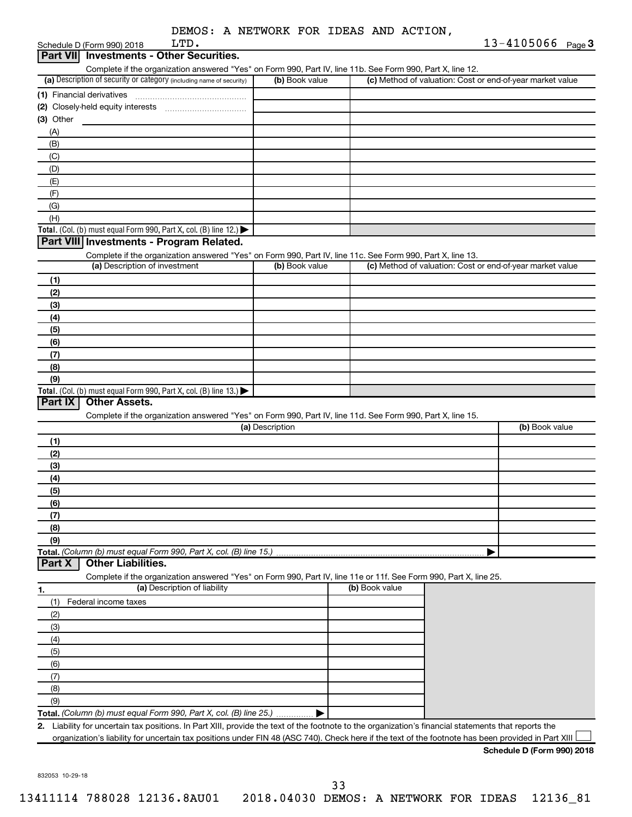| DEMOS: A NETWORK FOR IDEAS AND ACTION, |
|----------------------------------------|
|----------------------------------------|

| LTD.<br>Schedule D (Form 990) 2018                                                                                                                   |                 |                | $13 - 4105066$ Page 3                                     |
|------------------------------------------------------------------------------------------------------------------------------------------------------|-----------------|----------------|-----------------------------------------------------------|
| Part VII Investments - Other Securities.                                                                                                             |                 |                |                                                           |
| Complete if the organization answered "Yes" on Form 990, Part IV, line 11b. See Form 990, Part X, line 12.                                           |                 |                |                                                           |
| (a) Description of security or category (including name of security)                                                                                 | (b) Book value  |                | (c) Method of valuation: Cost or end-of-year market value |
| (1) Financial derivatives                                                                                                                            |                 |                |                                                           |
|                                                                                                                                                      |                 |                |                                                           |
| $(3)$ Other                                                                                                                                          |                 |                |                                                           |
| (A)                                                                                                                                                  |                 |                |                                                           |
| (B)                                                                                                                                                  |                 |                |                                                           |
| (C)<br>(D)                                                                                                                                           |                 |                |                                                           |
| (E)                                                                                                                                                  |                 |                |                                                           |
| (F)                                                                                                                                                  |                 |                |                                                           |
| (G)                                                                                                                                                  |                 |                |                                                           |
| (H)                                                                                                                                                  |                 |                |                                                           |
| Total. (Col. (b) must equal Form 990, Part X, col. (B) line 12.) $\blacktriangleright$                                                               |                 |                |                                                           |
| Part VIII Investments - Program Related.                                                                                                             |                 |                |                                                           |
| Complete if the organization answered "Yes" on Form 990, Part IV, line 11c. See Form 990, Part X, line 13.                                           |                 |                |                                                           |
| (a) Description of investment                                                                                                                        | (b) Book value  |                | (c) Method of valuation: Cost or end-of-year market value |
| (1)                                                                                                                                                  |                 |                |                                                           |
| (2)                                                                                                                                                  |                 |                |                                                           |
| (3)                                                                                                                                                  |                 |                |                                                           |
| (4)                                                                                                                                                  |                 |                |                                                           |
| (5)                                                                                                                                                  |                 |                |                                                           |
| (6)                                                                                                                                                  |                 |                |                                                           |
| (7)                                                                                                                                                  |                 |                |                                                           |
| (8)                                                                                                                                                  |                 |                |                                                           |
| (9)                                                                                                                                                  |                 |                |                                                           |
| Total. (Col. (b) must equal Form 990, Part X, col. (B) line 13.)                                                                                     |                 |                |                                                           |
| Part IX<br><b>Other Assets.</b>                                                                                                                      |                 |                |                                                           |
| Complete if the organization answered "Yes" on Form 990, Part IV, line 11d. See Form 990, Part X, line 15.                                           |                 |                |                                                           |
|                                                                                                                                                      | (a) Description |                | (b) Book value                                            |
| (1)                                                                                                                                                  |                 |                |                                                           |
| (2)                                                                                                                                                  |                 |                |                                                           |
| (3)                                                                                                                                                  |                 |                |                                                           |
| (4)                                                                                                                                                  |                 |                |                                                           |
| (5)                                                                                                                                                  |                 |                |                                                           |
| (6)                                                                                                                                                  |                 |                |                                                           |
| (7)                                                                                                                                                  |                 |                |                                                           |
| (8)<br>(9)                                                                                                                                           |                 |                |                                                           |
| Total. (Column (b) must equal Form 990, Part X, col. (B) line 15.)                                                                                   |                 |                |                                                           |
| <b>Other Liabilities.</b><br>Part X                                                                                                                  |                 |                |                                                           |
| Complete if the organization answered "Yes" on Form 990, Part IV, line 11e or 11f. See Form 990, Part X, line 25.                                    |                 |                |                                                           |
| (a) Description of liability<br>1.                                                                                                                   |                 | (b) Book value |                                                           |
| Federal income taxes<br>(1)                                                                                                                          |                 |                |                                                           |
| (2)                                                                                                                                                  |                 |                |                                                           |
| (3)                                                                                                                                                  |                 |                |                                                           |
| (4)                                                                                                                                                  |                 |                |                                                           |
| (5)                                                                                                                                                  |                 |                |                                                           |
| (6)                                                                                                                                                  |                 |                |                                                           |
| (7)                                                                                                                                                  |                 |                |                                                           |
| (8)                                                                                                                                                  |                 |                |                                                           |
| (9)                                                                                                                                                  |                 |                |                                                           |
| Total. (Column (b) must equal Form 990, Part X, col. (B) line 25.)                                                                                   |                 |                |                                                           |
| 2. Liability for uncertain tax positions. In Part XIII, provide the text of the footnote to the organization's financial statements that reports the |                 |                |                                                           |
| organization's liability for uncertain tax positions under FIN 48 (ASC 740). Check here if the text of the footnote has been provided in Part XIII   |                 |                |                                                           |
|                                                                                                                                                      |                 |                | Schedule D (Form 990) 2018                                |

832053 10-29-18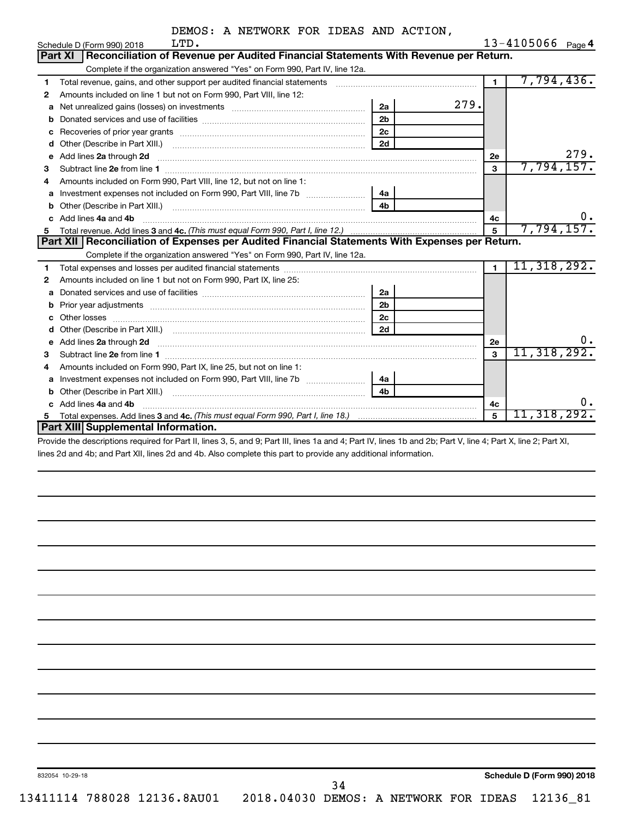|   | LTD.<br>Schedule D (Form 990) 2018                                                                                                                                                                                                   |                |      |                | $13 - 4105066$ Page 4 |      |
|---|--------------------------------------------------------------------------------------------------------------------------------------------------------------------------------------------------------------------------------------|----------------|------|----------------|-----------------------|------|
|   | Reconciliation of Revenue per Audited Financial Statements With Revenue per Return.<br><b>Part XI</b>                                                                                                                                |                |      |                |                       |      |
|   | Complete if the organization answered "Yes" on Form 990, Part IV, line 12a.                                                                                                                                                          |                |      |                |                       |      |
| 1 | Total revenue, gains, and other support per audited financial statements                                                                                                                                                             |                |      | $\blacksquare$ | 7,794,436.            |      |
| 2 | Amounts included on line 1 but not on Form 990, Part VIII, line 12:                                                                                                                                                                  |                |      |                |                       |      |
| a | Net unrealized gains (losses) on investments [111] [12] matter and all the unrealized gains (losses) on investments [11] matter and the unrealized gains (losses) on investments [11] matter and the unrealized gains (losses)       | 2a             | 279. |                |                       |      |
|   |                                                                                                                                                                                                                                      | 2 <sub>b</sub> |      |                |                       |      |
| c |                                                                                                                                                                                                                                      | 2 <sub>c</sub> |      |                |                       |      |
| d |                                                                                                                                                                                                                                      | 2d             |      |                |                       |      |
| e | Add lines 2a through 2d                                                                                                                                                                                                              |                |      | 2е             |                       | 279. |
| 3 |                                                                                                                                                                                                                                      |                |      | $\mathbf{3}$   | 7,794,157.            |      |
| 4 | Amounts included on Form 990, Part VIII, line 12, but not on line 1:                                                                                                                                                                 |                |      |                |                       |      |
|   |                                                                                                                                                                                                                                      |                |      |                |                       |      |
|   |                                                                                                                                                                                                                                      | 4 <sub>h</sub> |      |                |                       |      |
| c | Add lines 4a and 4b                                                                                                                                                                                                                  |                |      | 4c             |                       | υ.   |
|   |                                                                                                                                                                                                                                      |                |      | 5              | 7,794,157.            |      |
|   | Part XII   Reconciliation of Expenses per Audited Financial Statements With Expenses per Return.                                                                                                                                     |                |      |                |                       |      |
|   | Complete if the organization answered "Yes" on Form 990, Part IV, line 12a.                                                                                                                                                          |                |      |                |                       |      |
| 1 |                                                                                                                                                                                                                                      |                |      | $\blacksquare$ | 11, 318, 292.         |      |
| 2 | Amounts included on line 1 but not on Form 990, Part IX, line 25:                                                                                                                                                                    |                |      |                |                       |      |
| a |                                                                                                                                                                                                                                      | 2a             |      |                |                       |      |
| b |                                                                                                                                                                                                                                      | 2 <sub>b</sub> |      |                |                       |      |
|   |                                                                                                                                                                                                                                      | 2c             |      |                |                       |      |
| d |                                                                                                                                                                                                                                      | 2d             |      |                |                       |      |
| е | Add lines 2a through 2d <b>continuum continuum contract and all the contract of the contract of the contract of the contract of the contract of the contract of the contract of the contract of the contract of the contract of </b> |                |      | 2е             |                       | 0.   |
| з |                                                                                                                                                                                                                                      |                |      | 3              | 11, 318, 292.         |      |
| 4 | Amounts included on Form 990, Part IX, line 25, but not on line 1:                                                                                                                                                                   |                |      |                |                       |      |
| a |                                                                                                                                                                                                                                      | 4a l           |      |                |                       |      |
| b | Other (Describe in Part XIII.)                                                                                                                                                                                                       | 4 <sub>h</sub> |      |                |                       |      |
| c | Add lines 4a and 4b                                                                                                                                                                                                                  |                |      | 4c             |                       | ο.   |
|   |                                                                                                                                                                                                                                      |                |      | 5              | 11,318,292.           |      |
|   | Part XIII Supplemental Information.                                                                                                                                                                                                  |                |      |                |                       |      |
|   |                                                                                                                                                                                                                                      |                |      |                |                       |      |

Provide the descriptions required for Part II, lines 3, 5, and 9; Part III, lines 1a and 4; Part IV, lines 1b and 2b; Part V, line 4; Part X, line 2; Part XI, lines 2d and 4b; and Part XII, lines 2d and 4b. Also complete this part to provide any additional information.

832054 10-29-18

**Schedule D (Form 990) 2018**

34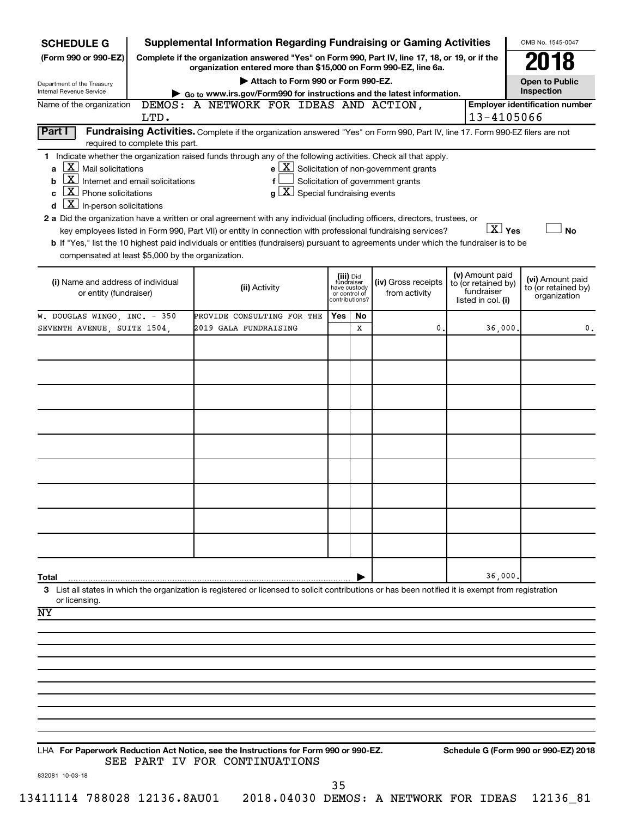| <b>SCHEDULE G</b>                                                                                      |                                  | <b>Supplemental Information Regarding Fundraising or Gaming Activities</b>                                                                                                                                                                           |               |                                                           |                                                                                            |                                                                            | OMB No. 1545-0047                                       |
|--------------------------------------------------------------------------------------------------------|----------------------------------|------------------------------------------------------------------------------------------------------------------------------------------------------------------------------------------------------------------------------------------------------|---------------|-----------------------------------------------------------|--------------------------------------------------------------------------------------------|----------------------------------------------------------------------------|---------------------------------------------------------|
| (Form 990 or 990-EZ)                                                                                   |                                  | Complete if the organization answered "Yes" on Form 990, Part IV, line 17, 18, or 19, or if the<br>organization entered more than \$15,000 on Form 990-EZ, line 6a.                                                                                  |               |                                                           |                                                                                            |                                                                            |                                                         |
| Department of the Treasury<br><b>Internal Revenue Service</b>                                          |                                  | Attach to Form 990 or Form 990-EZ.                                                                                                                                                                                                                   |               |                                                           |                                                                                            |                                                                            | <b>Open to Public</b><br>Inspection                     |
| Name of the organization                                                                               |                                  | Go to www.irs.gov/Form990 for instructions and the latest information.<br>DEMOS: A NETWORK FOR IDEAS AND ACTION,                                                                                                                                     |               |                                                           |                                                                                            |                                                                            | <b>Employer identification number</b>                   |
|                                                                                                        | LTD.                             |                                                                                                                                                                                                                                                      |               |                                                           |                                                                                            | 13-4105066                                                                 |                                                         |
| Part I                                                                                                 |                                  | Fundraising Activities. Complete if the organization answered "Yes" on Form 990, Part IV, line 17. Form 990-EZ filers are not                                                                                                                        |               |                                                           |                                                                                            |                                                                            |                                                         |
|                                                                                                        | required to complete this part.  | 1 Indicate whether the organization raised funds through any of the following activities. Check all that apply.                                                                                                                                      |               |                                                           |                                                                                            |                                                                            |                                                         |
| X  <br>Mail solicitations<br>a<br>$\mathbf{X}$<br>b<br>$\lfloor x \rfloor$<br>Phone solicitations<br>c | Internet and email solicitations | f<br>$g\mid X$ Special fundraising events                                                                                                                                                                                                            |               |                                                           | $e$ $\boxed{X}$ Solicitation of non-government grants<br>Solicitation of government grants |                                                                            |                                                         |
| $\boxed{\textbf{X}}$ In-person solicitations<br>d                                                      |                                  | 2 a Did the organization have a written or oral agreement with any individual (including officers, directors, trustees, or                                                                                                                           |               |                                                           |                                                                                            |                                                                            |                                                         |
| compensated at least \$5,000 by the organization.                                                      |                                  | key employees listed in Form 990, Part VII) or entity in connection with professional fundraising services?<br>b If "Yes," list the 10 highest paid individuals or entities (fundraisers) pursuant to agreements under which the fundraiser is to be |               |                                                           |                                                                                            | $\boxed{\text{X}}$ Yes                                                     | <b>No</b>                                               |
| (i) Name and address of individual<br>or entity (fundraiser)                                           |                                  | (ii) Activity                                                                                                                                                                                                                                        | or control of | (iii) Did<br>fundraiser<br>have custody<br>contributions? | (iv) Gross receipts<br>from activity                                                       | (v) Amount paid<br>to (or retained by)<br>fundraiser<br>listed in col. (i) | (vi) Amount paid<br>to (or retained by)<br>organization |
| W. DOUGLAS WINGO, INC. - 350                                                                           |                                  | PROVIDE CONSULTING FOR THE                                                                                                                                                                                                                           | Yes           | No                                                        |                                                                                            |                                                                            |                                                         |
| SEVENTH AVENUE, SUITE 1504,                                                                            |                                  | 2019 GALA FUNDRAISING                                                                                                                                                                                                                                |               | X                                                         | 0                                                                                          | 36,000                                                                     | 0.                                                      |
|                                                                                                        |                                  |                                                                                                                                                                                                                                                      |               |                                                           |                                                                                            |                                                                            |                                                         |
|                                                                                                        |                                  |                                                                                                                                                                                                                                                      |               |                                                           |                                                                                            |                                                                            |                                                         |
|                                                                                                        |                                  |                                                                                                                                                                                                                                                      |               |                                                           |                                                                                            |                                                                            |                                                         |
|                                                                                                        |                                  |                                                                                                                                                                                                                                                      |               |                                                           |                                                                                            |                                                                            |                                                         |
|                                                                                                        |                                  |                                                                                                                                                                                                                                                      |               |                                                           |                                                                                            |                                                                            |                                                         |
|                                                                                                        |                                  |                                                                                                                                                                                                                                                      |               |                                                           |                                                                                            |                                                                            |                                                         |
|                                                                                                        |                                  |                                                                                                                                                                                                                                                      |               |                                                           |                                                                                            |                                                                            |                                                         |
|                                                                                                        |                                  |                                                                                                                                                                                                                                                      |               |                                                           |                                                                                            |                                                                            |                                                         |
|                                                                                                        |                                  |                                                                                                                                                                                                                                                      |               |                                                           |                                                                                            |                                                                            |                                                         |
|                                                                                                        |                                  |                                                                                                                                                                                                                                                      |               |                                                           |                                                                                            |                                                                            |                                                         |
|                                                                                                        |                                  |                                                                                                                                                                                                                                                      |               |                                                           |                                                                                            |                                                                            |                                                         |
|                                                                                                        |                                  |                                                                                                                                                                                                                                                      |               |                                                           |                                                                                            |                                                                            |                                                         |
|                                                                                                        |                                  |                                                                                                                                                                                                                                                      |               |                                                           |                                                                                            |                                                                            |                                                         |
|                                                                                                        |                                  |                                                                                                                                                                                                                                                      |               |                                                           |                                                                                            |                                                                            |                                                         |
| Total                                                                                                  |                                  |                                                                                                                                                                                                                                                      |               |                                                           |                                                                                            | 36,000                                                                     |                                                         |
| or licensing.                                                                                          |                                  | 3 List all states in which the organization is registered or licensed to solicit contributions or has been notified it is exempt from registration                                                                                                   |               |                                                           |                                                                                            |                                                                            |                                                         |
| ΝY                                                                                                     |                                  |                                                                                                                                                                                                                                                      |               |                                                           |                                                                                            |                                                                            |                                                         |
|                                                                                                        |                                  |                                                                                                                                                                                                                                                      |               |                                                           |                                                                                            |                                                                            |                                                         |
|                                                                                                        |                                  |                                                                                                                                                                                                                                                      |               |                                                           |                                                                                            |                                                                            |                                                         |
|                                                                                                        |                                  |                                                                                                                                                                                                                                                      |               |                                                           |                                                                                            |                                                                            |                                                         |
|                                                                                                        |                                  |                                                                                                                                                                                                                                                      |               |                                                           |                                                                                            |                                                                            |                                                         |
|                                                                                                        |                                  |                                                                                                                                                                                                                                                      |               |                                                           |                                                                                            |                                                                            |                                                         |
|                                                                                                        |                                  |                                                                                                                                                                                                                                                      |               |                                                           |                                                                                            |                                                                            |                                                         |
|                                                                                                        |                                  |                                                                                                                                                                                                                                                      |               |                                                           |                                                                                            |                                                                            |                                                         |
|                                                                                                        |                                  |                                                                                                                                                                                                                                                      |               |                                                           |                                                                                            |                                                                            |                                                         |
|                                                                                                        |                                  | LHA For Paperwork Reduction Act Notice, see the Instructions for Form 990 or 990-EZ.<br>SEE PART IV FOR CONTINUATIONS                                                                                                                                |               |                                                           |                                                                                            |                                                                            | Schedule G (Form 990 or 990-EZ) 2018                    |
| 832081 10-03-18                                                                                        |                                  |                                                                                                                                                                                                                                                      |               |                                                           |                                                                                            |                                                                            |                                                         |
|                                                                                                        |                                  |                                                                                                                                                                                                                                                      | 35            |                                                           |                                                                                            |                                                                            |                                                         |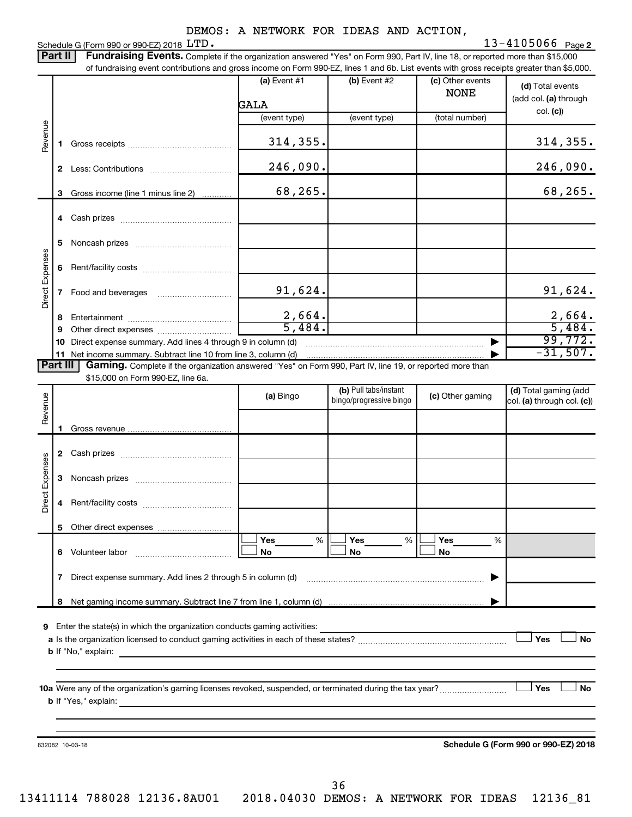**2** LTD. 13-4105066 Schedule G (Form 990 or 990-EZ) 2018  $\text{LTD}$ .

Part II | Fundraising Events. Complete if the organization answered "Yes" on Form 990, Part IV, line 18, or reported more than \$15,000

| Revenue<br>1.<br>3   |                                                                                                                                                     | $(a)$ Event #1 |                                                  |                                 |                                                     |
|----------------------|-----------------------------------------------------------------------------------------------------------------------------------------------------|----------------|--------------------------------------------------|---------------------------------|-----------------------------------------------------|
|                      |                                                                                                                                                     |                | (b) Event #2                                     | (c) Other events<br><b>NONE</b> | (d) Total events<br>(add col. (a) through           |
|                      |                                                                                                                                                     | GALA           |                                                  |                                 | col. (c)                                            |
|                      |                                                                                                                                                     | (event type)   | (event type)                                     | (total number)                  |                                                     |
|                      |                                                                                                                                                     | 314,355.       |                                                  |                                 | 314, 355.                                           |
|                      |                                                                                                                                                     | 246,090.       |                                                  |                                 | 246,090.                                            |
|                      | Gross income (line 1 minus line 2)                                                                                                                  | 68,265.        |                                                  |                                 | 68,265.                                             |
| 4                    |                                                                                                                                                     |                |                                                  |                                 |                                                     |
| 5                    |                                                                                                                                                     |                |                                                  |                                 |                                                     |
| Direct Expenses<br>6 |                                                                                                                                                     |                |                                                  |                                 |                                                     |
| 7                    |                                                                                                                                                     | 91,624.        |                                                  |                                 | 91,624.                                             |
| 8                    |                                                                                                                                                     | 2,664.         |                                                  |                                 |                                                     |
| 9                    |                                                                                                                                                     | 5,484.         |                                                  |                                 | $\frac{2,664}{5,484}$ .                             |
| 10                   | Direct expense summary. Add lines 4 through 9 in column (d)                                                                                         |                |                                                  |                                 | 99,772.                                             |
|                      | 11 Net income summary. Subtract line 10 from line 3, column (d)                                                                                     |                |                                                  |                                 | $-31,507.$                                          |
| <b>Part III</b>      | Gaming. Complete if the organization answered "Yes" on Form 990, Part IV, line 19, or reported more than                                            |                |                                                  |                                 |                                                     |
|                      | \$15,000 on Form 990-EZ, line 6a.                                                                                                                   |                |                                                  |                                 |                                                     |
|                      |                                                                                                                                                     | (a) Bingo      | (b) Pull tabs/instant<br>bingo/progressive bingo | (c) Other gaming                | (d) Total gaming (add<br>col. (a) through col. (c)) |
| Revenue              |                                                                                                                                                     |                |                                                  |                                 |                                                     |
| 1.                   |                                                                                                                                                     |                |                                                  |                                 |                                                     |
|                      |                                                                                                                                                     |                |                                                  |                                 |                                                     |
| $\mathbf{2}$         |                                                                                                                                                     |                |                                                  |                                 |                                                     |
| Direct Expenses<br>3 |                                                                                                                                                     |                |                                                  |                                 |                                                     |
| 4                    |                                                                                                                                                     |                |                                                  |                                 |                                                     |
|                      |                                                                                                                                                     |                |                                                  |                                 |                                                     |
|                      |                                                                                                                                                     | %<br>Yes       | %<br>Yes                                         | Yes<br>%                        |                                                     |
|                      | Volunteer labor                                                                                                                                     | No             | No                                               | No                              |                                                     |
| 6.                   | Direct expense summary. Add lines 2 through 5 in column (d)                                                                                         |                |                                                  |                                 |                                                     |
| 7                    |                                                                                                                                                     |                |                                                  |                                 |                                                     |
|                      |                                                                                                                                                     |                |                                                  |                                 |                                                     |
|                      |                                                                                                                                                     |                |                                                  |                                 |                                                     |
| 9                    | Enter the state(s) in which the organization conducts gaming activities:                                                                            |                |                                                  |                                 |                                                     |
|                      |                                                                                                                                                     |                |                                                  |                                 | Yes<br><b>No</b>                                    |
|                      | <b>b</b> If "No," explain:<br><u> 1989 - Johann Stoff, deutscher Stoff, der Stoff, der Stoff, der Stoff, der Stoff, der Stoff, der Stoff, der S</u> |                |                                                  |                                 |                                                     |
|                      |                                                                                                                                                     |                |                                                  |                                 |                                                     |
|                      | 10a Were any of the organization's gaming licenses revoked, suspended, or terminated during the tax year?                                           |                |                                                  |                                 | Yes<br>No                                           |
|                      |                                                                                                                                                     |                |                                                  |                                 |                                                     |
|                      |                                                                                                                                                     |                |                                                  |                                 |                                                     |
|                      |                                                                                                                                                     |                |                                                  |                                 |                                                     |
| 832082 10-03-18      |                                                                                                                                                     |                |                                                  |                                 | Schedule G (Form 990 or 990-EZ) 2018                |
|                      |                                                                                                                                                     |                |                                                  |                                 |                                                     |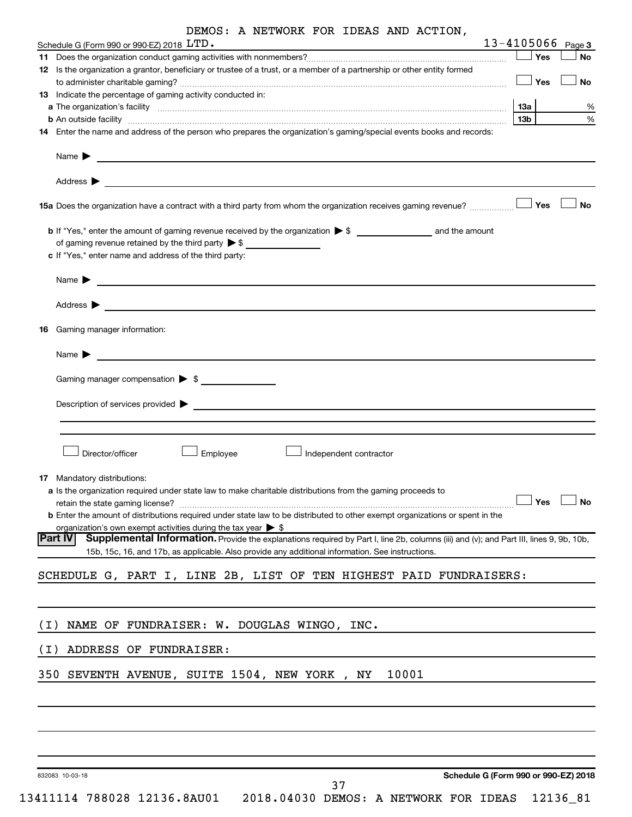|       | DEMOS: A NEIWOKK FOK IDEAS AND ACIION,<br>Schedule G (Form 990 or 990-EZ) 2018 LTD.<br><u> 1989 - Johann Stoff, Amerikaansk politiker († 1908)</u>                                                                                                                                                                                                                |                 |     | 13-4105066 Page 3 |
|-------|-------------------------------------------------------------------------------------------------------------------------------------------------------------------------------------------------------------------------------------------------------------------------------------------------------------------------------------------------------------------|-----------------|-----|-------------------|
|       |                                                                                                                                                                                                                                                                                                                                                                   | $\Box$ Yes      |     | No                |
|       | 12 Is the organization a grantor, beneficiary or trustee of a trust, or a member of a partnership or other entity formed                                                                                                                                                                                                                                          | $\Box$ Yes      |     | <b>No</b>         |
|       | 13 Indicate the percentage of gaming activity conducted in:                                                                                                                                                                                                                                                                                                       |                 |     |                   |
|       |                                                                                                                                                                                                                                                                                                                                                                   | 13a             |     | %                 |
|       | <b>b</b> An outside facility <b>contained and the contract of the contract of the contract of the contract of the contract of the contract of the contract of the contract of the contract of the contract of the contract of the con</b><br>14 Enter the name and address of the person who prepares the organization's gaming/special events books and records: | 13 <sub>b</sub> |     | $\%$              |
|       |                                                                                                                                                                                                                                                                                                                                                                   |                 |     |                   |
|       | Name $\blacktriangleright$<br><u> 1989 - Andrea Stadt Brandenburg, amerikansk fotballspiller (</u>                                                                                                                                                                                                                                                                |                 |     |                   |
|       | Address $\blacktriangleright$                                                                                                                                                                                                                                                                                                                                     |                 |     |                   |
|       | 15a Does the organization have a contract with a third party from whom the organization receives gaming revenue?                                                                                                                                                                                                                                                  |                 | Yes | <b>No</b>         |
|       |                                                                                                                                                                                                                                                                                                                                                                   |                 |     |                   |
|       |                                                                                                                                                                                                                                                                                                                                                                   |                 |     |                   |
|       | c If "Yes," enter name and address of the third party:                                                                                                                                                                                                                                                                                                            |                 |     |                   |
|       | Name $\blacktriangleright$<br><u> 1980 - Jan Samuel Barbara, martin di shekara 1980 - André a Samuel Barbara, mashrida a shekara 1980 - André a</u>                                                                                                                                                                                                               |                 |     |                   |
|       | Address $\blacktriangleright$                                                                                                                                                                                                                                                                                                                                     |                 |     |                   |
|       | 16 Gaming manager information:                                                                                                                                                                                                                                                                                                                                    |                 |     |                   |
|       | Name $\blacktriangleright$                                                                                                                                                                                                                                                                                                                                        |                 |     |                   |
|       | Gaming manager compensation > \$                                                                                                                                                                                                                                                                                                                                  |                 |     |                   |
|       | Description of services provided ▶                                                                                                                                                                                                                                                                                                                                |                 |     |                   |
|       |                                                                                                                                                                                                                                                                                                                                                                   |                 |     |                   |
|       |                                                                                                                                                                                                                                                                                                                                                                   |                 |     |                   |
|       | Director/officer<br>Employee<br>Independent contractor                                                                                                                                                                                                                                                                                                            |                 |     |                   |
|       | 17 Mandatory distributions:                                                                                                                                                                                                                                                                                                                                       |                 |     |                   |
|       | a Is the organization required under state law to make charitable distributions from the gaming proceeds to                                                                                                                                                                                                                                                       |                 |     |                   |
|       | <b>b</b> Enter the amount of distributions required under state law to be distributed to other exempt organizations or spent in the                                                                                                                                                                                                                               |                 | Yes | No                |
|       | organization's own exempt activities during the tax year $\triangleright$ \$                                                                                                                                                                                                                                                                                      |                 |     |                   |
|       | <b>Part IV</b><br>Supplemental Information. Provide the explanations required by Part I, line 2b, columns (iii) and (v); and Part III, lines 9, 9b, 10b,                                                                                                                                                                                                          |                 |     |                   |
|       | 15b, 15c, 16, and 17b, as applicable. Also provide any additional information. See instructions.                                                                                                                                                                                                                                                                  |                 |     |                   |
|       | SCHEDULE G, PART I, LINE 2B, LIST OF TEN HIGHEST PAID FUNDRAISERS:                                                                                                                                                                                                                                                                                                |                 |     |                   |
|       |                                                                                                                                                                                                                                                                                                                                                                   |                 |     |                   |
| ( I ) | NAME OF FUNDRAISER: W. DOUGLAS WINGO, INC.                                                                                                                                                                                                                                                                                                                        |                 |     |                   |
| ( I ) | ADDRESS OF FUNDRAISER:                                                                                                                                                                                                                                                                                                                                            |                 |     |                   |
|       |                                                                                                                                                                                                                                                                                                                                                                   |                 |     |                   |
| 350   | 10001<br>SEVENTH AVENUE, SUITE 1504, NEW YORK, NY                                                                                                                                                                                                                                                                                                                 |                 |     |                   |
|       |                                                                                                                                                                                                                                                                                                                                                                   |                 |     |                   |
|       |                                                                                                                                                                                                                                                                                                                                                                   |                 |     |                   |
|       |                                                                                                                                                                                                                                                                                                                                                                   |                 |     |                   |
|       | Schedule G (Form 990 or 990-EZ) 2018                                                                                                                                                                                                                                                                                                                              |                 |     |                   |
|       | 832083 10-03-18<br>37                                                                                                                                                                                                                                                                                                                                             |                 |     |                   |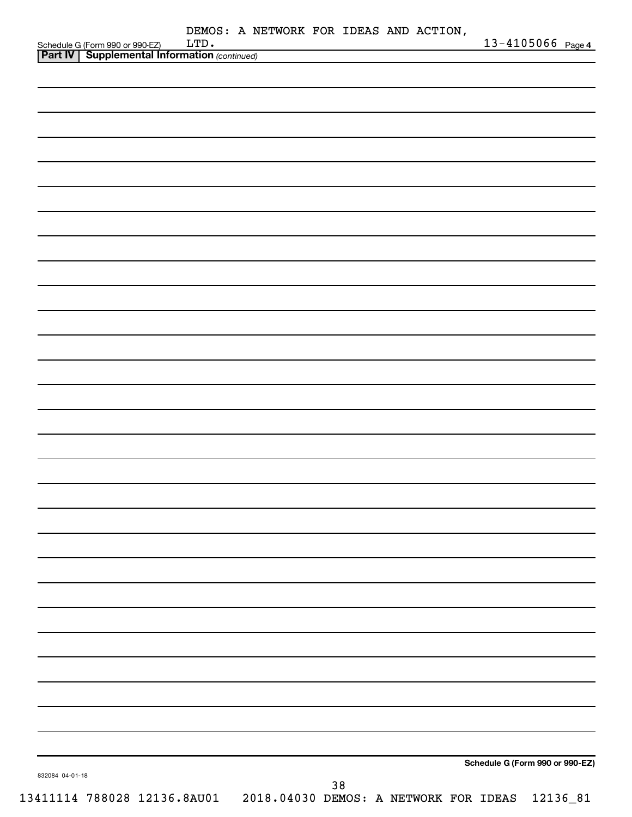|                 |                                                                                               | $_{\rm LTD}$ . | DEMOS: A NETWORK FOR IDEAS AND ACTION, |    |  | 13-4105066 Page 4               |
|-----------------|-----------------------------------------------------------------------------------------------|----------------|----------------------------------------|----|--|---------------------------------|
|                 | Schedule G (Form 990 or 990-EZ) LTD.<br><b>Part IV   Supplemental Information</b> (continued) |                |                                        |    |  |                                 |
|                 |                                                                                               |                |                                        |    |  |                                 |
|                 |                                                                                               |                |                                        |    |  |                                 |
|                 |                                                                                               |                |                                        |    |  |                                 |
|                 |                                                                                               |                |                                        |    |  |                                 |
|                 |                                                                                               |                |                                        |    |  |                                 |
|                 |                                                                                               |                |                                        |    |  |                                 |
|                 |                                                                                               |                |                                        |    |  |                                 |
|                 |                                                                                               |                |                                        |    |  |                                 |
|                 |                                                                                               |                |                                        |    |  |                                 |
|                 |                                                                                               |                |                                        |    |  |                                 |
|                 |                                                                                               |                |                                        |    |  |                                 |
|                 |                                                                                               |                |                                        |    |  |                                 |
|                 |                                                                                               |                |                                        |    |  |                                 |
|                 |                                                                                               |                |                                        |    |  |                                 |
|                 |                                                                                               |                |                                        |    |  |                                 |
|                 |                                                                                               |                |                                        |    |  |                                 |
|                 |                                                                                               |                |                                        |    |  |                                 |
|                 |                                                                                               |                |                                        |    |  |                                 |
|                 |                                                                                               |                |                                        |    |  |                                 |
|                 |                                                                                               |                |                                        |    |  |                                 |
|                 |                                                                                               |                |                                        |    |  |                                 |
|                 |                                                                                               |                |                                        |    |  |                                 |
|                 |                                                                                               |                |                                        |    |  |                                 |
|                 |                                                                                               |                |                                        |    |  |                                 |
|                 |                                                                                               |                |                                        |    |  |                                 |
|                 |                                                                                               |                |                                        |    |  |                                 |
|                 |                                                                                               |                |                                        |    |  |                                 |
|                 |                                                                                               |                |                                        |    |  |                                 |
|                 |                                                                                               |                |                                        |    |  |                                 |
|                 |                                                                                               |                |                                        |    |  |                                 |
|                 |                                                                                               |                |                                        |    |  |                                 |
|                 |                                                                                               |                |                                        |    |  |                                 |
|                 |                                                                                               |                |                                        |    |  |                                 |
|                 |                                                                                               |                |                                        |    |  |                                 |
|                 |                                                                                               |                |                                        |    |  |                                 |
|                 |                                                                                               |                |                                        |    |  |                                 |
|                 |                                                                                               |                |                                        |    |  |                                 |
|                 |                                                                                               |                |                                        |    |  |                                 |
|                 |                                                                                               |                |                                        |    |  |                                 |
|                 |                                                                                               |                |                                        |    |  |                                 |
| 832084 04-01-18 |                                                                                               |                |                                        |    |  | Schedule G (Form 990 or 990-EZ) |
|                 |                                                                                               |                |                                        | 38 |  |                                 |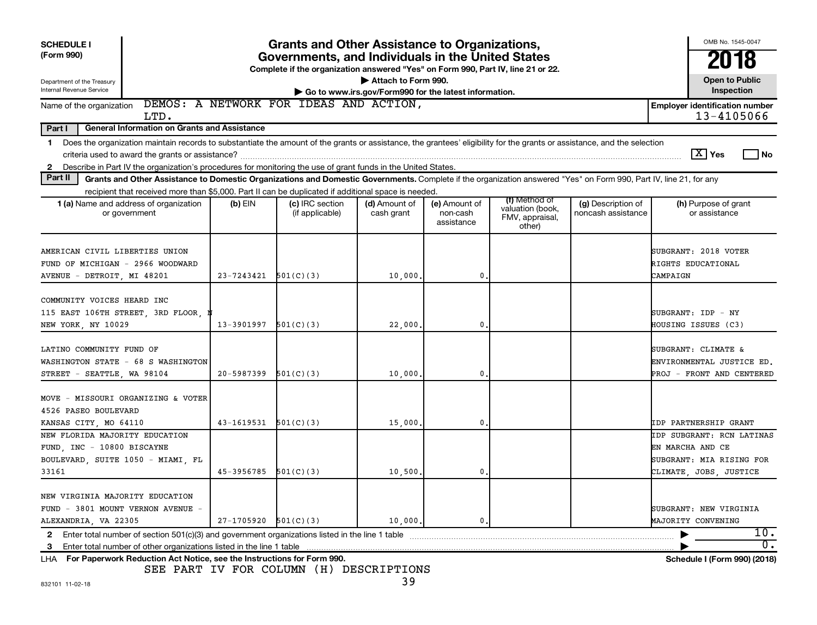| <b>SCHEDULE I</b><br>(Form 990)<br>Department of the Treasury                                                                                                                                                     |                          | <b>Grants and Other Assistance to Organizations,</b><br>Governments, and Individuals in the United States<br>Complete if the organization answered "Yes" on Form 990, Part IV, line 21 or 22. | Attach to Form 990.                                   |                                         |                                                                |                                          | OMB No. 1545-0047<br>2018<br><b>Open to Public</b>                                                         |
|-------------------------------------------------------------------------------------------------------------------------------------------------------------------------------------------------------------------|--------------------------|-----------------------------------------------------------------------------------------------------------------------------------------------------------------------------------------------|-------------------------------------------------------|-----------------------------------------|----------------------------------------------------------------|------------------------------------------|------------------------------------------------------------------------------------------------------------|
| Internal Revenue Service                                                                                                                                                                                          |                          |                                                                                                                                                                                               | Go to www.irs.gov/Form990 for the latest information. |                                         |                                                                |                                          | Inspection                                                                                                 |
| Name of the organization<br>LTD.                                                                                                                                                                                  |                          | DEMOS: A NETWORK FOR IDEAS AND ACTION,                                                                                                                                                        |                                                       |                                         |                                                                |                                          | <b>Employer identification number</b><br>13-4105066                                                        |
| <b>General Information on Grants and Assistance</b><br>Part I                                                                                                                                                     |                          |                                                                                                                                                                                               |                                                       |                                         |                                                                |                                          |                                                                                                            |
| 1 Does the organization maintain records to substantiate the amount of the grants or assistance, the grantees' eligibility for the grants or assistance, and the selection                                        |                          |                                                                                                                                                                                               |                                                       |                                         |                                                                |                                          |                                                                                                            |
|                                                                                                                                                                                                                   |                          |                                                                                                                                                                                               |                                                       |                                         |                                                                |                                          | $\boxed{\text{X}}$ Yes<br>l No                                                                             |
| Describe in Part IV the organization's procedures for monitoring the use of grant funds in the United States.<br>2                                                                                                |                          |                                                                                                                                                                                               |                                                       |                                         |                                                                |                                          |                                                                                                            |
| Part II<br>Grants and Other Assistance to Domestic Organizations and Domestic Governments. Complete if the organization answered "Yes" on Form 990, Part IV, line 21, for any                                     |                          |                                                                                                                                                                                               |                                                       |                                         |                                                                |                                          |                                                                                                            |
| recipient that received more than \$5,000. Part II can be duplicated if additional space is needed.                                                                                                               |                          |                                                                                                                                                                                               |                                                       |                                         |                                                                |                                          |                                                                                                            |
| <b>1 (a)</b> Name and address of organization<br>or government                                                                                                                                                    | $(b)$ EIN                | (c) IRC section<br>(if applicable)                                                                                                                                                            | (d) Amount of<br>cash grant                           | (e) Amount of<br>non-cash<br>assistance | (f) Method of<br>valuation (book,<br>FMV, appraisal,<br>other) | (g) Description of<br>noncash assistance | (h) Purpose of grant<br>or assistance                                                                      |
| AMERICAN CIVIL LIBERTIES UNION<br>FUND OF MICHIGAN - 2966 WOODWARD<br>AVENUE - DETROIT, MI 48201                                                                                                                  | 23-7243421               | 501(C)(3)                                                                                                                                                                                     | 10,000                                                | 0                                       |                                                                |                                          | SUBGRANT: 2018 VOTER<br>RIGHTS EDUCATIONAL<br>CAMPAIGN                                                     |
| COMMUNITY VOICES HEARD INC<br>115 EAST 106TH STREET, 3RD FLOOR,<br>NEW YORK, NY 10029                                                                                                                             | 13-3901997               | 501(C)(3)                                                                                                                                                                                     | 22,000                                                | 0                                       |                                                                |                                          | SUBGRANT: IDP - NY<br>HOUSING ISSUES (C3)                                                                  |
| LATINO COMMUNITY FUND OF<br>WASHINGTON STATE - 68 S WASHINGTON<br>STREET - SEATTLE, WA 98104                                                                                                                      | 20-5987399               | 501(C)(3)                                                                                                                                                                                     | 10,000                                                | $\mathbf{0}$                            |                                                                |                                          | SUBGRANT: CLIMATE &<br>ENVIRONMENTAL JUSTICE ED.<br>PROJ - FRONT AND CENTERED                              |
| MOVE - MISSOURI ORGANIZING & VOTER<br>4526 PASEO BOULEVARD<br>KANSAS CITY, MO 64110                                                                                                                               | $43-1619531$ $501(C)(3)$ |                                                                                                                                                                                               | 15,000                                                | $\mathbf 0$ .                           |                                                                |                                          | <b>IDP PARTNERSHIP GRANT</b>                                                                               |
| NEW FLORIDA MAJORITY EDUCATION<br>FUND, INC - 10800 BISCAYNE<br>BOULEVARD, SUITE 1050 - MIAMI, FL<br>33161                                                                                                        | 45-3956785               | 501(C)(3)                                                                                                                                                                                     | 10,500                                                | $\mathbf{0}$                            |                                                                |                                          | <b>IDP SUBGRANT: RCN LATINAS</b><br>EN MARCHA AND CE<br>SUBGRANT: MIA RISING FOR<br>CLIMATE, JOBS, JUSTICE |
| NEW VIRGINIA MAJORITY EDUCATION<br>FUND - 3801 MOUNT VERNON AVENUE -<br>ALEXANDRIA, VA 22305<br>Enter total number of section $501(c)(3)$ and government organizations listed in the line 1 table<br>$\mathbf{2}$ | 27-1705920               | 501(C)(3)                                                                                                                                                                                     | 10,000.                                               | $\mathbf{0}$ .                          |                                                                |                                          | SUBGRANT: NEW VIRGINIA<br>MAJORITY CONVENING<br>10.                                                        |
| Enter total number of other organizations listed in the line 1 table<br>3                                                                                                                                         |                          |                                                                                                                                                                                               |                                                       |                                         |                                                                |                                          | 0.                                                                                                         |
| LHA For Paperwork Reduction Act Notice, see the Instructions for Form 990.                                                                                                                                        |                          |                                                                                                                                                                                               |                                                       |                                         |                                                                |                                          | Schedule I (Form 990) (2018)                                                                               |

SEE PART IV FOR COLUMN (H) DESCRIPTIONS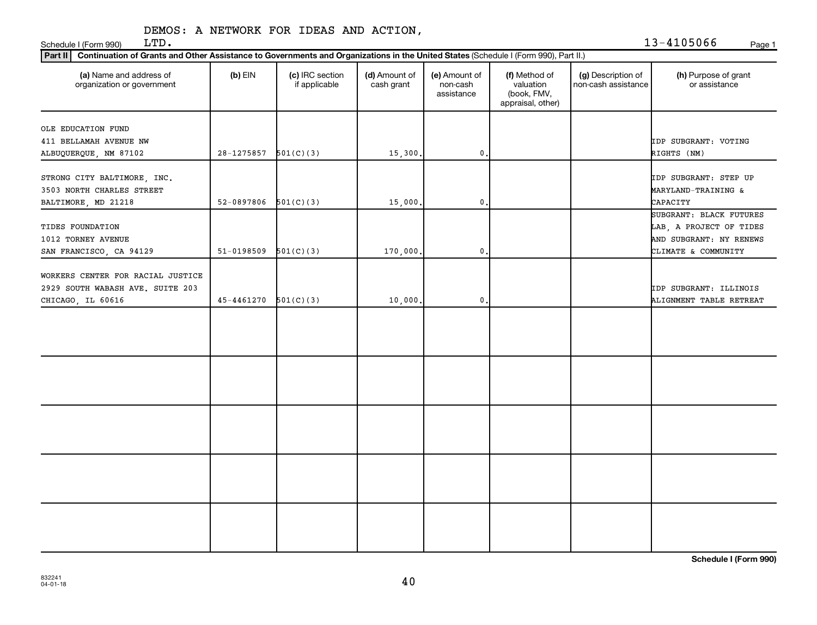| Part II Continuation of Grants and Other Assistance to Governments and Organizations in the United States (Schedule I (Form 990), Part II.) |                          |                                  |                             |                                         |                                                                |                                           |                                       |
|---------------------------------------------------------------------------------------------------------------------------------------------|--------------------------|----------------------------------|-----------------------------|-----------------------------------------|----------------------------------------------------------------|-------------------------------------------|---------------------------------------|
| (a) Name and address of<br>organization or government                                                                                       | $(b)$ EIN                | (c) IRC section<br>if applicable | (d) Amount of<br>cash grant | (e) Amount of<br>non-cash<br>assistance | (f) Method of<br>valuation<br>(book, FMV,<br>appraisal, other) | (g) Description of<br>non-cash assistance | (h) Purpose of grant<br>or assistance |
| OLE EDUCATION FUND                                                                                                                          |                          |                                  |                             |                                         |                                                                |                                           |                                       |
| 411 BELLAMAH AVENUE NW                                                                                                                      |                          |                                  |                             |                                         |                                                                |                                           | <b>IDP SUBGRANT: VOTING</b>           |
| ALBUQUERQUE, NM 87102                                                                                                                       | $28-1275857$ $501(C)(3)$ |                                  | 15,300.                     | $\mathbf{0}$                            |                                                                |                                           | RIGHTS (NM)                           |
|                                                                                                                                             |                          |                                  |                             |                                         |                                                                |                                           |                                       |
| STRONG CITY BALTIMORE, INC.                                                                                                                 |                          |                                  |                             |                                         |                                                                |                                           | <b>IDP SUBGRANT: STEP UP</b>          |
| 3503 NORTH CHARLES STREET                                                                                                                   |                          |                                  |                             |                                         |                                                                |                                           | MARYLAND-TRAINING &                   |
| BALTIMORE, MD 21218                                                                                                                         | 52-0897806               | 501(C)(3)                        | 15,000.                     | 0                                       |                                                                |                                           | CAPACITY                              |
|                                                                                                                                             |                          |                                  |                             |                                         |                                                                |                                           | SUBGRANT: BLACK FUTURES               |
| TIDES FOUNDATION                                                                                                                            |                          |                                  |                             |                                         |                                                                |                                           | LAB, A PROJECT OF TIDES               |
| 1012 TORNEY AVENUE                                                                                                                          |                          |                                  |                             |                                         |                                                                |                                           | AND SUBGRANT: NY RENEWS               |
| SAN FRANCISCO, CA 94129                                                                                                                     | 51-0198509               | 501(C)(3)                        | 170,000.                    | 0                                       |                                                                |                                           | CLIMATE & COMMUNITY                   |
|                                                                                                                                             |                          |                                  |                             |                                         |                                                                |                                           |                                       |
| WORKERS CENTER FOR RACIAL JUSTICE                                                                                                           |                          |                                  |                             |                                         |                                                                |                                           |                                       |
| 2929 SOUTH WABASH AVE. SUITE 203                                                                                                            |                          |                                  |                             |                                         |                                                                |                                           | IDP SUBGRANT: ILLINOIS                |
| CHICAGO, IL 60616                                                                                                                           | 45-4461270               | 501(C)(3)                        | 10,000.                     | $\mathbf{0}$                            |                                                                |                                           | ALIGNMENT TABLE RETREAT               |
|                                                                                                                                             |                          |                                  |                             |                                         |                                                                |                                           |                                       |
|                                                                                                                                             |                          |                                  |                             |                                         |                                                                |                                           |                                       |
|                                                                                                                                             |                          |                                  |                             |                                         |                                                                |                                           |                                       |
|                                                                                                                                             |                          |                                  |                             |                                         |                                                                |                                           |                                       |
|                                                                                                                                             |                          |                                  |                             |                                         |                                                                |                                           |                                       |
|                                                                                                                                             |                          |                                  |                             |                                         |                                                                |                                           |                                       |
|                                                                                                                                             |                          |                                  |                             |                                         |                                                                |                                           |                                       |
|                                                                                                                                             |                          |                                  |                             |                                         |                                                                |                                           |                                       |
|                                                                                                                                             |                          |                                  |                             |                                         |                                                                |                                           |                                       |
|                                                                                                                                             |                          |                                  |                             |                                         |                                                                |                                           |                                       |
|                                                                                                                                             |                          |                                  |                             |                                         |                                                                |                                           |                                       |
|                                                                                                                                             |                          |                                  |                             |                                         |                                                                |                                           |                                       |
|                                                                                                                                             |                          |                                  |                             |                                         |                                                                |                                           |                                       |
|                                                                                                                                             |                          |                                  |                             |                                         |                                                                |                                           |                                       |
|                                                                                                                                             |                          |                                  |                             |                                         |                                                                |                                           |                                       |
|                                                                                                                                             |                          |                                  |                             |                                         |                                                                |                                           |                                       |
|                                                                                                                                             |                          |                                  |                             |                                         |                                                                |                                           |                                       |
|                                                                                                                                             |                          |                                  |                             |                                         |                                                                |                                           |                                       |
|                                                                                                                                             |                          |                                  |                             |                                         |                                                                |                                           |                                       |

**Schedule I (Form 990)**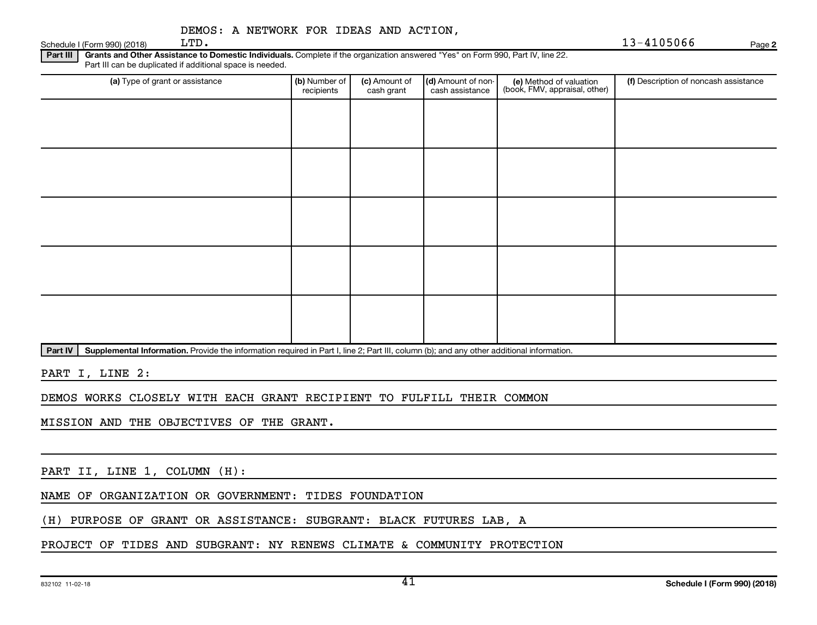# PROJECT OF TIDES AND SUBGRANT: NY RENEWS CLIMATE & COMMUNITY PROTECTION

# DEMOS: A NETWORK FOR IDEAS AND ACTION,

**2** Part III | Grants and Other Assistance to Domestic Individuals. Complete if the organization answered "Yes" on Form 990, Part IV, line 22. (a) Type of grant or assistance **(b)** Number of  $|$  **(c)** Amount of  $|$  **(d)** Amount of non- $|$  **(e)** Method of valuation  $|$  **(f)** Schedule I (Form 990) (2018)  $\qquad \qquad \text{LTD}$ . Part III can be duplicated if additional space is needed. (e) Method of valuation (book, FMV, appraisal, other) recipients (c) Amount of cash grant (d) Amount of noncash assistance (f) Description of noncash assistance

Part IV | Supplemental Information. Provide the information required in Part I, line 2; Part III, column (b); and any other additional information.

PART I, LINE 2:

DEMOS WORKS CLOSELY WITH EACH GRANT RECIPIENT TO FULFILL THEIR COMMON

MISSION AND THE OBJECTIVES OF THE GRANT.

PART II, LINE 1, COLUMN (H):

NAME OF ORGANIZATION OR GOVERNMENT: TIDES FOUNDATION

(H) PURPOSE OF GRANT OR ASSISTANCE: SUBGRANT: BLACK FUTURES LAB, A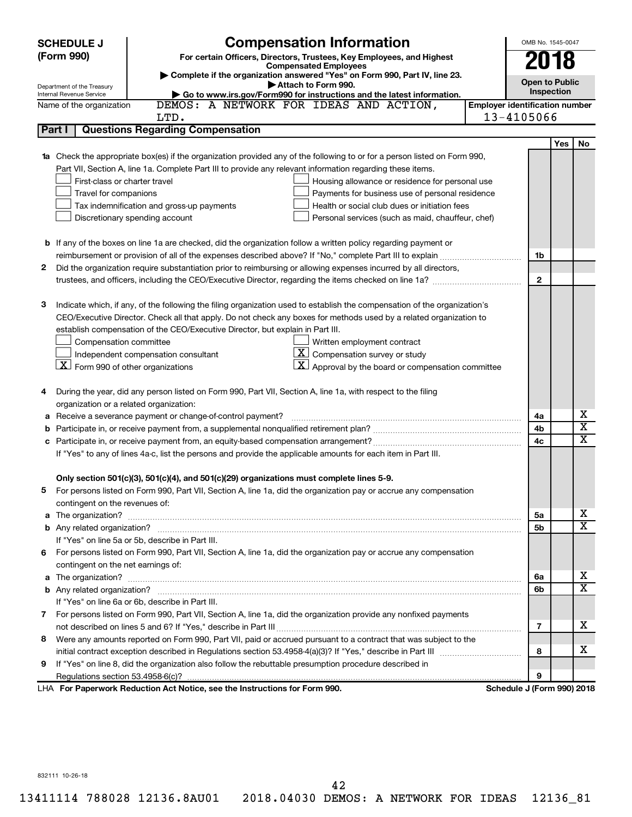| <b>SCHEDULE J</b>                                      | <b>Compensation Information</b>                                                                                                                                                |                                       | OMB No. 1545-0047     |            |                         |
|--------------------------------------------------------|--------------------------------------------------------------------------------------------------------------------------------------------------------------------------------|---------------------------------------|-----------------------|------------|-------------------------|
| (Form 990)                                             | For certain Officers, Directors, Trustees, Key Employees, and Highest                                                                                                          |                                       | 2018                  |            |                         |
|                                                        | <b>Compensated Employees</b>                                                                                                                                                   |                                       |                       |            |                         |
|                                                        | Complete if the organization answered "Yes" on Form 990, Part IV, line 23.<br>Attach to Form 990.                                                                              |                                       | <b>Open to Public</b> |            |                         |
| Department of the Treasury<br>Internal Revenue Service | Go to www.irs.gov/Form990 for instructions and the latest information.                                                                                                         |                                       | Inspection            |            |                         |
| Name of the organization                               | DEMOS: A NETWORK FOR IDEAS AND ACTION,                                                                                                                                         | <b>Employer identification number</b> |                       |            |                         |
|                                                        | LTD.                                                                                                                                                                           | 13-4105066                            |                       |            |                         |
| Part I                                                 | <b>Questions Regarding Compensation</b>                                                                                                                                        |                                       |                       |            |                         |
|                                                        |                                                                                                                                                                                |                                       |                       | <b>Yes</b> | No                      |
|                                                        | Check the appropriate box(es) if the organization provided any of the following to or for a person listed on Form 990,                                                         |                                       |                       |            |                         |
|                                                        | Part VII, Section A, line 1a. Complete Part III to provide any relevant information regarding these items.                                                                     |                                       |                       |            |                         |
|                                                        | First-class or charter travel<br>Housing allowance or residence for personal use                                                                                               |                                       |                       |            |                         |
| Travel for companions                                  | Payments for business use of personal residence                                                                                                                                |                                       |                       |            |                         |
|                                                        | Tax indemnification and gross-up payments<br>Health or social club dues or initiation fees                                                                                     |                                       |                       |            |                         |
|                                                        | Discretionary spending account<br>Personal services (such as maid, chauffeur, chef)                                                                                            |                                       |                       |            |                         |
|                                                        |                                                                                                                                                                                |                                       |                       |            |                         |
|                                                        | <b>b</b> If any of the boxes on line 1a are checked, did the organization follow a written policy regarding payment or                                                         |                                       |                       |            |                         |
|                                                        |                                                                                                                                                                                |                                       | 1b                    |            |                         |
| 2                                                      | Did the organization require substantiation prior to reimbursing or allowing expenses incurred by all directors,                                                               |                                       |                       |            |                         |
|                                                        |                                                                                                                                                                                |                                       | $\mathbf{2}$          |            |                         |
|                                                        |                                                                                                                                                                                |                                       |                       |            |                         |
| З                                                      | Indicate which, if any, of the following the filing organization used to establish the compensation of the organization's                                                      |                                       |                       |            |                         |
|                                                        | CEO/Executive Director. Check all that apply. Do not check any boxes for methods used by a related organization to                                                             |                                       |                       |            |                         |
|                                                        | establish compensation of the CEO/Executive Director, but explain in Part III.                                                                                                 |                                       |                       |            |                         |
|                                                        | Compensation committee<br>Written employment contract                                                                                                                          |                                       |                       |            |                         |
|                                                        | $ \mathbf{X} $ Compensation survey or study<br>Independent compensation consultant                                                                                             |                                       |                       |            |                         |
|                                                        | $\lfloor x \rfloor$ Form 990 of other organizations<br>$\mathbf{X}$ Approval by the board or compensation committee                                                            |                                       |                       |            |                         |
|                                                        |                                                                                                                                                                                |                                       |                       |            |                         |
| 4                                                      | During the year, did any person listed on Form 990, Part VII, Section A, line 1a, with respect to the filing                                                                   |                                       |                       |            |                         |
|                                                        | organization or a related organization:                                                                                                                                        |                                       |                       |            |                         |
| а                                                      | Receive a severance payment or change-of-control payment?                                                                                                                      |                                       | 4a                    |            | х                       |
| b                                                      | Participate in, or receive payment from, a supplemental nonqualified retirement plan?<br>Farticipate in, or receive payment from, a supplemental nonqualified retirement plan? |                                       | 4b                    |            | $\overline{\textbf{x}}$ |
|                                                        |                                                                                                                                                                                |                                       | 4c                    |            | х                       |
|                                                        | If "Yes" to any of lines 4a-c, list the persons and provide the applicable amounts for each item in Part III.                                                                  |                                       |                       |            |                         |
|                                                        |                                                                                                                                                                                |                                       |                       |            |                         |
|                                                        | Only section 501(c)(3), 501(c)(4), and 501(c)(29) organizations must complete lines 5-9.                                                                                       |                                       |                       |            |                         |
| 5                                                      | For persons listed on Form 990, Part VII, Section A, line 1a, did the organization pay or accrue any compensation                                                              |                                       |                       |            |                         |
| contingent on the revenues of:                         |                                                                                                                                                                                |                                       |                       |            |                         |
| a                                                      |                                                                                                                                                                                |                                       | 5a                    |            | x                       |
|                                                        |                                                                                                                                                                                |                                       | 5b                    |            | $\overline{\mathbf{X}}$ |
|                                                        | If "Yes" on line 5a or 5b, describe in Part III.                                                                                                                               |                                       |                       |            |                         |
|                                                        | 6 For persons listed on Form 990, Part VII, Section A, line 1a, did the organization pay or accrue any compensation                                                            |                                       |                       |            |                         |
| contingent on the net earnings of:                     |                                                                                                                                                                                |                                       |                       |            |                         |
| a                                                      |                                                                                                                                                                                |                                       | 6a                    |            | x                       |
|                                                        |                                                                                                                                                                                |                                       | 6b                    |            | х                       |
|                                                        | If "Yes" on line 6a or 6b, describe in Part III.                                                                                                                               |                                       |                       |            |                         |
|                                                        | 7 For persons listed on Form 990, Part VII, Section A, line 1a, did the organization provide any nonfixed payments                                                             |                                       |                       |            |                         |
|                                                        |                                                                                                                                                                                |                                       | $\overline{7}$        |            | х                       |
| 8                                                      | Were any amounts reported on Form 990, Part VII, paid or accrued pursuant to a contract that was subject to the                                                                |                                       |                       |            |                         |
|                                                        |                                                                                                                                                                                |                                       | 8                     |            | х                       |
| 9                                                      | If "Yes" on line 8, did the organization also follow the rebuttable presumption procedure described in                                                                         |                                       |                       |            |                         |
|                                                        |                                                                                                                                                                                |                                       | 9                     |            |                         |
|                                                        | LHA For Paperwork Reduction Act Notice, see the Instructions for Form 990.                                                                                                     | Schedule J (Form 990) 2018            |                       |            |                         |

832111 10-26-18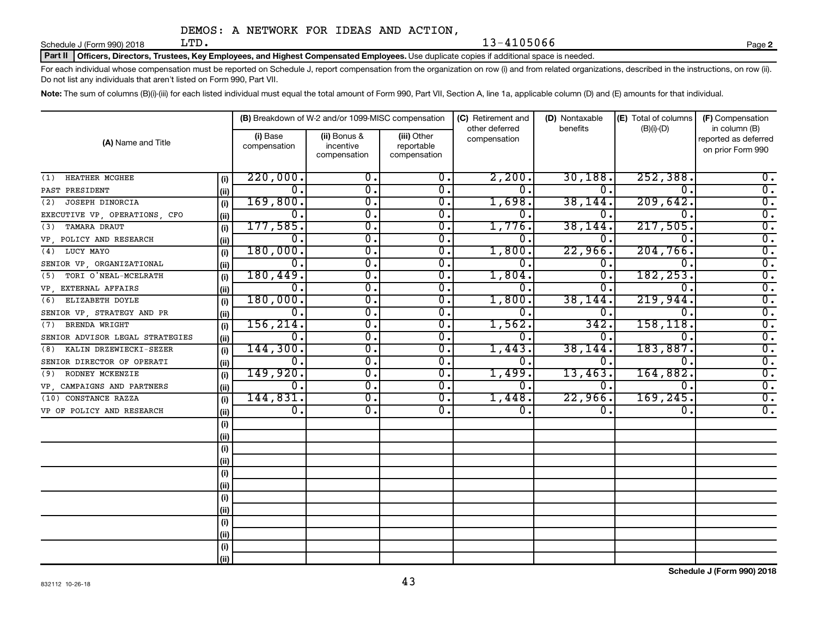Schedule J (Form 990) 2018  $LTD$ .

Part II | Officers, Directors, Trustees, Key Employees, and Highest Compensated Employees. Use duplicate copies if additional space is needed.

For each individual whose compensation must be reported on Schedule J, report compensation from the organization on row (i) and from related organizations, described in the instructions, on row (ii). Do not list any individuals that aren't listed on Form 990, Part VII.

13-4105066

Note: The sum of columns (B)(i)-(iii) for each listed individual must equal the total amount of Form 990, Part VII, Section A, line 1a, applicable column (D) and (E) amounts for that individual.

|                                 |      |                          | (B) Breakdown of W-2 and/or 1099-MISC compensation |                           | (C) Retirement and<br>other deferred | (D) Nontaxable<br>benefits | (E) Total of columns<br>$(B)(i)$ - $(D)$ | (F) Compensation<br>in column (B) |
|---------------------------------|------|--------------------------|----------------------------------------------------|---------------------------|--------------------------------------|----------------------------|------------------------------------------|-----------------------------------|
| (A) Name and Title              |      | (i) Base<br>compensation | (ii) Bonus &<br>incentive                          | (iii) Other<br>reportable | compensation                         |                            |                                          | reported as deferred              |
|                                 |      |                          | compensation                                       | compensation              |                                      |                            |                                          | on prior Form 990                 |
|                                 |      |                          |                                                    |                           |                                      |                            |                                          |                                   |
| HEATHER MCGHEE<br>(1)           | (i)  | 220,000.                 | 0.                                                 | 0.                        | 2,200.                               | 30,188.                    | 252, 388.                                | 0.                                |
| PAST PRESIDENT                  | (ii) | $\overline{0}$           | 0.                                                 | $\overline{0}$ .          | $\Omega$ .                           | 0.                         | 0.                                       | $\overline{0}$ .                  |
| JOSEPH DINORCIA<br>(2)          | (i)  | 169,800.                 | $\overline{0}$ .                                   | $\overline{0}$ .          | 1,698.                               | 38, 144.                   | 209,642.                                 | $\overline{0}$ .                  |
| EXECUTIVE VP, OPERATIONS, CFO   | (ii) | $\mathbf 0$ .            | $\overline{0}$ .                                   | 0.                        | 0                                    | 0.                         | $\Omega$ .                               | $\overline{0}$ .                  |
| <b>TAMARA DRAUT</b><br>(3)      | (i)  | 177,585.                 | $\overline{0}$ .                                   | $\overline{0}$ .          | 1,776.                               | 38,144.                    | 217,505.                                 | $\overline{0}$ .                  |
| VP, POLICY AND RESEARCH         | (ii) | 0.                       | $\overline{0}$ .                                   | Ο.                        | 0.                                   | 0.                         | $\Omega$ .                               | $\overline{0}$ .                  |
| LUCY MAYO<br>(4)                | (i)  | 180,000.                 | $\overline{0}$ .                                   | Ο.                        | 1,800.                               | 22,966.                    | 204,766.                                 | $\overline{0}$ .                  |
| SENIOR VP, ORGANIZATIONAL       | (ii) | $\mathbf 0$ .            | 0.                                                 | 0.                        | 0                                    | 0.                         | 0.                                       | $\overline{0}$ .                  |
| TORI O'NEAL-MCELRATH<br>(5)     | (i)  | 180, 449.                | $\overline{0}$ .                                   | $\overline{0}$ .          | 1,804.                               | 0.                         | 182, 253.                                | $\overline{0}$ .                  |
| VP EXTERNAL AFFAIRS             | (ii) | $\overline{0}$ .         | σ.                                                 | $\overline{0}$ .          | $\Omega$ .                           | 0.                         | $\Omega$ .                               | $\overline{0}$ .                  |
| ELIZABETH DOYLE<br>(6)          | (i)  | 180,000.                 | $\overline{0}$ .                                   | $\overline{0}$ .          | 1,800.                               | 38, 144.                   | 219,944.                                 | $\overline{0}$ .                  |
| SENIOR VP, STRATEGY AND PR      | (ii) | $\overline{0}$ .         | $\overline{0}$ .                                   | $\overline{0}$ .          | 0                                    | 0.                         | $\Omega$ .                               | $\overline{0}$ .                  |
| BRENDA WRIGHT<br>(7)            | (i)  | 156, 214.                | $\overline{0}$ .                                   | $\overline{0}$ .          | 1,562.                               | 342.                       | 158, 118.                                | $\overline{0}$ .                  |
| SENIOR ADVISOR LEGAL STRATEGIES | (ii) | о.                       | $\overline{0}$ .                                   | Ο.                        | 0.                                   | О.                         | $\Omega$ .                               | $\overline{0}$ .                  |
| KALIN DRZEWIECKI-SEZER<br>(8)   | (i)  | 144,300.                 | $\overline{0}$ .                                   | Ο.                        | 1,443.                               | 38,144.                    | 183,887.                                 | $\overline{0}$ .                  |
| SENIOR DIRECTOR OF OPERATI      | (ii) | о.                       | $\overline{0}$ .                                   | $\overline{0}$ .          | 0.                                   | 0.                         | $\mathbf 0$ .                            | $\overline{0}$ .                  |
| RODNEY MCKENZIE<br>(9)          | (i)  | 149,920.                 | $\overline{0}$ .                                   | $\overline{0}$ .          | 1,499.                               | 13,463.                    | 164,882.                                 | $\overline{0}$ .                  |
| VP, CAMPAIGNS AND PARTNERS      | (ii) | $\overline{0}$ .         | $\overline{0}$ .                                   | $\overline{0}$ .          | 0.                                   | о.                         | 0.                                       | $\overline{0}$ .                  |
| (10) CONSTANCE RAZZA            | (i)  | 144,831.                 | $\overline{\mathfrak{o}}$ .                        | $\overline{0}$ .          | 1,448.                               | 22,966.                    | 169, 245.                                | $\overline{0}$ .                  |
| VP OF POLICY AND RESEARCH       | (ii) | $\overline{0}$ .         | $\overline{0}$ .                                   | 0.                        | $\mathbf 0$ .                        | 0.                         | 0.                                       | $\overline{0}$ .                  |
|                                 | (i)  |                          |                                                    |                           |                                      |                            |                                          |                                   |
|                                 | (ii) |                          |                                                    |                           |                                      |                            |                                          |                                   |
|                                 | (i)  |                          |                                                    |                           |                                      |                            |                                          |                                   |
|                                 | (ii) |                          |                                                    |                           |                                      |                            |                                          |                                   |
|                                 | (i)  |                          |                                                    |                           |                                      |                            |                                          |                                   |
|                                 | (ii) |                          |                                                    |                           |                                      |                            |                                          |                                   |
|                                 | (i)  |                          |                                                    |                           |                                      |                            |                                          |                                   |
|                                 | (ii) |                          |                                                    |                           |                                      |                            |                                          |                                   |
|                                 | (i)  |                          |                                                    |                           |                                      |                            |                                          |                                   |
|                                 | (ii) |                          |                                                    |                           |                                      |                            |                                          |                                   |
|                                 | (i)  |                          |                                                    |                           |                                      |                            |                                          |                                   |
|                                 | (ii) |                          |                                                    |                           |                                      |                            |                                          |                                   |

**2**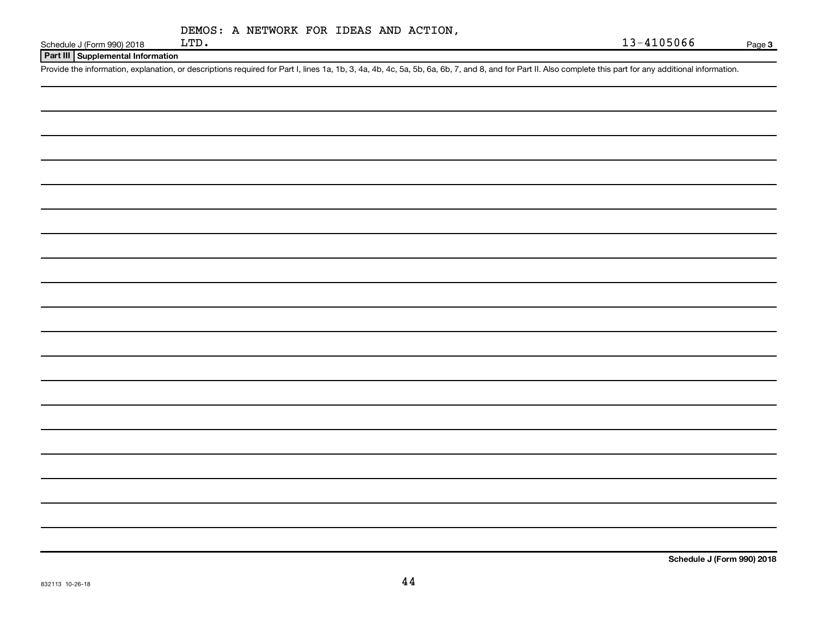Schedule J (Form 990) 2018  $LTD.$ 

**Part III Supplemental Information**

Provide the information, explanation, or descriptions required for Part I, lines 1a, 1b, 3, 4a, 4b, 4c, 5a, 5b, 6a, 6b, 7, and 8, and for Part II. Also complete this part for any additional information.

**Schedule J (Form 990) 2018**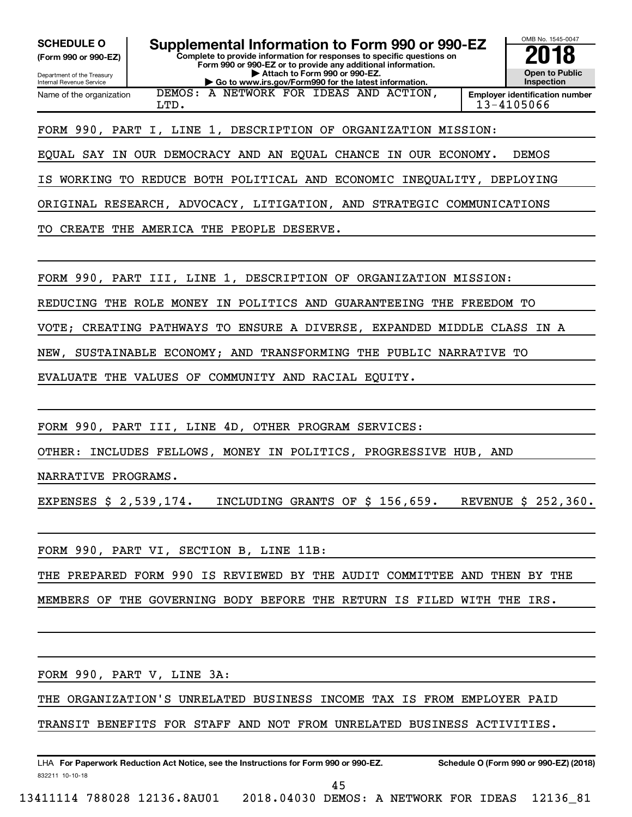**(Form 990 or 990-EZ)**

Department of the Treasury Internal Revenue Service Name of the organization

**Complete to provide information for responses to specific questions on Form 990 or 990-EZ or to provide any additional information. | Attach to Form 990 or 990-EZ. | Go to www.irs.gov/Form990 for the latest information.** SCHEDULE O **Supplemental Information to Form 990 or 990-EZ 2018**<br>(Form 990 or 990-EZ) Complete to provide information for responses to specific questions on DEMOS: A NETWORK FOR IDEAS AND ACTION,



FORM 990, PART I, LINE 1, DESCRIPTION OF ORGANIZATION MISSION:

EQUAL SAY IN OUR DEMOCRACY AND AN EQUAL CHANCE IN OUR ECONOMY. DEMOS

IS WORKING TO REDUCE BOTH POLITICAL AND ECONOMIC INEQUALITY, DEPLOYING

ORIGINAL RESEARCH, ADVOCACY, LITIGATION, AND STRATEGIC COMMUNICATIONS

TO CREATE THE AMERICA THE PEOPLE DESERVE.

FORM 990, PART III, LINE 1, DESCRIPTION OF ORGANIZATION MISSION:

REDUCING THE ROLE MONEY IN POLITICS AND GUARANTEEING THE FREEDOM TO

VOTE; CREATING PATHWAYS TO ENSURE A DIVERSE, EXPANDED MIDDLE CLASS IN A

NEW, SUSTAINABLE ECONOMY; AND TRANSFORMING THE PUBLIC NARRATIVE TO

EVALUATE THE VALUES OF COMMUNITY AND RACIAL EQUITY.

FORM 990, PART III, LINE 4D, OTHER PROGRAM SERVICES:

OTHER: INCLUDES FELLOWS, MONEY IN POLITICS, PROGRESSIVE HUB, AND

NARRATIVE PROGRAMS.

EXPENSES \$ 2,539,174. INCLUDING GRANTS OF \$ 156,659. REVENUE \$ 252,360.

FORM 990, PART VI, SECTION B, LINE 11B:

THE PREPARED FORM 990 IS REVIEWED BY THE AUDIT COMMITTEE AND THEN BY THE

MEMBERS OF THE GOVERNING BODY BEFORE THE RETURN IS FILED WITH THE IRS.

FORM 990, PART V, LINE 3A:

THE ORGANIZATION'S UNRELATED BUSINESS INCOME TAX IS FROM EMPLOYER PAID

TRANSIT BENEFITS FOR STAFF AND NOT FROM UNRELATED BUSINESS ACTIVITIES.

832211 10-10-18 LHA For Paperwork Reduction Act Notice, see the Instructions for Form 990 or 990-EZ. Schedule O (Form 990 or 990-EZ) (2018)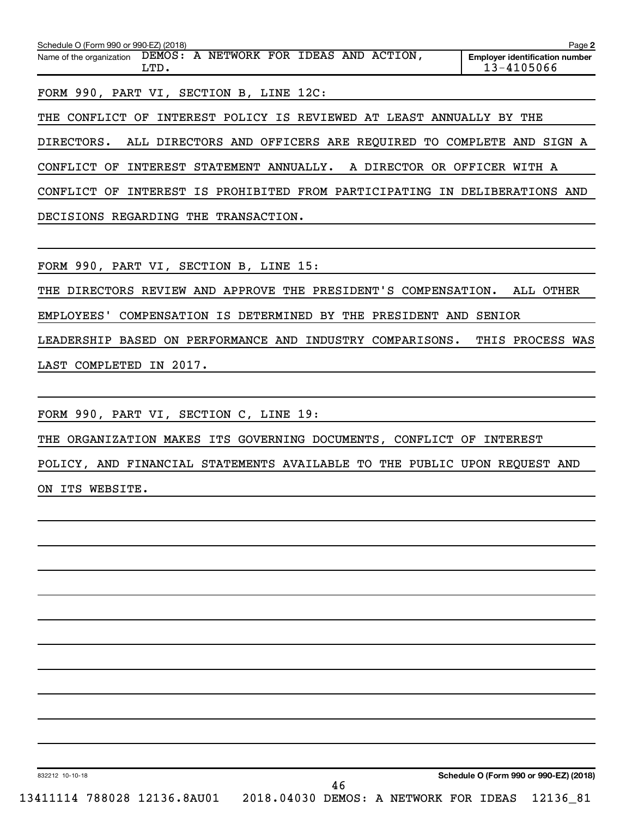| Schedule O (Form 990 or 990-EZ) (2018)<br>Page 2 |                                                                         |                                                                      |                                                     |  |  |  |
|--------------------------------------------------|-------------------------------------------------------------------------|----------------------------------------------------------------------|-----------------------------------------------------|--|--|--|
|                                                  | Name of the organization DEMOS: A NETWORK FOR IDEAS AND ACTION.<br>LTD. |                                                                      | <b>Employer identification number</b><br>13-4105066 |  |  |  |
|                                                  | FORM 990, PART VI, SECTION B, LINE 12C:                                 |                                                                      |                                                     |  |  |  |
|                                                  |                                                                         | THE CONFLICT OF INTEREST POLICY IS REVIEWED AT LEAST ANNUALLY BY THE |                                                     |  |  |  |

DIRECTORS. ALL DIRECTORS AND OFFICERS ARE REQUIRED TO COMPLETE AND SIGN A

CONFLICT OF INTEREST STATEMENT ANNUALLY. A DIRECTOR OR OFFICER WITH A

CONFLICT OF INTEREST IS PROHIBITED FROM PARTICIPATING IN DELIBERATIONS AND DECISIONS REGARDING THE TRANSACTION.

FORM 990, PART VI, SECTION B, LINE 15:

THE DIRECTORS REVIEW AND APPROVE THE PRESIDENT'S COMPENSATION. ALL OTHER

EMPLOYEES' COMPENSATION IS DETERMINED BY THE PRESIDENT AND SENIOR

LEADERSHIP BASED ON PERFORMANCE AND INDUSTRY COMPARISONS. THIS PROCESS WAS LAST COMPLETED IN 2017.

FORM 990, PART VI, SECTION C, LINE 19:

THE ORGANIZATION MAKES ITS GOVERNING DOCUMENTS, CONFLICT OF INTEREST

POLICY, AND FINANCIAL STATEMENTS AVAILABLE TO THE PUBLIC UPON REQUEST AND ON ITS WEBSITE.

46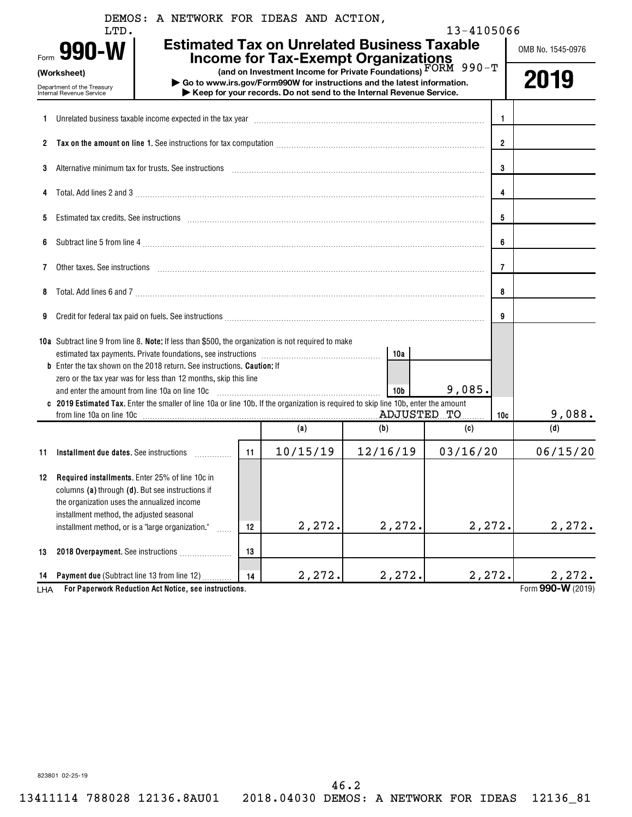| A NETWORK FOR IDEAS AND ACTION,<br>DEMOS:<br>LTD.                                                                                                                                                                                   |                                                                                                              |                                                                                                                                                                                                                                                               |                    | 13-4105066 |              |                             |  |
|-------------------------------------------------------------------------------------------------------------------------------------------------------------------------------------------------------------------------------------|--------------------------------------------------------------------------------------------------------------|---------------------------------------------------------------------------------------------------------------------------------------------------------------------------------------------------------------------------------------------------------------|--------------------|------------|--------------|-----------------------------|--|
| 990-W<br>Form                                                                                                                                                                                                                       |                                                                                                              | <b>Estimated Tax on Unrelated Business Taxable</b>                                                                                                                                                                                                            |                    |            |              | OMB No. 1545-0976           |  |
| (Worksheet)<br>Department of the Treasury<br>Internal Revenue Service                                                                                                                                                               |                                                                                                              | <b>Income for Tax-Exempt Organizations</b><br>(and on Investment Income for Private Foundations) FORM 990-T<br>Go to www.irs.gov/Form990W for instructions and the latest information.<br>Keep for your records. Do not send to the Internal Revenue Service. |                    |            |              | 2019                        |  |
| Unrelated business taxable income expected in the tax year manufactured contains and the state of the state of<br>1                                                                                                                 |                                                                                                              |                                                                                                                                                                                                                                                               |                    |            | $\mathbf{1}$ |                             |  |
| Tax on the amount on line 1. See instructions for tax computation <i>machinamaconomic machinamaconomic machinamacon</i><br>2                                                                                                        |                                                                                                              | $\overline{2}$                                                                                                                                                                                                                                                |                    |            |              |                             |  |
| Alternative minimum tax for trusts. See instructions with an accommunication of the intervention of the state of the state of the state of the state of the state of the state of the state of the state of the state of the s<br>3 |                                                                                                              | 3                                                                                                                                                                                                                                                             |                    |            |              |                             |  |
| 4                                                                                                                                                                                                                                   |                                                                                                              |                                                                                                                                                                                                                                                               |                    |            | 4            |                             |  |
| Estimated tax credits. See instructions encourance and contained and contained tax credits. See instructions<br>5                                                                                                                   |                                                                                                              |                                                                                                                                                                                                                                                               |                    |            | 5            |                             |  |
|                                                                                                                                                                                                                                     |                                                                                                              |                                                                                                                                                                                                                                                               |                    |            |              |                             |  |
| Other taxes. See instructions entertainment and an according to the international contract of the contract of<br>7                                                                                                                  |                                                                                                              | $\overline{7}$                                                                                                                                                                                                                                                |                    |            |              |                             |  |
| 8                                                                                                                                                                                                                                   |                                                                                                              | 8                                                                                                                                                                                                                                                             |                    |            |              |                             |  |
| 9                                                                                                                                                                                                                                   |                                                                                                              |                                                                                                                                                                                                                                                               |                    |            |              |                             |  |
|                                                                                                                                                                                                                                     | 10a Subtract line 9 from line 8. Note: If less than \$500, the organization is not required to make<br>  10a |                                                                                                                                                                                                                                                               |                    |            |              |                             |  |
| <b>b</b> Enter the tax shown on the 2018 return. See instructions. <b>Caution:</b> If<br>zero or the tax year was for less than 12 months, skip this line<br>and enter the amount from line 10a on line 10c                         | 9,085.                                                                                                       |                                                                                                                                                                                                                                                               |                    |            |              |                             |  |
| c 2019 Estimated Tax. Enter the smaller of line 10a or line 10b. If the organization is required to skip line 10b, enter the amount<br>from line 10a on line 10c                                                                    |                                                                                                              |                                                                                                                                                                                                                                                               | <b>ADJUSTED TO</b> |            | 10с          | 9,088.                      |  |
|                                                                                                                                                                                                                                     |                                                                                                              | (a)                                                                                                                                                                                                                                                           | (b)                | (c)        |              | (d)                         |  |
| Installment due dates. See instructions<br>11                                                                                                                                                                                       | 11                                                                                                           | 10/15/19                                                                                                                                                                                                                                                      | 12/16/19           | 03/16/20   |              | 06/15/20                    |  |
| 12<br>Required installments. Enter 25% of line 10c in<br>columns (a) through (d). But see instructions if<br>the organization uses the annualized income<br>installment method, the adjusted seasonal                               |                                                                                                              |                                                                                                                                                                                                                                                               |                    |            |              |                             |  |
| installment method, or is a "large organization."<br>.                                                                                                                                                                              | 12                                                                                                           | 2,272.                                                                                                                                                                                                                                                        | 2,272.             | 2,272.     |              | 2,272.                      |  |
| 2018 Overpayment. See instructions<br>13<br>.                                                                                                                                                                                       | 13                                                                                                           |                                                                                                                                                                                                                                                               |                    |            |              |                             |  |
| Payment due (Subtract line 13 from line 12)<br>14<br>For Paperwork Reduction Act Notice, see instructions.<br>LHA                                                                                                                   | 14                                                                                                           | 2,272.                                                                                                                                                                                                                                                        | 2,272.             | 2,272.     |              | 2,272.<br>Form 990-W (2019) |  |

46.2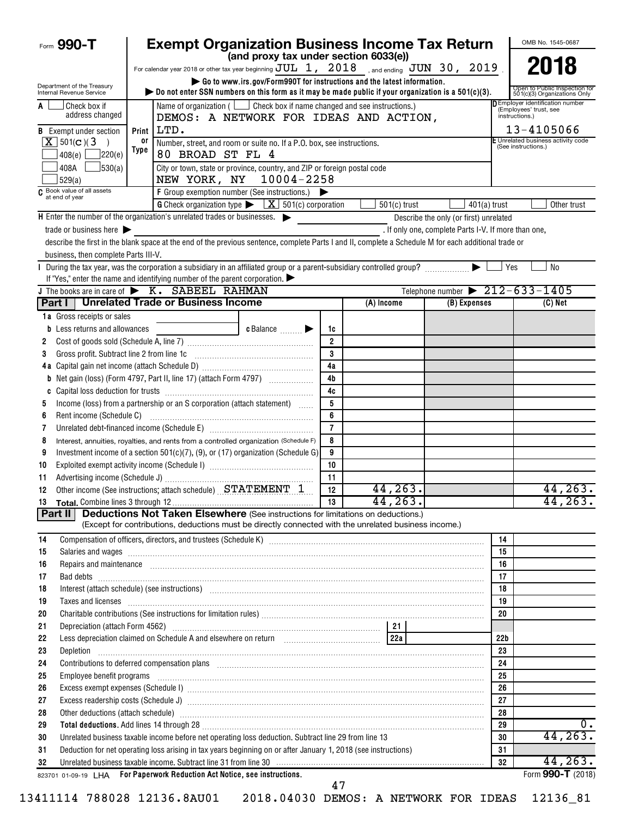| Form 990-T                                                                                                                          | <b>Exempt Organization Business Income Tax Return</b>                                                                                                                |                                                                                                                                                                                                                                                                                                                                          |                         |            |                                                      |                 |                                                                                                   |  |  |  |
|-------------------------------------------------------------------------------------------------------------------------------------|----------------------------------------------------------------------------------------------------------------------------------------------------------------------|------------------------------------------------------------------------------------------------------------------------------------------------------------------------------------------------------------------------------------------------------------------------------------------------------------------------------------------|-------------------------|------------|------------------------------------------------------|-----------------|---------------------------------------------------------------------------------------------------|--|--|--|
|                                                                                                                                     |                                                                                                                                                                      | (and proxy tax under section 6033(e))                                                                                                                                                                                                                                                                                                    |                         |            |                                                      |                 | 2018                                                                                              |  |  |  |
|                                                                                                                                     |                                                                                                                                                                      | For calendar year 2018 or other tax year beginning $JUL$ 1, $2018$ , and ending $JUN$ 30, $2019$                                                                                                                                                                                                                                         |                         |            |                                                      |                 |                                                                                                   |  |  |  |
| Department of the Treasury<br><b>Internal Revenue Service</b>                                                                       |                                                                                                                                                                      | Go to www.irs.gov/Form990T for instructions and the latest information.<br>bo not enter SSN numbers on this form as it may be made public if your organization is a $501(c)(3)$ .                                                                                                                                                        |                         |            |                                                      |                 | Open to Public Inspection for<br>501(c)(3) Organizations Only<br>D Employer identification number |  |  |  |
| Check box if<br>A<br>address changed                                                                                                | Name of organization ( $\Box$ Check box if name changed and see instructions.)<br>(Employees' trust, see<br>DEMOS: A NETWORK FOR IDEAS AND ACTION,<br>instructions.) |                                                                                                                                                                                                                                                                                                                                          |                         |            |                                                      |                 |                                                                                                   |  |  |  |
| <b>B</b> Exempt under section                                                                                                       | Print                                                                                                                                                                | LTD.                                                                                                                                                                                                                                                                                                                                     |                         |            |                                                      |                 | 13-4105066                                                                                        |  |  |  |
| $X$ 501(c)(3)                                                                                                                       | or<br>Type                                                                                                                                                           | Number, street, and room or suite no. If a P.O. box, see instructions.                                                                                                                                                                                                                                                                   |                         |            |                                                      |                 | E Unrelated business activity code<br>(See instructions.)                                         |  |  |  |
| 220(e)<br>408(e)                                                                                                                    | 80 BROAD ST FL 4                                                                                                                                                     |                                                                                                                                                                                                                                                                                                                                          |                         |            |                                                      |                 |                                                                                                   |  |  |  |
| City or town, state or province, country, and ZIP or foreign postal code<br>408A<br>J530(a)<br>10004-2258<br>NEW YORK, NY<br>529(a) |                                                                                                                                                                      |                                                                                                                                                                                                                                                                                                                                          |                         |            |                                                      |                 |                                                                                                   |  |  |  |
| C Book value of all assets<br>F Group exemption number (See instructions.)<br>▶<br>at end of year                                   |                                                                                                                                                                      |                                                                                                                                                                                                                                                                                                                                          |                         |            |                                                      |                 |                                                                                                   |  |  |  |
|                                                                                                                                     | <b>G</b> Check organization type $\triangleright$ $\mathbf{X}$ 501(c) corporation<br>$501(c)$ trust<br>$401(a)$ trust<br>Other trust                                 |                                                                                                                                                                                                                                                                                                                                          |                         |            |                                                      |                 |                                                                                                   |  |  |  |
|                                                                                                                                     | $\mathsf H$ Enter the number of the organization's unrelated trades or businesses. $\blacktriangleright$<br>Describe the only (or first) unrelated                   |                                                                                                                                                                                                                                                                                                                                          |                         |            |                                                      |                 |                                                                                                   |  |  |  |
| trade or business here $\blacktriangleright$                                                                                        |                                                                                                                                                                      |                                                                                                                                                                                                                                                                                                                                          |                         |            | . If only one, complete Parts I-V. If more than one, |                 |                                                                                                   |  |  |  |
|                                                                                                                                     |                                                                                                                                                                      | describe the first in the blank space at the end of the previous sentence, complete Parts I and II, complete a Schedule M for each additional trade or                                                                                                                                                                                   |                         |            |                                                      |                 |                                                                                                   |  |  |  |
| business, then complete Parts III-V.                                                                                                |                                                                                                                                                                      |                                                                                                                                                                                                                                                                                                                                          |                         |            |                                                      |                 |                                                                                                   |  |  |  |
|                                                                                                                                     |                                                                                                                                                                      | During the tax year, was the corporation a subsidiary in an affiliated group or a parent-subsidiary controlled group?                                                                                                                                                                                                                    |                         |            |                                                      | Yes             | <b>No</b>                                                                                         |  |  |  |
|                                                                                                                                     |                                                                                                                                                                      | If "Yes," enter the name and identifying number of the parent corporation.                                                                                                                                                                                                                                                               |                         |            | Telephone number $\triangleright$ 212-633-1405       |                 |                                                                                                   |  |  |  |
| Part I                                                                                                                              |                                                                                                                                                                      | J The books are in care of $\triangleright$ K. SABEEL RAHMAN<br><b>Unrelated Trade or Business Income</b>                                                                                                                                                                                                                                |                         | (A) Income | (B) Expenses                                         |                 | (C) Net                                                                                           |  |  |  |
|                                                                                                                                     |                                                                                                                                                                      |                                                                                                                                                                                                                                                                                                                                          |                         |            |                                                      |                 |                                                                                                   |  |  |  |
| 1a Gross receipts or sales<br><b>b</b> Less returns and allowances                                                                  |                                                                                                                                                                      | $c$ Balance $\qquad \qquad \blacktriangleright$                                                                                                                                                                                                                                                                                          |                         |            |                                                      |                 |                                                                                                   |  |  |  |
|                                                                                                                                     |                                                                                                                                                                      |                                                                                                                                                                                                                                                                                                                                          | 1c<br>$\overline{2}$    |            |                                                      |                 |                                                                                                   |  |  |  |
| 2<br>3                                                                                                                              |                                                                                                                                                                      |                                                                                                                                                                                                                                                                                                                                          | $\overline{\mathbf{3}}$ |            |                                                      |                 |                                                                                                   |  |  |  |
|                                                                                                                                     |                                                                                                                                                                      |                                                                                                                                                                                                                                                                                                                                          | 4a                      |            |                                                      |                 |                                                                                                   |  |  |  |
|                                                                                                                                     |                                                                                                                                                                      | <b>b</b> Net gain (loss) (Form 4797, Part II, line 17) (attach Form 4797) $\ldots$                                                                                                                                                                                                                                                       | 4 <sub>b</sub>          |            |                                                      |                 |                                                                                                   |  |  |  |
| C                                                                                                                                   |                                                                                                                                                                      |                                                                                                                                                                                                                                                                                                                                          | 4c                      |            |                                                      |                 |                                                                                                   |  |  |  |
| 5                                                                                                                                   |                                                                                                                                                                      | Income (loss) from a partnership or an S corporation (attach statement)                                                                                                                                                                                                                                                                  | 5                       |            |                                                      |                 |                                                                                                   |  |  |  |
| 6                                                                                                                                   |                                                                                                                                                                      |                                                                                                                                                                                                                                                                                                                                          | 6                       |            |                                                      |                 |                                                                                                   |  |  |  |
| 7                                                                                                                                   |                                                                                                                                                                      |                                                                                                                                                                                                                                                                                                                                          | $\overline{7}$          |            |                                                      |                 |                                                                                                   |  |  |  |
| 8                                                                                                                                   |                                                                                                                                                                      | Interest, annuities, royalties, and rents from a controlled organization (Schedule F)                                                                                                                                                                                                                                                    | 8                       |            |                                                      |                 |                                                                                                   |  |  |  |
| 9                                                                                                                                   |                                                                                                                                                                      | Investment income of a section $501(c)(7)$ , (9), or (17) organization (Schedule G)                                                                                                                                                                                                                                                      | 9                       |            |                                                      |                 |                                                                                                   |  |  |  |
| 10                                                                                                                                  |                                                                                                                                                                      |                                                                                                                                                                                                                                                                                                                                          | 10                      |            |                                                      |                 |                                                                                                   |  |  |  |
| 11                                                                                                                                  |                                                                                                                                                                      |                                                                                                                                                                                                                                                                                                                                          | 11                      |            |                                                      |                 |                                                                                                   |  |  |  |
| 12                                                                                                                                  |                                                                                                                                                                      | Other income (See instructions; attach schedule) STATEMENT 1                                                                                                                                                                                                                                                                             | 12                      | 44, 263.   |                                                      |                 | 44,263.                                                                                           |  |  |  |
|                                                                                                                                     |                                                                                                                                                                      |                                                                                                                                                                                                                                                                                                                                          | $\overline{13}$         | 44, 263.   |                                                      |                 | 44, 263.                                                                                          |  |  |  |
| Part II                                                                                                                             |                                                                                                                                                                      | <b>Deductions Not Taken Elsewhere</b> (See instructions for limitations on deductions.)<br>(Except for contributions, deductions must be directly connected with the unrelated business income.)                                                                                                                                         |                         |            |                                                      |                 |                                                                                                   |  |  |  |
| 14                                                                                                                                  |                                                                                                                                                                      |                                                                                                                                                                                                                                                                                                                                          |                         |            |                                                      | 14              |                                                                                                   |  |  |  |
| 15                                                                                                                                  |                                                                                                                                                                      | Salaries and wages <b>continuum contract and wages contract and wages contract and wages contract and wages contract and wages contract and wages contract and wages contract and wages contract and wages con</b>                                                                                                                       |                         |            |                                                      | 15              |                                                                                                   |  |  |  |
| 16                                                                                                                                  |                                                                                                                                                                      | Repairs and maintenance <i>[1] [1] [1] [1] [1] [1] [1] [1] [1] [1]</i> [1] <b>[1]</b> [1] <b>[1]</b> [1] <b>[1] [1] [1] [1] [1] [1] [1] [1] [1] [1] [1] [1] [1] [1] [1] [1] [1] [1] [1] [1] [1] [1]</b>                                                                                                                                  |                         |            |                                                      | 16              |                                                                                                   |  |  |  |
| 17                                                                                                                                  |                                                                                                                                                                      |                                                                                                                                                                                                                                                                                                                                          |                         |            |                                                      | 17              |                                                                                                   |  |  |  |
| 18                                                                                                                                  |                                                                                                                                                                      | Interest (attach schedule) (see instructions) www.communications.communications are interest (attach schedule)                                                                                                                                                                                                                           |                         |            |                                                      | 18              |                                                                                                   |  |  |  |
| 19                                                                                                                                  |                                                                                                                                                                      | Taxes and licenses <b>contractive and contract and contract and contract and contract and licenses</b>                                                                                                                                                                                                                                   |                         |            |                                                      | 19              |                                                                                                   |  |  |  |
| 20                                                                                                                                  |                                                                                                                                                                      |                                                                                                                                                                                                                                                                                                                                          |                         |            |                                                      | 20              |                                                                                                   |  |  |  |
| 21                                                                                                                                  |                                                                                                                                                                      |                                                                                                                                                                                                                                                                                                                                          |                         |            |                                                      |                 |                                                                                                   |  |  |  |
| 22                                                                                                                                  |                                                                                                                                                                      |                                                                                                                                                                                                                                                                                                                                          |                         |            |                                                      | 22 <sub>b</sub> |                                                                                                   |  |  |  |
| 23<br>Depletion                                                                                                                     |                                                                                                                                                                      |                                                                                                                                                                                                                                                                                                                                          |                         |            |                                                      | 23              |                                                                                                   |  |  |  |
| 24                                                                                                                                  |                                                                                                                                                                      | Contributions to deferred compensation plans [11] manufactured and manufactured contributions to deferred compensation plans                                                                                                                                                                                                             |                         |            |                                                      | 24              |                                                                                                   |  |  |  |
| 25                                                                                                                                  |                                                                                                                                                                      | Employee benefit programs in the continuum contract of the contract of the contract of the contract of the contract of the contract of the contract of the contract of the contract of the contract of the contract of the con                                                                                                           |                         |            |                                                      | 25              |                                                                                                   |  |  |  |
| 26                                                                                                                                  |                                                                                                                                                                      |                                                                                                                                                                                                                                                                                                                                          |                         |            |                                                      | 26<br>27        |                                                                                                   |  |  |  |
| 27<br>28                                                                                                                            |                                                                                                                                                                      |                                                                                                                                                                                                                                                                                                                                          |                         |            |                                                      | 28              |                                                                                                   |  |  |  |
| 29                                                                                                                                  |                                                                                                                                                                      | Other deductions (attach schedule) www.communications.communications.communications.communications.com<br>Total deductions. Add lines 14 through 28 [11] manufactures in the contract of the contract of the contract of the contract of the contract of the contract of the contract of the contract of the contract of the contract of |                         |            |                                                      | 29              | $0$ .                                                                                             |  |  |  |
| 30                                                                                                                                  |                                                                                                                                                                      | Unrelated business taxable income before net operating loss deduction. Subtract line 29 from line 13                                                                                                                                                                                                                                     |                         |            |                                                      | 30              | 44, 263.                                                                                          |  |  |  |
| 31                                                                                                                                  |                                                                                                                                                                      | Deduction for net operating loss arising in tax years beginning on or after January 1, 2018 (see instructions)                                                                                                                                                                                                                           |                         |            |                                                      | 31              |                                                                                                   |  |  |  |
| 32                                                                                                                                  |                                                                                                                                                                      | Unrelated business taxable income. Subtract line 31 from line 30 manufactured contains and contained the state of the Unrelated business taxable income. Subtract line 31 from line 30 manufactured contains and the Unrelated                                                                                                           |                         |            |                                                      | 32              | 44, 263.                                                                                          |  |  |  |
|                                                                                                                                     |                                                                                                                                                                      | 823701 01-09-19 LHA For Paperwork Reduction Act Notice, see instructions.                                                                                                                                                                                                                                                                |                         |            |                                                      |                 | Form 990-T (2018)                                                                                 |  |  |  |
|                                                                                                                                     |                                                                                                                                                                      |                                                                                                                                                                                                                                                                                                                                          | 47                      |            |                                                      |                 |                                                                                                   |  |  |  |

| 13411114 788028 12136.8AU |  |  |
|---------------------------|--|--|
|                           |  |  |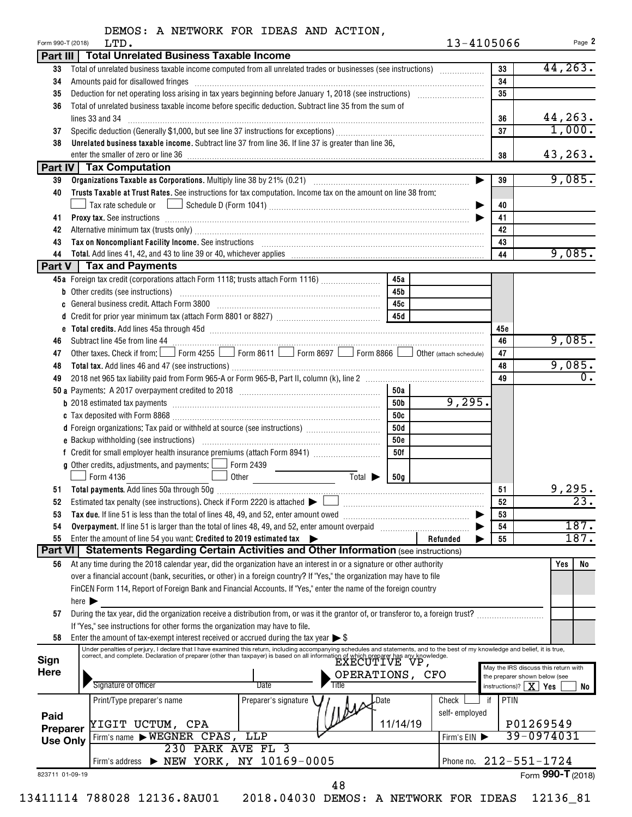|  |  | DEMOS: A NETWORK FOR IDEAS AND ACTION, |  |  |  |  |
|--|--|----------------------------------------|--|--|--|--|
|--|--|----------------------------------------|--|--|--|--|

| Form 990-T (2018)    | A NEINOAR IOR IDEAD AND ACIION,<br>LTD.                                                                                                                                                                                        | 13-4105066                    | Page 2                               |
|----------------------|--------------------------------------------------------------------------------------------------------------------------------------------------------------------------------------------------------------------------------|-------------------------------|--------------------------------------|
| Part III             | <b>Total Unrelated Business Taxable Income</b>                                                                                                                                                                                 |                               |                                      |
| 33                   |                                                                                                                                                                                                                                | 33                            | 44, 263.                             |
| 34                   | Amounts paid for disallowed fringes                                                                                                                                                                                            | 34                            |                                      |
| 35                   |                                                                                                                                                                                                                                | 35                            |                                      |
| 36                   | Total of unrelated business taxable income before specific deduction. Subtract line 35 from the sum of                                                                                                                         |                               |                                      |
|                      | lines 33 and 34                                                                                                                                                                                                                | 36                            | 44,263.                              |
| 37                   |                                                                                                                                                                                                                                | 37                            | 1,000.                               |
| 38                   | Unrelated business taxable income. Subtract line 37 from line 36. If line 37 is greater than line 36,                                                                                                                          |                               |                                      |
|                      | enter the smaller of zero or line 36                                                                                                                                                                                           | 38                            | 43,263.                              |
|                      | <b>Part IV Tax Computation</b>                                                                                                                                                                                                 |                               |                                      |
| 39                   |                                                                                                                                                                                                                                | 39                            | 9,085.                               |
| 40                   | Trusts Taxable at Trust Rates. See instructions for tax computation. Income tax on the amount on line 38 from:                                                                                                                 |                               |                                      |
|                      | $\c3$ Tax rate schedule or $\[\,\blacksquare\]$ Schedule D (Form 1041) ………………………………………………………………………………                                                                                                                          | 40                            |                                      |
| 41                   | Proxy tax. See instructions information and contact the contract of the contract of the contract of the contract of the contract of the contract of the contract of the contract of the contract of the contract of the contra | 41                            |                                      |
| 42                   | Alternative minimum tax (trusts only) [11] matter contracts and the contracts only in the contract of the contracts only and the contracts only and the contracts of the contracts of the contracts of the contracts of the co | 42                            |                                      |
| 43                   | Tax on Noncompliant Facility Income. See instructions [11] Martin Martin Martin Martin Martin Martin Martin Ma                                                                                                                 | 43                            |                                      |
| 44                   |                                                                                                                                                                                                                                | 44                            | 9,085.                               |
|                      | <b>Part V</b>   Tax and Payments                                                                                                                                                                                               |                               |                                      |
|                      | 45a Foreign tax credit (corporations attach Form 1118; trusts attach Form 1116)<br>45a                                                                                                                                         |                               |                                      |
|                      | 45b<br><b>b</b> Other credits (see instructions)                                                                                                                                                                               |                               |                                      |
|                      | General business credit. Attach Form 3800 [11] [11] Contract the substitution of the Seneral Dusiness credit.<br>45c                                                                                                           |                               |                                      |
|                      | 45d                                                                                                                                                                                                                            |                               |                                      |
|                      |                                                                                                                                                                                                                                | 45e                           |                                      |
| 46                   | Subtract line 45e from line 44<br>Subtract line 45e from line 44<br>Other taxes. Check if from: [11] Form 4255 [12] Form 8611 [12] Form 8697 [12] Form 8866                                                                    | 46                            | 9,085.                               |
| 47                   | Other (attach schedule)                                                                                                                                                                                                        | 47                            |                                      |
| 48                   |                                                                                                                                                                                                                                | 48                            | 9,085.                               |
| 49                   |                                                                                                                                                                                                                                | 49                            | $\overline{0}$ .                     |
|                      | 50a                                                                                                                                                                                                                            |                               |                                      |
|                      | 9,295.<br>50b                                                                                                                                                                                                                  |                               |                                      |
|                      | 50c                                                                                                                                                                                                                            |                               |                                      |
|                      | d Foreign organizations: Tax paid or withheld at source (see instructions)<br>50d                                                                                                                                              |                               |                                      |
|                      | e Backup withholding (see instructions)<br><b>50e</b>                                                                                                                                                                          |                               |                                      |
|                      | 50f                                                                                                                                                                                                                            |                               |                                      |
|                      | <b>g</b> Other credits, adjustments, and payments: $\Box$ Form 2439                                                                                                                                                            |                               |                                      |
|                      | Total $\blacktriangleright$<br>Form 4136<br>Other<br>50 <sub>g</sub>                                                                                                                                                           |                               |                                      |
|                      |                                                                                                                                                                                                                                | 51                            | 9, 295.<br>23.                       |
| 52                   | Estimated tax penalty (see instructions). Check if Form 2220 is attached $\blacktriangleright$                                                                                                                                 | 52                            |                                      |
| 53                   | Tax due. If line 51 is less than the total of lines 48, 49, and 52, enter amount owed <i>manumeral containers</i>                                                                                                              | 53                            | 187.                                 |
| 54                   | Overpayment. If line 51 is larger than the total of lines 48, 49, and 52, enter amount overpaid                                                                                                                                | 54                            | 187.                                 |
| 55<br><b>Part VI</b> | Enter the amount of line 54 you want: Credited to 2019 estimated tax<br>Refunded<br><b>Statements Regarding Certain Activities and Other Information (see instructions)</b>                                                    | 55                            |                                      |
| 56                   | At any time during the 2018 calendar year, did the organization have an interest in or a signature or other authority                                                                                                          |                               | No<br>Yes                            |
|                      | over a financial account (bank, securities, or other) in a foreign country? If "Yes," the organization may have to file                                                                                                        |                               |                                      |
|                      | FinCEN Form 114, Report of Foreign Bank and Financial Accounts. If "Yes," enter the name of the foreign country                                                                                                                |                               |                                      |
|                      | here $\blacktriangleright$                                                                                                                                                                                                     |                               |                                      |
| 57                   | During the tax year, did the organization receive a distribution from, or was it the grantor of, or transferor to, a foreign trust?                                                                                            |                               |                                      |
|                      | If "Yes," see instructions for other forms the organization may have to file.                                                                                                                                                  |                               |                                      |
| 58                   | Enter the amount of tax-exempt interest received or accrued during the tax year $\triangleright$ \$                                                                                                                            |                               |                                      |
|                      | Under penalties of perjury, I declare that I have examined this return, including accompanying schedules and statements, and to the best of my knowledge and belief, it is true,                                               |                               |                                      |
| Sign                 | correct, and complete. Declaration of preparer (other than taxpayer) is based on all information of which preparer has any knowledge.                                                                                          |                               | May the IRS discuss this return with |
| <b>Here</b>          | OPERATIONS, CFO                                                                                                                                                                                                                | the preparer shown below (see |                                      |
|                      | Signature of officer<br>Title<br>Date                                                                                                                                                                                          | instructions)? $X$ Yes        | No                                   |
|                      | Preparer's signature<br>Check<br>Print/Type preparer's name<br>Date                                                                                                                                                            | PTIN<br>if                    |                                      |
| Paid                 | self-employed                                                                                                                                                                                                                  |                               |                                      |
| Preparer             | 11/14/19<br>YIGIT UCTUM, CPA                                                                                                                                                                                                   |                               | P01269549                            |
| <b>Use Only</b>      | <b>LLP</b><br>Firm's name WEGNER CPAS,<br>Firm's EIN ▶                                                                                                                                                                         |                               | 39-0974031                           |
|                      | 230 PARK AVE<br>FL <sub>3</sub>                                                                                                                                                                                                |                               |                                      |
|                      | Firm's address > NEW YORK, NY 10169-0005                                                                                                                                                                                       | Phone no. 212-551-1724        |                                      |
| 823711 01-09-19      |                                                                                                                                                                                                                                |                               | Form 990-T (2018)                    |
|                      | 48                                                                                                                                                                                                                             |                               |                                      |

<sup>13411114 788028 12136.8</sup>AU01 2018.04030 DEMOS: A NETWORK FOR IDEAS 12136\_81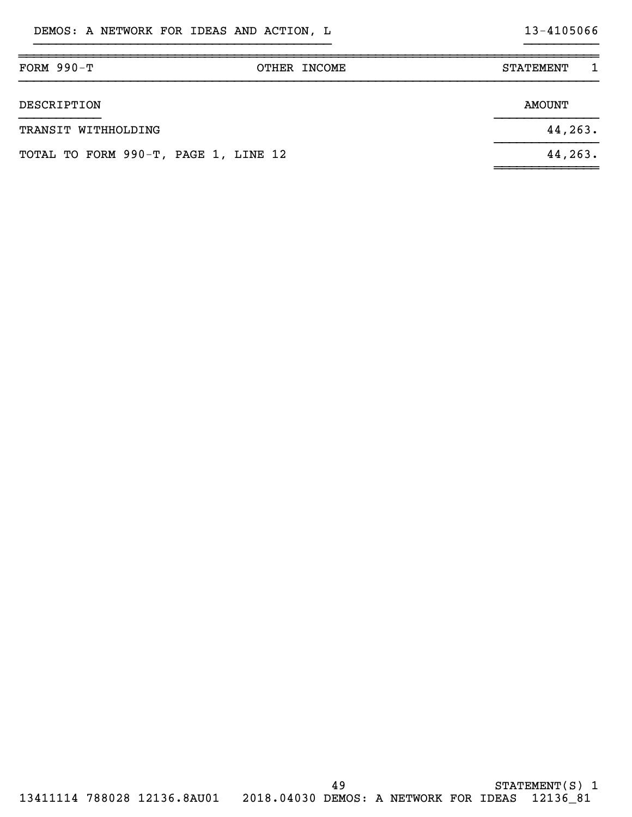| FORM $990-T$                         | OTHER INCOME | <b>STATEMENT</b> |
|--------------------------------------|--------------|------------------|
| DESCRIPTION                          |              | AMOUNT           |
| TRANSIT WITHHOLDING                  |              | 44,263.          |
| TOTAL TO FORM 990-T, PAGE 1, LINE 12 |              | 44,263.          |

}}}}}}}}}}}}}}}}}}}}}}}}}}}}}}}}}}}}}}}} }}}}}}}}}}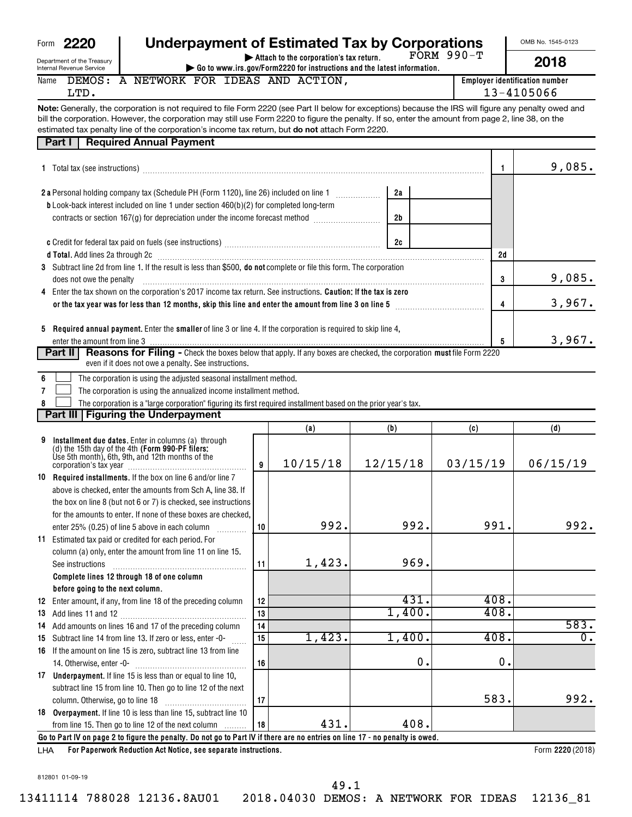| -orm |
|------|
|------|

Department of the Treasury

# **2220 Underpayment of Estimated Tax by Corporations**

**| Attach to the corporation's tax return.** FORM 990-T OMB No. 1545-0123

**2018**

|      | Internal Revenue Service |   |    |
|------|--------------------------|---|----|
| Name | DEMOS:                   | A | NF |
|      |                          |   |    |

# **| Go to www.irs.gov/Form2220 for instructions and the latest information.** ETWORK FOR IDEAS AND ACTION,

**Employer identification number** LTD. 13-4105066

**Note:** Generally, the corporation is not required to file Form 2220 (see Part II below for exceptions) because the IRS will figure any penalty owed and estimated tax penalty line of the corporation's income tax return, but **do not** attach Form 2220. bill the corporation. However, the corporation may still use Form 2220 to figure the penalty. If so, enter the amount from page 2, line 38, on the

|   | <b>Required Annual Payment</b><br>Part I                                                                                                                    |    |          |                |      |              |          |
|---|-------------------------------------------------------------------------------------------------------------------------------------------------------------|----|----------|----------------|------|--------------|----------|
|   |                                                                                                                                                             |    |          |                |      | $\mathbf{1}$ | 9,085.   |
|   | 2 a Personal holding company tax (Schedule PH (Form 1120), line 26) included on line 1                                                                      |    |          | 2a             |      |              |          |
|   | <b>b</b> Look-back interest included on line 1 under section 460(b)(2) for completed long-term                                                              |    |          |                |      |              |          |
|   |                                                                                                                                                             |    |          | 2 <sub>b</sub> |      |              |          |
|   |                                                                                                                                                             |    |          |                |      |              |          |
|   |                                                                                                                                                             |    |          | 2c             |      |              |          |
|   |                                                                                                                                                             |    |          |                |      | 2d           |          |
|   | 3 Subtract line 2d from line 1. If the result is less than \$500, do not complete or file this form. The corporation                                        |    |          |                |      |              |          |
|   | does not owe the penalty                                                                                                                                    |    |          |                |      | 3            | 9,085.   |
|   | 4 Enter the tax shown on the corporation's 2017 income tax return. See instructions. Caution: If the tax is zero                                            |    |          |                |      |              |          |
|   | or the tax year was for less than 12 months, skip this line and enter the amount from line 3 on line 5                                                      |    |          |                |      | 4            | 3,967.   |
|   |                                                                                                                                                             |    |          |                |      |              |          |
|   | 5 Required annual payment. Enter the smaller of line 3 or line 4. If the corporation is required to skip line 4,                                            |    |          |                |      |              |          |
|   |                                                                                                                                                             |    |          |                |      | 5            | 3,967.   |
|   | Reasons for Filing - Check the boxes below that apply. If any boxes are checked, the corporation must file Form 2220<br>Part II                             |    |          |                |      |              |          |
|   | even if it does not owe a penalty. See instructions.                                                                                                        |    |          |                |      |              |          |
| 6 | The corporation is using the adjusted seasonal installment method.                                                                                          |    |          |                |      |              |          |
| 7 | The corporation is using the annualized income installment method.                                                                                          |    |          |                |      |              |          |
| 8 | The corporation is a "large corporation" figuring its first required installment based on the prior year's tax.                                             |    |          |                |      |              |          |
|   | Part III   Figuring the Underpayment                                                                                                                        |    |          |                |      |              |          |
| 9 |                                                                                                                                                             |    | (a)      | (b)            |      | (c)          | (d)      |
|   | Installment due dates. Enter in columns (a) through<br>(d) the 15th day of the 4th (Form 990-PF filers:<br>Use 5th month), 6th, 9th, and 12th months of the |    |          |                |      |              |          |
|   |                                                                                                                                                             | 9  | 10/15/18 | 12/15/18       |      | 03/15/19     | 06/15/19 |
|   | 10 Required installments. If the box on line 6 and/or line 7                                                                                                |    |          |                |      |              |          |
|   | above is checked, enter the amounts from Sch A, line 38. If                                                                                                 |    |          |                |      |              |          |
|   | the box on line 8 (but not 6 or 7) is checked, see instructions                                                                                             |    |          |                |      |              |          |
|   | for the amounts to enter. If none of these boxes are checked.                                                                                               |    |          |                |      |              |          |
|   | enter 25% (0.25) of line 5 above in each column                                                                                                             | 10 | 992.     |                | 992. | 991.         | 992.     |
|   | 11 Estimated tax paid or credited for each period. For                                                                                                      |    |          |                |      |              |          |
|   | column (a) only, enter the amount from line 11 on line 15.                                                                                                  |    |          |                |      |              |          |
|   | See instructions                                                                                                                                            | 11 | 1,423.   |                | 969. |              |          |
|   | Complete lines 12 through 18 of one column                                                                                                                  |    |          |                |      |              |          |
|   | before going to the next column.                                                                                                                            |    |          |                |      |              |          |
|   | 12 Enter amount, if any, from line 18 of the preceding column                                                                                               | 12 |          |                | 431. | 408.         |          |
|   |                                                                                                                                                             | 13 |          | 1,400.         |      | 408.         |          |
|   | 14 Add amounts on lines 16 and 17 of the preceding column                                                                                                   | 14 |          |                |      |              | 583.     |
|   | 15 Subtract line 14 from line 13. If zero or less, enter -0-                                                                                                | 15 | 1,423.   | 1,400.         |      | 408.         | 0.       |
|   | 16 If the amount on line 15 is zero, subtract line 13 from line                                                                                             |    |          |                |      |              |          |
|   | 14. Otherwise, enter -0-                                                                                                                                    | 16 |          |                | 0    | 0            |          |

**17 Underpayment.**  If line 15 is less than or equal to line 10, **18 Overpayment.**  If line 10 is less than line 15, subtract line 10 **17 18 Go to Part IV on page 2 to figure the penalty. Do not go to Part IV if there are no entries on line 17 - no penalty is owed.** subtract line 15 from line 10. Then go to line 12 of the next column. Otherwise, go to line 18 ~~~~~~~~~~~ from line 15. Then go to line 12 of the next column 583. 992. 431. 408.

**For Paperwork Reduction Act Notice, see separate instructions.** LHA

Form 2220 (2018)

812801 01-09-19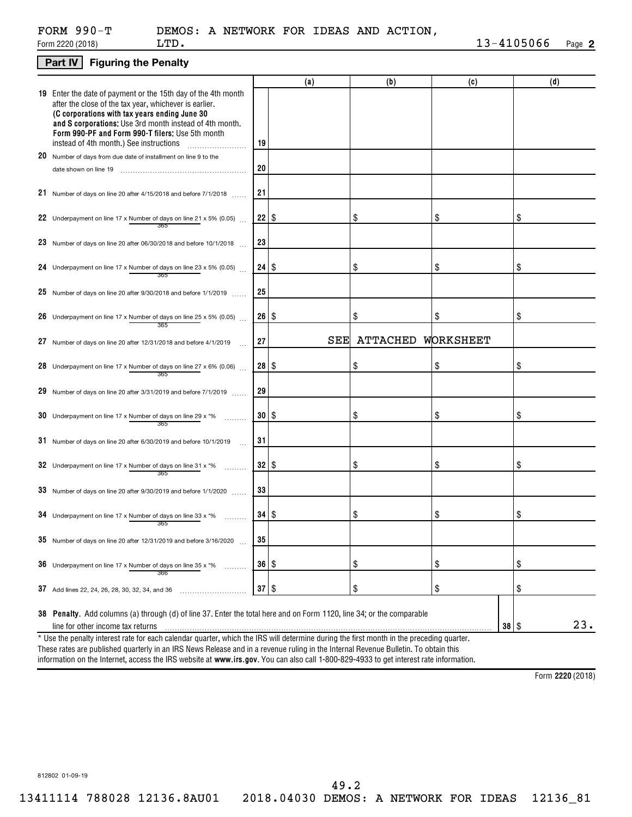|  | FORM 990-T |
|--|------------|
|  |            |

# **Part IV Figuring the Penalty**

|                                                                                                                                                                                                                                                                                                                                    |                 | (a)  | (b)      | (c)       | (d) |
|------------------------------------------------------------------------------------------------------------------------------------------------------------------------------------------------------------------------------------------------------------------------------------------------------------------------------------|-----------------|------|----------|-----------|-----|
| 19 Enter the date of payment or the 15th day of the 4th month<br>after the close of the tax year, whichever is earlier.<br>(C corporations with tax years ending June 30<br>and S corporations: Use 3rd month instead of 4th month.<br>Form 990-PF and Form 990-T filers: Use 5th month<br>instead of 4th month.) See instructions | 19              |      |          |           |     |
| 20 Number of days from due date of installment on line 9 to the                                                                                                                                                                                                                                                                    |                 |      |          |           |     |
|                                                                                                                                                                                                                                                                                                                                    | 20              |      |          |           |     |
| 21 Number of days on line 20 after $4/15/2018$ and before $7/1/2018$                                                                                                                                                                                                                                                               | 21              |      |          |           |     |
| 22 Underpayment on line 17 x Number of days on line 21 x 5% (0.05)<br>365                                                                                                                                                                                                                                                          | 22              | - \$ | \$       | \$        | \$  |
| 23 Number of days on line 20 after 06/30/2018 and before 10/1/2018                                                                                                                                                                                                                                                                 | 23              |      |          |           |     |
| 24 Underpayment on line 17 x Number of days on line 23 x 5% (0.05)<br>365                                                                                                                                                                                                                                                          | 24              | l \$ | \$       | \$        | \$  |
| 25 Number of days on line 20 after 9/30/2018 and before 1/1/2019 $\ldots$                                                                                                                                                                                                                                                          | 25              |      |          |           |     |
| 26 Underpayment on line 17 x Number of days on line 25 x 5% (0.05)<br>365                                                                                                                                                                                                                                                          | 26              | - \$ | \$       | \$        | \$  |
| 27 Number of days on line 20 after 12/31/2018 and before 4/1/2019                                                                                                                                                                                                                                                                  | 27              | SEE  | ATTACHED | WORKSHEET |     |
| 28 Underpayment on line 17 x Number of days on line 27 x 6% (0.06)<br>365                                                                                                                                                                                                                                                          | 28              | 8    | \$       | \$        | \$  |
| 29 Number of days on line 20 after $3/31/2019$ and before $7/1/2019$                                                                                                                                                                                                                                                               | 29              |      |          |           |     |
| 30 Underpayment on line 17 x Number of days on line 29 x $*$ %<br>365                                                                                                                                                                                                                                                              | 30              | 8    | \$       | \$        | \$  |
| 31 Number of days on line 20 after 6/30/2019 and before 10/1/2019                                                                                                                                                                                                                                                                  | 31              |      |          |           |     |
| 32 Underpayment on line 17 x Number of days on line 31 x $*$ %<br>365                                                                                                                                                                                                                                                              | 32              | 8    | \$       | \$        | \$  |
| 33 Number of days on line 20 after $9/30/2019$ and before $1/1/2020$                                                                                                                                                                                                                                                               | 33              |      |          |           |     |
| 34 Underpayment on line 17 x Number of days on line 33 x $*$ %<br>365                                                                                                                                                                                                                                                              | 34   S          |      | \$       | \$        | \$  |
| 35 Number of days on line 20 after 12/31/2019 and before $3/16/2020$                                                                                                                                                                                                                                                               | 35              |      |          |           |     |
| 36 Underpayment on line 17 x Number of days on line 35 x $*$ %<br>.<br>366                                                                                                                                                                                                                                                         | 36 I            | \$   | \$       | \$        | \$  |
| 37 Add lines 22, 24, 26, 28, 30, 32, 34, and 36                                                                                                                                                                                                                                                                                    | 37 <sup>5</sup> | \$   | \$       | \$        | \$  |
| 38 Penalty. Add columns (a) through (d) of line 37. Enter the total here and on Form 1120, line 34; or the comparable                                                                                                                                                                                                              |                 |      |          |           |     |
| line for other income tax returns                                                                                                                                                                                                                                                                                                  |                 |      |          | $38  $ \$ | 23. |
|                                                                                                                                                                                                                                                                                                                                    |                 |      |          |           |     |
| * Use the penalty interest rate for each calendar quarter, which the IRS will determine during the first month in the preceding quarter.                                                                                                                                                                                           |                 |      |          |           |     |

information on the Internet, access the IRS website at **www.irs.gov**. You can also call 1-800-829-4933 to get interest rate information. These rates are published quarterly in an IRS News Release and in a revenue ruling in the Internal Revenue Bulletin. To obtain this

**2220**  Form (2018)

812802 01-09-19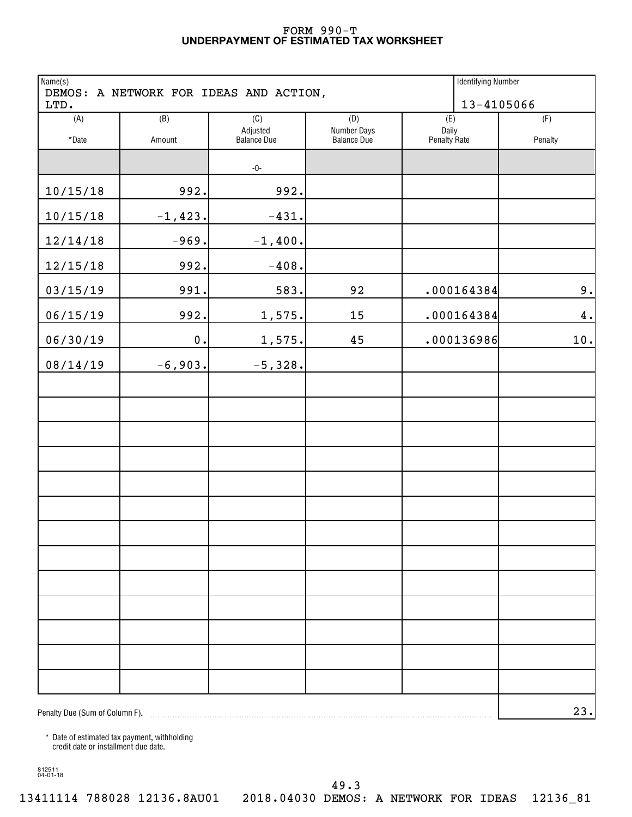# **UNDERPAYMENT OF ESTIMATED TAX WORKSHEET** FORM 990-T

| Name(s)<br>LTD.                |               | DEMOS: A NETWORK FOR IDEAS AND ACTION, |                                   | <b>Identifying Number</b> | 13-4105066         |
|--------------------------------|---------------|----------------------------------------|-----------------------------------|---------------------------|--------------------|
| (A)                            | (B)           | (C)                                    | (D)                               | (E)                       | (F)                |
| *Date                          | Amount        | Adjusted<br><b>Balance Due</b>         | Number Days<br><b>Balance Due</b> | Daily<br>Penalty Rate     | Penalty            |
|                                |               | -0-                                    |                                   |                           |                    |
| 10/15/18                       | 992.          | 992.                                   |                                   |                           |                    |
| 10/15/18                       | $-1,423.$     | $-431.$                                |                                   |                           |                    |
| 12/14/18                       | $-969.$       | $-1,400.$                              |                                   |                           |                    |
| 12/15/18                       | 992.          | $-408.$                                |                                   |                           |                    |
| 03/15/19                       | 991.          | 583.                                   | 92                                | .000164384                | $9$ .              |
| 06/15/19                       | 992.          | 1,575.                                 | 15                                | .000164384                | $\boldsymbol{4}$ . |
| 06/30/19                       | $\mathbf 0$ . | 1,575.                                 | 45                                | .000136986                | $10.$              |
| 08/14/19                       | $-6,903.$     | $-5,328.$                              |                                   |                           |                    |
|                                |               |                                        |                                   |                           |                    |
|                                |               |                                        |                                   |                           |                    |
|                                |               |                                        |                                   |                           |                    |
|                                |               |                                        |                                   |                           |                    |
|                                |               |                                        |                                   |                           |                    |
|                                |               |                                        |                                   |                           |                    |
|                                |               |                                        |                                   |                           |                    |
|                                |               |                                        |                                   |                           |                    |
|                                |               |                                        |                                   |                           |                    |
|                                |               |                                        |                                   |                           |                    |
|                                |               |                                        |                                   |                           |                    |
|                                |               |                                        |                                   |                           |                    |
|                                |               |                                        |                                   |                           |                    |
| Penalty Due (Sum of Column F). |               |                                        |                                   |                           | 23.                |

\* Date of estimated tax payment, withholding credit date or installment due date.

812511 04-01-18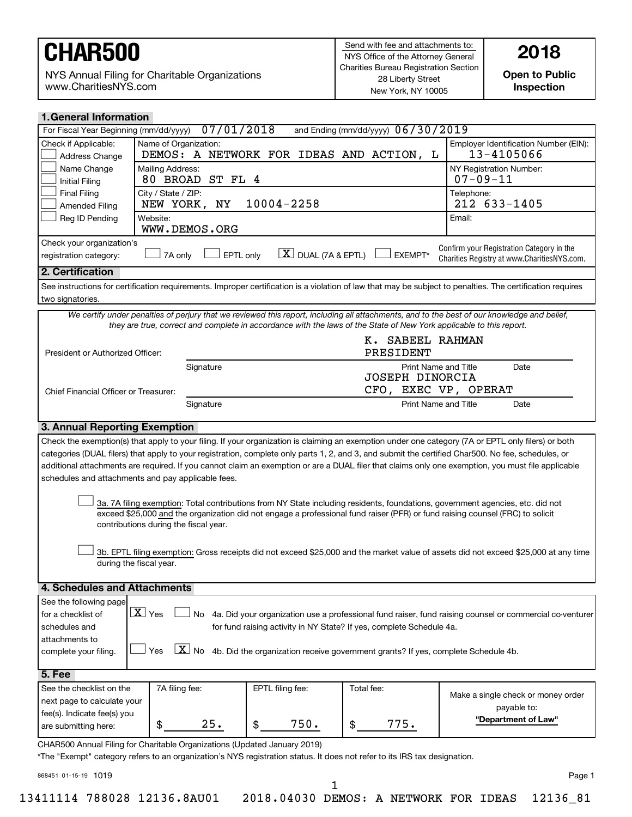NYS Annual Filing for Charitable Organizations www.CharitiesNYS.com

**Inspection**

| <b>1. General Information</b>                                                                                                                                                                                                                                                                            |                                                                                                                     |                                                  |                               |                                                                                                                                                            |  |
|----------------------------------------------------------------------------------------------------------------------------------------------------------------------------------------------------------------------------------------------------------------------------------------------------------|---------------------------------------------------------------------------------------------------------------------|--------------------------------------------------|-------------------------------|------------------------------------------------------------------------------------------------------------------------------------------------------------|--|
| 07/01/2018<br>and Ending (mm/dd/yyyy) 06/30/2019<br>For Fiscal Year Beginning (mm/dd/yyyy)                                                                                                                                                                                                               |                                                                                                                     |                                                  |                               |                                                                                                                                                            |  |
| Check if Applicable:<br>Address Change                                                                                                                                                                                                                                                                   | Name of Organization:<br>DEMOS: A NETWORK FOR IDEAS AND ACTION, L                                                   |                                                  |                               | Employer Identification Number (EIN):<br>13-4105066                                                                                                        |  |
| Name Change<br><b>Initial Filing</b>                                                                                                                                                                                                                                                                     | Mailing Address:<br>NY Registration Number:<br>$07 - 09 - 11$<br>80 BROAD<br>ST FL<br>4                             |                                                  |                               |                                                                                                                                                            |  |
| <b>Final Filing</b><br><b>Amended Filing</b>                                                                                                                                                                                                                                                             | City / State / ZIP:<br>ΝY<br>NEW YORK,                                                                              | 10004-2258                                       |                               | Telephone:<br>212 633-1405                                                                                                                                 |  |
| Reg ID Pending                                                                                                                                                                                                                                                                                           | Website:                                                                                                            |                                                  |                               | Email:                                                                                                                                                     |  |
|                                                                                                                                                                                                                                                                                                          | WWW.DEMOS.ORG                                                                                                       |                                                  |                               |                                                                                                                                                            |  |
| Check your organization's<br>registration category:                                                                                                                                                                                                                                                      | EPTL only<br>7A only                                                                                                | $\lfloor \underline{X} \rfloor$ DUAL (7A & EPTL) | EXEMPT*                       | Confirm your Registration Category in the<br>Charities Registry at www.CharitiesNYS.com.                                                                   |  |
| 2. Certification                                                                                                                                                                                                                                                                                         |                                                                                                                     |                                                  |                               |                                                                                                                                                            |  |
|                                                                                                                                                                                                                                                                                                          |                                                                                                                     |                                                  |                               | See instructions for certification requirements. Improper certification is a violation of law that may be subject to penalties. The certification requires |  |
| two signatories.                                                                                                                                                                                                                                                                                         |                                                                                                                     |                                                  |                               |                                                                                                                                                            |  |
|                                                                                                                                                                                                                                                                                                          | they are true, correct and complete in accordance with the laws of the State of New York applicable to this report. |                                                  |                               | We certify under penalties of perjury that we reviewed this report, including all attachments, and to the best of our knowledge and belief,                |  |
| President or Authorized Officer:                                                                                                                                                                                                                                                                         |                                                                                                                     |                                                  | K. SABEEL RAHMAN<br>PRESIDENT |                                                                                                                                                            |  |
|                                                                                                                                                                                                                                                                                                          | Signature                                                                                                           |                                                  | Print Name and Title          | Date                                                                                                                                                       |  |
|                                                                                                                                                                                                                                                                                                          |                                                                                                                     |                                                  | JOSEPH DINORCIA               |                                                                                                                                                            |  |
| Chief Financial Officer or Treasurer:                                                                                                                                                                                                                                                                    |                                                                                                                     |                                                  | CFO, EXEC VP, OPERAT          |                                                                                                                                                            |  |
|                                                                                                                                                                                                                                                                                                          | Signature                                                                                                           |                                                  | <b>Print Name and Title</b>   | Date                                                                                                                                                       |  |
| 3. Annual Reporting Exemption                                                                                                                                                                                                                                                                            |                                                                                                                     |                                                  |                               |                                                                                                                                                            |  |
|                                                                                                                                                                                                                                                                                                          |                                                                                                                     |                                                  |                               | Check the exemption(s) that apply to your filing. If your organization is claiming an exemption under one category (7A or EPTL only filers) or both        |  |
|                                                                                                                                                                                                                                                                                                          |                                                                                                                     |                                                  |                               | categories (DUAL filers) that apply to your registration, complete only parts 1, 2, and 3, and submit the certified Char500. No fee, schedules, or         |  |
|                                                                                                                                                                                                                                                                                                          |                                                                                                                     |                                                  |                               | additional attachments are required. If you cannot claim an exemption or are a DUAL filer that claims only one exemption, you must file applicable         |  |
|                                                                                                                                                                                                                                                                                                          | schedules and attachments and pay applicable fees.                                                                  |                                                  |                               |                                                                                                                                                            |  |
| 3a. 7A filing exemption: Total contributions from NY State including residents, foundations, government agencies, etc. did not<br>exceed \$25,000 and the organization did not engage a professional fund raiser (PFR) or fund raising counsel (FRC) to solicit<br>contributions during the fiscal year. |                                                                                                                     |                                                  |                               |                                                                                                                                                            |  |
|                                                                                                                                                                                                                                                                                                          |                                                                                                                     |                                                  |                               |                                                                                                                                                            |  |
| 3b. EPTL filing exemption: Gross receipts did not exceed \$25,000 and the market value of assets did not exceed \$25,000 at any time<br>during the fiscal year.                                                                                                                                          |                                                                                                                     |                                                  |                               |                                                                                                                                                            |  |
| 4. Schedules and Attachments                                                                                                                                                                                                                                                                             |                                                                                                                     |                                                  |                               |                                                                                                                                                            |  |
| See the following page                                                                                                                                                                                                                                                                                   |                                                                                                                     |                                                  |                               |                                                                                                                                                            |  |
| for a checklist of                                                                                                                                                                                                                                                                                       | $\boxed{\text{X}}$ Yes                                                                                              |                                                  |                               | No 4a. Did your organization use a professional fund raiser, fund raising counsel or commercial co-venturer                                                |  |
| for fund raising activity in NY State? If yes, complete Schedule 4a.<br>schedules and                                                                                                                                                                                                                    |                                                                                                                     |                                                  |                               |                                                                                                                                                            |  |
| attachments to                                                                                                                                                                                                                                                                                           |                                                                                                                     |                                                  |                               |                                                                                                                                                            |  |
| $\boxed{\mathbf{X}}$ No 4b. Did the organization receive government grants? If yes, complete Schedule 4b.<br>Yes<br>complete your filing.                                                                                                                                                                |                                                                                                                     |                                                  |                               |                                                                                                                                                            |  |
| 5. Fee                                                                                                                                                                                                                                                                                                   |                                                                                                                     |                                                  |                               |                                                                                                                                                            |  |
| See the checklist on the                                                                                                                                                                                                                                                                                 | 7A filing fee:                                                                                                      | EPTL filing fee:                                 | Total fee:                    | Make a single check or money order                                                                                                                         |  |
| next page to calculate your                                                                                                                                                                                                                                                                              |                                                                                                                     |                                                  |                               | payable to:                                                                                                                                                |  |
| fee(s). Indicate fee(s) you                                                                                                                                                                                                                                                                              |                                                                                                                     |                                                  | "Department of Law"           |                                                                                                                                                            |  |
| 25.<br>750.<br>775.<br>\$<br>\$<br>\$<br>are submitting here:                                                                                                                                                                                                                                            |                                                                                                                     |                                                  |                               |                                                                                                                                                            |  |
| CHAR500 Annual Filing for Charitable Organizations (Updated January 2019)                                                                                                                                                                                                                                |                                                                                                                     |                                                  |                               |                                                                                                                                                            |  |
| *The "Exempt" category refers to an organization's NYS registration status. It does not refer to its IRS tax designation.                                                                                                                                                                                |                                                                                                                     |                                                  |                               |                                                                                                                                                            |  |

868451 01-15-19

1019 Page 1

13411114 788028 12136.8AU01 2018.04030 DEMOS: A NETWORK FOR IDEAS 12136\_81

1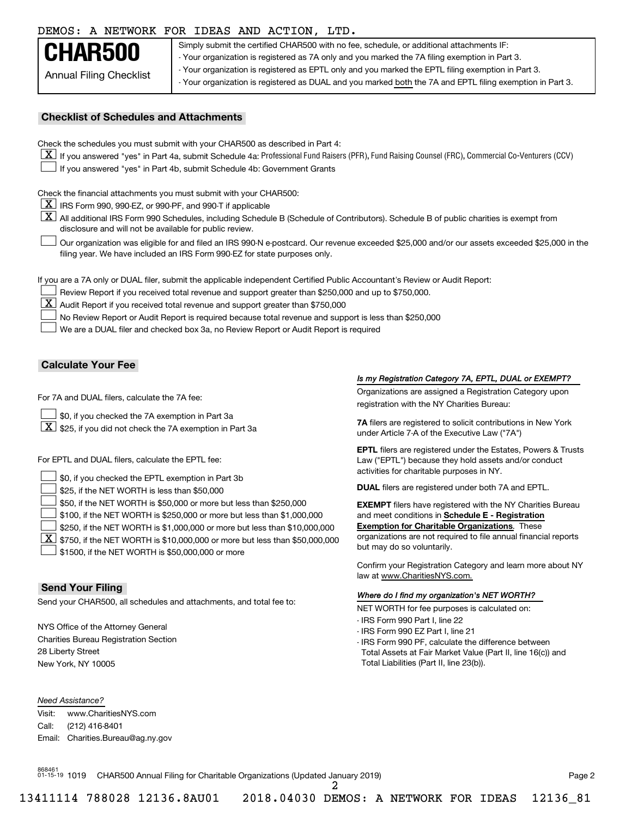| CHAR500                        |
|--------------------------------|
| <b>Annual Filing Checklist</b> |

Simply submit the certified CHAR500 with no fee, schedule, or additional attachments IF: - Your organization is registered as 7A only and you marked the 7A filing exemption in Part 3. - Your organization is registered as EPTL only and you marked the EPTL filing exemption in Part 3. - Your organization is registered as DUAL and you marked both the 7A and EPTL filing exemption in Part 3.

# **Checklist of Schedules and Attachments**

Check the schedules you must submit with your CHAR500 as described in Part 4:

- If you answered "yes" in Part 4a, submit Schedule 4a: Professional Fund Raisers (PFR), Fund Raising Counsel (FRC), Commercial Co-Venturers (CCV)
- If you answered "yes" in Part 4b, submit Schedule 4b: Government Grants

Check the financial attachments you must submit with your CHAR500:

- $\boxed{\textbf{X}}$  IRS Form 990, 990-EZ, or 990-PF, and 990-T if applicable
- [X] All additional IRS Form 990 Schedules, including Schedule B (Schedule of Contributors). Schedule B of public charities is exempt from disclosure and will not be available for public review.
- Our organization was eligible for and filed an IRS 990-N e-postcard. Our revenue exceeded \$25,000 and/or our assets exceeded \$25,000 in the filing year. We have included an IRS Form 990-EZ for state purposes only.  $\Box$

If you are a 7A only or DUAL filer, submit the applicable independent Certified Public Accountant's Review or Audit Report:

Review Report if you received total revenue and support greater than \$250,000 and up to \$750,000.  $\Box$ 

 $\boxed{\textbf{X}}$  Audit Report if you received total revenue and support greater than \$750,000

No Review Report or Audit Report is required because total revenue and support is less than \$250,000  $\Box$ 

We are a DUAL filer and checked box 3a, no Review Report or Audit Report is required  $\Box$ 

# **Calculate Your Fee**

- $\Box$
- 

For EPTL and DUAL filers, calculate the EPTL fee:

| \$0, if you checked the EPTL exemption in Part 3b                                | activities for charitable purposes in NY.                         |  |  |
|----------------------------------------------------------------------------------|-------------------------------------------------------------------|--|--|
| $\Box$ \$25, if the NET WORTH is less than \$50,000                              | <b>DUAL</b> filers are registered under both 7A and EPTL.         |  |  |
| $\Box$ \$50, if the NET WORTH is \$50,000 or more but less than \$250,000        | <b>EXEMPT</b> filers have registered with the NY Charities Bureau |  |  |
| $\Box$ \$100, if the NET WORTH is \$250,000 or more but less than \$1,000,000    | and meet conditions in Schedule E - Registration                  |  |  |
| $\Box$ \$250, if the NET WORTH is \$1,000,000 or more but less than \$10,000,000 | <b>Exemption for Charitable Organizations.</b> These              |  |  |
| $X$ \$750, if the NET WORTH is \$10,000,000 or more but less than \$50,000,000   | organizations are not required to file annual financial reports   |  |  |
| $\rfloor$ \$1500, if the NET WORTH is \$50,000,000 or more                       | but may do so voluntarily.                                        |  |  |

# **Send Your Filing**

Nend your CHAR500, all schedules and attachments, and total fee to:<br>NET WORTH for fee purposes is calculated on:

NYS Office of the Attorney General Charities Bureau Registration Section 28 Liberty Street New York, NY 10005

*Need Assistance?*

Visit: Call: Email: Charities.Bureau@ag.ny.gov www.CharitiesNYS.com (212) 416-8401

#### *Is my Registration Category 7A, EPTL, DUAL or EXEMPT?*

Organizations are assigned a Registration Category upon For 7A and DUAL filers, calculate the 7A fee:<br>registration with the NY Charities Bureau:

**7A** \$0, if you checked the 7A exemption in Part 3a filers are registered to solicit contributions in New York For the Safe registered to solicit contributions<br>"under Article 7-A of the Executive Law ("7A")

> **EPTL** filers are registered under the Estates, Powers & Trusts Law ("EPTL") because they hold assets and/or conduct activities for charitable purposes in NY.

Confirm your Registration Category and learn more about NY law at www.CharitiesNYS.com.

#### *Where do I find my organization's NET WORTH?*

- IRS Form 990 Part I, line 22
- IRS Form 990 EZ Part I, line 21
- IRS Form 990 PF, calculate the difference between Total Assets at Fair Market Value (Part II, line 16(c)) and Total Liabilities (Part II, line 23(b)).

<sub>868461</sub><br>01-15-19 1019 CHAR500 Annual Filing for Charitable Organizations (Updated January 2019) Page 2

2